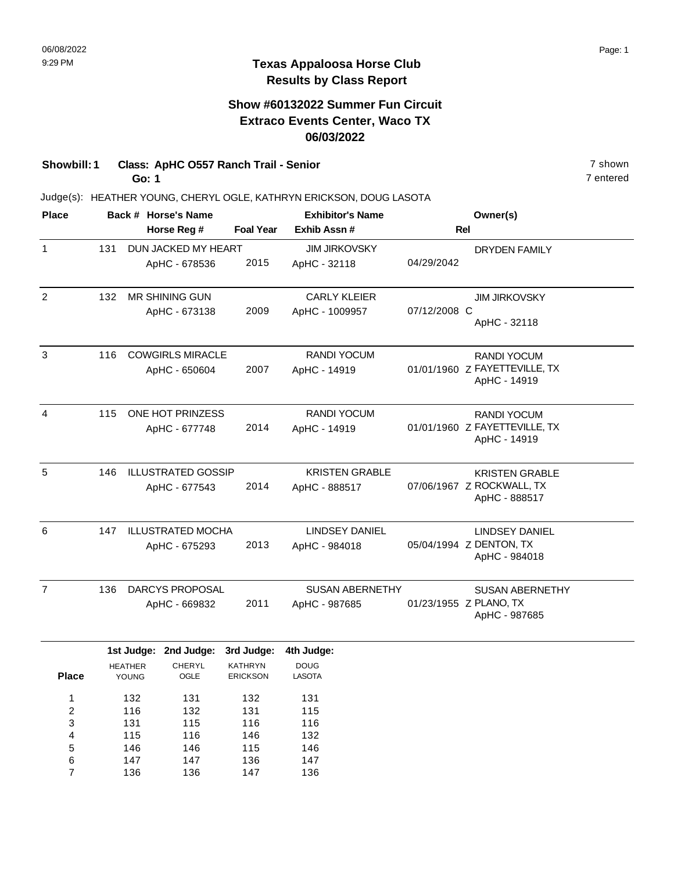### **Show #60132022 Summer Fun Circuit Extraco Events Center, Waco TX 06/03/2022**

**Showbill: 1 Class: ApHC O557 Ranch Trail - Senior** 7 shown **Go: 1**

> 147 136

6 7 147 136 136 147 147 136

Judge(s): HEATHER YOUNG, CHERYL OGLE, KATHRYN ERICKSON, DOUG LASOTA

| <b>Place</b>   |     |                         | Back # Horse's Name       |                                   | <b>Exhibitor's Name</b>      |              | Owner(s)                                      |
|----------------|-----|-------------------------|---------------------------|-----------------------------------|------------------------------|--------------|-----------------------------------------------|
|                |     |                         | Horse Reg #               | <b>Foal Year</b>                  | Exhib Assn#                  |              | Rel                                           |
| $\mathbf{1}$   | 131 |                         | DUN JACKED MY HEART       |                                   | <b>JIM JIRKOVSKY</b>         |              | <b>DRYDEN FAMILY</b>                          |
|                |     |                         | ApHC - 678536             | 2015                              | ApHC - 32118                 | 04/29/2042   |                                               |
| $\overline{c}$ | 132 |                         | MR SHINING GUN            |                                   | <b>CARLY KLEIER</b>          |              | JIM JIRKOVSKY                                 |
|                |     |                         | ApHC - 673138             | 2009                              | ApHC - 1009957               | 07/12/2008 C | ApHC - 32118                                  |
| 3              | 116 |                         | <b>COWGIRLS MIRACLE</b>   |                                   | <b>RANDI YOCUM</b>           |              | <b>RANDI YOCUM</b>                            |
|                |     |                         | ApHC - 650604             | 2007                              | ApHC - 14919                 |              | 01/01/1960 Z FAYETTEVILLE, TX<br>ApHC - 14919 |
| $\overline{4}$ | 115 |                         | ONE HOT PRINZESS          |                                   | <b>RANDI YOCUM</b>           |              | <b>RANDI YOCUM</b>                            |
|                |     |                         | ApHC - 677748             | 2014                              | ApHC - 14919                 |              | 01/01/1960 Z FAYETTEVILLE, TX<br>ApHC - 14919 |
| 5              | 146 |                         | <b>ILLUSTRATED GOSSIP</b> |                                   | <b>KRISTEN GRABLE</b>        |              | <b>KRISTEN GRABLE</b>                         |
|                |     |                         | ApHC - 677543             | 2014                              | ApHC - 888517                |              | 07/06/1967 Z ROCKWALL, TX<br>ApHC - 888517    |
| 6              | 147 |                         | <b>ILLUSTRATED MOCHA</b>  |                                   | <b>LINDSEY DANIEL</b>        |              | <b>LINDSEY DANIEL</b>                         |
|                |     |                         | ApHC - 675293             | 2013                              | ApHC - 984018                |              | 05/04/1994 Z DENTON, TX<br>ApHC - 984018      |
| $\overline{7}$ | 136 |                         | <b>DARCYS PROPOSAL</b>    |                                   | <b>SUSAN ABERNETHY</b>       |              | <b>SUSAN ABERNETHY</b>                        |
|                |     |                         | ApHC - 669832             | 2011                              | ApHC - 987685                |              | 01/23/1955 Z PLANO, TX<br>ApHC - 987685       |
|                |     |                         | 1st Judge: 2nd Judge:     | 3rd Judge:                        | 4th Judge:                   |              |                                               |
| <b>Place</b>   |     | <b>HEATHER</b><br>YOUNG | <b>CHERYL</b><br>OGLE     | <b>KATHRYN</b><br><b>ERICKSON</b> | <b>DOUG</b><br><b>LASOTA</b> |              |                                               |
| 1              |     | 132                     | 131                       | 132                               | 131                          |              |                                               |
| $\overline{c}$ |     | 116                     | 132                       | 131                               | 115                          |              |                                               |
| 3              |     | 131                     | 115                       | 116                               | 116                          |              |                                               |
| 4<br>5         |     | 115<br>146              | 116<br>146                | 146<br>115                        | 132<br>146                   |              |                                               |
|                |     |                         |                           |                                   |                              |              |                                               |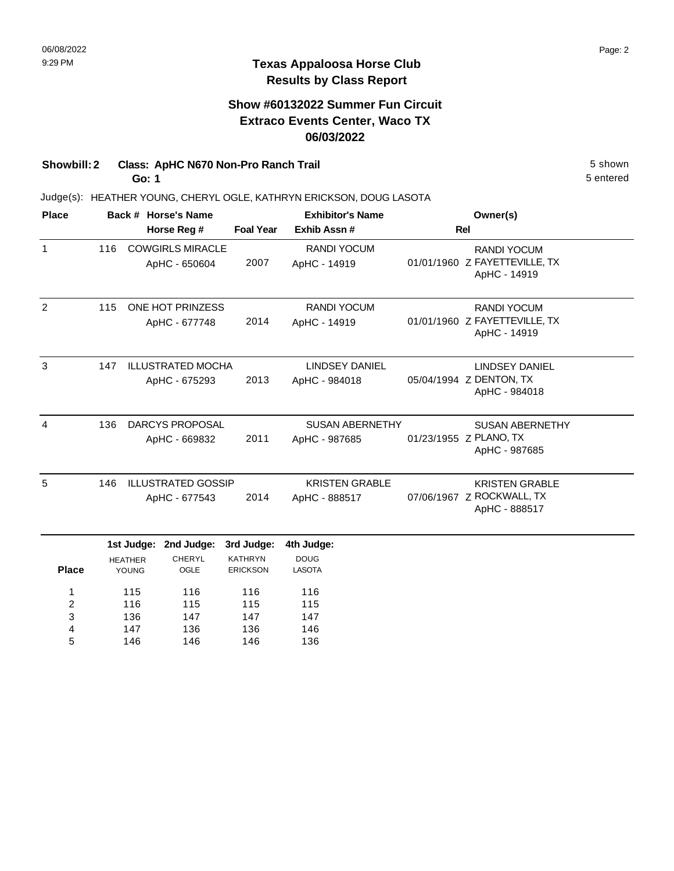### **Show #60132022 Summer Fun Circuit Extraco Events Center, Waco TX 06/03/2022**

**Showbill: 2 Class: ApHC N670 Non-Pro Ranch Trail 5 Shown 5 Shown 5 shown** 

**Go: 1**

146

5

146

146

136

Judge(s): HEATHER YOUNG, CHERYL OGLE, KATHRYN ERICKSON, DOUG LASOTA

| <b>Place</b>            |     |                          | Back # Horse's Name       |                  | <b>Exhibitor's Name</b> | Owner(s)                      |
|-------------------------|-----|--------------------------|---------------------------|------------------|-------------------------|-------------------------------|
|                         |     |                          | Horse Reg #               | <b>Foal Year</b> | Exhib Assn #            | <b>Rel</b>                    |
| $\mathbf{1}$            | 116 |                          | <b>COWGIRLS MIRACLE</b>   |                  | <b>RANDI YOCUM</b>      | <b>RANDI YOCUM</b>            |
|                         |     |                          | ApHC - 650604             | 2007             | ApHC - 14919            | 01/01/1960 Z FAYETTEVILLE, TX |
|                         |     |                          |                           |                  |                         | ApHC - 14919                  |
| $\overline{2}$          | 115 | ONE HOT PRINZESS         |                           |                  | <b>RANDI YOCUM</b>      | <b>RANDI YOCUM</b>            |
|                         |     |                          | ApHC - 677748             | 2014             | ApHC - 14919            | 01/01/1960 Z FAYETTEVILLE, TX |
|                         |     |                          |                           |                  |                         | ApHC - 14919                  |
| 3                       | 147 | <b>ILLUSTRATED MOCHA</b> |                           |                  | <b>LINDSEY DANIEL</b>   | <b>LINDSEY DANIEL</b>         |
|                         |     |                          | ApHC - 675293             | 2013             | ApHC - 984018           | 05/04/1994 Z DENTON, TX       |
|                         |     |                          |                           |                  |                         | ApHC - 984018                 |
| 4                       | 136 | DARCYS PROPOSAL          |                           |                  | <b>SUSAN ABERNETHY</b>  | <b>SUSAN ABERNETHY</b>        |
|                         |     | ApHC - 669832            |                           | 2011             | ApHC - 987685           | 01/23/1955 Z PLANO, TX        |
|                         |     |                          |                           |                  |                         | ApHC - 987685                 |
| 5                       | 146 |                          | <b>ILLUSTRATED GOSSIP</b> |                  | <b>KRISTEN GRABLE</b>   | <b>KRISTEN GRABLE</b>         |
|                         |     |                          | ApHC - 677543             | 2014             | ApHC - 888517           | 07/06/1967 Z ROCKWALL, TX     |
|                         |     |                          |                           |                  |                         | ApHC - 888517                 |
|                         |     |                          | 1st Judge: 2nd Judge:     | 3rd Judge:       | 4th Judge:              |                               |
|                         |     | <b>HEATHER</b>           | <b>CHERYL</b>             | <b>KATHRYN</b>   | <b>DOUG</b>             |                               |
| <b>Place</b>            |     | YOUNG                    | OGLE                      | <b>ERICKSON</b>  | <b>LASOTA</b>           |                               |
| 1                       |     | 115                      | 116                       | 116              | 116                     |                               |
| $\overline{\mathbf{c}}$ |     | 116                      | 115                       | 115              | 115                     |                               |
| 3                       |     | 136                      | 147                       | 147              | 147                     |                               |
| 4                       |     | 147                      | 136                       | 136              | 146                     |                               |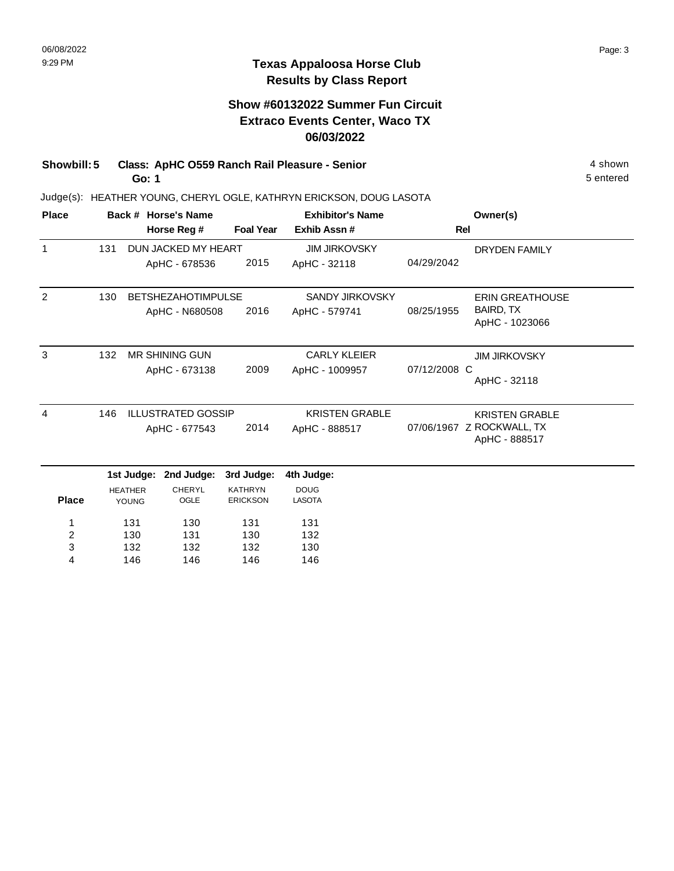## **Show #60132022 Summer Fun Circuit Extraco Events Center, Waco TX 06/03/2022**

**Showbill: 5 Class: ApHC 0559 Ranch Rail Pleasure - Senior** 4 shown 4 shown **Go: 1**

Judge(s): HEATHER YOUNG, CHERYL OGLE, KATHRYN ERICKSON, DOUG LASOTA

| <b>Place</b>            |     |                                                    | Back # Horse's Name   |                                   | <b>Exhibitor's Name</b>      |              | Owner(s)                                   |
|-------------------------|-----|----------------------------------------------------|-----------------------|-----------------------------------|------------------------------|--------------|--------------------------------------------|
|                         |     |                                                    | Horse Reg #           | <b>Foal Year</b>                  | Exhib Assn#                  | Rel          |                                            |
| $\mathbf{1}$            | 131 |                                                    | DUN JACKED MY HEART   |                                   | <b>JIM JIRKOVSKY</b>         |              | <b>DRYDEN FAMILY</b>                       |
|                         |     |                                                    | ApHC - 678536         | 2015                              | ApHC - 32118                 | 04/29/2042   |                                            |
| 2                       | 130 | <b>BETSHEZAHOTIMPULSE</b>                          |                       |                                   | <b>SANDY JIRKOVSKY</b>       |              | <b>ERIN GREATHOUSE</b>                     |
|                         |     |                                                    | ApHC - N680508        | 2016                              | ApHC - 579741                | 08/25/1955   | BAIRD, TX<br>ApHC - 1023066                |
| 3                       | 132 |                                                    | <b>MR SHINING GUN</b> |                                   | <b>CARLY KLEIER</b>          |              | <b>JIM JIRKOVSKY</b>                       |
|                         |     |                                                    | ApHC - 673138         | 2009                              | ApHC - 1009957               | 07/12/2008 C | ApHC - 32118                               |
| $\overline{4}$          | 146 | <b>ILLUSTRATED GOSSIP</b><br>2014<br>ApHC - 677543 |                       |                                   | <b>KRISTEN GRABLE</b>        |              | <b>KRISTEN GRABLE</b>                      |
|                         |     |                                                    |                       |                                   | ApHC - 888517                |              | 07/06/1967 Z ROCKWALL, TX<br>ApHC - 888517 |
|                         |     | 1st Judge:                                         | 2nd Judge:            | 3rd Judge:                        | 4th Judge:                   |              |                                            |
| <b>Place</b>            |     | <b>HEATHER</b><br>YOUNG                            | <b>CHERYL</b><br>OGLE | <b>KATHRYN</b><br><b>ERICKSON</b> | <b>DOUG</b><br><b>LASOTA</b> |              |                                            |
| 1                       |     | 131                                                | 130                   | 131                               | 131                          |              |                                            |
| $\overline{\mathbf{c}}$ |     | 130                                                | 131                   | 130                               | 132                          |              |                                            |
| 3                       |     | 132                                                | 132                   | 132                               | 130                          |              |                                            |
| 4                       |     | 146                                                | 146                   | 146                               | 146                          |              |                                            |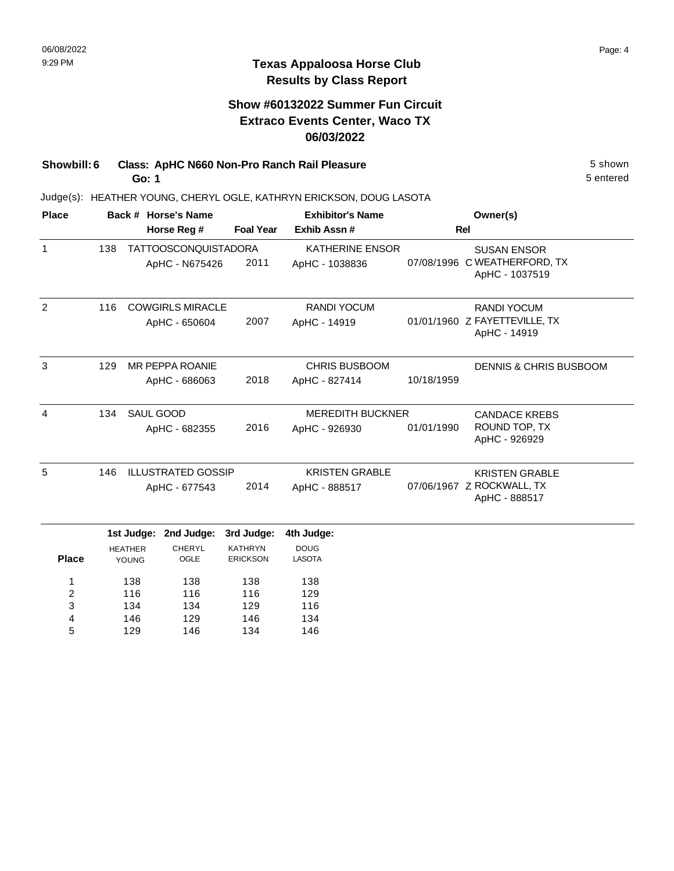### **Show #60132022 Summer Fun Circuit Extraco Events Center, Waco TX 06/03/2022**

**Showbill: 6 Class: ApHC N660 Non-Pro Ranch Rail Pleasure** 5 Shown 5 shown **Go: 1**

Judge(s): HEATHER YOUNG, CHERYL OGLE, KATHRYN ERICKSON, DOUG LASOTA

| <b>Place</b>   |     |                                              | Back # Horse's Name                           |                                                 | <b>Exhibitor's Name</b>                    |            | Owner(s)                                                             |
|----------------|-----|----------------------------------------------|-----------------------------------------------|-------------------------------------------------|--------------------------------------------|------------|----------------------------------------------------------------------|
|                |     |                                              | Horse Reg #                                   | <b>Foal Year</b>                                | Exhib Assn#                                |            | Rel                                                                  |
| $\mathbf{1}$   | 138 |                                              | <b>TATTOOSCONQUISTADORA</b><br>ApHC - N675426 | 2011                                            | <b>KATHERINE ENSOR</b><br>ApHC - 1038836   |            | <b>SUSAN ENSOR</b><br>07/08/1996 C WEATHERFORD, TX<br>ApHC - 1037519 |
| $\overline{2}$ | 116 |                                              | <b>COWGIRLS MIRACLE</b><br>ApHC - 650604      | 2007                                            | <b>RANDI YOCUM</b><br>ApHC - 14919         |            | <b>RANDI YOCUM</b><br>01/01/1960 Z FAYETTEVILLE, TX<br>ApHC - 14919  |
| 3              | 129 |                                              | <b>MR PEPPA ROANIE</b><br>ApHC - 686063       | 2018                                            | <b>CHRIS BUSBOOM</b><br>ApHC - 827414      | 10/18/1959 | <b>DENNIS &amp; CHRIS BUSBOOM</b>                                    |
| 4              | 134 | SAUL GOOD                                    | ApHC - 682355                                 | 2016                                            | <b>MEREDITH BUCKNER</b><br>ApHC - 926930   | 01/01/1990 | <b>CANDACE KREBS</b><br>ROUND TOP, TX<br>ApHC - 926929               |
| 5              | 146 |                                              | <b>ILLUSTRATED GOSSIP</b><br>ApHC - 677543    | 2014                                            | <b>KRISTEN GRABLE</b><br>ApHC - 888517     |            | <b>KRISTEN GRABLE</b><br>07/06/1967 Z ROCKWALL, TX<br>ApHC - 888517  |
| <b>Place</b>   |     | 1st Judge:<br><b>HEATHER</b><br><b>YOUNG</b> | 2nd Judge:<br><b>CHERYL</b><br>OGLE           | 3rd Judge:<br><b>KATHRYN</b><br><b>ERICKSON</b> | 4th Judge:<br><b>DOUG</b><br><b>LASOTA</b> |            |                                                                      |
| 1              |     | 138                                          | 138                                           | 138                                             | 138                                        |            |                                                                      |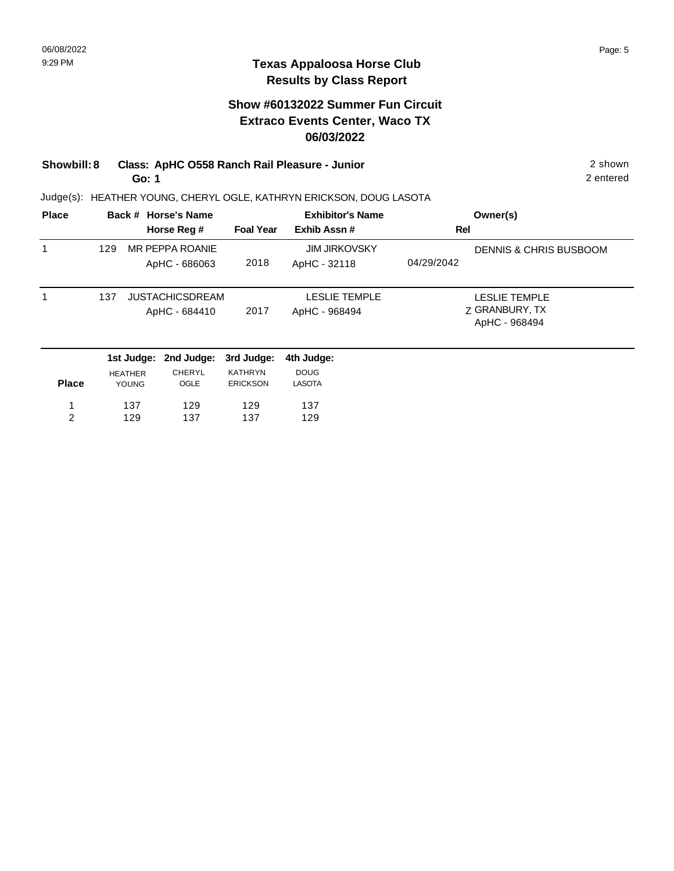## **Show #60132022 Summer Fun Circuit Extraco Events Center, Waco TX 06/03/2022**

### **Showbill: 8 Class: ApHC O558 Ranch Rail Pleasure - Junior** 2 shown **Go: 1**

Judge(s): HEATHER YOUNG, CHERYL OGLE, KATHRYN ERICKSON, DOUG LASOTA

| <b>Place</b> |     | Back # Horse's Name<br>Horse Reg #      | <b>Foal Year</b> | <b>Exhibitor's Name</b><br>Exhib Assn# | Owner(s)<br>Rel                                  |
|--------------|-----|-----------------------------------------|------------------|----------------------------------------|--------------------------------------------------|
| 1            | 129 | MR PEPPA ROANIE<br>ApHC - 686063        | 2018             | <b>JIM JIRKOVSKY</b><br>ApHC - 32118   | <b>DENNIS &amp; CHRIS BUSBOOM</b><br>04/29/2042  |
| 1            | 137 | <b>JUSTACHICSDREAM</b><br>ApHC - 684410 | 2017             | <b>LESLIE TEMPLE</b><br>ApHC - 968494  | LESLIE TEMPLE<br>Z GRANBURY, TX<br>ApHC - 968494 |
|              |     | 1st Judge: 2nd Judge: 3rd Judge:        |                  | 4th Judge:                             |                                                  |

|              |                | 1st Judge: 2nd Judge: 3rd Judge: 4th Judge: |                 |               |
|--------------|----------------|---------------------------------------------|-----------------|---------------|
|              | <b>HEATHER</b> | <b>CHERYL</b>                               | <b>KATHRYN</b>  | <b>DOUG</b>   |
| <b>Place</b> | <b>YOUNG</b>   | <b>OGLE</b>                                 | <b>ERICKSON</b> | <b>LASOTA</b> |
| 1.           | 137            | 129                                         | 129             | 137           |
| 2            | 129            | 137                                         | 137             | 129           |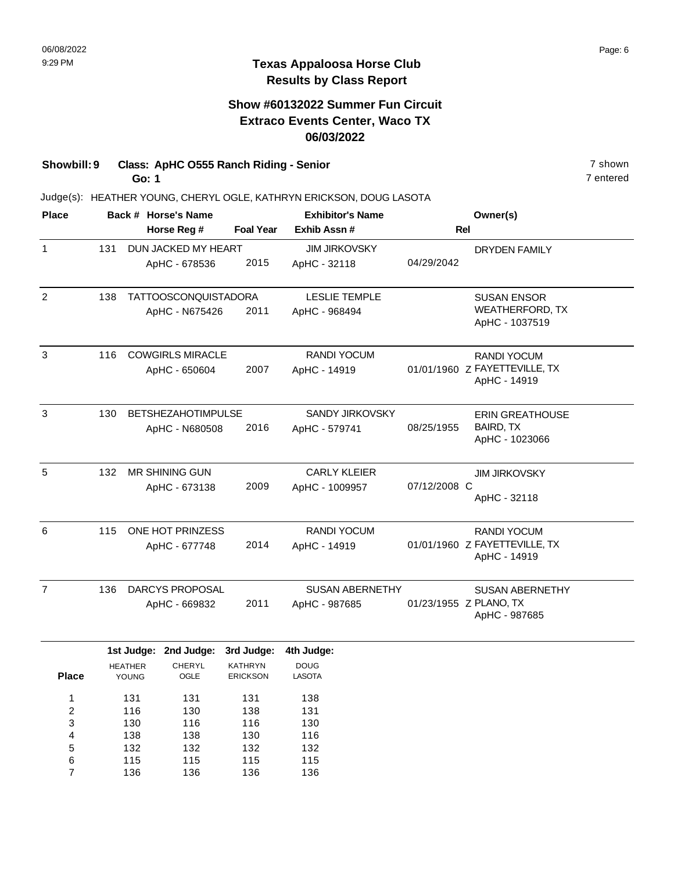### **Show #60132022 Summer Fun Circuit Extraco Events Center, Waco TX 06/03/2022**

**Showbill: 9 Class: ApHC O555 Ranch Riding - Senior** 7 shown **Go: 1**

> 132 115 136

5 6 7

132 115 136

132 115 136 132 115 136

Judge(s): HEATHER YOUNG, CHERYL OGLE, KATHRYN ERICKSON, DOUG LASOTA

| <b>Place</b>   |                                |                | Back # Horse's Name         |                  | <b>Exhibitor's Name</b> |              | Owner(s)                                      |
|----------------|--------------------------------|----------------|-----------------------------|------------------|-------------------------|--------------|-----------------------------------------------|
|                |                                |                | Horse Reg #                 | <b>Foal Year</b> | Exhib Assn #            |              | <b>Rel</b>                                    |
| $\mathbf{1}$   | 131                            |                | DUN JACKED MY HEART         |                  | <b>JIM JIRKOVSKY</b>    |              | <b>DRYDEN FAMILY</b>                          |
|                |                                |                | ApHC - 678536               | 2015             | ApHC - 32118            | 04/29/2042   |                                               |
| $\overline{2}$ | 138                            |                | <b>TATTOOSCONQUISTADORA</b> |                  | <b>LESLIE TEMPLE</b>    |              | <b>SUSAN ENSOR</b>                            |
|                |                                |                | ApHC - N675426              | 2011             | ApHC - 968494           |              | <b>WEATHERFORD, TX</b><br>ApHC - 1037519      |
| 3              | <b>COWGIRLS MIRACLE</b><br>116 |                |                             |                  | <b>RANDI YOCUM</b>      |              | <b>RANDI YOCUM</b>                            |
|                |                                |                | ApHC - 650604               | 2007             | ApHC - 14919            |              | 01/01/1960 Z FAYETTEVILLE, TX<br>ApHC - 14919 |
| 3              | 130                            |                | <b>BETSHEZAHOTIMPULSE</b>   |                  | SANDY JIRKOVSKY         |              | <b>ERIN GREATHOUSE</b>                        |
|                |                                |                | ApHC - N680508              | 2016             | ApHC - 579741           | 08/25/1955   | BAIRD, TX<br>ApHC - 1023066                   |
|                |                                |                |                             |                  |                         |              |                                               |
| 5              | 132                            |                | <b>MR SHINING GUN</b>       |                  | <b>CARLY KLEIER</b>     |              | <b>JIM JIRKOVSKY</b>                          |
|                |                                |                | ApHC - 673138               | 2009             | ApHC - 1009957          | 07/12/2008 C | ApHC - 32118                                  |
| 6              | 115                            |                | ONE HOT PRINZESS            |                  | RANDI YOCUM             |              | <b>RANDI YOCUM</b>                            |
|                |                                |                | ApHC - 677748               | 2014             | ApHC - 14919            |              | 01/01/1960 Z FAYETTEVILLE, TX<br>ApHC - 14919 |
| $\overline{7}$ | 136                            |                | DARCYS PROPOSAL             |                  | <b>SUSAN ABERNETHY</b>  |              | <b>SUSAN ABERNETHY</b>                        |
|                |                                |                | ApHC - 669832               | 2011             | ApHC - 987685           |              | 01/23/1955 Z PLANO, TX<br>ApHC - 987685       |
|                |                                |                | 1st Judge: 2nd Judge:       | 3rd Judge:       | 4th Judge:              |              |                                               |
|                |                                | <b>HEATHER</b> | CHERYL                      | <b>KATHRYN</b>   | <b>DOUG</b>             |              |                                               |
| <b>Place</b>   |                                | YOUNG          | OGLE                        | <b>ERICKSON</b>  | <b>LASOTA</b>           |              |                                               |
| 1              |                                | 131            | 131                         | 131              | 138                     |              |                                               |
| 2              |                                | 116            | 130                         | 138              | 131                     |              |                                               |
| 3<br>4         |                                | 130<br>138     | 116<br>138                  | 116<br>130       | 130<br>116              |              |                                               |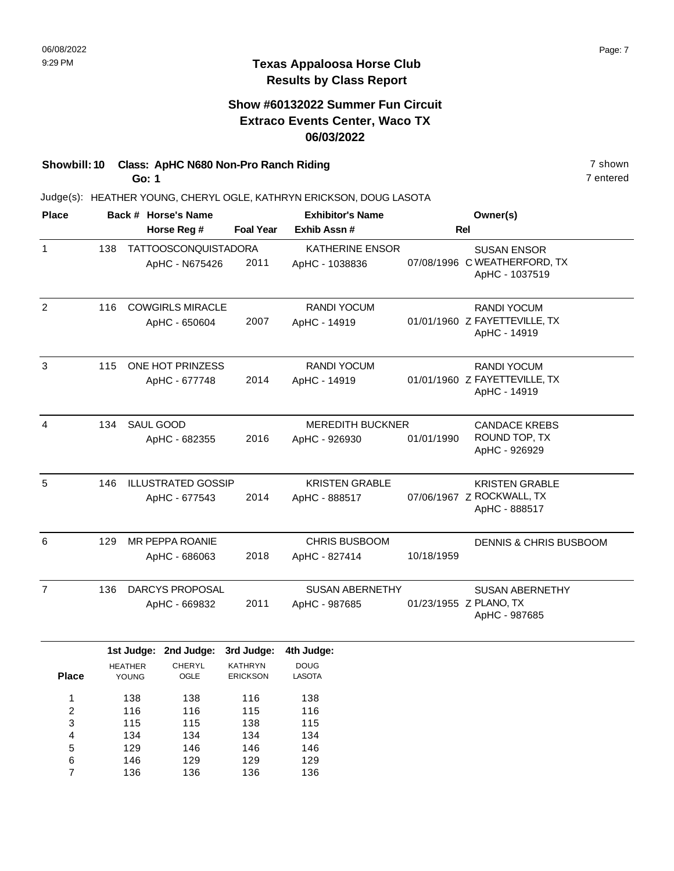### **Show #60132022 Summer Fun Circuit Extraco Events Center, Waco TX 06/03/2022**

# **Showbill: 10 Class: ApHC N680 Non-Pro Ranch Riding 7 Shown 7 shown**

**Go: 1**

Judge(s): HEATHER YOUNG, CHERYL OGLE, KATHRYN ERICKSON, DOUG LASOTA

| <b>Place</b>   |     |                         | Back # Horse's Name                           |                                                 | <b>Exhibitor's Name</b>                    |            | Owner(s)                                                             |
|----------------|-----|-------------------------|-----------------------------------------------|-------------------------------------------------|--------------------------------------------|------------|----------------------------------------------------------------------|
|                |     |                         | Horse Reg #                                   | <b>Foal Year</b>                                | Exhib Assn #                               |            | <b>Rel</b>                                                           |
| $\mathbf{1}$   | 138 |                         | <b>TATTOOSCONQUISTADORA</b><br>ApHC - N675426 | 2011                                            | <b>KATHERINE ENSOR</b><br>ApHC - 1038836   |            | <b>SUSAN ENSOR</b><br>07/08/1996 C WEATHERFORD, TX<br>ApHC - 1037519 |
| $\overline{2}$ | 116 |                         | <b>COWGIRLS MIRACLE</b><br>ApHC - 650604      | 2007                                            | RANDI YOCUM<br>ApHC - 14919                |            | <b>RANDI YOCUM</b><br>01/01/1960 Z FAYETTEVILLE, TX<br>ApHC - 14919  |
| 3              | 115 |                         | ONE HOT PRINZESS<br>ApHC - 677748             | 2014                                            | <b>RANDI YOCUM</b><br>ApHC - 14919         |            | <b>RANDI YOCUM</b><br>01/01/1960 Z FAYETTEVILLE, TX<br>ApHC - 14919  |
| 4              | 134 | SAUL GOOD               | ApHC - 682355                                 | 2016                                            | <b>MEREDITH BUCKNER</b><br>ApHC - 926930   | 01/01/1990 | <b>CANDACE KREBS</b><br>ROUND TOP, TX<br>ApHC - 926929               |
| 5              | 146 |                         | <b>ILLUSTRATED GOSSIP</b><br>ApHC - 677543    | 2014                                            | <b>KRISTEN GRABLE</b><br>ApHC - 888517     |            | <b>KRISTEN GRABLE</b><br>07/06/1967 Z ROCKWALL, TX<br>ApHC - 888517  |
| 6              | 129 |                         | <b>MR PEPPA ROANIE</b><br>ApHC - 686063       | 2018                                            | <b>CHRIS BUSBOOM</b><br>ApHC - 827414      | 10/18/1959 | <b>DENNIS &amp; CHRIS BUSBOOM</b>                                    |
| $\overline{7}$ | 136 |                         | DARCYS PROPOSAL<br>ApHC - 669832              | 2011                                            | <b>SUSAN ABERNETHY</b><br>ApHC - 987685    |            | <b>SUSAN ABERNETHY</b><br>01/23/1955 Z PLANO, TX<br>ApHC - 987685    |
| <b>Place</b>   |     | <b>HEATHER</b><br>YOUNG | 1st Judge: 2nd Judge:<br>CHERYL<br>OGLE       | 3rd Judge:<br><b>KATHRYN</b><br><b>ERICKSON</b> | 4th Judge:<br><b>DOUG</b><br><b>LASOTA</b> |            |                                                                      |

| 'lace | YOUNG | <b>OGLE</b> | <b>ERICKSON</b> | <b>LASOTA</b> |  |
|-------|-------|-------------|-----------------|---------------|--|
| 1     | 138   | 138         | 116             | 138           |  |
| 2     | 116   | 116         | 115             | 116           |  |
| 3     | 115   | 115         | 138             | 115           |  |
| 4     | 134   | 134         | 134             | 134           |  |
| 5     | 129   | 146         | 146             | 146           |  |
| 6     | 146   | 129         | 129             | 129           |  |

136

136

136

136

7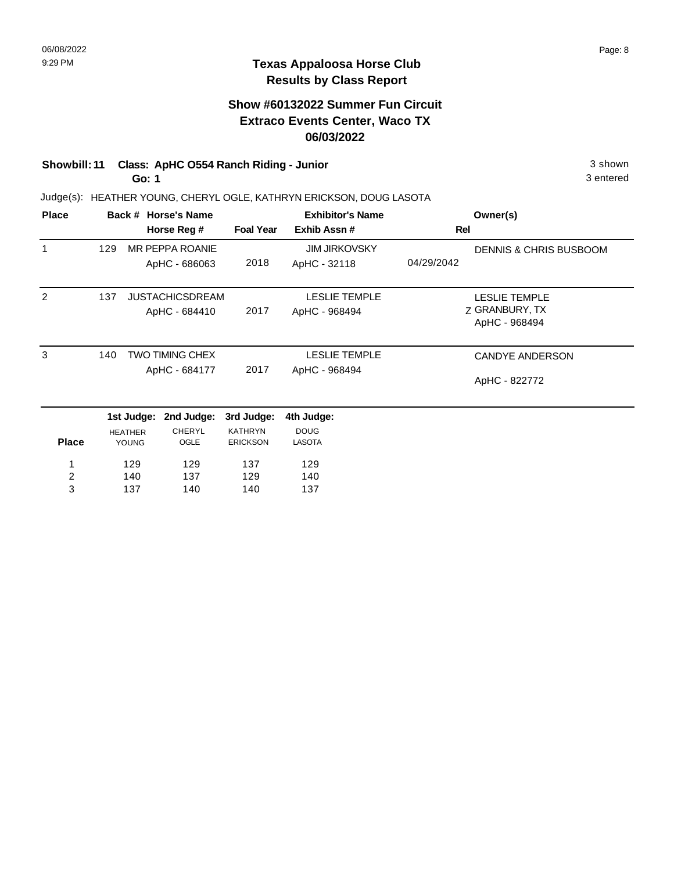## **Show #60132022 Summer Fun Circuit Extraco Events Center, Waco TX 06/03/2022**

# **Showbill: 11 Class: ApHC O554 Ranch Riding - Junior** 3 shown

**Go: 1**

Judge(s): HEATHER YOUNG, CHERYL OGLE, KATHRYN ERICKSON, DOUG LASOTA

| <b>Place</b>   |     |                | Back # Horse's Name    |                  | <b>Exhibitor's Name</b> | Owner(s)                          |
|----------------|-----|----------------|------------------------|------------------|-------------------------|-----------------------------------|
|                |     |                | Horse Reg #            | <b>Foal Year</b> | Exhib Assn#             | Rel                               |
| 1              | 129 |                | MR PEPPA ROANIE        |                  | <b>JIM JIRKOVSKY</b>    | <b>DENNIS &amp; CHRIS BUSBOOM</b> |
|                |     |                | ApHC - 686063          | 2018             | ApHC - 32118            | 04/29/2042                        |
| 2              | 137 |                | <b>JUSTACHICSDREAM</b> |                  | <b>LESLIE TEMPLE</b>    | <b>LESLIE TEMPLE</b>              |
|                |     |                | ApHC - 684410          | 2017             | ApHC - 968494           | Z GRANBURY, TX                    |
|                |     |                |                        |                  |                         | ApHC - 968494                     |
| 3              | 140 |                | <b>TWO TIMING CHEX</b> |                  | <b>LESLIE TEMPLE</b>    | <b>CANDYE ANDERSON</b>            |
|                |     | ApHC - 684177  |                        | 2017             | ApHC - 968494           | ApHC - 822772                     |
|                |     | 1st Judge:     | 2nd Judge:             | 3rd Judge:       | 4th Judge:              |                                   |
|                |     | <b>HEATHER</b> | <b>CHERYL</b>          | <b>KATHRYN</b>   | <b>DOUG</b>             |                                   |
| <b>Place</b>   |     | YOUNG          | OGLE                   | <b>ERICKSON</b>  | <b>LASOTA</b>           |                                   |
| 1              |     | 129            | 129                    | 137              | 129                     |                                   |
| $\overline{c}$ |     | 140            | 137                    | 129              | 140                     |                                   |
| 3              |     | 137            | 140                    | 140              | 137                     |                                   |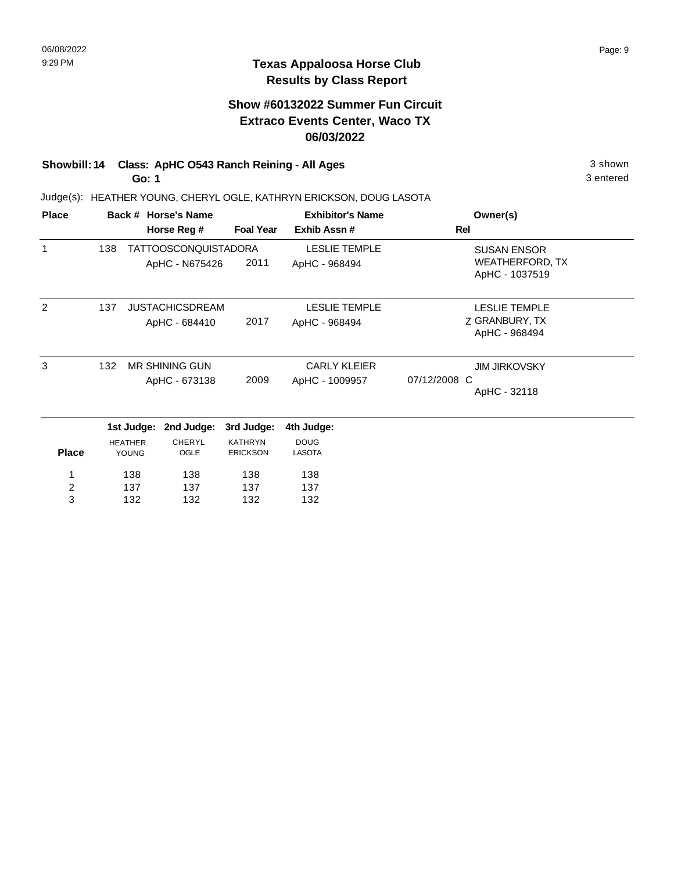## **Show #60132022 Summer Fun Circuit Extraco Events Center, Waco TX 06/03/2022**

# **Showbill: 14 Class: ApHC 0543 Ranch Reining - All Ages** 3 shown 3 shown

**Go: 1**

Judge(s): HEATHER YOUNG, CHERYL OGLE, KATHRYN ERICKSON, DOUG LASOTA

| <b>Place</b>                 |     |                         | Back # Horse's Name                           |                                   | <b>Exhibitor's Name</b>               | Owner(s)                                                       |
|------------------------------|-----|-------------------------|-----------------------------------------------|-----------------------------------|---------------------------------------|----------------------------------------------------------------|
|                              |     |                         | Horse Reg #                                   | <b>Foal Year</b>                  | Exhib Assn#                           | Rel                                                            |
| 1                            | 138 |                         | <b>TATTOOSCONQUISTADORA</b><br>ApHC - N675426 | 2011                              | <b>LESLIE TEMPLE</b><br>ApHC - 968494 | <b>SUSAN ENSOR</b><br><b>WEATHERFORD, TX</b><br>ApHC - 1037519 |
| $\overline{2}$               | 137 |                         | <b>JUSTACHICSDREAM</b><br>ApHC - 684410       | 2017                              | <b>LESLIE TEMPLE</b><br>ApHC - 968494 | <b>LESLIE TEMPLE</b><br>Z GRANBURY, TX<br>ApHC - 968494        |
| 3                            | 132 |                         | <b>MR SHINING GUN</b><br>ApHC - 673138        | 2009                              | <b>CARLY KLEIER</b><br>ApHC - 1009957 | <b>JIM JIRKOVSKY</b><br>07/12/2008 C<br>ApHC - 32118           |
|                              |     | 1st Judge:              | 2nd Judge:                                    | 3rd Judge:                        | 4th Judge:                            |                                                                |
| <b>Place</b>                 |     | <b>HEATHER</b><br>YOUNG | <b>CHERYL</b><br>OGLE                         | <b>KATHRYN</b><br><b>ERICKSON</b> | <b>DOUG</b><br><b>LASOTA</b>          |                                                                |
| $\overline{\mathbf{c}}$<br>3 |     | 138<br>137<br>132       | 138<br>137<br>132                             | 138<br>137<br>132                 | 138<br>137<br>132                     |                                                                |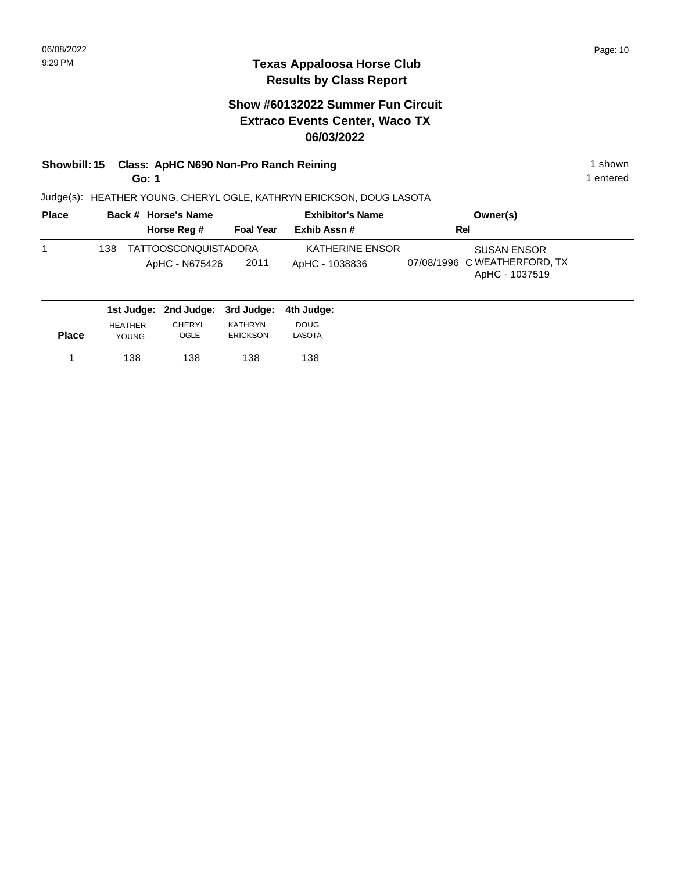## **Show #60132022 Summer Fun Circuit Extraco Events Center, Waco TX 06/03/2022**

# **Showbill: 15 Class: ApHC N690 Non-Pro Ranch Reining 1 shown 1 shown**

**Go: 1**

1 entered

| <b>Place</b> | Back # Horse's Name                            |                  | <b>Exhibitor's Name</b>           | Owner(s)                                                             |  |
|--------------|------------------------------------------------|------------------|-----------------------------------|----------------------------------------------------------------------|--|
|              | Horse Reg #                                    | <b>Foal Year</b> | Exhib Assn #                      | Rel                                                                  |  |
|              | TATTOOSCONQUISTADORA<br>138.<br>ApHC - N675426 | 2011             | KATHERINE ENSOR<br>ApHC - 1038836 | <b>SUSAN ENSOR</b><br>07/08/1996 C WEATHERFORD, TX<br>ApHC - 1037519 |  |
|              | 1st Judge: 2nd Judge: 3rd Judge:               |                  | 4th Judqe:                        |                                                                      |  |

|              | .                              |                       |                                   |                       |  |
|--------------|--------------------------------|-----------------------|-----------------------------------|-----------------------|--|
| <b>Place</b> | <b>HEATHER</b><br><b>YOUNG</b> | <b>CHERYL</b><br>OGLE | <b>KATHRYN</b><br><b>ERICKSON</b> | <b>DOUG</b><br>LASOTA |  |
|              | 138                            | 138                   | 138                               | 138                   |  |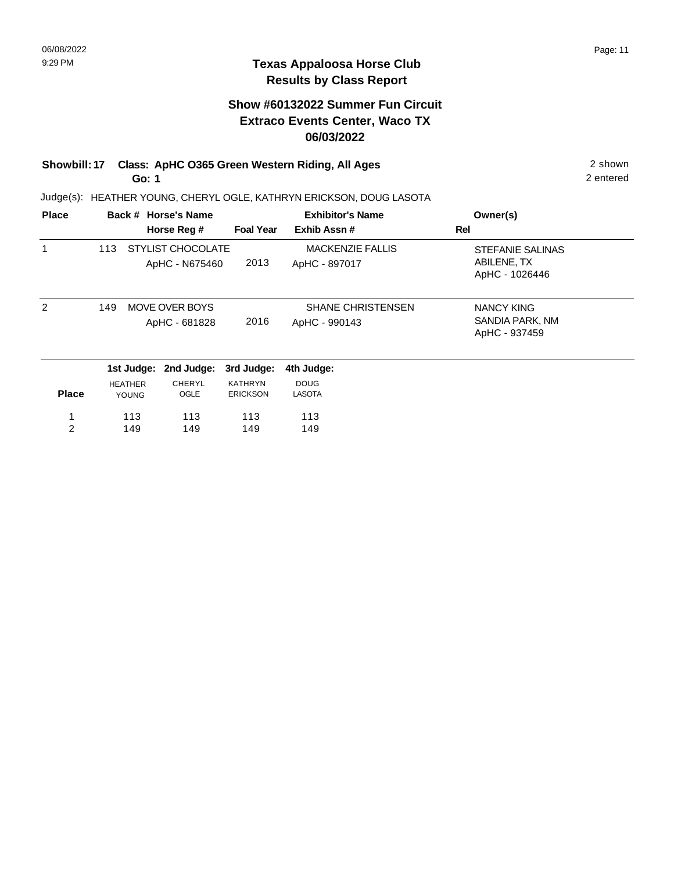## **Show #60132022 Summer Fun Circuit Extraco Events Center, Waco TX 06/03/2022**

### **Showbill: 17 Class: ApHC O365 Green Western Riding, All Ages** 2 shown **Go: 1**

Judge(s): HEATHER YOUNG, CHERYL OGLE, KATHRYN ERICKSON, DOUG LASOTA

| <b>Place</b> |     |                | Back # Horse's Name |                  | <b>Exhibitor's Name</b>  | Owner(s)                |
|--------------|-----|----------------|---------------------|------------------|--------------------------|-------------------------|
|              |     |                | Horse Reg #         | <b>Foal Year</b> | Exhib Assn#              | Rel                     |
|              | 113 |                | STYLIST CHOCOLATE   |                  | <b>MACKENZIE FALLIS</b>  | <b>STEFANIE SALINAS</b> |
|              |     |                | ApHC - N675460      | 2013             | ApHC - 897017            | ABILENE, TX             |
|              |     |                |                     |                  |                          | ApHC - 1026446          |
| 2            | 149 |                | MOVE OVER BOYS      |                  | <b>SHANE CHRISTENSEN</b> | NANCY KING              |
|              |     |                | ApHC - 681828       | 2016             | ApHC - 990143            | SANDIA PARK, NM         |
|              |     |                |                     |                  |                          | ApHC - 937459           |
|              |     | 1st Judge:     | 2nd Judge:          | 3rd Judge:       | 4th Judge:               |                         |
|              |     | <b>HEATHER</b> | <b>CHERYL</b>       | <b>KATHRYN</b>   | <b>DOUG</b>              |                         |
| <b>Place</b> |     | <b>YOUNG</b>   | OGLE                | <b>ERICKSON</b>  | <b>LASOTA</b>            |                         |
|              |     | 113            | 113                 | 113              | 113                      |                         |
| 2            |     | 149            | 149                 | 149              | 149                      |                         |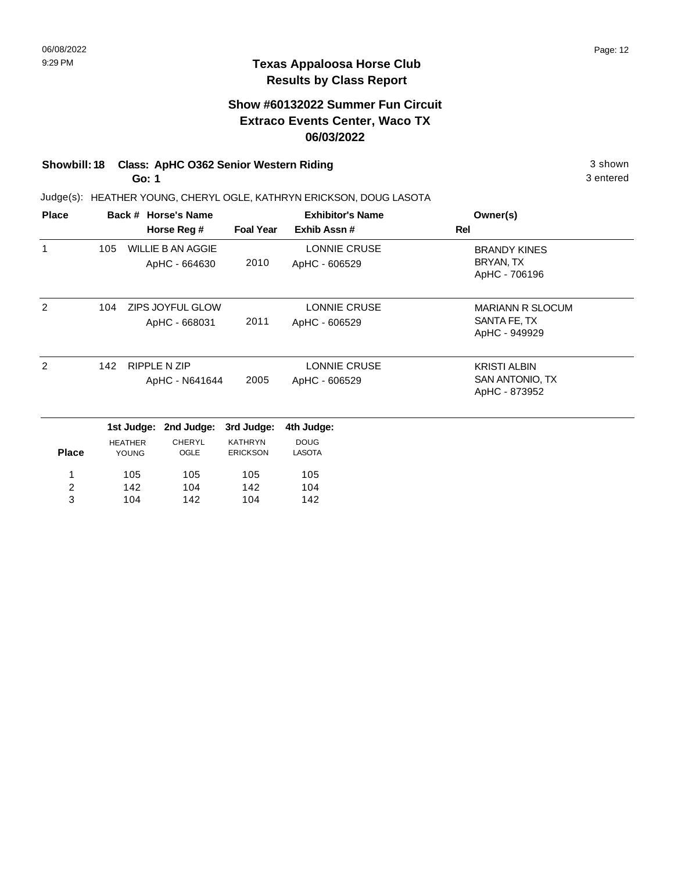### **Show #60132022 Summer Fun Circuit Extraco Events Center, Waco TX 06/03/2022**

# **Showbill: 18 Class: ApHC O362 Senior Western Riding 3 shown 3 shown** 3 shown

**Go: 1**

Judge(s): HEATHER YOUNG, CHERYL OGLE, KATHRYN ERICKSON, DOUG LASOTA

| <b>Place</b>   |     |                | Back # Horse's Name      |                  | <b>Exhibitor's Name</b> | Owner(s)                |
|----------------|-----|----------------|--------------------------|------------------|-------------------------|-------------------------|
|                |     |                | Horse Reg #              | <b>Foal Year</b> | Exhib Assn #            | Rel                     |
| 1              | 105 |                | <b>WILLIE B AN AGGIE</b> |                  | <b>LONNIE CRUSE</b>     | <b>BRANDY KINES</b>     |
|                |     |                | ApHC - 664630            | 2010             | ApHC - 606529           | BRYAN, TX               |
|                |     |                |                          |                  |                         | ApHC - 706196           |
| 2              | 104 |                | ZIPS JOYFUL GLOW         |                  | LONNIE CRUSE            | <b>MARIANN R SLOCUM</b> |
|                |     |                | ApHC - 668031            | 2011             | ApHC - 606529           | SANTA FE, TX            |
|                |     |                |                          |                  |                         | ApHC - 949929           |
| 2              | 142 |                | <b>RIPPLE N ZIP</b>      |                  | LONNIE CRUSE            | <b>KRISTI ALBIN</b>     |
|                |     |                | ApHC - N641644           | 2005             | ApHC - 606529           | SAN ANTONIO, TX         |
|                |     |                |                          |                  |                         | ApHC - 873952           |
|                |     | 1st Judge:     | 2nd Judge:               | 3rd Judge:       | 4th Judge:              |                         |
|                |     | <b>HEATHER</b> | <b>CHERYL</b>            | <b>KATHRYN</b>   | <b>DOUG</b>             |                         |
| <b>Place</b>   |     | YOUNG          | OGLE                     | <b>ERICKSON</b>  | <b>LASOTA</b>           |                         |
| 1              |     | 105            | 105                      | 105              | 105                     |                         |
| $\overline{c}$ |     | 142            | 104                      | 142              | 104                     |                         |
| 3              |     | 104            | 142                      | 104              | 142                     |                         |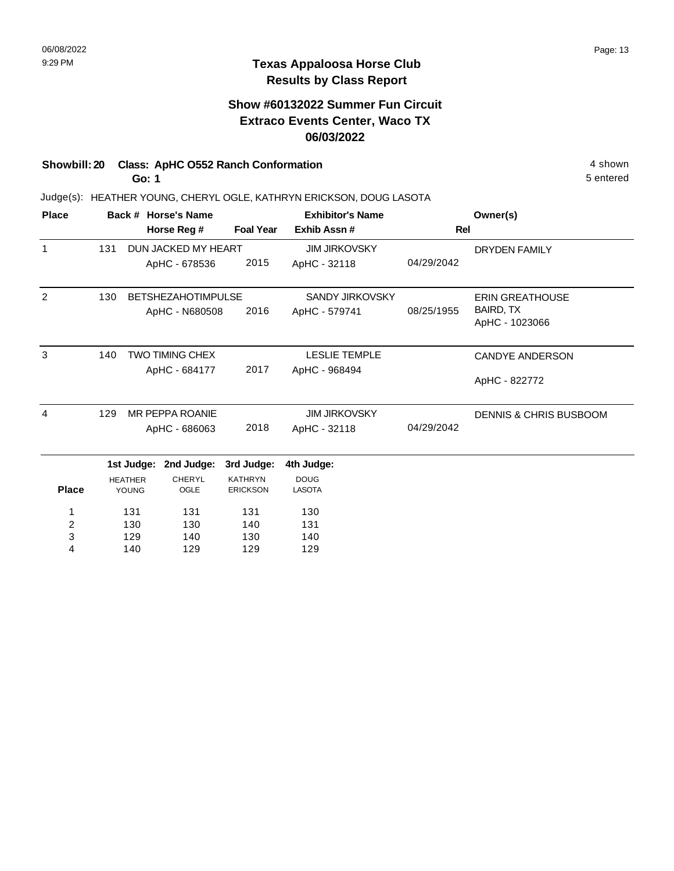### **Show #60132022 Summer Fun Circuit Extraco Events Center, Waco TX 06/03/2022**

### **Showbill: 20 Class: ApHC 0552 Ranch Conformation** 4 shown

**Go: 1**

Judge(s): HEATHER YOUNG, CHERYL OGLE, KATHRYN ERICKSON, DOUG LASOTA

| <b>Place</b>   |     |                         | Back # Horse's Name       |                                   | <b>Exhibitor's Name</b>      |            | Owner(s)                           |
|----------------|-----|-------------------------|---------------------------|-----------------------------------|------------------------------|------------|------------------------------------|
|                |     |                         | Horse Reg #               | <b>Foal Year</b>                  | Exhib Assn#                  | <b>Rel</b> |                                    |
| $\mathbf{1}$   | 131 |                         | DUN JACKED MY HEART       |                                   | <b>JIM JIRKOVSKY</b>         |            | <b>DRYDEN FAMILY</b>               |
|                |     |                         | ApHC - 678536             | 2015                              | ApHC - 32118                 | 04/29/2042 |                                    |
| $\overline{2}$ | 130 |                         | <b>BETSHEZAHOTIMPULSE</b> |                                   | <b>SANDY JIRKOVSKY</b>       |            | <b>ERIN GREATHOUSE</b>             |
|                |     |                         | ApHC - N680508            | 2016                              | ApHC - 579741                | 08/25/1955 | <b>BAIRD, TX</b><br>ApHC - 1023066 |
| 3              | 140 |                         | <b>TWO TIMING CHEX</b>    |                                   | <b>LESLIE TEMPLE</b>         |            | <b>CANDYE ANDERSON</b>             |
|                |     |                         | ApHC - 684177             | 2017                              | ApHC - 968494                |            | ApHC - 822772                      |
| 4              | 129 |                         | <b>MR PEPPA ROANIE</b>    |                                   | <b>JIM JIRKOVSKY</b>         |            | <b>DENNIS &amp; CHRIS BUSBOOM</b>  |
|                |     |                         | ApHC - 686063             | 2018                              | ApHC - 32118                 | 04/29/2042 |                                    |
|                |     | 1st Judge:              | 2nd Judge:                | 3rd Judge:                        | 4th Judge:                   |            |                                    |
| <b>Place</b>   |     | <b>HEATHER</b><br>YOUNG | <b>CHERYL</b><br>OGLE     | <b>KATHRYN</b><br><b>ERICKSON</b> | <b>DOUG</b><br><b>LASOTA</b> |            |                                    |
| 1              |     | 131                     | 131                       | 131                               | 130                          |            |                                    |
| 2              |     | 130                     | 130                       | 140                               | 131                          |            |                                    |
| 3              |     | 129                     | 140                       | 130                               | 140                          |            |                                    |
| 4              |     | 140                     | 129                       | 129                               | 129                          |            |                                    |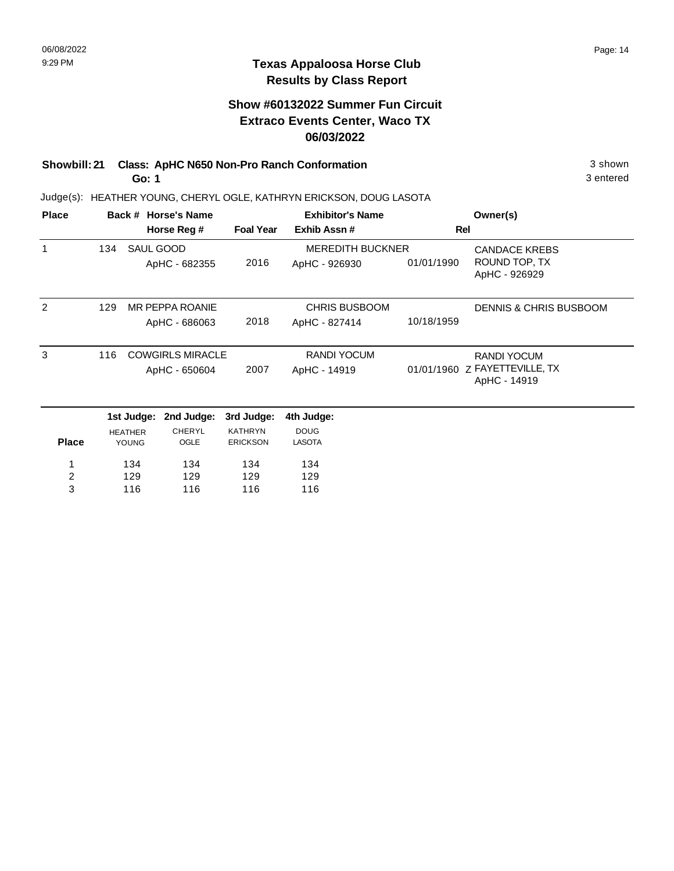### **Show #60132022 Summer Fun Circuit Extraco Events Center, Waco TX 06/03/2022**

#### **Showbill: 21 Class: ApHC N650 Non-Pro Ranch Conformation** 3 shown **Go: 1**

Judge(s): HEATHER YOUNG, CHERYL OGLE, KATHRYN ERICKSON, DOUG LASOTA

| <b>Place</b>   |     | Back # Horse's Name |                         |                  | <b>Exhibitor's Name</b> | Owner(s)   |                                               |
|----------------|-----|---------------------|-------------------------|------------------|-------------------------|------------|-----------------------------------------------|
|                |     |                     | Horse Reg #             | <b>Foal Year</b> | Exhib Assn#             |            | <b>Rel</b>                                    |
| 1              | 134 | SAUL GOOD           |                         |                  | <b>MEREDITH BUCKNER</b> |            | <b>CANDACE KREBS</b>                          |
|                |     |                     | ApHC - 682355           | 2016             | ApHC - 926930           | 01/01/1990 | ROUND TOP, TX<br>ApHC - 926929                |
| 2              | 129 |                     | MR PEPPA ROANIE         |                  | <b>CHRIS BUSBOOM</b>    |            | <b>DENNIS &amp; CHRIS BUSBOOM</b>             |
|                |     |                     | ApHC - 686063           | 2018             | ApHC - 827414           | 10/18/1959 |                                               |
| 3              | 116 |                     | <b>COWGIRLS MIRACLE</b> |                  | <b>RANDI YOCUM</b>      |            | <b>RANDI YOCUM</b>                            |
|                |     |                     | ApHC - 650604           | 2007             | ApHC - 14919            |            | 01/01/1960 Z FAYETTEVILLE, TX<br>ApHC - 14919 |
|                |     | 1st Judge:          | 2nd Judge:              | 3rd Judge:       | 4th Judge:              |            |                                               |
|                |     | <b>HEATHER</b>      | <b>CHERYL</b>           | <b>KATHRYN</b>   | <b>DOUG</b>             |            |                                               |
| <b>Place</b>   |     | <b>YOUNG</b>        | OGLE                    | <b>ERICKSON</b>  | <b>LASOTA</b>           |            |                                               |
| 1              |     | 134                 | 134                     | 134              | 134                     |            |                                               |
| $\overline{c}$ |     | 129                 | 129                     | 129              | 129                     |            |                                               |
| 3              |     | 116                 | 116                     | 116              | 116                     |            |                                               |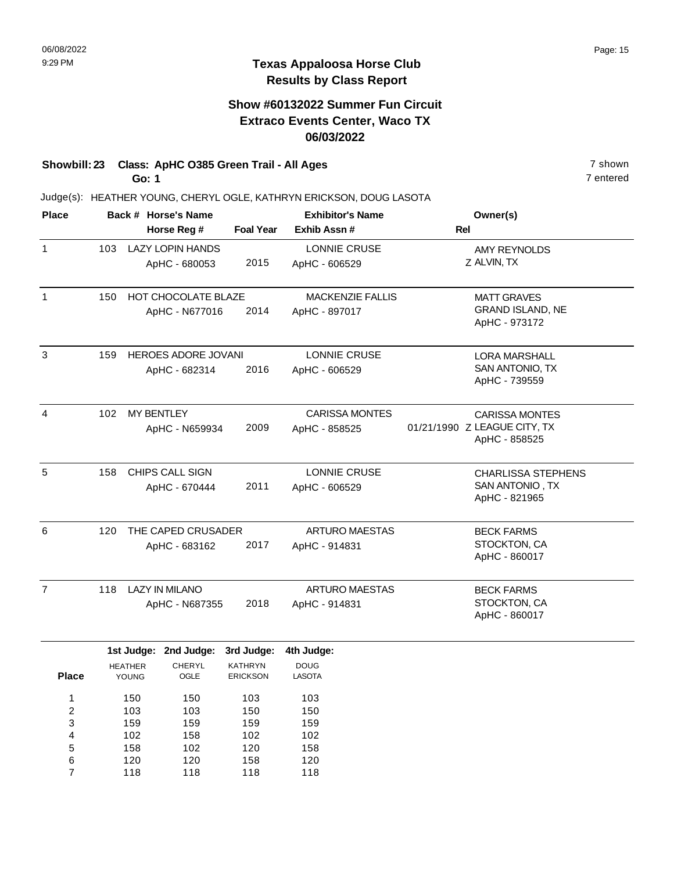### **Show #60132022 Summer Fun Circuit Extraco Events Center, Waco TX 06/03/2022**

# **Showbill: 23 Class: ApHC O385 Green Trail - All Ages** 7 shown

**Go: 1**

Judge(s): HEATHER YOUNG, CHERYL OGLE, KATHRYN ERICKSON, DOUG LASOTA

| <b>Place</b>   |     |                         | Back # Horse's Name     |                                   | <b>Exhibitor's Name</b>      | Owner(s)                                      |
|----------------|-----|-------------------------|-------------------------|-----------------------------------|------------------------------|-----------------------------------------------|
|                |     |                         | Horse Reg #             | <b>Foal Year</b>                  | Exhib Assn#                  | <b>Rel</b>                                    |
| $\mathbf{1}$   | 103 |                         | <b>LAZY LOPIN HANDS</b> |                                   | LONNIE CRUSE                 | <b>AMY REYNOLDS</b>                           |
|                |     |                         | ApHC - 680053           | 2015                              | ApHC - 606529                | Z ALVIN, TX                                   |
| $\mathbf{1}$   | 150 |                         | HOT CHOCOLATE BLAZE     |                                   | <b>MACKENZIE FALLIS</b>      | <b>MATT GRAVES</b>                            |
|                |     |                         | ApHC - N677016          | 2014                              | ApHC - 897017                | <b>GRAND ISLAND, NE</b><br>ApHC - 973172      |
| 3              | 159 |                         | HEROES ADORE JOVANI     |                                   | <b>LONNIE CRUSE</b>          | <b>LORA MARSHALL</b>                          |
|                |     |                         | ApHC - 682314           | 2016                              | ApHC - 606529                | SAN ANTONIO, TX<br>ApHC - 739559              |
| 4              | 102 | <b>MY BENTLEY</b>       |                         |                                   | <b>CARISSA MONTES</b>        | <b>CARISSA MONTES</b>                         |
|                |     |                         | ApHC - N659934          | 2009                              | ApHC - 858525                | 01/21/1990 Z LEAGUE CITY, TX<br>ApHC - 858525 |
| 5              | 158 |                         | CHIPS CALL SIGN         |                                   | LONNIE CRUSE                 | <b>CHARLISSA STEPHENS</b>                     |
|                |     |                         | ApHC - 670444           | 2011                              | ApHC - 606529                | SAN ANTONIO, TX<br>ApHC - 821965              |
| 6              | 120 |                         | THE CAPED CRUSADER      |                                   | <b>ARTURO MAESTAS</b>        | <b>BECK FARMS</b>                             |
|                |     |                         | ApHC - 683162           | 2017                              | ApHC - 914831                | STOCKTON, CA<br>ApHC - 860017                 |
| $\overline{7}$ | 118 |                         | <b>LAZY IN MILANO</b>   |                                   | <b>ARTURO MAESTAS</b>        | <b>BECK FARMS</b>                             |
|                |     |                         | ApHC - N687355          | 2018                              | ApHC - 914831                | STOCKTON, CA<br>ApHC - 860017                 |
|                |     | 1st Judge:              | 2nd Judge:              | 3rd Judge:                        | 4th Judge:                   |                                               |
| <b>Place</b>   |     | <b>HEATHER</b><br>YOUNG | <b>CHERYL</b><br>OGLE   | <b>KATHRYN</b><br><b>ERICKSON</b> | <b>DOUG</b><br><b>LASOTA</b> |                                               |
| 1              |     | 150                     | 150                     | 103                               | 103                          |                                               |
| $\overline{c}$ |     | 103                     | 103                     | 150                               | 150                          |                                               |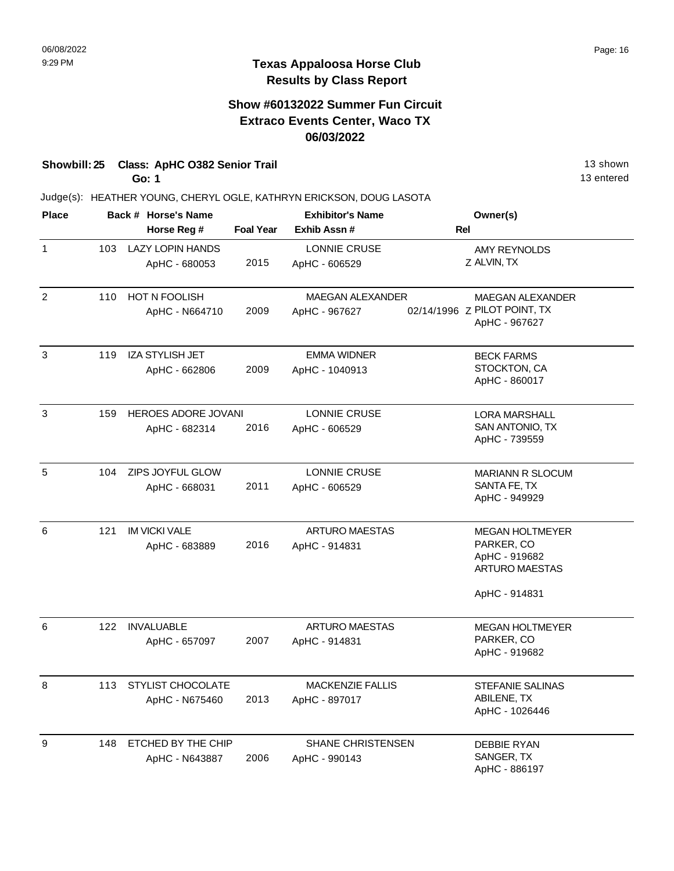### **Show #60132022 Summer Fun Circuit Extraco Events Center, Waco TX 06/03/2022**

## **Showbill: 25 Class: ApHC O382 Senior Trail** 13 shown

**Go: 1**

Judge(s): HEATHER YOUNG, CHERYL OGLE, KATHRYN ERICKSON, DOUG LASOTA

| <b>Place</b>   |     | Back # Horse's Name        |                  | <b>Exhibitor's Name</b>  | Owner(s)                                      |
|----------------|-----|----------------------------|------------------|--------------------------|-----------------------------------------------|
|                |     | Horse Reg #                | <b>Foal Year</b> | Exhib Assn#              | Rel                                           |
| 1              | 103 | <b>LAZY LOPIN HANDS</b>    |                  | <b>LONNIE CRUSE</b>      | <b>AMY REYNOLDS</b>                           |
|                |     | ApHC - 680053              | 2015             | ApHC - 606529            | Z ALVIN, TX                                   |
| $\overline{c}$ | 110 | HOT N FOOLISH              |                  | MAEGAN ALEXANDER         | MAEGAN ALEXANDER                              |
|                |     | ApHC - N664710             | 2009             | ApHC - 967627            | 02/14/1996 Z PILOT POINT, TX<br>ApHC - 967627 |
| 3              | 119 | <b>IZA STYLISH JET</b>     |                  | <b>EMMA WIDNER</b>       | <b>BECK FARMS</b>                             |
|                |     | ApHC - 662806              | 2009             | ApHC - 1040913           | STOCKTON, CA<br>ApHC - 860017                 |
| 3              | 159 | <b>HEROES ADORE JOVANI</b> |                  | LONNIE CRUSE             | <b>LORA MARSHALL</b>                          |
|                |     | ApHC - 682314              | 2016             | ApHC - 606529            | SAN ANTONIO, TX<br>ApHC - 739559              |
| 5              | 104 | ZIPS JOYFUL GLOW           |                  | <b>LONNIE CRUSE</b>      | <b>MARIANN R SLOCUM</b>                       |
|                |     | ApHC - 668031              | 2011             | ApHC - 606529            | SANTA FE, TX<br>ApHC - 949929                 |
| 6              | 121 | <b>IM VICKI VALE</b>       |                  | <b>ARTURO MAESTAS</b>    | <b>MEGAN HOLTMEYER</b>                        |
|                |     | ApHC - 683889              | 2016             | ApHC - 914831            | PARKER, CO                                    |
|                |     |                            |                  |                          | ApHC - 919682<br><b>ARTURO MAESTAS</b>        |
|                |     |                            |                  |                          | ApHC - 914831                                 |
| 6              | 122 | <b>INVALUABLE</b>          |                  | <b>ARTURO MAESTAS</b>    | <b>MEGAN HOLTMEYER</b>                        |
|                |     | ApHC - 657097              | 2007             | ApHC - 914831            | PARKER, CO<br>ApHC - 919682                   |
| 8              | 113 | <b>STYLIST CHOCOLATE</b>   |                  | <b>MACKENZIE FALLIS</b>  | <b>STEFANIE SALINAS</b>                       |
|                |     | ApHC - N675460             | 2013             | ApHC - 897017            | ABILENE, TX<br>ApHC - 1026446                 |
| 9              | 148 | ETCHED BY THE CHIP         |                  | <b>SHANE CHRISTENSEN</b> | <b>DEBBIE RYAN</b>                            |
|                |     | ApHC - N643887             | 2006             | ApHC - 990143            | SANGER, TX<br>ApHC - 886197                   |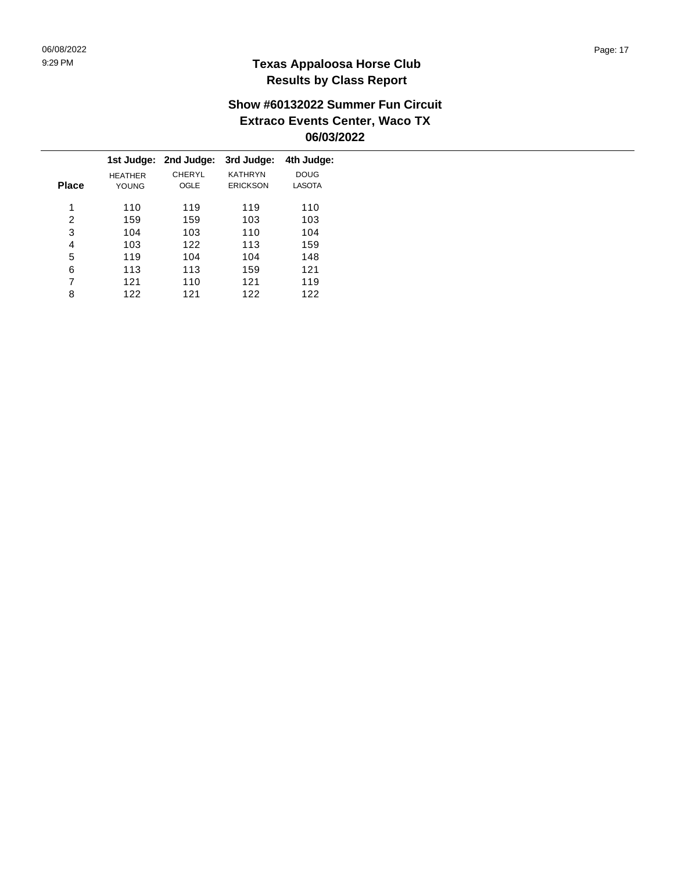### **Show #60132022 Summer Fun Circuit Extraco Events Center, Waco TX 06/03/2022**

|                |             | 3rd Judge:                   | 4th Judge:    |
|----------------|-------------|------------------------------|---------------|
| <b>HEATHER</b> | CHERYL      | <b>KATHRYN</b>               | <b>DOUG</b>   |
| YOUNG          | <b>OGLE</b> | <b>ERICKSON</b>              | <b>LASOTA</b> |
|                |             |                              | 110           |
|                |             |                              |               |
| 159            | 159         | 103                          | 103           |
| 104            | 103         | 110                          | 104           |
| 103            | 122         | 113                          | 159           |
| 119            | 104         | 104                          | 148           |
| 113            | 113         | 159                          | 121           |
| 121            | 110         | 121                          | 119           |
| 122            | 121         | 122                          | 122           |
|                | 110         | 1st Judge: 2nd Judge:<br>119 | 119           |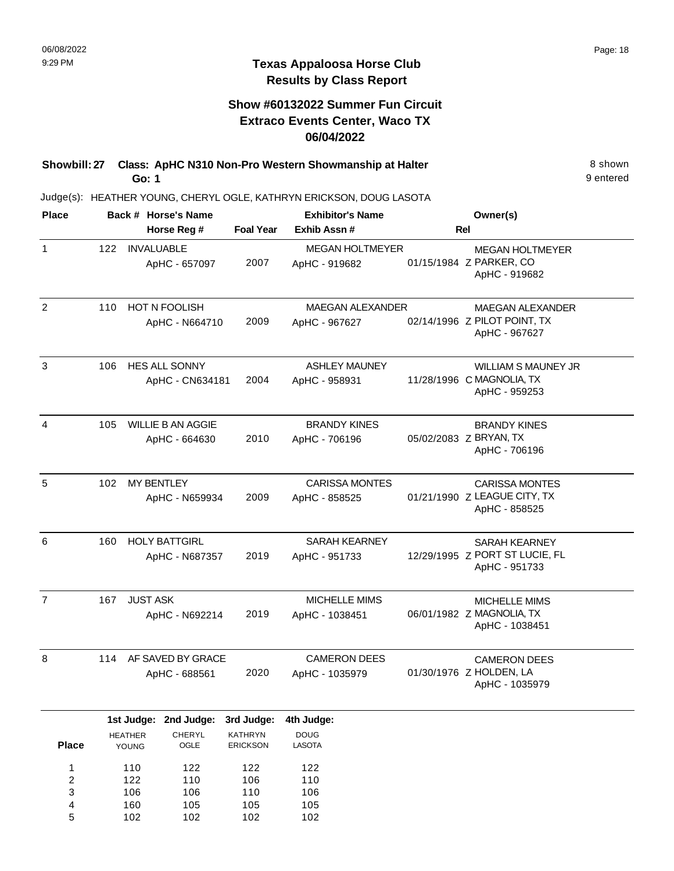## **Show #60132022 Summer Fun Circuit Extraco Events Center, Waco TX 06/04/2022**

| Showbill: 27 Class: ApHC N310 Non-Pro Western Showmanship at Halter | 8 shown   |
|---------------------------------------------------------------------|-----------|
| Go: 1                                                               | 9 entered |

| <b>Place</b>            |                         | Back # Horse's Name      |                            | <b>Exhibitor's Name</b> |            | Owner(s)                                        |  |
|-------------------------|-------------------------|--------------------------|----------------------------|-------------------------|------------|-------------------------------------------------|--|
|                         |                         | Horse Reg #              | <b>Foal Year</b>           | Exhib Assn#             | <b>Rel</b> |                                                 |  |
| $\mathbf{1}$            | 122                     | <b>INVALUABLE</b>        |                            | <b>MEGAN HOLTMEYER</b>  |            | <b>MEGAN HOLTMEYER</b>                          |  |
|                         |                         | ApHC - 657097            | 2007                       | ApHC - 919682           |            | 01/15/1984 Z PARKER, CO<br>ApHC - 919682        |  |
| $\overline{2}$          | 110                     | HOT N FOOLISH            |                            | <b>MAEGAN ALEXANDER</b> |            | MAEGAN ALEXANDER                                |  |
|                         |                         | ApHC - N664710           | 2009                       | ApHC - 967627           |            | 02/14/1996 Z PILOT POINT, TX<br>ApHC - 967627   |  |
| 3                       | 106                     | <b>HES ALL SONNY</b>     |                            | <b>ASHLEY MAUNEY</b>    |            | <b>WILLIAM S MAUNEY JR</b>                      |  |
|                         |                         | ApHC - CN634181          | 2004                       | ApHC - 958931           |            | 11/28/1996 C MAGNOLIA, TX<br>ApHC - 959253      |  |
| 4                       | 105                     | <b>WILLIE B AN AGGIE</b> |                            | <b>BRANDY KINES</b>     |            | <b>BRANDY KINES</b>                             |  |
|                         |                         | ApHC - 664630            | 2010                       | ApHC - 706196           |            | 05/02/2083 Z BRYAN, TX                          |  |
|                         |                         |                          |                            |                         |            | ApHC - 706196                                   |  |
| $\overline{5}$          | 102                     | <b>MY BENTLEY</b>        |                            | <b>CARISSA MONTES</b>   |            | <b>CARISSA MONTES</b>                           |  |
|                         |                         | ApHC - N659934           | 2009                       | ApHC - 858525           |            | 01/21/1990 Z LEAGUE CITY, TX<br>ApHC - 858525   |  |
| 6                       | 160                     | <b>HOLY BATTGIRL</b>     |                            | <b>SARAH KEARNEY</b>    |            | <b>SARAH KEARNEY</b>                            |  |
|                         |                         | ApHC - N687357           | 2019                       | ApHC - 951733           |            | 12/29/1995 Z PORT ST LUCIE, FL<br>ApHC - 951733 |  |
| $\overline{7}$          | 167                     | <b>JUST ASK</b>          |                            | <b>MICHELLE MIMS</b>    |            | <b>MICHELLE MIMS</b>                            |  |
|                         |                         | ApHC - N692214           | 2019                       | ApHC - 1038451          |            | 06/01/1982 Z MAGNOLIA, TX                       |  |
|                         |                         |                          |                            |                         |            | ApHC - 1038451                                  |  |
| 8                       | 114                     | AF SAVED BY GRACE        |                            | <b>CAMERON DEES</b>     |            | <b>CAMERON DEES</b>                             |  |
|                         |                         | ApHC - 688561            | 2020                       | ApHC - 1035979          |            | 01/30/1976 Z HOLDEN, LA<br>ApHC - 1035979       |  |
|                         |                         | 1st Judge: 2nd Judge:    | 3rd Judge:                 | 4th Judge:              |            |                                                 |  |
| <b>Place</b>            | <b>HEATHER</b><br>YOUNG | CHERYL<br>OGLE           | KATHRYN<br><b>ERICKSON</b> | <b>DOUG</b><br>LASOTA   |            |                                                 |  |
| 1                       | 110                     | 122                      | 122                        | 122                     |            |                                                 |  |
| $\overline{\mathbf{c}}$ | 122                     | 110                      | 106                        | 110                     |            |                                                 |  |
| 3                       | 106                     | 106                      | 110                        | 106                     |            |                                                 |  |
| 4                       | 160                     | 105                      | 105                        | 105                     |            |                                                 |  |
| 5                       | 102                     | 102                      | 102                        | 102                     |            |                                                 |  |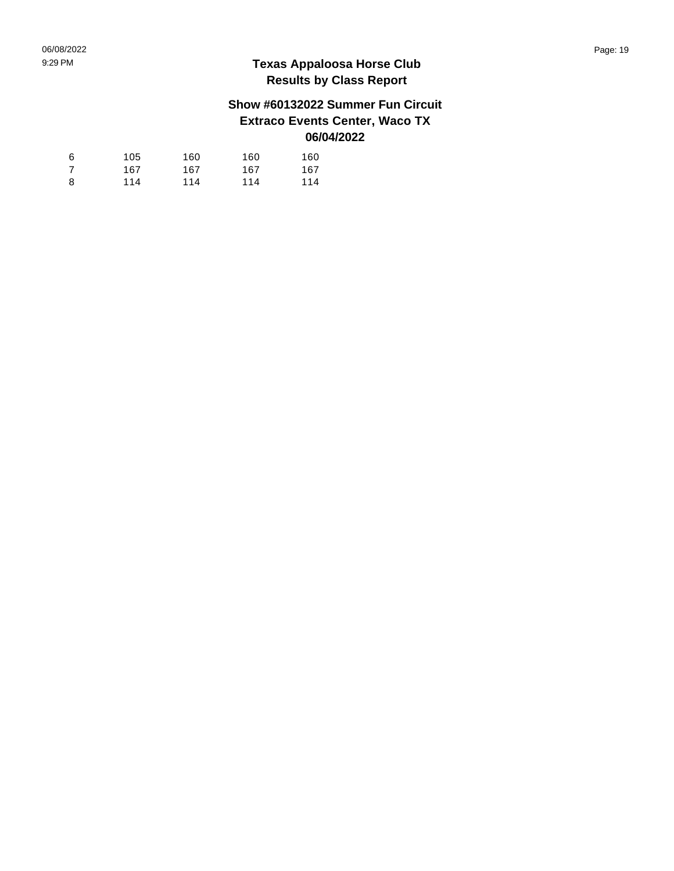### **Show #60132022 Summer Fun Circuit Extraco Events Center, Waco TX 06/04/2022**

| 6 | 105 | 160 | 160 | 160 |
|---|-----|-----|-----|-----|
| 7 | 167 | 167 | 167 | 167 |
| 8 | 114 | 114 | 114 | 114 |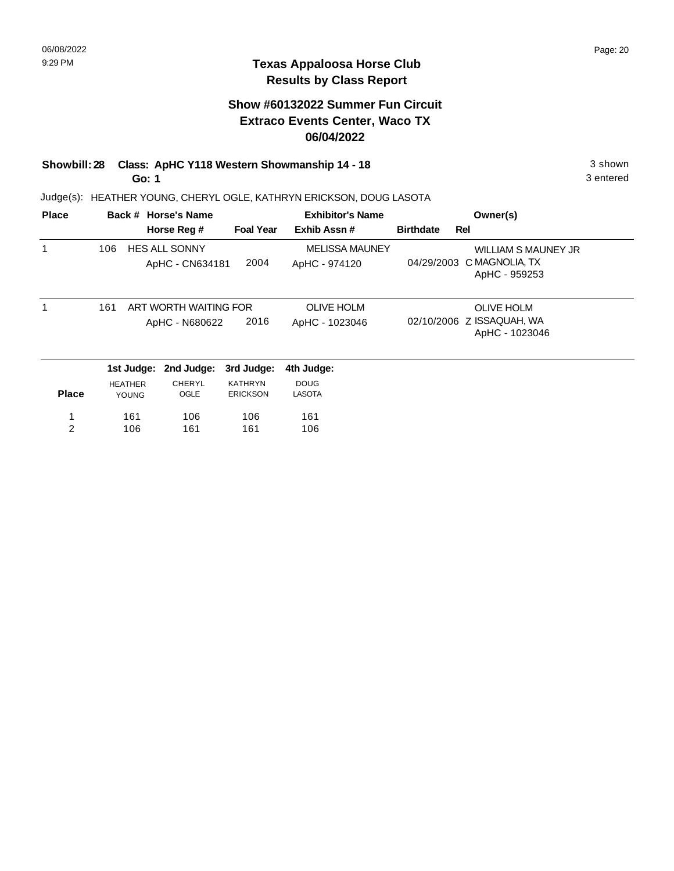### **Show #60132022 Summer Fun Circuit Extraco Events Center, Waco TX 06/04/2022**

#### **Showbill: 28 Class: ApHC Y118 Western Showmanship 14 - 18** 3 shown **Go: 1**

Judge(s): HEATHER YOUNG, CHERYL OGLE, KATHRYN ERICKSON, DOUG LASOTA

| <b>Place</b> |     |                | Back # Horse's Name   |                  | <b>Exhibitor's Name</b> |                  |            | Owner(s)                                    |
|--------------|-----|----------------|-----------------------|------------------|-------------------------|------------------|------------|---------------------------------------------|
|              |     |                | Horse Reg #           | <b>Foal Year</b> | Exhib Assn#             | <b>Birthdate</b> | <b>Rel</b> |                                             |
| 1            | 106 |                | HES ALL SONNY         |                  | <b>MELISSA MAUNEY</b>   |                  |            | WILLIAM S MAUNEY JR                         |
|              |     |                | ApHC - CN634181       | 2004             | ApHC - 974120           | 04/29/2003       |            | C MAGNOLIA, TX<br>ApHC - 959253             |
| 1            | 161 |                | ART WORTH WAITING FOR |                  | <b>OLIVE HOLM</b>       |                  |            | <b>OLIVE HOLM</b>                           |
|              |     |                | ApHC - N680622        | 2016             | ApHC - 1023046          |                  |            | 02/10/2006 Z ISSAQUAH, WA<br>ApHC - 1023046 |
|              |     | 1st Judge:     | 2nd Judge:            | 3rd Judge:       | 4th Judge:              |                  |            |                                             |
|              |     | <b>HEATHER</b> | <b>CHERYL</b>         | <b>KATHRYN</b>   | <b>DOUG</b>             |                  |            |                                             |
| <b>Place</b> |     | <b>YOUNG</b>   | OGLE                  | <b>ERICKSON</b>  | <b>LASOTA</b>           |                  |            |                                             |
| 1            |     | 161            | 106                   | 106              | 161                     |                  |            |                                             |
| 2            |     | 106            | 161                   | 161              | 106                     |                  |            |                                             |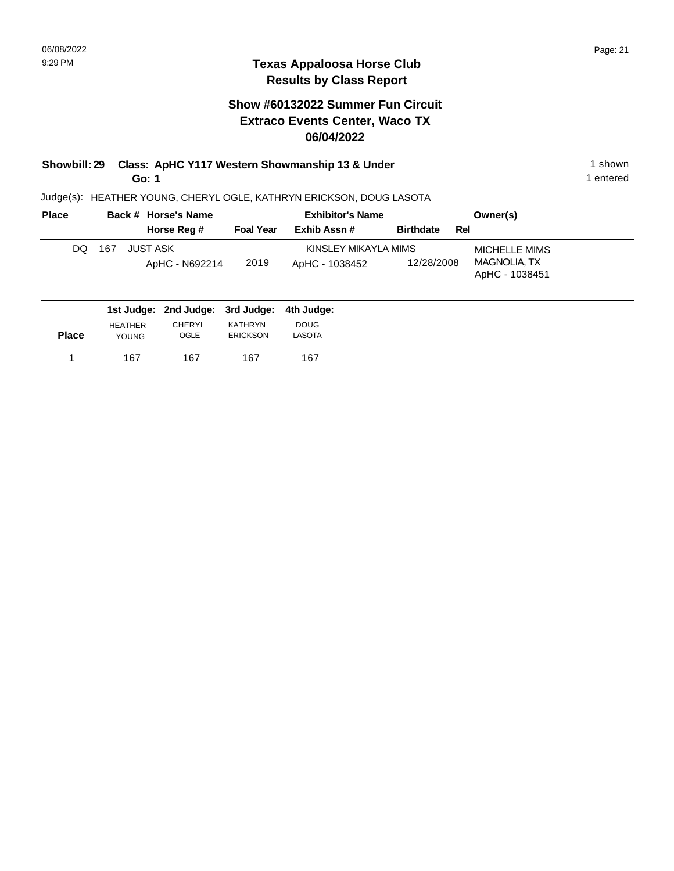### **Texas Appaloosa Horse Club Results by Class Report**

### **Show #60132022 Summer Fun Circuit Extraco Events Center, Waco TX 06/04/2022**

### **Showbill: 29 Class: ApHC Y117 Western Showmanship 13 & Under** 1 **Shown** 1 shown **Go: 1**

| <b>Place</b> | Back # Horse's Name                         |                  | <b>Exhibitor's Name</b> |                         | Owner(s)                       |
|--------------|---------------------------------------------|------------------|-------------------------|-------------------------|--------------------------------|
|              | Horse Reg #                                 | <b>Foal Year</b> | Exhib Assn#             | <b>Birthdate</b><br>Rel |                                |
| DQ.          | JUST ASK<br>167                             |                  | KINSLEY MIKAYLA MIMS    |                         | MICHELLE MIMS                  |
|              | ApHC - N692214                              | 2019             | ApHC - 1038452          | 12/28/2008              | MAGNOLIA, TX<br>ApHC - 1038451 |
|              | 1st Judge: 2nd Judge: 3rd Judge: 4th Judge: |                  |                         |                         |                                |

| <b>Place</b> | <b>HEATHER</b> | <b>CHERYL</b> | <b>KATHRYN</b>  | <b>DOUG</b> |
|--------------|----------------|---------------|-----------------|-------------|
|              | <b>YOUNG</b>   | OGLE          | <b>ERICKSON</b> | LASOTA      |
| -1           | 167            | 167           | 167             | 167         |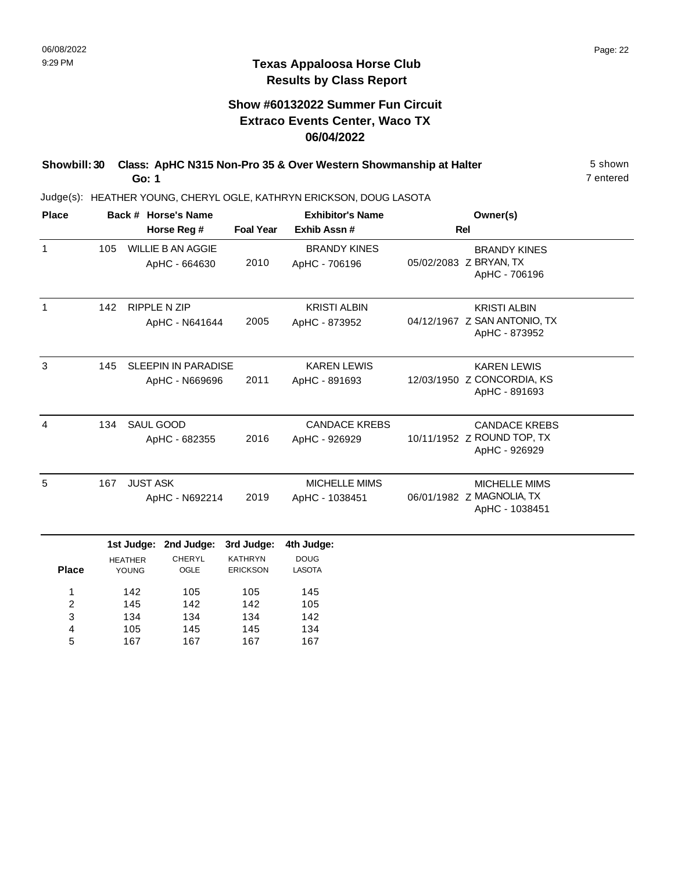167

5

167

167

167

### **Texas Appaloosa Horse Club Results by Class Report**

## **Show #60132022 Summer Fun Circuit Extraco Events Center, Waco TX 06/04/2022**

| Showbill: 30 Class: ApHC N315 Non-Pro 35 & Over Western Showmanship at Halter | 5 shown   |
|-------------------------------------------------------------------------------|-----------|
| Go: 1                                                                         | 7 entered |

| <b>Place</b>   |     |                       | Back # Horse's Name      |                  | <b>Exhibitor's Name</b> | Owner(s)                                      |
|----------------|-----|-----------------------|--------------------------|------------------|-------------------------|-----------------------------------------------|
|                |     |                       | Horse Reg #              | <b>Foal Year</b> | Exhib Assn #            | <b>Rel</b>                                    |
| $\mathbf{1}$   | 105 |                       | <b>WILLIE B AN AGGIE</b> |                  | <b>BRANDY KINES</b>     | <b>BRANDY KINES</b>                           |
|                |     |                       | ApHC - 664630            | 2010             | ApHC - 706196           | 05/02/2083 Z BRYAN, TX<br>ApHC - 706196       |
| 1              | 142 |                       | <b>RIPPLE N ZIP</b>      |                  | <b>KRISTI ALBIN</b>     | <b>KRISTI ALBIN</b>                           |
|                |     |                       | ApHC - N641644           | 2005             | ApHC - 873952           | 04/12/1967 Z SAN ANTONIO, TX<br>ApHC - 873952 |
| 3              | 145 |                       | SLEEPIN IN PARADISE      |                  | <b>KAREN LEWIS</b>      | <b>KAREN LEWIS</b>                            |
|                |     |                       | ApHC - N669696           | 2011             | ApHC - 891693           | 12/03/1950 Z CONCORDIA, KS<br>ApHC - 891693   |
| $\overline{4}$ | 134 | SAUL GOOD             |                          |                  | <b>CANDACE KREBS</b>    | <b>CANDACE KREBS</b>                          |
|                |     | 2016<br>ApHC - 682355 |                          |                  | ApHC - 926929           | 10/11/1952 Z ROUND TOP, TX<br>ApHC - 926929   |
| 5              | 167 | <b>JUST ASK</b>       |                          |                  | MICHELLE MIMS           | <b>MICHELLE MIMS</b>                          |
|                |     | ApHC - N692214        |                          | 2019             | ApHC - 1038451          | 06/01/1982 Z MAGNOLIA, TX<br>ApHC - 1038451   |
|                |     |                       | 1st Judge: 2nd Judge:    | 3rd Judge:       | 4th Judge:              |                                               |
|                |     | <b>HEATHER</b>        | CHERYL                   | <b>KATHRYN</b>   | <b>DOUG</b>             |                                               |
| <b>Place</b>   |     | YOUNG                 | OGLE                     | <b>ERICKSON</b>  | <b>LASOTA</b>           |                                               |
| 1              |     | 142                   | 105                      | 105              | 145                     |                                               |
| 2              |     | 145                   | 142                      | 142              | 105                     |                                               |
| 3              |     | 134                   | 134                      | 134              | 142                     |                                               |
| 4              |     | 105                   | 145                      | 145              | 134                     |                                               |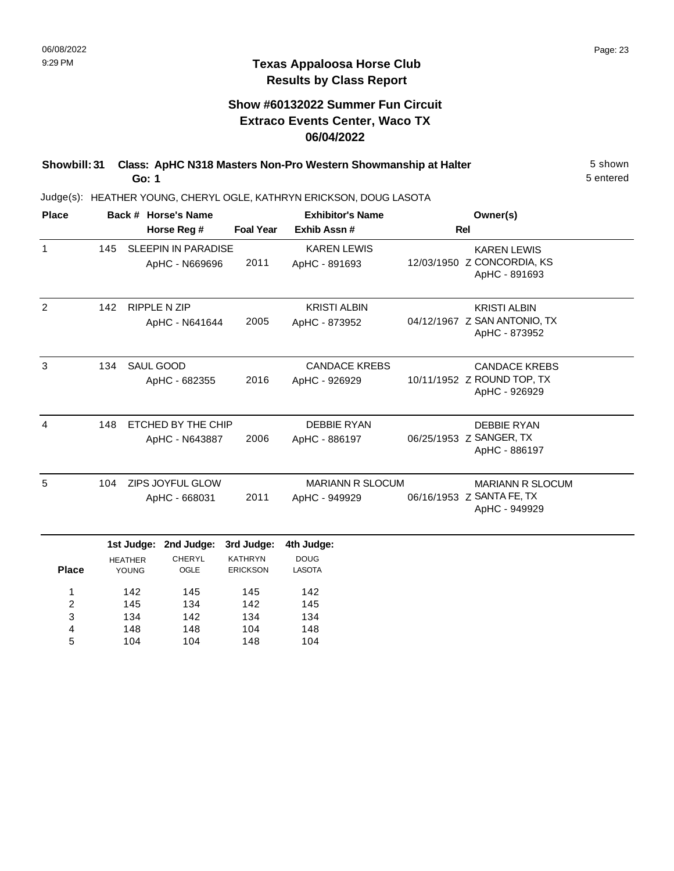104

5

104

148

104

### **Texas Appaloosa Horse Club Results by Class Report**

## **Show #60132022 Summer Fun Circuit Extraco Events Center, Waco TX 06/04/2022**

| Showbill: 31 Class: ApHC N318 Masters Non-Pro Western Showmanship at Halter | 5 shown   |
|-----------------------------------------------------------------------------|-----------|
| Go: 1                                                                       | 5 entered |

| <b>Place</b>     |     |                          | Back # Horse's Name                          |                                   | <b>Exhibitor's Name</b>                  | Owner(s)                                                              |
|------------------|-----|--------------------------|----------------------------------------------|-----------------------------------|------------------------------------------|-----------------------------------------------------------------------|
|                  |     |                          | Horse Reg #                                  | <b>Foal Year</b>                  | Exhib Assn#                              | Rel                                                                   |
| $\mathbf{1}$     | 145 |                          | <b>SLEEPIN IN PARADISE</b><br>ApHC - N669696 | 2011                              | <b>KAREN LEWIS</b><br>ApHC - 891693      | <b>KAREN LEWIS</b><br>12/03/1950 Z CONCORDIA, KS<br>ApHC - 891693     |
| 2                | 142 |                          | RIPPLE N ZIP<br>ApHC - N641644               | 2005                              | <b>KRISTI ALBIN</b><br>ApHC - 873952     | <b>KRISTI ALBIN</b><br>04/12/1967 Z SAN ANTONIO, TX<br>ApHC - 873952  |
| 3                | 134 | SAUL GOOD                | ApHC - 682355                                | 2016                              | <b>CANDACE KREBS</b><br>ApHC - 926929    | <b>CANDACE KREBS</b><br>10/11/1952 Z ROUND TOP, TX<br>ApHC - 926929   |
| $\overline{4}$   | 148 |                          | ETCHED BY THE CHIP<br>ApHC - N643887         | 2006                              | <b>DEBBIE RYAN</b><br>ApHC - 886197      | <b>DEBBIE RYAN</b><br>06/25/1953 Z SANGER, TX<br>ApHC - 886197        |
| 5                | 104 |                          | ZIPS JOYFUL GLOW<br>ApHC - 668031            | 2011                              | <b>MARIANN R SLOCUM</b><br>ApHC - 949929 | <b>MARIANN R SLOCUM</b><br>06/16/1953 Z SANTA FE, TX<br>ApHC - 949929 |
|                  |     | 1st Judge:               | 2nd Judge:                                   | 3rd Judge:                        | 4th Judge:                               |                                                                       |
| <b>Place</b>     |     | <b>HEATHER</b><br>YOUNG  | <b>CHERYL</b><br>OGLE                        | <b>KATHRYN</b><br><b>ERICKSON</b> | <b>DOUG</b><br>LASOTA                    |                                                                       |
| 1<br>2<br>3<br>4 |     | 142<br>145<br>134<br>148 | 145<br>134<br>142<br>148                     | 145<br>142<br>134<br>104          | 142<br>145<br>134<br>148                 |                                                                       |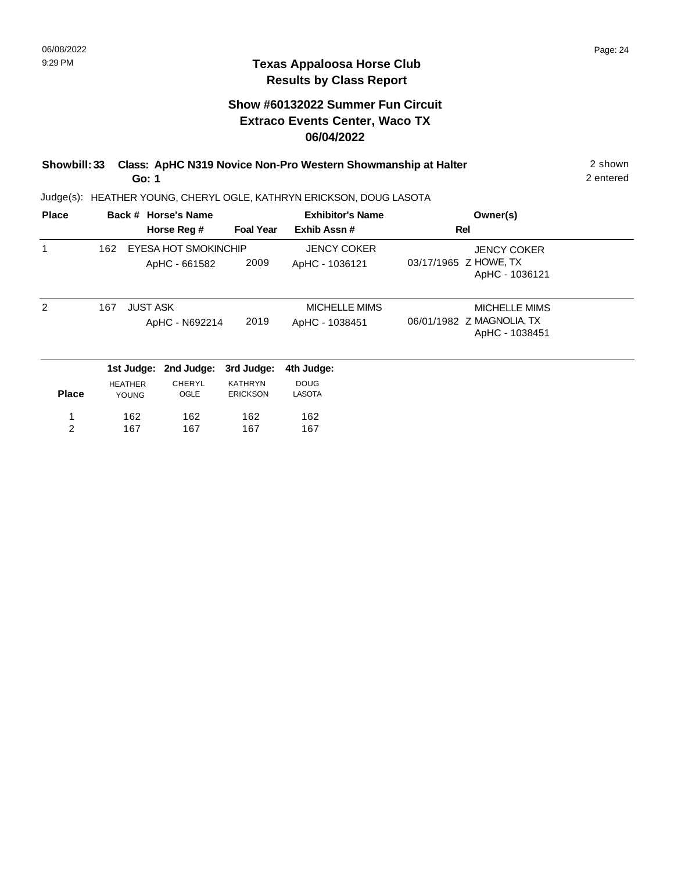### **Texas Appaloosa Horse Club Results by Class Report**

### **Show #60132022 Summer Fun Circuit Extraco Events Center, Waco TX 06/04/2022**

| Showbill: 33 Class: ApHC N319 Novice Non-Pro Western Showmanship at Halter | 2 shown   |
|----------------------------------------------------------------------------|-----------|
| Go: 1                                                                      | 2 entered |

| <b>Place</b>   |                                | Back # Horse's Name                          |                                   | <b>Exhibitor's Name</b>                | Owner(s)                                                            |  |
|----------------|--------------------------------|----------------------------------------------|-----------------------------------|----------------------------------------|---------------------------------------------------------------------|--|
|                |                                | Horse Reg #                                  | <b>Foal Year</b>                  | Exhib Assn#                            | Rel                                                                 |  |
|                | 162                            | <b>EYESA HOT SMOKINCHIP</b><br>ApHC - 661582 | 2009                              | <b>JENCY COKER</b><br>ApHC - 1036121   | <b>JENCY COKER</b><br>03/17/1965 Z HOWE, TX<br>ApHC - 1036121       |  |
| $\mathcal{P}$  | 167                            | <b>JUST ASK</b><br>ApHC - N692214            | 2019                              | <b>MICHELLE MIMS</b><br>ApHC - 1038451 | <b>MICHELLE MIMS</b><br>06/01/1982 Z MAGNOLIA, TX<br>ApHC - 1038451 |  |
|                |                                | 1st Judge: 2nd Judge:                        | 3rd Judge:                        | 4th Judge:                             |                                                                     |  |
| <b>Place</b>   | <b>HEATHER</b><br><b>YOUNG</b> | CHERYL<br>OGLE                               | <b>KATHRYN</b><br><b>ERICKSON</b> | <b>DOUG</b><br><b>LASOTA</b>           |                                                                     |  |
| 1              | 162                            | 162                                          | 162                               | 162                                    |                                                                     |  |
| $\overline{2}$ | 167                            | 167                                          | 167                               | 167                                    |                                                                     |  |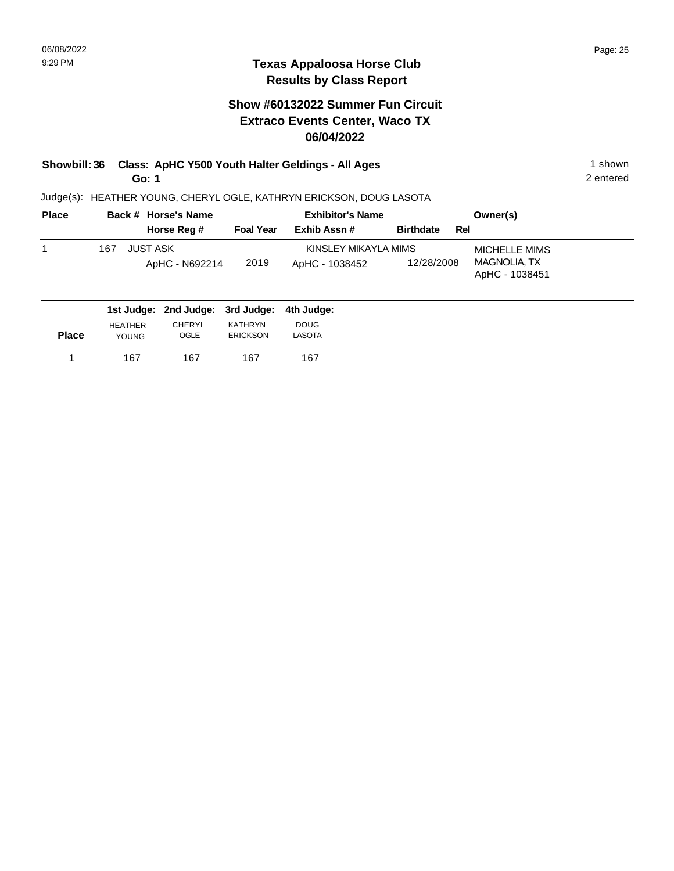### **Texas Appaloosa Horse Club Results by Class Report**

### **Show #60132022 Summer Fun Circuit Extraco Events Center, Waco TX 06/04/2022**

### **Showbill: 36 Class: ApHC Y500 Youth Halter Geldings - All Ages** 1 Shown 1 shown **Go: 1**

| <b>Place</b> | Back # Horse's Name                         |                  | <b>Exhibitor's Name</b> |                         | Owner(s)                       |
|--------------|---------------------------------------------|------------------|-------------------------|-------------------------|--------------------------------|
|              | Horse Reg #                                 | <b>Foal Year</b> | Exhib Assn#             | <b>Birthdate</b><br>Rel |                                |
|              | JUST ASK<br>167                             |                  | KINSLEY MIKAYLA MIMS    |                         | MICHELLE MIMS                  |
|              | ApHC - N692214                              | 2019             | ApHC - 1038452          | 12/28/2008              | MAGNOLIA, TX<br>ApHC - 1038451 |
|              | 1st Judge: 2nd Judge: 3rd Judge: 4th Judge: |                  |                         |                         |                                |

| <b>Place</b> | <b>HEATHER</b> | CHERYL | <b>KATHRYN</b>  | <b>DOUG</b> |
|--------------|----------------|--------|-----------------|-------------|
|              | <b>YOUNG</b>   | OGLE   | <b>ERICKSON</b> | LASOTA      |
| 1            | 167            | 167    | 167             | 167         |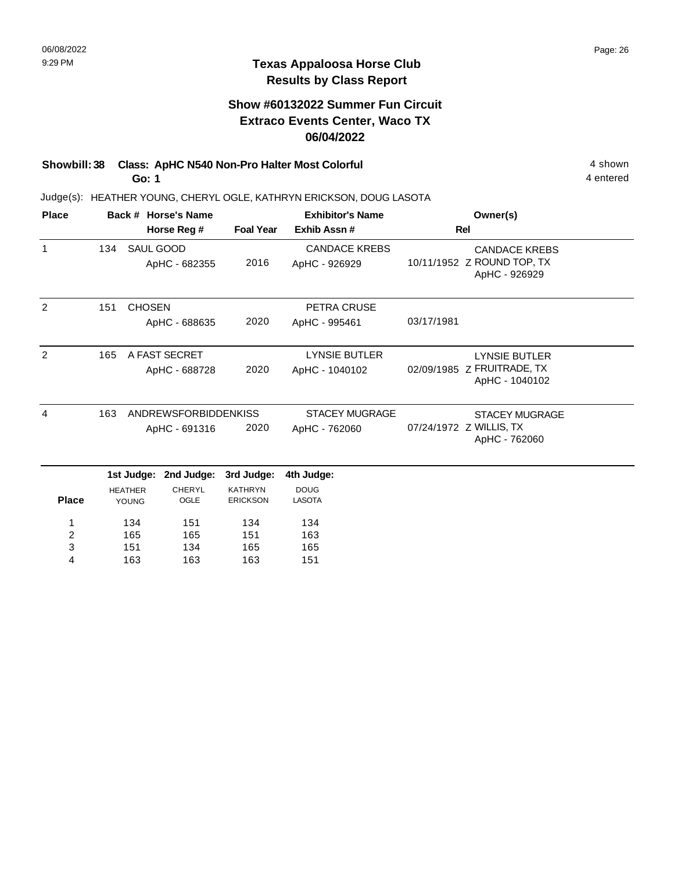### **Texas Appaloosa Horse Club Results by Class Report**

## **Show #60132022 Summer Fun Circuit Extraco Events Center, Waco TX 06/04/2022**

### **Showbill: 38 Class: ApHC N540 Non-Pro Halter Most Colorful 4 shown 4 shown Go: 1**

163

4

163

163

151

| <b>Place</b>   |     |                                | Back # Horse's Name         | <b>Exhibitor's Name</b>           |                                       | Owner(s)                                                            |
|----------------|-----|--------------------------------|-----------------------------|-----------------------------------|---------------------------------------|---------------------------------------------------------------------|
|                |     | Horse Reg #                    |                             |                                   | Exhib Assn#                           | <b>Rel</b>                                                          |
| $\mathbf 1$    | 134 | SAUL GOOD                      | ApHC - 682355               | 2016                              | <b>CANDACE KREBS</b><br>ApHC - 926929 | <b>CANDACE KREBS</b><br>10/11/1952 Z ROUND TOP, TX<br>ApHC - 926929 |
| 2              | 151 | <b>CHOSEN</b>                  |                             |                                   | PETRA CRUSE                           |                                                                     |
|                |     |                                | ApHC - 688635               | 2020                              | ApHC - 995461                         | 03/17/1981                                                          |
| 2              | 165 |                                | A FAST SECRET               |                                   | <b>LYNSIE BUTLER</b>                  | <b>LYNSIE BUTLER</b>                                                |
|                |     |                                | ApHC - 688728               | 2020                              | ApHC - 1040102                        | 02/09/1985 Z FRUITRADE, TX<br>ApHC - 1040102                        |
| 4              | 163 |                                | <b>ANDREWSFORBIDDENKISS</b> |                                   | <b>STACEY MUGRAGE</b>                 | <b>STACEY MUGRAGE</b>                                               |
|                |     |                                | ApHC - 691316               | 2020                              | ApHC - 762060                         | 07/24/1972 Z WILLIS, TX<br>ApHC - 762060                            |
|                |     |                                | 1st Judge: 2nd Judge:       | 3rd Judge:                        | 4th Judge:                            |                                                                     |
|                |     |                                |                             |                                   |                                       |                                                                     |
| <b>Place</b>   |     | <b>HEATHER</b><br><b>YOUNG</b> | <b>CHERYL</b><br>OGLE       | <b>KATHRYN</b><br><b>ERICKSON</b> | <b>DOUG</b><br><b>LASOTA</b>          |                                                                     |
| 1              |     | 134                            | 151                         | 134                               | 134                                   |                                                                     |
| $\overline{c}$ |     | 165                            | 165                         | 151                               | 163                                   |                                                                     |
| 3              |     | 151                            | 134                         | 165                               | 165                                   |                                                                     |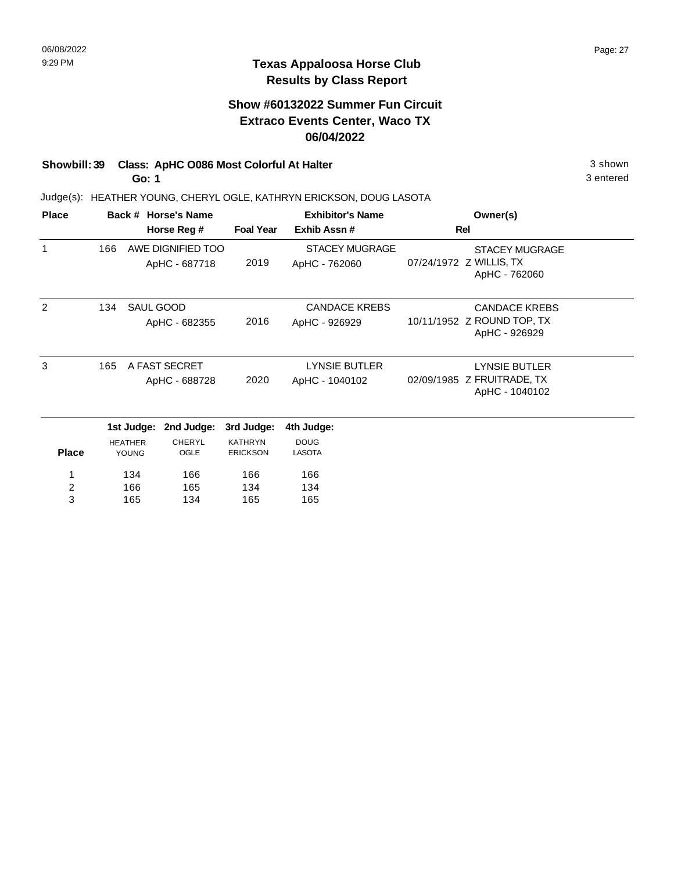## **Show #60132022 Summer Fun Circuit Extraco Events Center, Waco TX 06/04/2022**

## **Showbill: 39 Class: ApHC O086 Most Colorful At Halter** 3 shown

**Go: 1**

Judge(s): HEATHER YOUNG, CHERYL OGLE, KATHRYN ERICKSON, DOUG LASOTA

|                       |                                |                                              |                                                                                                 | <b>Exhibitor's Name</b>                | Owner(s)                                                             |  |
|-----------------------|--------------------------------|----------------------------------------------|-------------------------------------------------------------------------------------------------|----------------------------------------|----------------------------------------------------------------------|--|
|                       |                                |                                              |                                                                                                 | Exhib Assn#                            | Rel                                                                  |  |
| 166                   |                                |                                              | 2019                                                                                            | <b>STACEY MUGRAGE</b><br>ApHC - 762060 | <b>STACEY MUGRAGE</b><br>07/24/1972 Z WILLIS, TX<br>ApHC - 762060    |  |
| 134                   |                                |                                              | 2016                                                                                            | <b>CANDACE KREBS</b><br>ApHC - 926929  | <b>CANDACE KREBS</b><br>10/11/1952 Z ROUND TOP, TX<br>ApHC - 926929  |  |
| 3<br>165              | A FAST SECRET<br>ApHC - 688728 |                                              | 2020                                                                                            | LYNSIE BUTLER<br>ApHC - 1040102        | <b>LYNSIE BUTLER</b><br>02/09/1985 Z FRUITRADE, TX<br>ApHC - 1040102 |  |
| 1st Judge: 2nd Judge: |                                | 3rd Judge:                                   | 4th Judge:                                                                                      |                                        |                                                                      |  |
|                       |                                | <b>CHERYL</b><br>OGLE                        | <b>KATHRYN</b><br><b>ERICKSON</b>                                                               | <b>DOUG</b><br><b>LASOTA</b>           |                                                                      |  |
|                       | 134                            | 166                                          | 166                                                                                             | 166                                    |                                                                      |  |
|                       |                                |                                              |                                                                                                 |                                        |                                                                      |  |
|                       |                                | <b>HEATHER</b><br><b>YOUNG</b><br>166<br>165 | Back # Horse's Name<br>Horse Reg #<br>ApHC - 687718<br>SAUL GOOD<br>ApHC - 682355<br>165<br>134 | AWE DIGNIFIED TOO<br>134<br>165        | <b>Foal Year</b><br>134<br>165                                       |  |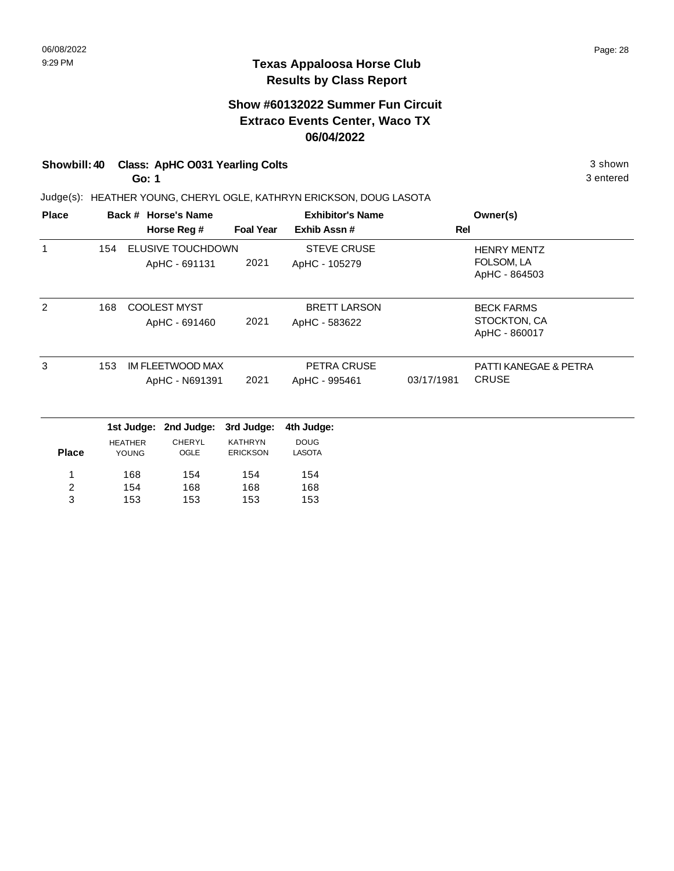### **Show #60132022 Summer Fun Circuit Extraco Events Center, Waco TX 06/04/2022**

# **Showbill: 40 Class: ApHC O031 Yearling Colts** 3 shown

**Go: 1**

Judge(s): HEATHER YOUNG, CHERYL OGLE, KATHRYN ERICKSON, DOUG LASOTA

| <b>Place</b>   |     |                | Back # Horse's Name |                  | <b>Exhibitor's Name</b> |            | Owner(s)                      |
|----------------|-----|----------------|---------------------|------------------|-------------------------|------------|-------------------------------|
|                |     |                | Horse Reg #         | <b>Foal Year</b> | Exhib Assn #            | Rel        |                               |
| 1              | 154 |                | ELUSIVE TOUCHDOWN   |                  | <b>STEVE CRUSE</b>      |            | <b>HENRY MENTZ</b>            |
|                |     |                | ApHC - 691131       | 2021             | ApHC - 105279           |            | FOLSOM, LA<br>ApHC - 864503   |
| 2              | 168 |                | <b>COOLEST MYST</b> |                  | <b>BRETT LARSON</b>     |            | <b>BECK FARMS</b>             |
|                |     |                | ApHC - 691460       | 2021             | ApHC - 583622           |            | STOCKTON, CA<br>ApHC - 860017 |
| 3              | 153 |                | IM FLEETWOOD MAX    |                  | PETRA CRUSE             |            | PATTI KANEGAE & PETRA         |
|                |     |                | ApHC - N691391      | 2021             | ApHC - 995461           | 03/17/1981 | <b>CRUSE</b>                  |
|                |     | 1st Judge:     | 2nd Judge:          | 3rd Judge:       | 4th Judge:              |            |                               |
|                |     | <b>HEATHER</b> | <b>CHERYL</b>       | <b>KATHRYN</b>   | <b>DOUG</b>             |            |                               |
| <b>Place</b>   |     | YOUNG          | OGLE                | <b>ERICKSON</b>  | <b>LASOTA</b>           |            |                               |
| 1              |     | 168            | 154                 | 154              | 154                     |            |                               |
| $\overline{c}$ |     | 154            | 168                 | 168              | 168                     |            |                               |
| 3              |     | 153            | 153                 | 153              | 153                     |            |                               |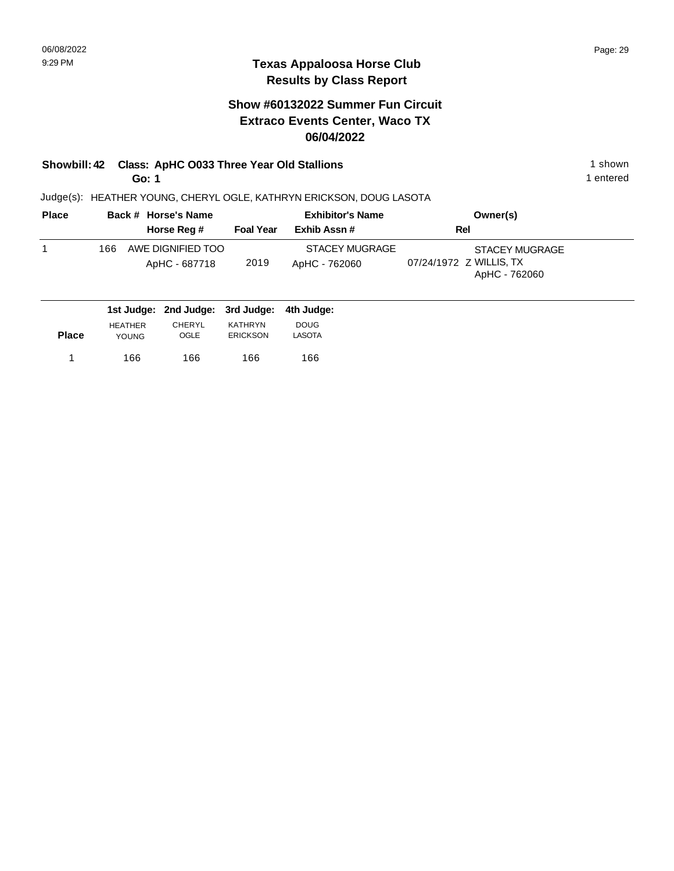### **Show #60132022 Summer Fun Circuit Extraco Events Center, Waco TX 06/04/2022**

# **Showbill: 42 Class: ApHC 0033 Three Year Old Stallions** 1 shown 1 shown

**Go: 1**

1 entered

|     |                                    | <b>Exhibitor's Name</b> |                                        | Owner(s)                                                   |
|-----|------------------------------------|-------------------------|----------------------------------------|------------------------------------------------------------|
|     | Horse Reg #                        | <b>Foal Year</b>        | Exhib Assn #                           | Rel                                                        |
| 166 | AWE DIGNIFIED TOO<br>ApHC - 687718 | 2019                    | <b>STACEY MUGRAGE</b><br>ApHC - 762060 | STACEY MUGRAGE<br>07/24/1972 Z WILLIS, TX<br>ApHC - 762060 |

|              |                | 1st Judge: 2nd Judge: 3rd Judge: 4th Judge: |                 |               |
|--------------|----------------|---------------------------------------------|-----------------|---------------|
|              | <b>HEATHER</b> | <b>CHERYL</b>                               | KATHRYN         | <b>DOUG</b>   |
| <b>Place</b> | <b>YOUNG</b>   | <b>OGLE</b>                                 | <b>ERICKSON</b> | <b>LASOTA</b> |
|              | 166            | 166                                         | 166             | 166           |
|              |                |                                             |                 |               |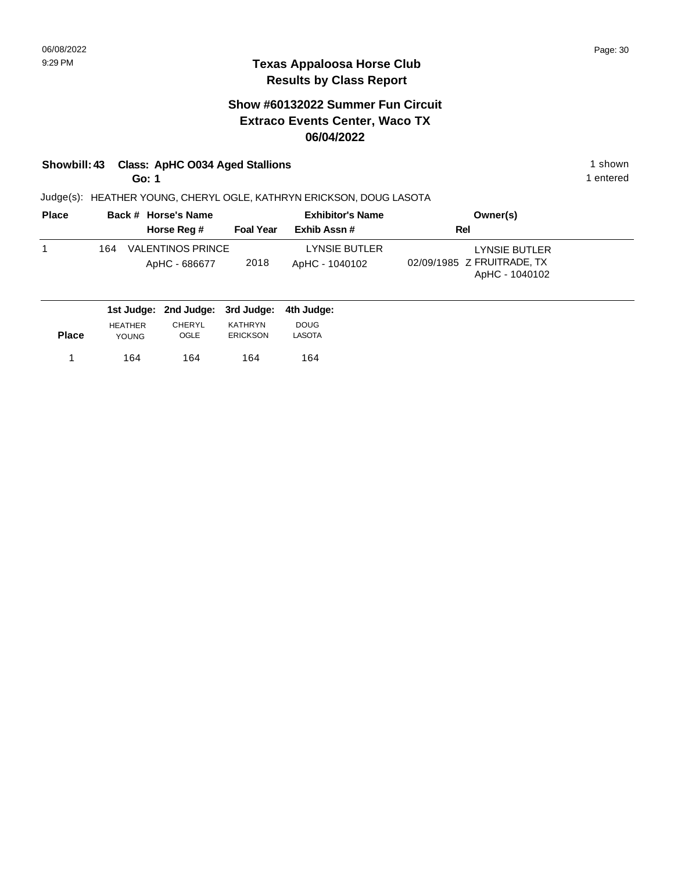## **Show #60132022 Summer Fun Circuit Extraco Events Center, Waco TX 06/04/2022**

# **Showbill: 43 Class: ApHC O034 Aged Stallions** 1 shown

**Go: 1**

Judge(s): HEATHER YOUNG, CHERYL OGLE, KATHRYN ERICKSON, DOUG LASOTA

| <b>Place</b> | Back # Horse's Name                       |                  | <b>Exhibitor's Name</b>         | Owner(s)                                                      |
|--------------|-------------------------------------------|------------------|---------------------------------|---------------------------------------------------------------|
|              | Horse Reg #                               | <b>Foal Year</b> | Exhib Assn#                     | Rel                                                           |
|              | VALENTINOS PRINCE<br>164<br>ApHC - 686677 | 2018             | LYNSIE BUTLER<br>ApHC - 1040102 | LYNSIE BUTLER<br>02/09/1985 Z FRUITRADE, TX<br>ApHC - 1040102 |
|              | 1st Judge: 2nd Judge: 3rd Judge:          |                  | 4th Judae:                      |                                                               |

|              |                | $19199991$ and $999991$ or $9999991$ |                 |               |  |
|--------------|----------------|--------------------------------------|-----------------|---------------|--|
|              | <b>HEATHER</b> | CHERYL                               | KATHRYN         | <b>DOUG</b>   |  |
| <b>Place</b> | <b>YOUNG</b>   | OGLE                                 | <b>ERICKSON</b> | <b>LASOTA</b> |  |
|              |                |                                      |                 |               |  |
|              | 164            | 164                                  | 164             | 164           |  |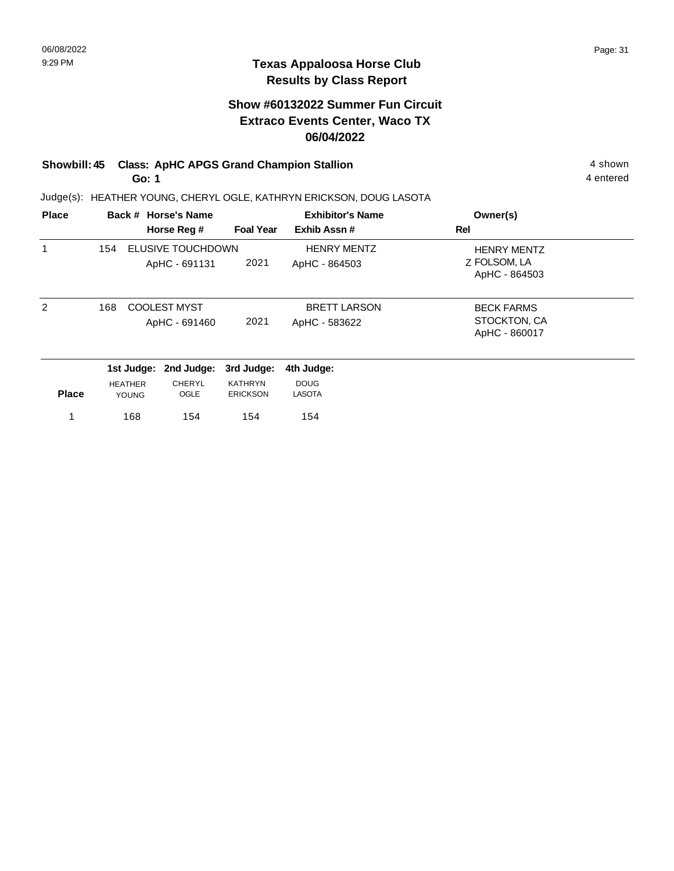## **Show #60132022 Summer Fun Circuit Extraco Events Center, Waco TX 06/04/2022**

# **Showbill: 45 Class: ApHC APGS Grand Champion Stallion** 4 shown 4 shown

**Go: 1**

Judge(s): HEATHER YOUNG, CHERYL OGLE, KATHRYN ERICKSON, DOUG LASOTA

| <b>Place</b>  |                |              | Back # Horse's Name                  |                                   | <b>Exhibitor's Name</b>              | Owner(s)                                            |
|---------------|----------------|--------------|--------------------------------------|-----------------------------------|--------------------------------------|-----------------------------------------------------|
|               |                |              | Horse Reg #                          | <b>Foal Year</b>                  | Exhib Assn#                          | Rel                                                 |
| 1             | 154            |              | ELUSIVE TOUCHDOWN<br>ApHC - 691131   | 2021                              | <b>HENRY MENTZ</b><br>ApHC - 864503  | <b>HENRY MENTZ</b><br>Z FOLSOM, LA<br>ApHC - 864503 |
| $\mathcal{P}$ | 168            |              | <b>COOLEST MYST</b><br>ApHC - 691460 | 2021                              | <b>BRETT LARSON</b><br>ApHC - 583622 | <b>BECK FARMS</b><br>STOCKTON, CA<br>ApHC - 860017  |
|               |                | 1st Judge:   | 2nd Judge:                           | 3rd Judge:                        | 4th Judge:                           |                                                     |
| <b>Place</b>  | <b>HEATHER</b> | <b>YOUNG</b> | <b>CHERYL</b><br>OGLE                | <b>KATHRYN</b><br><b>ERICKSON</b> | <b>DOUG</b><br><b>LASOTA</b>         |                                                     |
|               |                | 168          | 154                                  | 154                               | 154                                  |                                                     |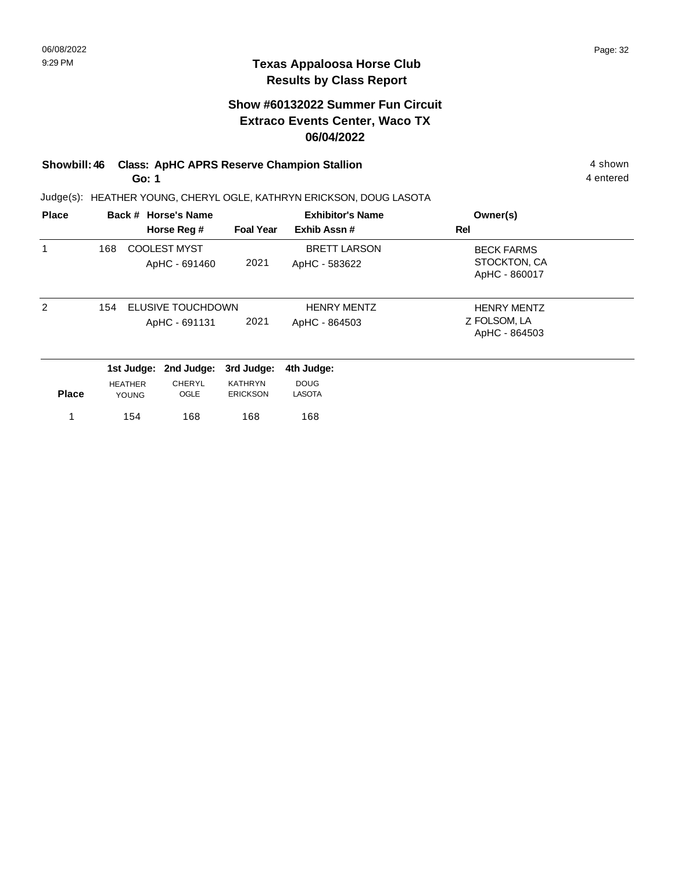### **Show #60132022 Summer Fun Circuit Extraco Events Center, Waco TX 06/04/2022**

#### **Showbill: 46 Class: ApHC APRS Reserve Champion Stallion** 4 shown 4 shown **Go: 1**

Judge(s): HEATHER YOUNG, CHERYL OGLE, KATHRYN ERICKSON, DOUG LASOTA

| <b>Place</b>  |     |                                | Back # Horse's Name                  |                                   | <b>Exhibitor's Name</b>              | Owner(s)                                            |
|---------------|-----|--------------------------------|--------------------------------------|-----------------------------------|--------------------------------------|-----------------------------------------------------|
|               |     |                                | Horse Reg #                          | <b>Foal Year</b>                  | Exhib Assn#                          | Rel                                                 |
| 1             | 168 |                                | <b>COOLEST MYST</b><br>ApHC - 691460 | 2021                              | <b>BRETT LARSON</b><br>ApHC - 583622 | <b>BECK FARMS</b><br>STOCKTON, CA<br>ApHC - 860017  |
| $\mathcal{P}$ | 154 |                                | ELUSIVE TOUCHDOWN<br>ApHC - 691131   | 2021                              | <b>HENRY MENTZ</b><br>ApHC - 864503  | <b>HENRY MENTZ</b><br>Z FOLSOM, LA<br>ApHC - 864503 |
|               |     | 1st Judge:                     | 2nd Judge:                           | 3rd Judge:                        | 4th Judge:                           |                                                     |
| <b>Place</b>  |     | <b>HEATHER</b><br><b>YOUNG</b> | CHERYL<br>OGLE                       | <b>KATHRYN</b><br><b>ERICKSON</b> | <b>DOUG</b><br><b>LASOTA</b>         |                                                     |
|               |     | 154                            | 168                                  | 168                               | 168                                  |                                                     |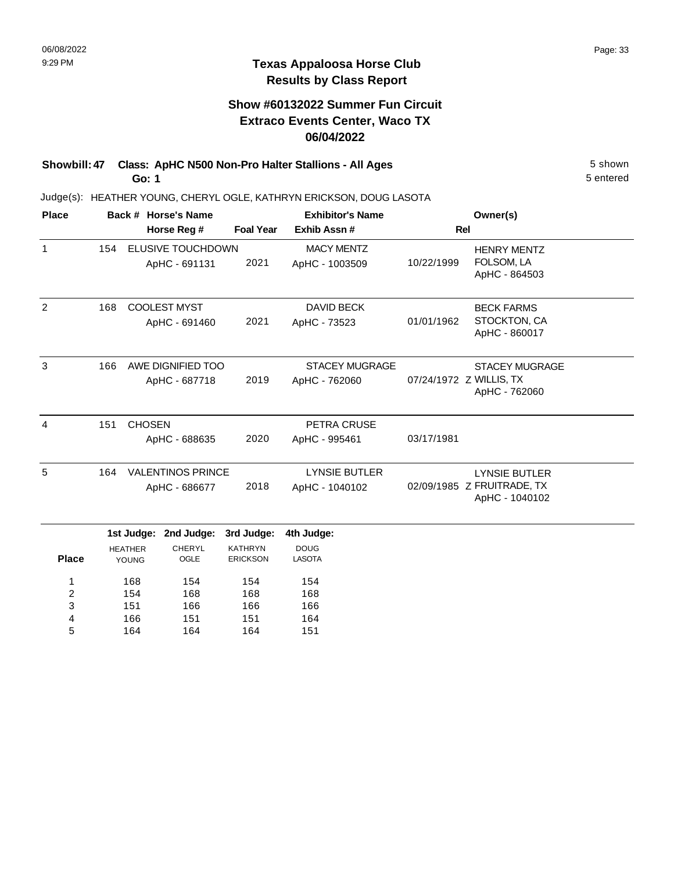### **Show #60132022 Summer Fun Circuit Extraco Events Center, Waco TX 06/04/2022**

**Showbill: 47 Class: ApHC N500 Non-Pro Halter Stallions - All Ages** 5 Shown **Go: 1**

> 151 166 164

3 4 5

166 151 164

166 151 164 166 164 151

Judge(s): HEATHER YOUNG, CHERYL OGLE, KATHRYN ERICKSON, DOUG LASOTA

| <b>Place</b>   | Back # Horse's Name |                |                          |                  | <b>Exhibitor's Name</b> | Owner(s)   |                               |  |
|----------------|---------------------|----------------|--------------------------|------------------|-------------------------|------------|-------------------------------|--|
|                |                     |                | Horse Reg #              | <b>Foal Year</b> | Exhib Assn #            |            | Rel                           |  |
| 1              | 154                 |                | ELUSIVE TOUCHDOWN        |                  | <b>MACY MENTZ</b>       |            | <b>HENRY MENTZ</b>            |  |
|                |                     |                | ApHC - 691131            | 2021             | ApHC - 1003509          | 10/22/1999 | FOLSOM, LA<br>ApHC - 864503   |  |
| 2              | 168                 |                | <b>COOLEST MYST</b>      |                  | <b>DAVID BECK</b>       |            | <b>BECK FARMS</b>             |  |
|                |                     |                | ApHC - 691460            | 2021             | ApHC - 73523            | 01/01/1962 | STOCKTON, CA<br>ApHC - 860017 |  |
| 3              | 166                 |                | AWE DIGNIFIED TOO        |                  | <b>STACEY MUGRAGE</b>   |            | <b>STACEY MUGRAGE</b>         |  |
|                |                     |                | ApHC - 687718            | 2019             | ApHC - 762060           |            | 07/24/1972 Z WILLIS, TX       |  |
|                |                     |                |                          |                  |                         |            | ApHC - 762060                 |  |
| $\overline{4}$ | 151                 | <b>CHOSEN</b>  |                          |                  | PETRA CRUSE             |            |                               |  |
|                |                     |                | ApHC - 688635            | 2020             | ApHC - 995461           | 03/17/1981 |                               |  |
| 5              | 164                 |                | <b>VALENTINOS PRINCE</b> |                  | <b>LYNSIE BUTLER</b>    |            | <b>LYNSIE BUTLER</b>          |  |
|                |                     |                | ApHC - 686677            | 2018             | ApHC - 1040102          |            | 02/09/1985 Z FRUITRADE, TX    |  |
|                |                     |                |                          |                  |                         |            | ApHC - 1040102                |  |
|                |                     | 1st Judge:     | 2nd Judge:               | 3rd Judge:       | 4th Judge:              |            |                               |  |
|                |                     | <b>HEATHER</b> | <b>CHERYL</b>            | <b>KATHRYN</b>   | <b>DOUG</b>             |            |                               |  |
| <b>Place</b>   |                     | <b>YOUNG</b>   | OGLE                     | <b>ERICKSON</b>  | <b>LASOTA</b>           |            |                               |  |
| 1              |                     | 168            | 154                      | 154              | 154                     |            |                               |  |
| $\overline{2}$ |                     | 154            | 168                      | 168              | 168                     |            |                               |  |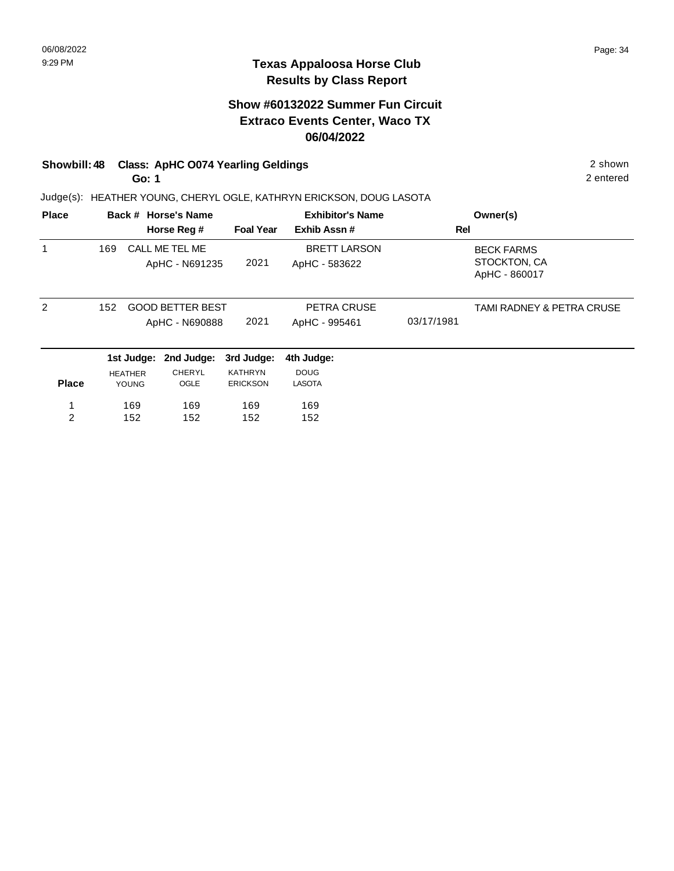### **Texas Appaloosa Horse Club Results by Class Report**

### **Show #60132022 Summer Fun Circuit Extraco Events Center, Waco TX 06/04/2022**

# **Showbill: 48 Class: ApHC O074 Yearling Geldings 2 shown 2 shown 2 shown**

**Go: 1**

152

2

152

152

Judge(s): HEATHER YOUNG, CHERYL OGLE, KATHRYN ERICKSON, DOUG LASOTA

| <b>Place</b> |     |                         | Back # Horse's Name<br>Horse Reg #        | <b>Foal Year</b>                  | <b>Exhibitor's Name</b><br>Exhib Assn# | Rel        | Owner(s)                                           |
|--------------|-----|-------------------------|-------------------------------------------|-----------------------------------|----------------------------------------|------------|----------------------------------------------------|
| 1            | 169 |                         | CALL ME TEL ME<br>ApHC - N691235          | 2021                              | <b>BRETT LARSON</b><br>ApHC - 583622   |            | <b>BECK FARMS</b><br>STOCKTON, CA<br>ApHC - 860017 |
| 2            | 152 |                         | <b>GOOD BETTER BEST</b><br>ApHC - N690888 | 2021                              | PETRA CRUSE<br>ApHC - 995461           | 03/17/1981 | TAMI RADNEY & PETRA CRUSE                          |
|              |     |                         | 1st Judge: 2nd Judge:                     | 3rd Judge:                        | 4th Judge:                             |            |                                                    |
| <b>Place</b> |     | <b>HEATHER</b><br>YOUNG | <b>CHERYL</b><br>OGLE                     | <b>KATHRYN</b><br><b>ERICKSON</b> | <b>DOUG</b><br><b>LASOTA</b>           |            |                                                    |
|              |     | 169                     | 169                                       | 169                               | 169                                    |            |                                                    |

152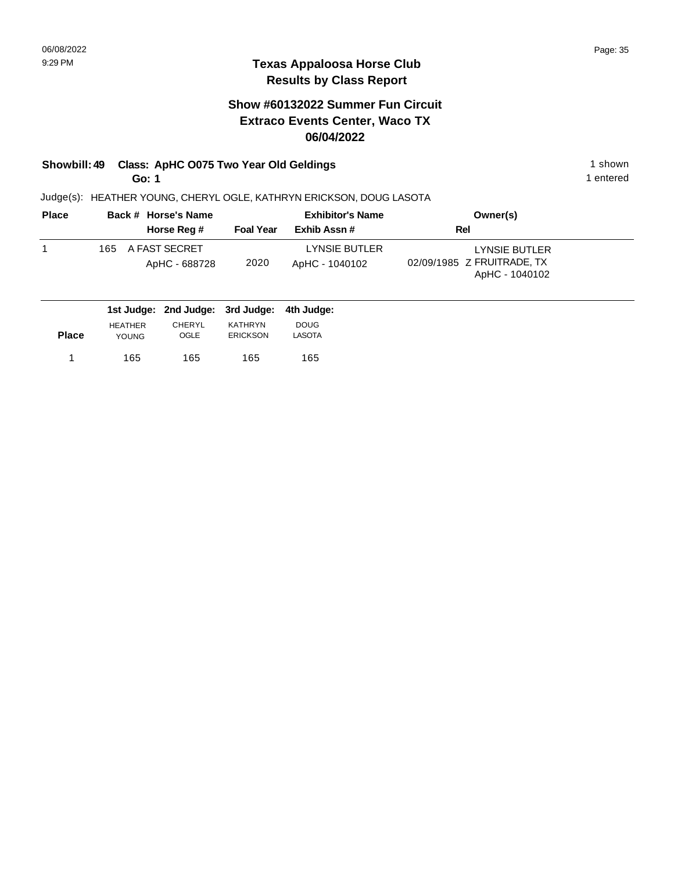## **Show #60132022 Summer Fun Circuit Extraco Events Center, Waco TX 06/04/2022**

# **Showbill: 49 Class: ApHC O075 Two Year Old Geldings** 1 shown 1 shown

**Go: 1**

1 entered

| <b>Place</b> |      | Back # Horse's Name            |                  | <b>Exhibitor's Name</b>         | Owner(s)                                                      |  |
|--------------|------|--------------------------------|------------------|---------------------------------|---------------------------------------------------------------|--|
|              |      | Horse Reg #                    | <b>Foal Year</b> | Exhib Assn#                     | Rel                                                           |  |
|              | 165. | A FAST SECRET<br>ApHC - 688728 | 2020             | LYNSIE BUTLER<br>ApHC - 1040102 | LYNSIE BUTLER<br>02/09/1985 Z FRUITRADE, TX<br>ApHC - 1040102 |  |

|              |                | 1st Judge: 2nd Judge: 3rd Judge: 4th Judge: |                 |             |  |
|--------------|----------------|---------------------------------------------|-----------------|-------------|--|
|              | <b>HEATHER</b> | <b>CHERYL</b>                               | <b>KATHRYN</b>  | <b>DOUG</b> |  |
| <b>Place</b> | YOUNG.         | OGLE                                        | <b>ERICKSON</b> | LASOTA      |  |
|              | 165            | 165                                         | 165             | 165         |  |
|              |                |                                             |                 |             |  |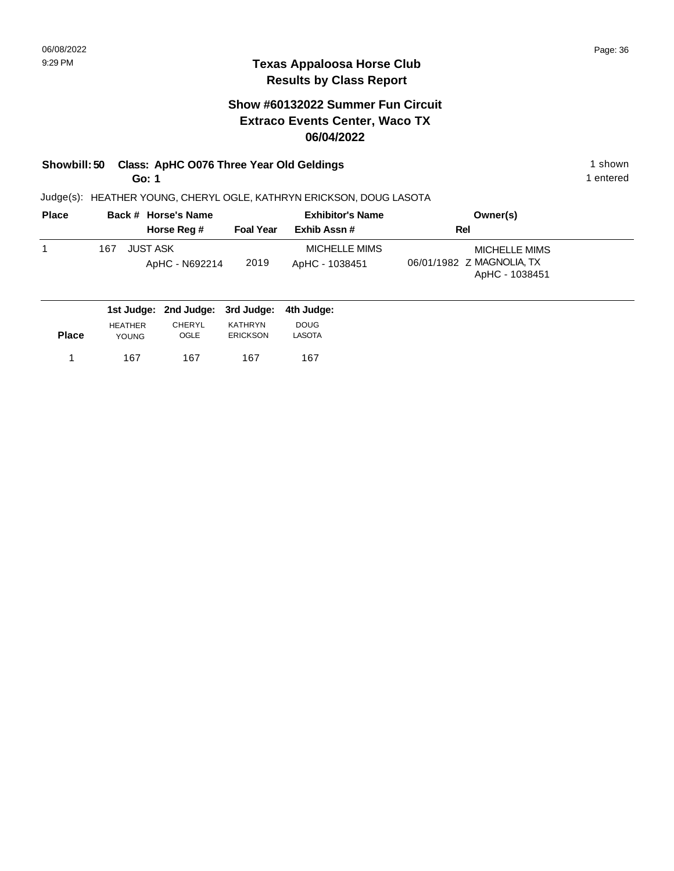### **Show #60132022 Summer Fun Circuit Extraco Events Center, Waco TX 06/04/2022**

# **Showbill: 50 Class: ApHC O076 Three Year Old Geldings** 1 shown 1 shown

**Go: 1**

Judge(s): HEATHER YOUNG, CHERYL OGLE, KATHRYN ERICKSON, DOUG LASOTA

| <b>Place</b> | Back # Horse's Name                      |                  | <b>Exhibitor's Name</b>         | Owner(s)                                                            |
|--------------|------------------------------------------|------------------|---------------------------------|---------------------------------------------------------------------|
|              | Horse Reg #                              | <b>Foal Year</b> | Exhib Assn#                     | Rel                                                                 |
|              | <b>JUST ASK</b><br>167<br>ApHC - N692214 | 2019             | MICHELLE MIMS<br>ApHC - 1038451 | <b>MICHELLE MIMS</b><br>06/01/1982 Z MAGNOLIA, TX<br>ApHC - 1038451 |
|              | 1st Judge: 2nd Judge: 3rd Judge:         |                  | 4th Judge:                      |                                                                     |

| <b>Place</b> | <b>HEATHER</b> | CHERYL | KATHRYN  | <b>DOUG</b> |
|--------------|----------------|--------|----------|-------------|
|              | <b>YOUNG</b>   | OGLE   | ERICKSON | LASOTA      |
|              | 167            | 167    | 167      | 167         |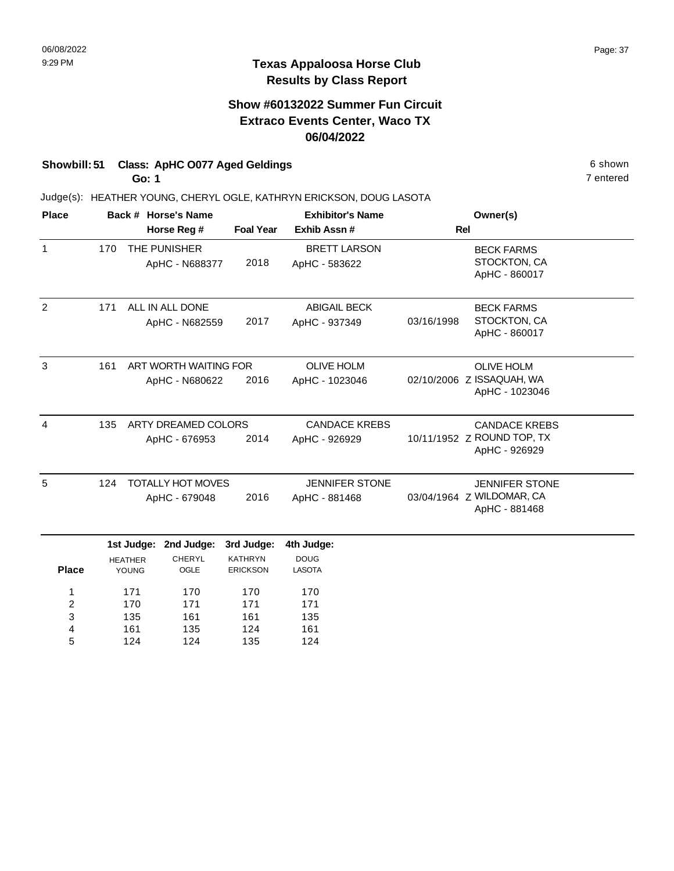## **Show #60132022 Summer Fun Circuit Extraco Events Center, Waco TX 06/04/2022**

# **Showbill: 51 Class: ApHC 0077 Aged Geldings** 6 **Shown** 6 shown

**Go: 1**

124

4 5

124

135

124

Judge(s): HEATHER YOUNG, CHERYL OGLE, KATHRYN ERICKSON, DOUG LASOTA

| <b>Place</b>            |                              |                | Back # Horse's Name      |                   | <b>Exhibitor's Name</b> |                   | Owner(s)                                    |  |
|-------------------------|------------------------------|----------------|--------------------------|-------------------|-------------------------|-------------------|---------------------------------------------|--|
|                         |                              |                | Horse Reg #              | <b>Foal Year</b>  | Exhib Assn #            | <b>Rel</b>        |                                             |  |
| $\mathbf{1}$            | 170                          |                | THE PUNISHER             | 2018              | <b>BRETT LARSON</b>     |                   | <b>BECK FARMS</b><br>STOCKTON, CA           |  |
|                         |                              |                | ApHC - N688377           |                   | ApHC - 583622           |                   | ApHC - 860017                               |  |
| $\overline{c}$          | 171                          |                | ALL IN ALL DONE          |                   | <b>ABIGAIL BECK</b>     |                   | <b>BECK FARMS</b>                           |  |
|                         |                              |                | ApHC - N682559           | 2017              | ApHC - 937349           | 03/16/1998        | STOCKTON, CA<br>ApHC - 860017               |  |
| 3                       | 161<br>ART WORTH WAITING FOR |                |                          | <b>OLIVE HOLM</b> |                         | <b>OLIVE HOLM</b> |                                             |  |
|                         |                              |                | ApHC - N680622           | 2016              | ApHC - 1023046          |                   | 02/10/2006 Z ISSAQUAH, WA<br>ApHC - 1023046 |  |
| 4                       | 135                          |                | ARTY DREAMED COLORS      |                   | <b>CANDACE KREBS</b>    |                   | <b>CANDACE KREBS</b>                        |  |
|                         |                              |                | ApHC - 676953            | 2014              | ApHC - 926929           |                   | 10/11/1952 Z ROUND TOP, TX<br>ApHC - 926929 |  |
| 5                       | 124                          |                | <b>TOTALLY HOT MOVES</b> |                   | <b>JENNIFER STONE</b>   |                   | <b>JENNIFER STONE</b>                       |  |
|                         |                              | ApHC - 679048  |                          | 2016              | ApHC - 881468           |                   | 03/04/1964 Z WILDOMAR, CA<br>ApHC - 881468  |  |
|                         |                              | 1st Judge:     | 2nd Judge:               | 3rd Judge:        | 4th Judge:              |                   |                                             |  |
|                         |                              | <b>HEATHER</b> | <b>CHERYL</b>            | <b>KATHRYN</b>    | <b>DOUG</b>             |                   |                                             |  |
| <b>Place</b>            |                              | YOUNG          | OGLE                     | <b>ERICKSON</b>   | <b>LASOTA</b>           |                   |                                             |  |
| 1                       |                              | 171            | 170                      | 170               | 170                     |                   |                                             |  |
| $\overline{\mathbf{c}}$ |                              | 170            | 171                      | 171               | 171                     |                   |                                             |  |
| 3                       |                              | 135            | 161                      | 161               | 135                     |                   |                                             |  |
| 4                       |                              | 161            | 135                      | 124               | 161                     |                   |                                             |  |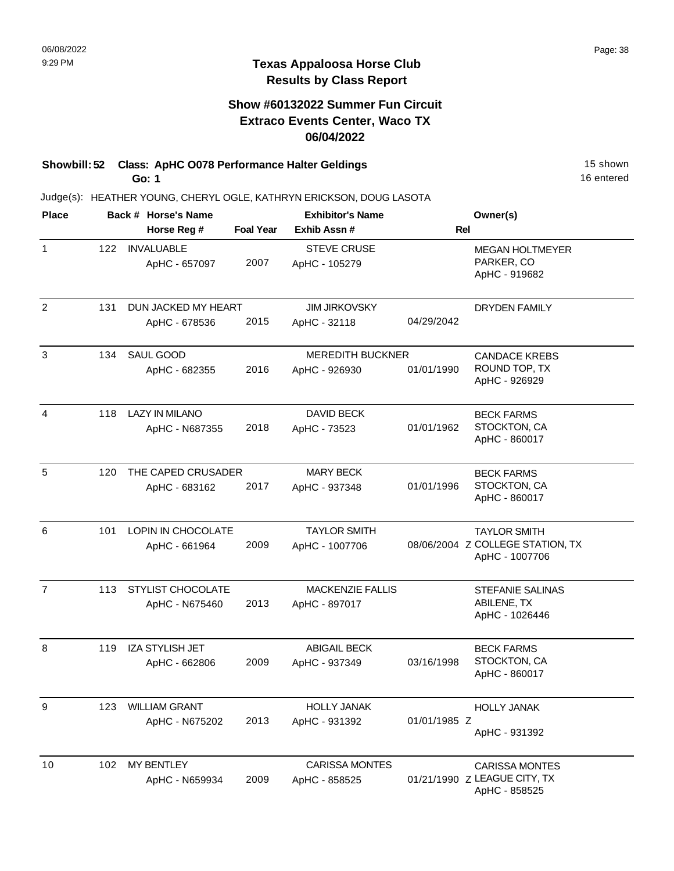## **Show #60132022 Summer Fun Circuit Extraco Events Center, Waco TX 06/04/2022**

#### **Showbill: 52 Class: ApHC 0078 Performance Halter Geldings** 15 Shown 15 shown **Go: 1**

Judge(s): HEATHER YOUNG, CHERYL OGLE, KATHRYN ERICKSON, DOUG LASOTA

| <b>Place</b>   |     | Back # Horse's Name                     |                  | <b>Exhibitor's Name</b>                  |              | Owner(s)                                                                  |  |
|----------------|-----|-----------------------------------------|------------------|------------------------------------------|--------------|---------------------------------------------------------------------------|--|
|                |     | Horse Reg #                             | <b>Foal Year</b> | Exhib Assn#                              | <b>Rel</b>   |                                                                           |  |
| $\mathbf{1}$   | 122 | <b>INVALUABLE</b><br>ApHC - 657097      | 2007             | <b>STEVE CRUSE</b><br>ApHC - 105279      |              | <b>MEGAN HOLTMEYER</b><br>PARKER, CO<br>ApHC - 919682                     |  |
| $\overline{2}$ | 131 | DUN JACKED MY HEART<br>ApHC - 678536    | 2015             | <b>JIM JIRKOVSKY</b><br>ApHC - 32118     | 04/29/2042   | <b>DRYDEN FAMILY</b>                                                      |  |
| 3              | 134 | SAUL GOOD<br>ApHC - 682355              | 2016             | <b>MEREDITH BUCKNER</b><br>ApHC - 926930 | 01/01/1990   | <b>CANDACE KREBS</b><br>ROUND TOP, TX<br>ApHC - 926929                    |  |
| 4              | 118 | <b>LAZY IN MILANO</b><br>ApHC - N687355 | 2018             | DAVID BECK<br>ApHC - 73523               | 01/01/1962   | <b>BECK FARMS</b><br>STOCKTON, CA<br>ApHC - 860017                        |  |
| 5              | 120 | THE CAPED CRUSADER<br>ApHC - 683162     | 2017             | <b>MARY BECK</b><br>ApHC - 937348        | 01/01/1996   | <b>BECK FARMS</b><br>STOCKTON, CA<br>ApHC - 860017                        |  |
| 6              | 101 | LOPIN IN CHOCOLATE<br>ApHC - 661964     | 2009             | <b>TAYLOR SMITH</b><br>ApHC - 1007706    |              | <b>TAYLOR SMITH</b><br>08/06/2004 Z COLLEGE STATION, TX<br>ApHC - 1007706 |  |
| $\overline{7}$ | 113 | STYLIST CHOCOLATE<br>ApHC - N675460     | 2013             | <b>MACKENZIE FALLIS</b><br>ApHC - 897017 |              | <b>STEFANIE SALINAS</b><br>ABILENE, TX<br>ApHC - 1026446                  |  |
| 8              | 119 | <b>IZA STYLISH JET</b><br>ApHC - 662806 | 2009             | <b>ABIGAIL BECK</b><br>ApHC - 937349     | 03/16/1998   | <b>BECK FARMS</b><br>STOCKTON, CA<br>ApHC - 860017                        |  |
| 9              | 123 | <b>WILLIAM GRANT</b><br>ApHC - N675202  | 2013             | <b>HOLLY JANAK</b><br>ApHC - 931392      | 01/01/1985 Z | <b>HOLLY JANAK</b><br>ApHC - 931392                                       |  |
| 10             | 102 | <b>MY BENTLEY</b><br>ApHC - N659934     | 2009             | <b>CARISSA MONTES</b><br>ApHC - 858525   |              | <b>CARISSA MONTES</b><br>01/21/1990 Z LEAGUE CITY, TX<br>ApHC - 858525    |  |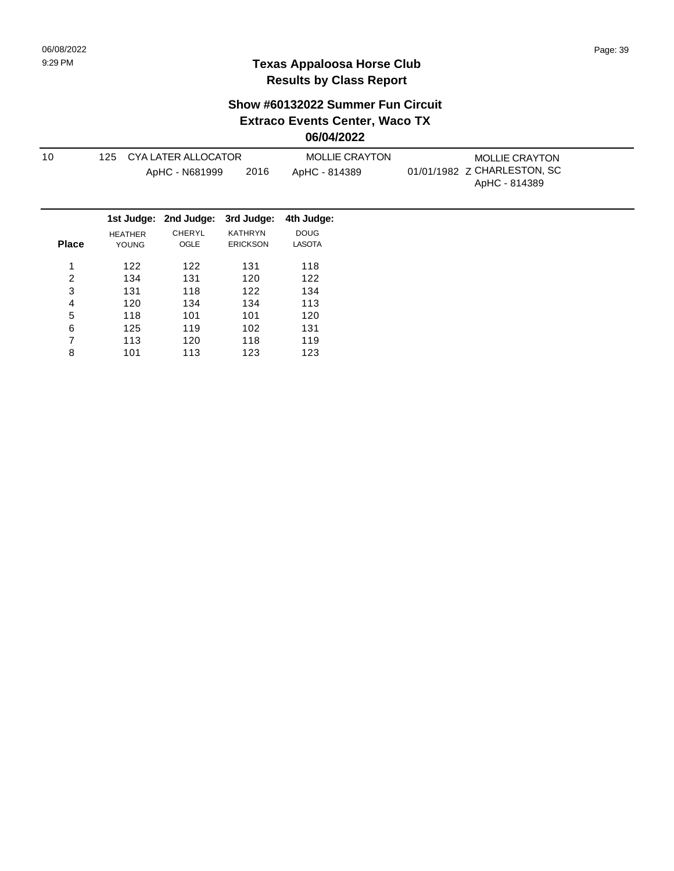### **Show #60132022 Summer Fun Circuit Extraco Events Center, Waco TX**

**06/04/2022**

| 10             | 125                     | <b>CYA LATER ALLOCATOR</b><br>ApHC - N681999 | 2016                              | <b>MOLLIE CRAYTON</b><br>ApHC - 814389 | <b>MOLLIE CRAYTON</b><br>01/01/1982 Z CHARLESTON, SC<br>ApHC - 814389 |
|----------------|-------------------------|----------------------------------------------|-----------------------------------|----------------------------------------|-----------------------------------------------------------------------|
|                |                         | 1st Judge: 2nd Judge:                        | 3rd Judge:                        | 4th Judge:                             |                                                                       |
| <b>Place</b>   | <b>HEATHER</b><br>YOUNG | CHERYL<br>OGLE                               | <b>KATHRYN</b><br><b>ERICKSON</b> | <b>DOUG</b><br><b>LASOTA</b>           |                                                                       |
| 1              | 122                     | 122                                          | 131                               | 118                                    |                                                                       |
| $\overline{c}$ | 134                     | 131                                          | 120                               | 122                                    |                                                                       |
| 3              | 131                     | 118                                          | 122                               | 134                                    |                                                                       |
| 4              | 120                     | 134                                          | 134                               | 113                                    |                                                                       |
| 5              | 118                     | 101                                          | 101                               | 120                                    |                                                                       |
| 6              | 125                     | 119                                          | 102                               | 131                                    |                                                                       |
| 7              | 113                     | 120                                          | 118                               | 119                                    |                                                                       |
| 8              | 101                     | 113                                          | 123                               | 123                                    |                                                                       |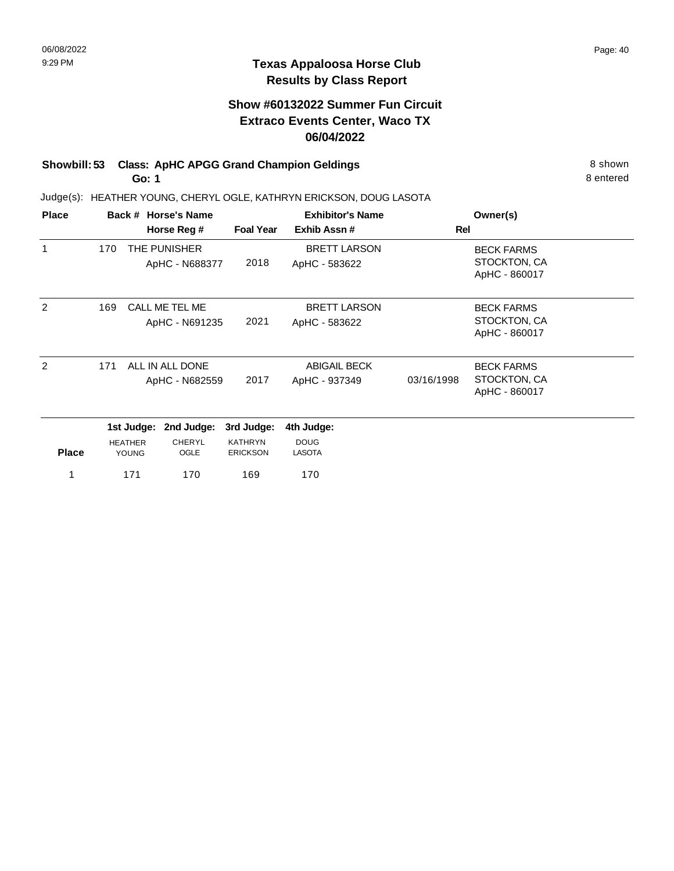# **Show #60132022 Summer Fun Circuit Extraco Events Center, Waco TX 06/04/2022**

#### **Showbill: 53 Class: ApHC APGG Grand Champion Geldings** 8 Shown 8 shown **Go: 1**

Judge(s): HEATHER YOUNG, CHERYL OGLE, KATHRYN ERICKSON, DOUG LASOTA

| <b>Place</b> |     | Back # Horse's Name |                       |                  | <b>Exhibitor's Name</b> |            | Owner(s)          |  |
|--------------|-----|---------------------|-----------------------|------------------|-------------------------|------------|-------------------|--|
|              |     |                     | Horse Reg #           | <b>Foal Year</b> | Exhib Assn#             | Rel        |                   |  |
| 1            | 170 |                     | THE PUNISHER          |                  | <b>BRETT LARSON</b>     |            | <b>BECK FARMS</b> |  |
|              |     |                     | ApHC - N688377        | 2018             | ApHC - 583622           |            | STOCKTON, CA      |  |
|              |     |                     |                       |                  |                         |            | ApHC - 860017     |  |
| 2            | 169 |                     | CALL ME TEL ME        |                  | <b>BRETT LARSON</b>     |            | <b>BECK FARMS</b> |  |
|              |     |                     | ApHC - N691235        | 2021             | ApHC - 583622           |            | STOCKTON, CA      |  |
|              |     |                     |                       |                  |                         |            | ApHC - 860017     |  |
|              |     |                     |                       |                  |                         |            |                   |  |
| 2            | 171 |                     | ALL IN ALL DONE       |                  | <b>ABIGAIL BECK</b>     |            | <b>BECK FARMS</b> |  |
|              |     |                     | ApHC - N682559        | 2017             | ApHC - 937349           | 03/16/1998 | STOCKTON, CA      |  |
|              |     |                     |                       |                  |                         |            | ApHC - 860017     |  |
|              |     |                     | 1st Judge: 2nd Judge: | 3rd Judge:       | 4th Judge:              |            |                   |  |
|              |     | <b>HEATHER</b>      | CHERYL                | KATHRYN          | <b>DOUG</b>             |            |                   |  |
| <b>Place</b> |     | <b>YOUNG</b>        | OGLE                  | <b>ERICKSON</b>  | <b>LASOTA</b>           |            |                   |  |
| 1            |     | 171                 | 170                   | 169              | 170                     |            |                   |  |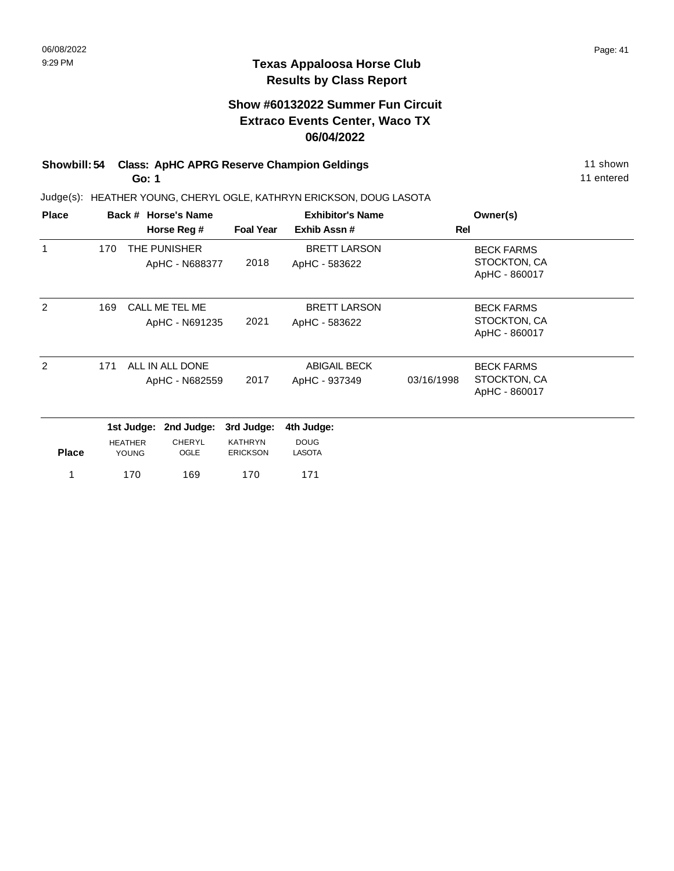## **Show #60132022 Summer Fun Circuit Extraco Events Center, Waco TX 06/04/2022**

#### **Showbill: 54 Class: ApHC APRG Reserve Champion Geldings** 11 Shown 11 shown **Go: 1**

Judge(s): HEATHER YOUNG, CHERYL OGLE, KATHRYN ERICKSON, DOUG LASOTA

| <b>Place</b>  |     | Back # Horse's Name |                 |                  | <b>Exhibitor's Name</b> |            | Owner(s)                      |  |
|---------------|-----|---------------------|-----------------|------------------|-------------------------|------------|-------------------------------|--|
|               |     |                     | Horse Reg #     | <b>Foal Year</b> | Exhib Assn#             | <b>Rel</b> |                               |  |
| $\mathbf{1}$  | 170 |                     | THE PUNISHER    |                  | <b>BRETT LARSON</b>     |            | <b>BECK FARMS</b>             |  |
|               |     |                     | ApHC - N688377  | 2018             | ApHC - 583622           |            | STOCKTON, CA                  |  |
|               |     |                     |                 |                  |                         |            | ApHC - 860017                 |  |
| $\mathcal{P}$ | 169 |                     | CALL ME TEL ME  |                  | <b>BRETT LARSON</b>     |            | <b>BECK FARMS</b>             |  |
|               |     |                     | ApHC - N691235  | 2021             | ApHC - 583622           |            | STOCKTON, CA                  |  |
|               |     |                     |                 |                  |                         |            | ApHC - 860017                 |  |
|               |     |                     |                 |                  |                         |            |                               |  |
| 2             | 171 |                     | ALL IN ALL DONE |                  | <b>ABIGAIL BECK</b>     |            | <b>BECK FARMS</b>             |  |
|               |     |                     | ApHC - N682559  | 2017             | ApHC - 937349           | 03/16/1998 | STOCKTON, CA<br>ApHC - 860017 |  |
|               |     |                     |                 |                  |                         |            |                               |  |
|               |     | 1st Judge:          | 2nd Judge:      | 3rd Judge:       | 4th Judge:              |            |                               |  |
|               |     | <b>HEATHER</b>      | CHERYL          | <b>KATHRYN</b>   | <b>DOUG</b>             |            |                               |  |
| <b>Place</b>  |     | <b>YOUNG</b>        | <b>OGLE</b>     | <b>ERICKSON</b>  | <b>LASOTA</b>           |            |                               |  |
| 1             |     | 170                 | 169             | 170              | 171                     |            |                               |  |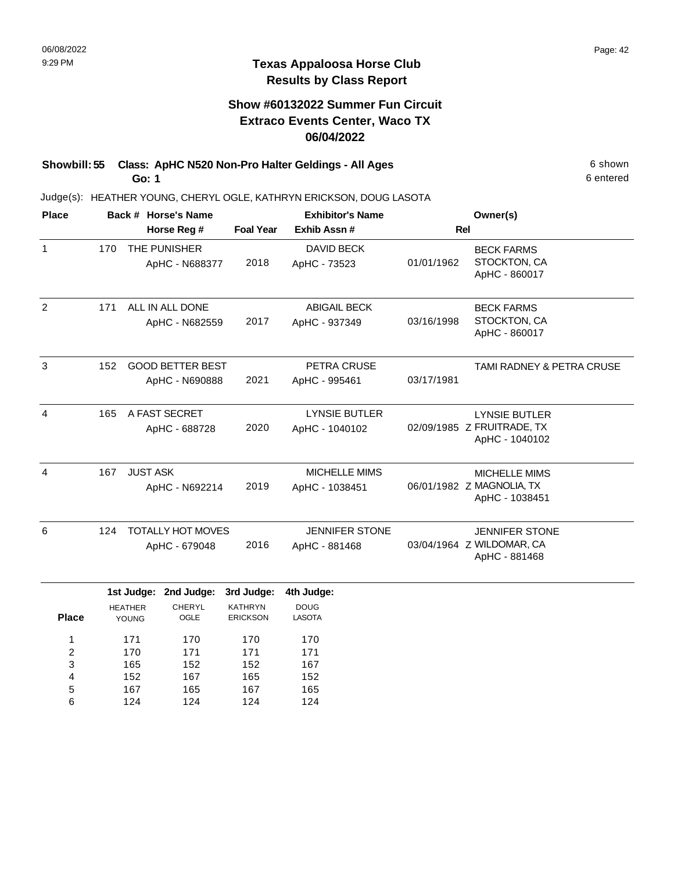## **Show #60132022 Summer Fun Circuit Extraco Events Center, Waco TX 06/04/2022**

**Showbill: 55 Class: ApHC N520 Non-Pro Halter Geldings - All Ages** 6 Shown **Go: 1**

Judge(s): HEATHER YOUNG, CHERYL OGLE, KATHRYN ERICKSON, DOUG LASOTA

| <b>Place</b>   |     | Back # Horse's Name                   |                                           |                                                 | <b>Exhibitor's Name</b>                    |            | Owner(s)                                                             |
|----------------|-----|---------------------------------------|-------------------------------------------|-------------------------------------------------|--------------------------------------------|------------|----------------------------------------------------------------------|
|                |     |                                       | Horse Reg #                               | <b>Foal Year</b>                                | Exhib Assn #                               | <b>Rel</b> |                                                                      |
| $\mathbf{1}$   | 170 |                                       | THE PUNISHER<br>ApHC - N688377            | 2018                                            | DAVID BECK<br>ApHC - 73523                 | 01/01/1962 | <b>BECK FARMS</b><br>STOCKTON, CA<br>ApHC - 860017                   |
| 2              | 171 |                                       | ALL IN ALL DONE<br>ApHC - N682559         | 2017                                            | <b>ABIGAIL BECK</b><br>ApHC - 937349       | 03/16/1998 | <b>BECK FARMS</b><br>STOCKTON, CA<br>ApHC - 860017                   |
| 3              | 152 |                                       | <b>GOOD BETTER BEST</b><br>ApHC - N690888 | 2021                                            | PETRA CRUSE<br>ApHC - 995461               | 03/17/1981 | TAMI RADNEY & PETRA CRUSE                                            |
| $\overline{4}$ | 165 |                                       | A FAST SECRET<br>ApHC - 688728            | 2020                                            | <b>LYNSIE BUTLER</b><br>ApHC - 1040102     |            | <b>LYNSIE BUTLER</b><br>02/09/1985 Z FRUITRADE, TX<br>ApHC - 1040102 |
| $\overline{4}$ | 167 | <b>JUST ASK</b><br>ApHC - N692214     |                                           | 2019                                            | <b>MICHELLE MIMS</b><br>ApHC - 1038451     |            | <b>MICHELLE MIMS</b><br>06/01/1982 Z MAGNOLIA, TX<br>ApHC - 1038451  |
| 6              | 124 |                                       | <b>TOTALLY HOT MOVES</b><br>ApHC - 679048 | 2016                                            | <b>JENNIFER STONE</b><br>ApHC - 881468     |            | <b>JENNIFER STONE</b><br>03/04/1964 Z WILDOMAR, CA<br>ApHC - 881468  |
| <b>Place</b>   |     | 1st Judge:<br><b>HEATHER</b><br>YOUNG | 2nd Judge:<br>CHERYL<br><b>OGLE</b>       | 3rd Judge:<br><b>KATHRYN</b><br><b>ERICKSON</b> | 4th Judge:<br><b>DOUG</b><br><b>LASOTA</b> |            |                                                                      |

| <b>Place</b> | <b>YOUNG</b> | <b>OGLE</b> | <b>ERICKSON</b> | LASOTA |
|--------------|--------------|-------------|-----------------|--------|
|              | 171          | 170         | 170             | 170    |
| 2            | 170          | 171         | 171             | 171    |
| 3            | 165          | 152         | 152             | 167    |
| 4            | 152          | 167         | 165             | 152    |
| 5            | 167          | 165         | 167             | 165    |
| 6            | 124          | 124         | 124             | 124    |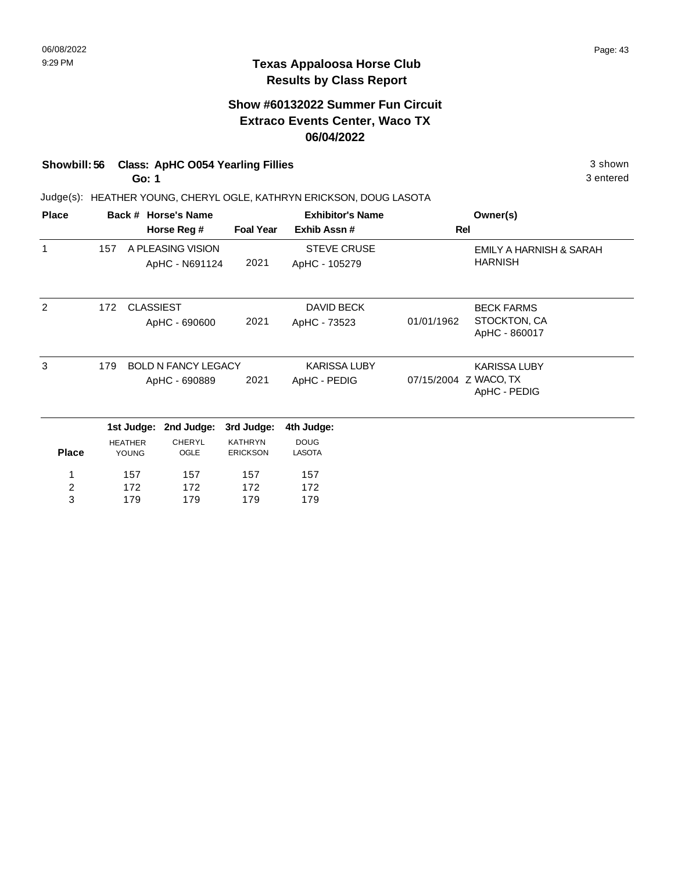# **Show #60132022 Summer Fun Circuit Extraco Events Center, Waco TX 06/04/2022**

# **Showbill: 56 Class: ApHC O054 Yearling Fillies** 3 shown

**Go: 1**

Judge(s): HEATHER YOUNG, CHERYL OGLE, KATHRYN ERICKSON, DOUG LASOTA

| <b>Place</b>            |                                   | Back # Horse's Name |                       |                     | <b>Exhibitor's Name</b> |                       | Owner(s)                      |
|-------------------------|-----------------------------------|---------------------|-----------------------|---------------------|-------------------------|-----------------------|-------------------------------|
|                         |                                   |                     | Horse Reg #           | <b>Foal Year</b>    | Exhib Assn#             | Rel                   |                               |
| 1                       | 157                               |                     | A PLEASING VISION     |                     | <b>STEVE CRUSE</b>      |                       | EMILY A HARNISH & SARAH       |
|                         |                                   |                     | ApHC - N691124        | 2021                | ApHC - 105279           |                       | <b>HARNISH</b>                |
| 2                       | 172                               | <b>CLASSIEST</b>    |                       |                     | DAVID BECK              |                       | <b>BECK FARMS</b>             |
|                         |                                   |                     | ApHC - 690600         | 2021                | ApHC - 73523            | 01/01/1962            | STOCKTON, CA<br>ApHC - 860017 |
| 3                       | <b>BOLD N FANCY LEGACY</b><br>179 |                     |                       | <b>KARISSA LUBY</b> |                         | <b>KARISSA LUBY</b>   |                               |
|                         |                                   |                     | ApHC - 690889         | 2021                | ApHC - PEDIG            | 07/15/2004 Z WACO, TX | ApHC - PEDIG                  |
|                         |                                   |                     | 1st Judge: 2nd Judge: | 3rd Judge:          | 4th Judge:              |                       |                               |
|                         |                                   | <b>HEATHER</b>      | <b>CHERYL</b>         | <b>KATHRYN</b>      | <b>DOUG</b>             |                       |                               |
| <b>Place</b>            |                                   | <b>YOUNG</b>        | OGLE                  | <b>ERICKSON</b>     | <b>LASOTA</b>           |                       |                               |
| 1                       | 157                               |                     | 157                   | 157                 | 157                     |                       |                               |
| $\overline{\mathbf{c}}$ |                                   | 172                 | 172                   | 172                 | 172                     |                       |                               |
| 3                       |                                   | 179                 | 179                   | 179                 | 179                     |                       |                               |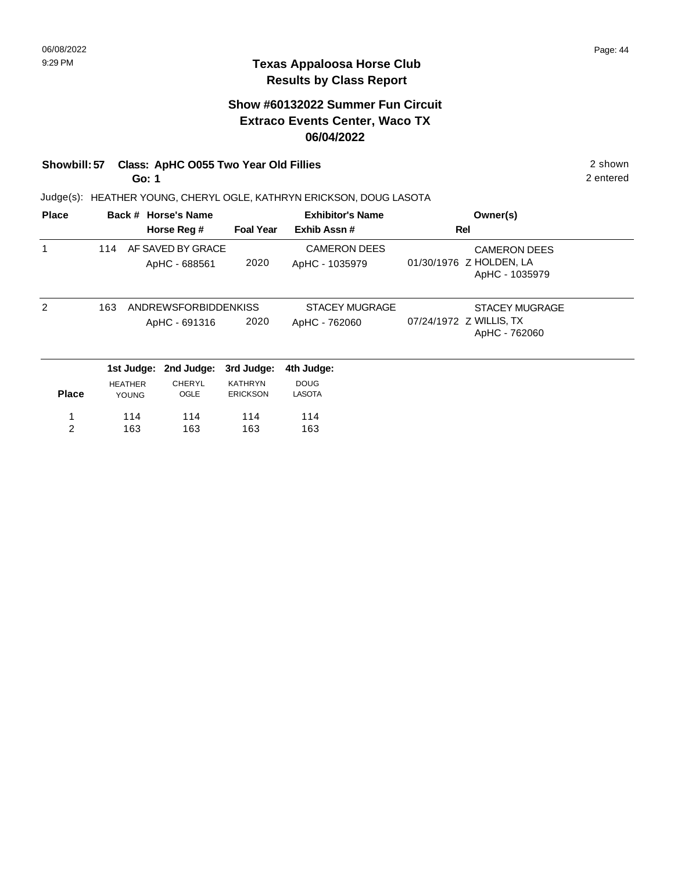# **Show #60132022 Summer Fun Circuit Extraco Events Center, Waco TX 06/04/2022**

# **Showbill: 57 Class: ApHC 0055 Two Year Old Fillies** 2 shown

**Go: 1**

Judge(s): HEATHER YOUNG, CHERYL OGLE, KATHRYN ERICKSON, DOUG LASOTA

| <b>Place</b>  |                |              | Back # Horse's Name                          |                                   | <b>Exhibitor's Name</b>                |                         | Owner(s)                                                         |
|---------------|----------------|--------------|----------------------------------------------|-----------------------------------|----------------------------------------|-------------------------|------------------------------------------------------------------|
|               |                |              | Horse Reg #                                  | <b>Foal Year</b>                  | Exhib Assn#                            | Rel                     |                                                                  |
|               | 114            |              | AF SAVED BY GRACE<br>ApHC - 688561           | 2020                              | <b>CAMERON DEES</b><br>ApHC - 1035979  |                         | <b>CAMERON DEES</b><br>01/30/1976 Z HOLDEN, LA<br>ApHC - 1035979 |
| $\mathcal{P}$ | 163            |              | <b>ANDREWSFORBIDDENKISS</b><br>ApHC - 691316 | 2020                              | <b>STACEY MUGRAGE</b><br>ApHC - 762060 | 07/24/1972 Z WILLIS, TX | <b>STACEY MUGRAGE</b><br>ApHC - 762060                           |
|               |                | 1st Judge:   | 2nd Judge:                                   | 3rd Judge:                        | 4th Judge:                             |                         |                                                                  |
| <b>Place</b>  | <b>HEATHER</b> | <b>YOUNG</b> | CHERYL<br>OGLE                               | <b>KATHRYN</b><br><b>ERICKSON</b> | <b>DOUG</b><br>LASOTA                  |                         |                                                                  |
|               |                | 114          | 114                                          | 114                               | 114                                    |                         |                                                                  |
| 2             |                | 163          | 163                                          | 163                               | 163                                    |                         |                                                                  |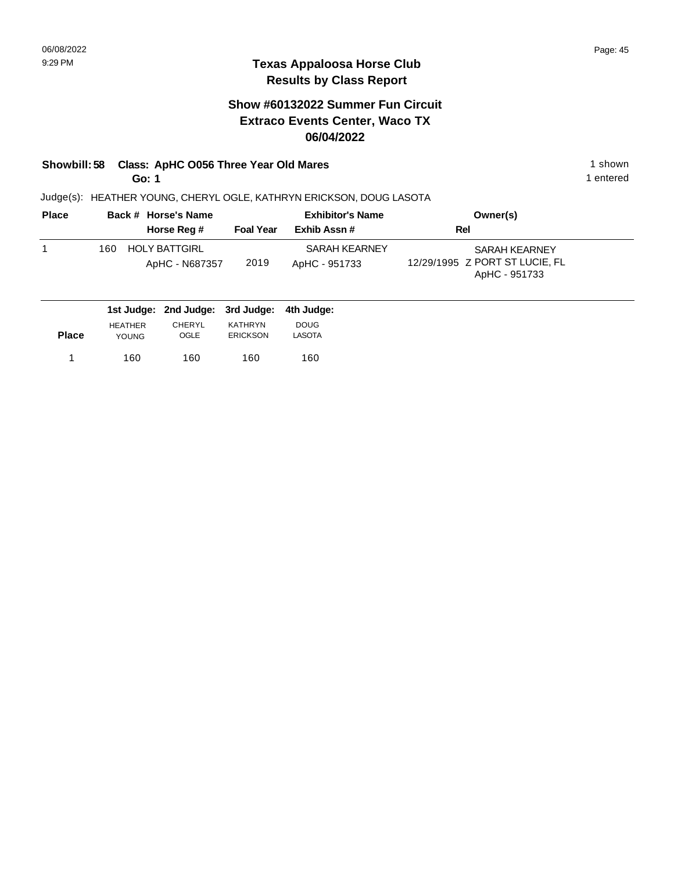# **Show #60132022 Summer Fun Circuit Extraco Events Center, Waco TX 06/04/2022**

#### **Showbill: 58 Class: ApHC 0056 Three Year Old Mares** 1 **Shown** 1 shown **Go: 1**

Judge(s): HEATHER YOUNG, CHERYL OGLE, KATHRYN ERICKSON, DOUG LASOTA

| <b>Place</b> | Back # Horse's Name                           | <b>Exhibitor's Name</b> |                                | Owner(s)                                                                |
|--------------|-----------------------------------------------|-------------------------|--------------------------------|-------------------------------------------------------------------------|
|              | Horse Reg #                                   | <b>Foal Year</b>        | Exhib Assn#                    | Rel                                                                     |
|              | <b>HOLY BATTGIRL</b><br>160<br>ApHC - N687357 | 2019                    | SARAH KEARNEY<br>ApHC - 951733 | <b>SARAH KEARNEY</b><br>12/29/1995 Z PORT ST LUCIE, FL<br>ApHC - 951733 |
|              | 1st ludger 2nd ludger 2rd ludger              |                         | بموارزا باله                   |                                                                         |

|              |                | 1st Judge: 2nd Judge: 3rd Judge: 4th Judge: |                 |               |
|--------------|----------------|---------------------------------------------|-----------------|---------------|
|              | <b>HEATHER</b> | <b>CHERYL</b>                               | KATHRYN         | <b>DOUG</b>   |
| <b>Place</b> | <b>YOUNG</b>   | <b>OGLE</b>                                 | <b>ERICKSON</b> | <b>LASOTA</b> |
|              |                |                                             |                 |               |
|              | 160            | 160                                         | 160             | 160           |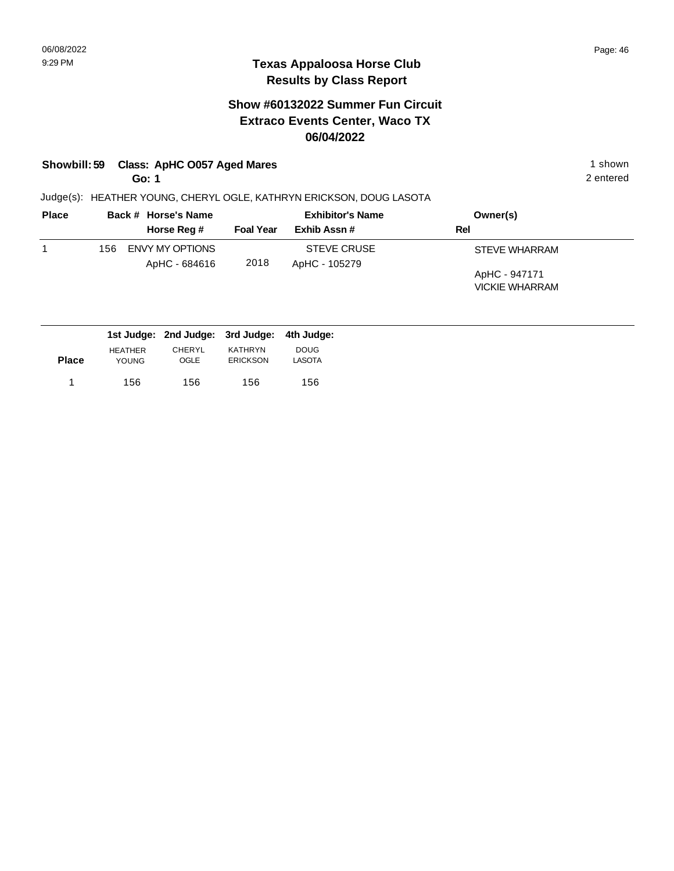### **Texas Appaloosa Horse Club Results by Class Report**

# **Show #60132022 Summer Fun Circuit Extraco Events Center, Waco TX 06/04/2022**

# **Showbill: 59 Class: ApHC O057 Aged Mares** 1 shown

**Go: 1**

| <b>Place</b> |      | Back # Horse's Name | <b>Exhibitor's Name</b> |                    | Owner(s)              |
|--------------|------|---------------------|-------------------------|--------------------|-----------------------|
|              |      | Horse Reg #         | <b>Foal Year</b>        | Exhib Assn#        | Rel                   |
|              | 156. | ENVY MY OPTIONS     |                         | <b>STEVE CRUSE</b> | <b>STEVE WHARRAM</b>  |
|              |      | ApHC - 684616       | 2018                    | ApHC - 105279      |                       |
|              |      |                     |                         |                    | ApHC - 947171         |
|              |      |                     |                         |                    | <b>VICKIE WHARRAM</b> |

|              |                | 1st Judge: 2nd Judge: 3rd Judge: 4th Judge: |                 |             |
|--------------|----------------|---------------------------------------------|-----------------|-------------|
|              | <b>HEATHER</b> | <b>CHERYL</b>                               | <b>KATHRYN</b>  | <b>DOUG</b> |
| <b>Place</b> | <b>YOUNG</b>   | OGLE                                        | <b>ERICKSON</b> | LASOTA      |
| 1.           | 156            | 156                                         | 156             | 156         |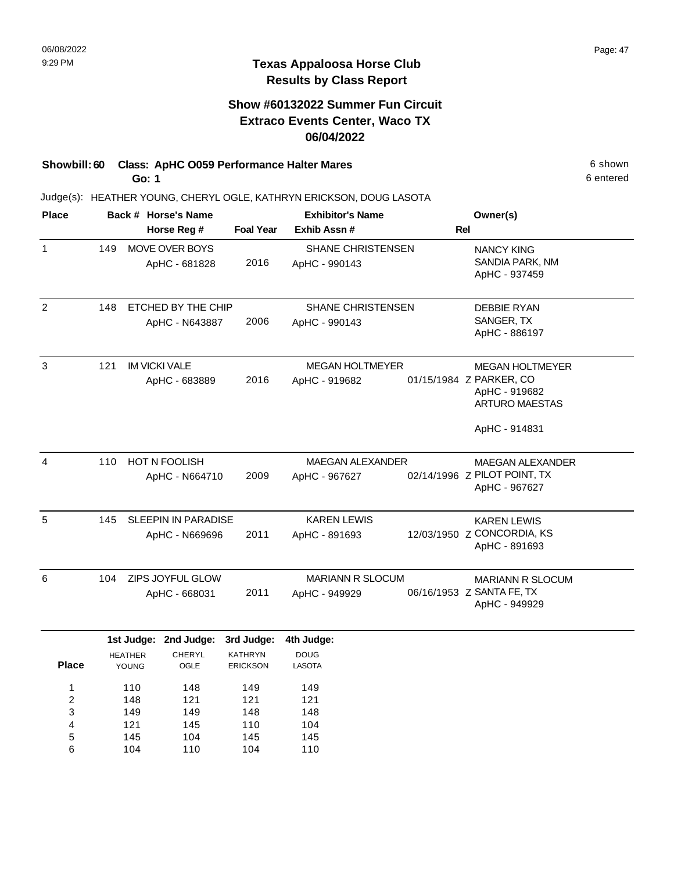## **Show #60132022 Summer Fun Circuit Extraco Events Center, Waco TX 06/04/2022**

#### **Showbill: 60 Class: ApHC 0059 Performance Halter Mares** 6 Shown 6 shown **Go: 1**

145 104

5 6 104 110 145 104 145 110

Judge(s): HEATHER YOUNG, CHERYL OGLE, KATHRYN ERICKSON, DOUG LASOTA

| <b>Place</b>   |                        |                | Back # Horse's Name        |                  | <b>Exhibitor's Name</b> |     | Owner(s)                     |
|----------------|------------------------|----------------|----------------------------|------------------|-------------------------|-----|------------------------------|
|                |                        |                | Horse Reg #                | <b>Foal Year</b> | Exhib Assn#             | Rel |                              |
| $\mathbf{1}$   | 149                    |                | MOVE OVER BOYS             |                  | SHANE CHRISTENSEN       |     | <b>NANCY KING</b>            |
|                |                        |                | ApHC - 681828              | 2016             | ApHC - 990143           |     | SANDIA PARK, NM              |
|                |                        |                |                            |                  |                         |     | ApHC - 937459                |
| $\overline{2}$ | 148                    |                | ETCHED BY THE CHIP         |                  | SHANE CHRISTENSEN       |     | <b>DEBBIE RYAN</b>           |
|                |                        |                | ApHC - N643887             | 2006             | ApHC - 990143           |     | SANGER, TX                   |
|                |                        |                |                            |                  |                         |     | ApHC - 886197                |
| 3              | 121                    |                | <b>IM VICKI VALE</b>       |                  | <b>MEGAN HOLTMEYER</b>  |     | <b>MEGAN HOLTMEYER</b>       |
|                |                        |                | ApHC - 683889              | 2016             | ApHC - 919682           |     | 01/15/1984 Z PARKER, CO      |
|                |                        |                |                            |                  |                         |     | ApHC - 919682                |
|                |                        |                |                            |                  |                         |     | ARTURO MAESTAS               |
|                |                        |                |                            |                  |                         |     | ApHC - 914831                |
| 4              | 110                    |                | <b>HOT N FOOLISH</b>       |                  | <b>MAEGAN ALEXANDER</b> |     | <b>MAEGAN ALEXANDER</b>      |
|                | 2009<br>ApHC - N664710 |                |                            |                  | ApHC - 967627           |     | 02/14/1996 Z PILOT POINT, TX |
|                |                        |                |                            |                  |                         |     | ApHC - 967627                |
| 5              | 145                    |                | <b>SLEEPIN IN PARADISE</b> |                  | <b>KAREN LEWIS</b>      |     | <b>KAREN LEWIS</b>           |
|                |                        |                | ApHC - N669696             | 2011             | ApHC - 891693           |     | 12/03/1950 Z CONCORDIA, KS   |
|                |                        |                |                            |                  |                         |     | ApHC - 891693                |
| 6              | 104                    |                | ZIPS JOYFUL GLOW           |                  | <b>MARIANN R SLOCUM</b> |     | <b>MARIANN R SLOCUM</b>      |
|                |                        |                | ApHC - 668031              | 2011             | ApHC - 949929           |     | 06/16/1953 Z SANTA FE, TX    |
|                |                        |                |                            |                  |                         |     | ApHC - 949929                |
|                |                        |                | 1st Judge: 2nd Judge:      | 3rd Judge:       | 4th Judge:              |     |                              |
|                |                        | <b>HEATHER</b> | CHERYL                     | <b>KATHRYN</b>   | <b>DOUG</b>             |     |                              |
| <b>Place</b>   |                        | YOUNG          | OGLE                       | <b>ERICKSON</b>  | LASOTA                  |     |                              |
| 1              |                        | 110            | 148                        | 149              | 149                     |     |                              |
| 2<br>3         |                        | 148            | 121<br>149                 | 121<br>148       | 121                     |     |                              |
| 4              |                        | 149<br>121     | 145                        | 110              | 148<br>104              |     |                              |
|                |                        |                |                            |                  |                         |     |                              |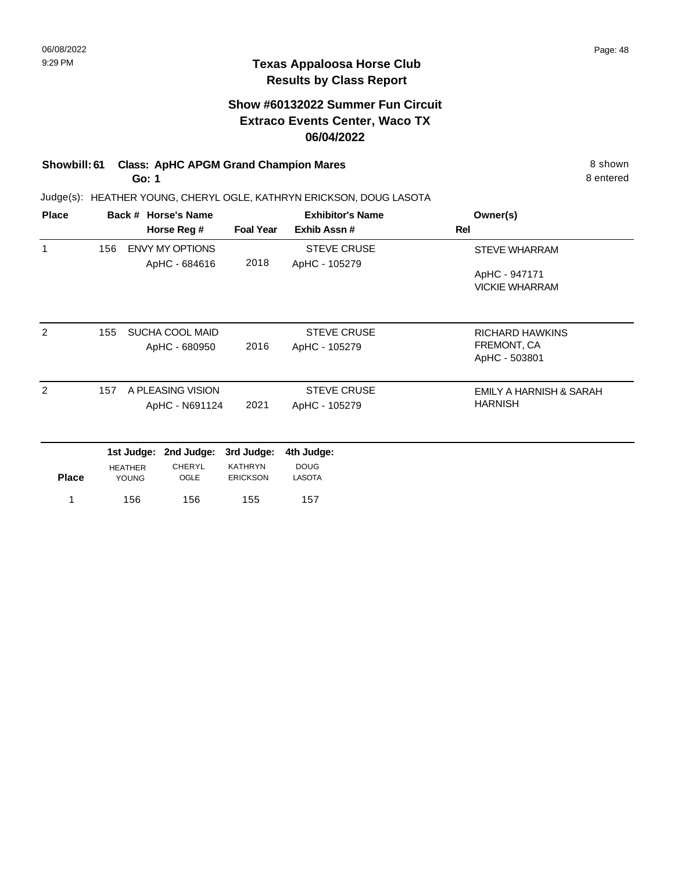# **Show #60132022 Summer Fun Circuit Extraco Events Center, Waco TX 06/04/2022**

# **Showbill: 61 Class: ApHC APGM Grand Champion Mares** 8 Shown 8 shown

**Go: 1**

Judge(s): HEATHER YOUNG, CHERYL OGLE, KATHRYN ERICKSON, DOUG LASOTA

| <b>Place</b> |     | Back # Horse's Name |                        |                  | <b>Exhibitor's Name</b> | Owner(s)                |
|--------------|-----|---------------------|------------------------|------------------|-------------------------|-------------------------|
|              |     |                     | Horse Reg #            | <b>Foal Year</b> | Exhib Assn#             | <b>Rel</b>              |
| 1            | 156 |                     | <b>ENVY MY OPTIONS</b> |                  | <b>STEVE CRUSE</b>      | <b>STEVE WHARRAM</b>    |
|              |     |                     | ApHC - 684616          | 2018             | ApHC - 105279           |                         |
|              |     |                     |                        |                  |                         | ApHC - 947171           |
|              |     |                     |                        |                  |                         | <b>VICKIE WHARRAM</b>   |
|              |     |                     |                        |                  |                         |                         |
| 2            | 155 |                     | SUCHA COOL MAID        |                  | <b>STEVE CRUSE</b>      | RICHARD HAWKINS         |
|              |     |                     | ApHC - 680950          | 2016             | ApHC - 105279           | FREMONT, CA             |
|              |     |                     |                        |                  |                         | ApHC - 503801           |
| 2            | 157 |                     | A PLEASING VISION      |                  | <b>STEVE CRUSE</b>      | EMILY A HARNISH & SARAH |
|              |     |                     | ApHC - N691124         | 2021             | ApHC - 105279           | <b>HARNISH</b>          |
|              |     | 1st Judge:          | 2nd Judge:             | 3rd Judge:       | 4th Judge:              |                         |
|              |     | <b>HEATHER</b>      | <b>CHERYL</b>          | <b>KATHRYN</b>   | <b>DOUG</b>             |                         |
| <b>Place</b> |     | <b>YOUNG</b>        | OGLE                   | <b>ERICKSON</b>  | <b>LASOTA</b>           |                         |
| 1            |     | 156                 | 156                    | 155              | 157                     |                         |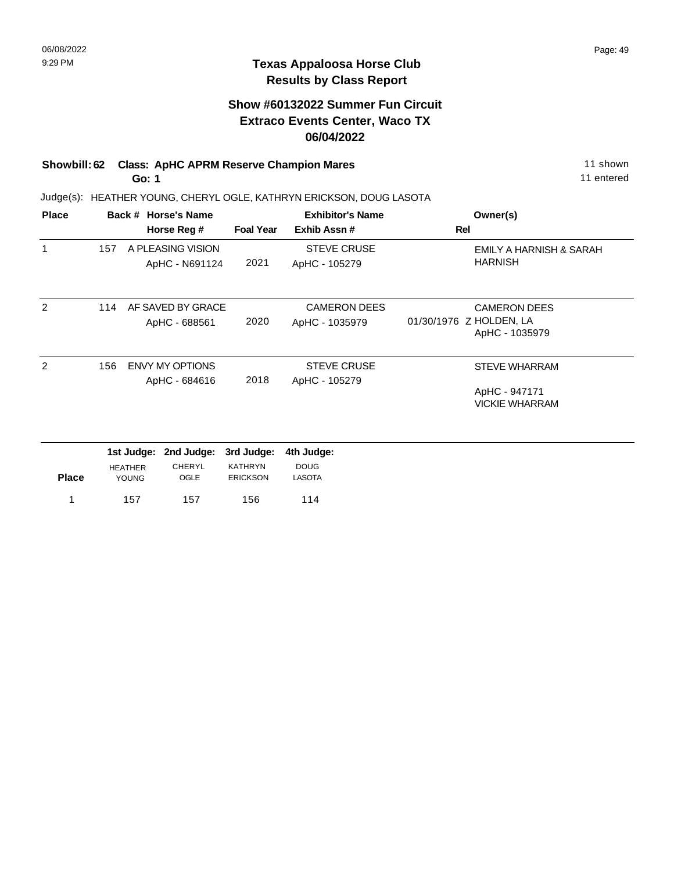# **Show #60132022 Summer Fun Circuit Extraco Events Center, Waco TX 06/04/2022**

#### **Showbill: 62 Class: ApHC APRM Reserve Champion Mares** 11 Shown 11 shown **Go: 1**

157 157 156 1 114

Judge(s): HEATHER YOUNG, CHERYL OGLE, KATHRYN ERICKSON, DOUG LASOTA

| <b>Place</b> |                                      | Back # Horse's Name |                        |                  | <b>Exhibitor's Name</b> | Owner(s)                                  |
|--------------|--------------------------------------|---------------------|------------------------|------------------|-------------------------|-------------------------------------------|
|              |                                      |                     | Horse Reg #            | <b>Foal Year</b> | Exhib Assn#             | Rel                                       |
| 1            | 157                                  |                     | A PLEASING VISION      |                  | <b>STEVE CRUSE</b>      | EMILY A HARNISH & SARAH                   |
|              |                                      |                     | ApHC - N691124         | 2021             | ApHC - 105279           | <b>HARNISH</b>                            |
| 2            | 114                                  |                     | AF SAVED BY GRACE      |                  | <b>CAMERON DEES</b>     | <b>CAMERON DEES</b>                       |
|              |                                      |                     | ApHC - 688561          | 2020             | ApHC - 1035979          | 01/30/1976 Z HOLDEN, LA<br>ApHC - 1035979 |
| 2            | 156                                  |                     | <b>ENVY MY OPTIONS</b> |                  | <b>STEVE CRUSE</b>      | <b>STEVE WHARRAM</b>                      |
|              |                                      |                     | ApHC - 684616          | 2018             | ApHC - 105279           |                                           |
|              |                                      |                     |                        |                  |                         | ApHC - 947171<br><b>VICKIE WHARRAM</b>    |
|              |                                      |                     |                        |                  |                         |                                           |
|              |                                      | 1st Judge:          | 2nd Judge:             | 3rd Judge:       | 4th Judge:              |                                           |
|              |                                      | <b>HEATHER</b>      | <b>CHERYL</b>          | <b>KATHRYN</b>   | <b>DOUG</b>             |                                           |
|              | <b>Place</b><br><b>OGLE</b><br>YOUNG |                     | <b>ERICKSON</b>        | <b>LASOTA</b>    |                         |                                           |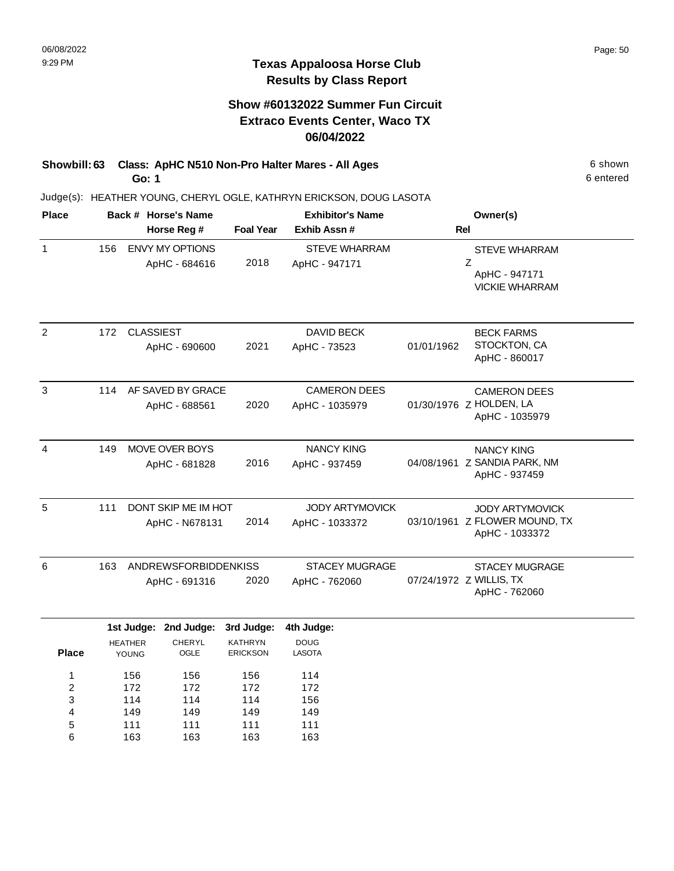# **Show #60132022 Summer Fun Circuit Extraco Events Center, Waco TX 06/04/2022**

**Showbill: 63 Class: ApHC N510 Non-Pro Halter Mares - All Ages** 6 Shown **Go: 1**

> 149 111 163

4 5 6 149 111 163 149 111 163 149 111 163

Judge(s): HEATHER YOUNG, CHERYL OGLE, KATHRYN ERICKSON, DOUG LASOTA

| <b>Place</b>   |     |                         | Back # Horse's Name         |                                   | <b>Exhibitor's Name</b> |            | Owner(s)                                        |
|----------------|-----|-------------------------|-----------------------------|-----------------------------------|-------------------------|------------|-------------------------------------------------|
|                |     |                         | Horse Reg #                 | <b>Foal Year</b>                  | Exhib Assn #            | <b>Rel</b> |                                                 |
| $\mathbf{1}$   | 156 |                         | ENVY MY OPTIONS             |                                   | <b>STEVE WHARRAM</b>    |            | <b>STEVE WHARRAM</b>                            |
|                |     |                         | ApHC - 684616               | 2018                              | ApHC - 947171           |            | Z<br>ApHC - 947171<br><b>VICKIE WHARRAM</b>     |
| $\overline{2}$ | 172 | <b>CLASSIEST</b>        |                             |                                   | <b>DAVID BECK</b>       |            | <b>BECK FARMS</b>                               |
|                |     |                         | ApHC - 690600               | 2021                              | ApHC - 73523            | 01/01/1962 | STOCKTON, CA<br>ApHC - 860017                   |
| 3              | 114 |                         | AF SAVED BY GRACE           |                                   | <b>CAMERON DEES</b>     |            | <b>CAMERON DEES</b>                             |
|                |     |                         | ApHC - 688561               | 2020                              | ApHC - 1035979          |            | 01/30/1976 Z HOLDEN, LA<br>ApHC - 1035979       |
| 4              | 149 |                         | <b>MOVE OVER BOYS</b>       |                                   | <b>NANCY KING</b>       |            | <b>NANCY KING</b>                               |
|                |     |                         | ApHC - 681828               | 2016                              | ApHC - 937459           |            | 04/08/1961 Z SANDIA PARK, NM<br>ApHC - 937459   |
| 5              | 111 |                         | DONT SKIP ME IM HOT         |                                   | JODY ARTYMOVICK         |            | <b>JODY ARTYMOVICK</b>                          |
|                |     |                         | ApHC - N678131              | 2014                              | ApHC - 1033372          |            | 03/10/1961 Z FLOWER MOUND, TX<br>ApHC - 1033372 |
| 6              | 163 |                         | <b>ANDREWSFORBIDDENKISS</b> |                                   | <b>STACEY MUGRAGE</b>   |            | <b>STACEY MUGRAGE</b>                           |
|                |     |                         | ApHC - 691316               | 2020                              | ApHC - 762060           |            | 07/24/1972 Z WILLIS, TX<br>ApHC - 762060        |
|                |     |                         | 1st Judge: 2nd Judge:       | 3rd Judge:                        | 4th Judge:              |            |                                                 |
| <b>Place</b>   |     | <b>HEATHER</b><br>YOUNG | <b>CHERYL</b><br>OGLE       | <b>KATHRYN</b><br><b>ERICKSON</b> | <b>DOUG</b><br>LASOTA   |            |                                                 |
| 1              |     | 156                     | 156                         | 156                               | 114                     |            |                                                 |
| $\overline{c}$ |     | 172                     | 172                         | 172                               | 172                     |            |                                                 |
| 3              |     | 114                     | 114                         | 114                               | 156                     |            |                                                 |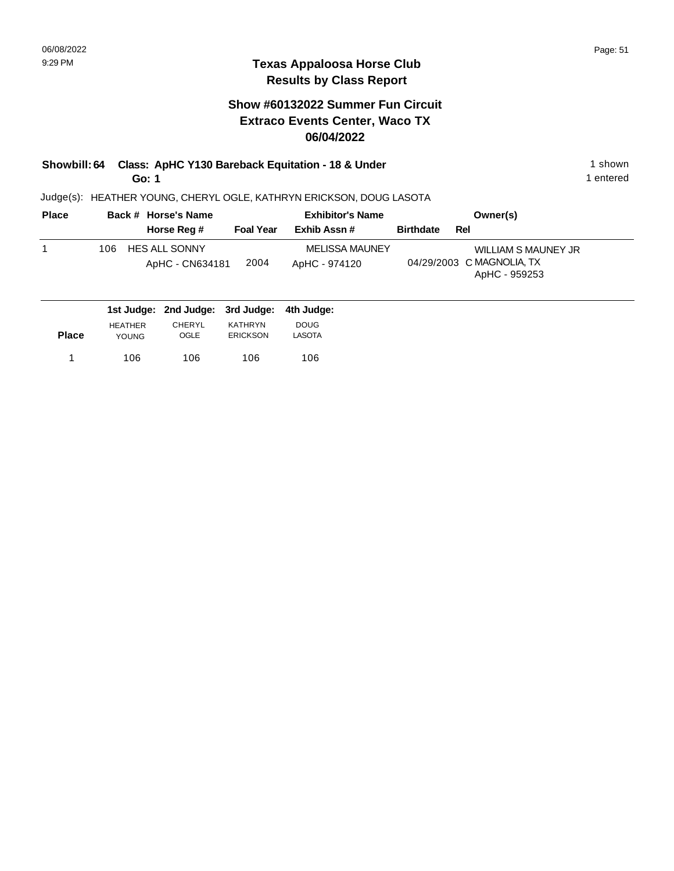## **Show #60132022 Summer Fun Circuit Extraco Events Center, Waco TX 06/04/2022**

**Showbill: 64 Class: ApHC Y130 Bareback Equitation - 18 & Under** 1 **1 Shown** 1 shown **Go: 1**

Judge(s): HEATHER YOUNG, CHERYL OGLE, KATHRYN ERICKSON, DOUG LASOTA

| <b>Place</b> | Back # Horse's Name                            |                  | <b>Exhibitor's Name</b>                | Owner(s)                                                                 |
|--------------|------------------------------------------------|------------------|----------------------------------------|--------------------------------------------------------------------------|
|              | Horse Reg #                                    | <b>Foal Year</b> | Exhib Assn #                           | <b>Birthdate</b><br>Rel                                                  |
|              | <b>HES ALL SONNY</b><br>106<br>ApHC - CN634181 | 2004             | <b>MELISSA MAUNEY</b><br>ApHC - 974120 | <b>WILLIAM S MAUNEY JR</b><br>04/29/2003 C MAGNOLIA, TX<br>ApHC - 959253 |

|              |                | 1st Judge: 2nd Judge: 3rd Judge: 4th Judge: |                 |               |
|--------------|----------------|---------------------------------------------|-----------------|---------------|
|              | <b>HEATHER</b> | <b>CHERYL</b>                               | KATHRYN         | <b>DOUG</b>   |
| <b>Place</b> | <b>YOUNG</b>   | OGLE                                        | <b>ERICKSON</b> | <b>LASOTA</b> |
|              | 106            | 106                                         | 106             | 106           |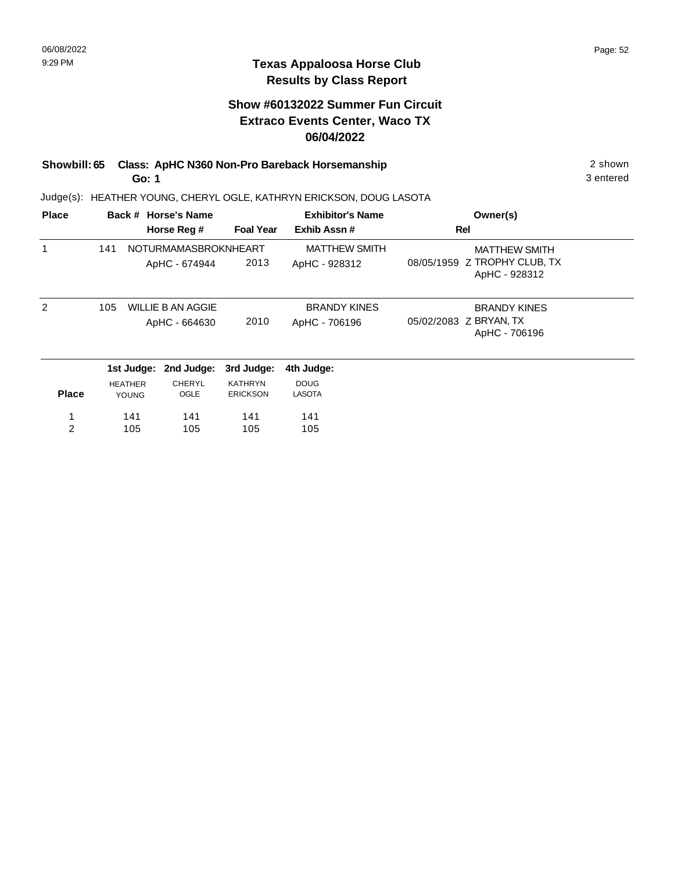## **Show #60132022 Summer Fun Circuit Extraco Events Center, Waco TX 06/04/2022**

#### **Showbill: 65 Class: ApHC N360 Non-Pro Bareback Horsemanship** 2 shown 2 shown **Go: 1**

Judge(s): HEATHER YOUNG, CHERYL OGLE, KATHRYN ERICKSON, DOUG LASOTA

| <b>Place</b> |     |                | Back # Horse's Name      |                  | <b>Exhibitor's Name</b> | Owner(s)                                      |  |
|--------------|-----|----------------|--------------------------|------------------|-------------------------|-----------------------------------------------|--|
|              |     |                | Horse Reg #              | <b>Foal Year</b> | Exhib Assn#             | Rel                                           |  |
| 1            | 141 |                | NOTURMAMASBROKNHEART     |                  | <b>MATTHEW SMITH</b>    | <b>MATTHEW SMITH</b>                          |  |
|              |     |                | ApHC - 674944            | 2013             | ApHC - 928312           | 08/05/1959 Z TROPHY CLUB, TX<br>ApHC - 928312 |  |
| 2            | 105 |                | <b>WILLIE B AN AGGIE</b> |                  | <b>BRANDY KINES</b>     | <b>BRANDY KINES</b>                           |  |
|              |     |                | ApHC - 664630            | 2010             | ApHC - 706196           | 05/02/2083 Z BRYAN, TX<br>ApHC - 706196       |  |
|              |     | 1st Judge:     | 2nd Judge:               | 3rd Judge:       | 4th Judge:              |                                               |  |
|              |     | <b>HEATHER</b> | <b>CHERYL</b>            | <b>KATHRYN</b>   | <b>DOUG</b>             |                                               |  |
| <b>Place</b> |     | <b>YOUNG</b>   | OGLE                     | <b>ERICKSON</b>  | LASOTA                  |                                               |  |
| 1            |     | 141            | 141                      | 141              | 141                     |                                               |  |
| 2            |     | 105            | 105                      | 105              | 105                     |                                               |  |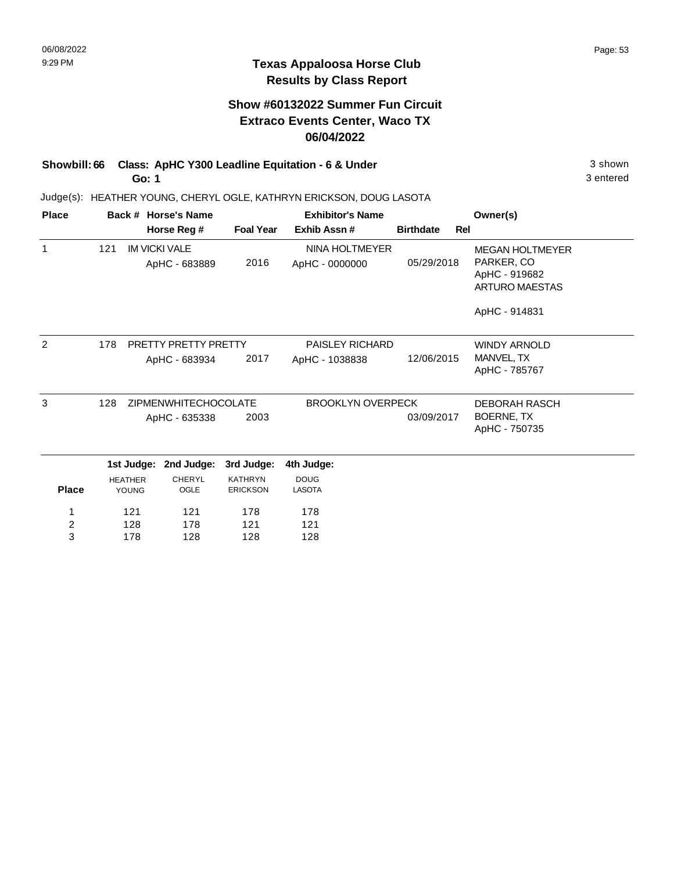### **Texas Appaloosa Horse Club Results by Class Report**

# **Show #60132022 Summer Fun Circuit Extraco Events Center, Waco TX 06/04/2022**

**Showbill: 66 Class: ApHC Y300 Leadline Equitation - 6 & Under** 3 shown **Go: 1**

> 121 128 178

1 2 3 121 178 128 178 121 128

Judge(s): HEATHER YOUNG, CHERYL OGLE, KATHRYN ERICKSON, DOUG LASOTA

| <b>Place</b>   |     | Back # Horse's Name            |                                       |                                   | <b>Exhibitor's Name</b>          |                  |     | Owner(s)                                                                |
|----------------|-----|--------------------------------|---------------------------------------|-----------------------------------|----------------------------------|------------------|-----|-------------------------------------------------------------------------|
|                |     |                                | Horse Reg #                           | <b>Foal Year</b>                  | Exhib Assn#                      | <b>Birthdate</b> | Rel |                                                                         |
| 1              | 121 |                                | <b>IM VICKI VALE</b><br>ApHC - 683889 | 2016                              | NINA HOLTMEYER<br>ApHC - 0000000 | 05/29/2018       |     | <b>MEGAN HOLTMEYER</b><br>PARKER, CO<br>ApHC - 919682<br>ARTURO MAESTAS |
|                |     |                                |                                       |                                   |                                  |                  |     | ApHC - 914831                                                           |
| $\overline{2}$ | 178 |                                | PRETTY PRETTY PRETTY                  |                                   | <b>PAISLEY RICHARD</b>           |                  |     | <b>WINDY ARNOLD</b>                                                     |
|                |     |                                | ApHC - 683934                         | 2017                              | ApHC - 1038838                   | 12/06/2015       |     | MANVEL, TX<br>ApHC - 785767                                             |
| 3              | 128 |                                | <b>ZIPMENWHITECHOCOLATE</b>           |                                   | <b>BROOKLYN OVERPECK</b>         |                  |     | <b>DEBORAH RASCH</b>                                                    |
|                |     |                                | ApHC - 635338                         | 2003                              |                                  | 03/09/2017       |     | BOERNE, TX<br>ApHC - 750735                                             |
|                |     | 1st Judge:                     | 2nd Judge:                            | 3rd Judge:                        | 4th Judge:                       |                  |     |                                                                         |
| <b>Place</b>   |     | <b>HEATHER</b><br><b>YOUNG</b> | <b>CHERYL</b><br>OGLE                 | <b>KATHRYN</b><br><b>ERICKSON</b> | <b>DOUG</b><br><b>LASOTA</b>     |                  |     |                                                                         |

178 121 128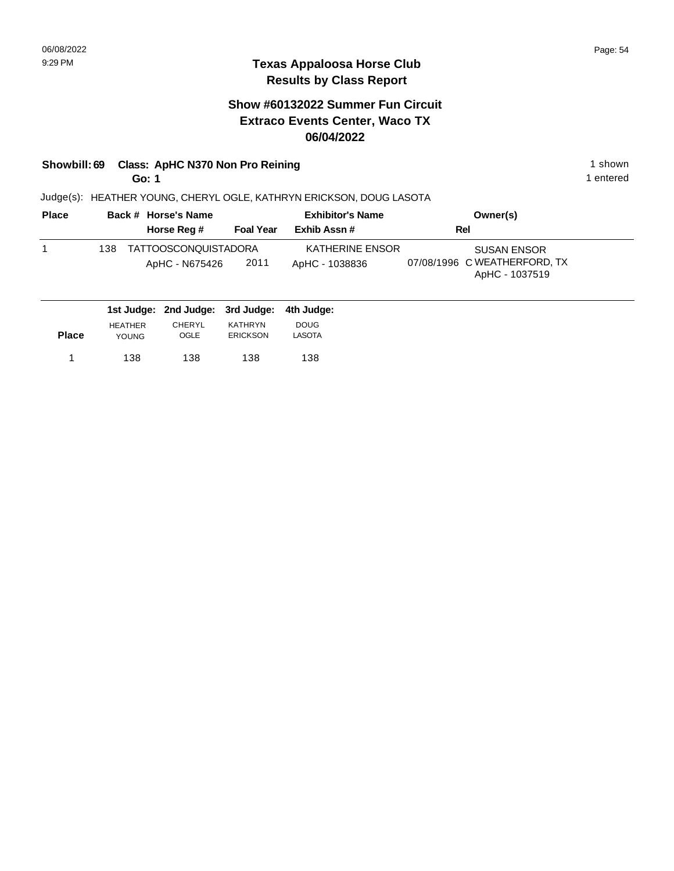# **Show #60132022 Summer Fun Circuit Extraco Events Center, Waco TX 06/04/2022**

# **Showbill: 69 Class: ApHC N370 Non Pro Reining 1 shown 1 shown 1 shown**

**Go: 1**

1 entered

| <b>Place</b> | Back # Horse's Name                           |                  | <b>Exhibitor's Name</b>           | Owner(s)                                                             |  |  |
|--------------|-----------------------------------------------|------------------|-----------------------------------|----------------------------------------------------------------------|--|--|
|              | Horse Reg #                                   | <b>Foal Year</b> | Exhib Assn#                       | Rel                                                                  |  |  |
|              | TATTOOSCONQUISTADORA<br>138<br>ApHC - N675426 | 2011             | KATHERINE ENSOR<br>ApHC - 1038836 | <b>SUSAN ENSOR</b><br>07/08/1996 C WEATHERFORD, TX<br>ApHC - 1037519 |  |  |
|              | 1st Judge: 2nd Judge: 3rd Judge:              |                  | 4th Judae:                        |                                                                      |  |  |

| <b>Place</b> | <b>HEATHER</b><br><b>YOUNG</b> | <b>CHERYL</b><br>OGLE | KATHRYN<br><b>ERICKSON</b> | <b>DOUG</b><br>LASOTA |  |
|--------------|--------------------------------|-----------------------|----------------------------|-----------------------|--|
|              | 138                            | 138                   | 138                        | 138                   |  |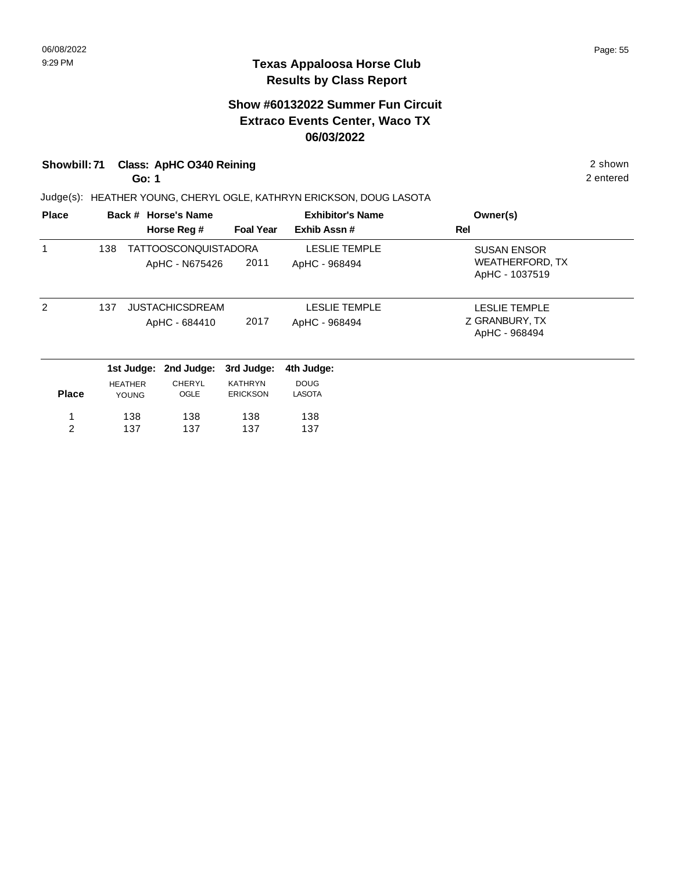# **Show #60132022 Summer Fun Circuit Extraco Events Center, Waco TX 06/03/2022**

### **Showbill: 71 Class: ApHC O340 Reining** 2 shown

**Go: 1**

Judge(s): HEATHER YOUNG, CHERYL OGLE, KATHRYN ERICKSON, DOUG LASOTA

| <b>Place</b>  |     |                                | Back # Horse's Name                     |                                   | <b>Exhibitor's Name</b>               | Owner(s)                                                       |
|---------------|-----|--------------------------------|-----------------------------------------|-----------------------------------|---------------------------------------|----------------------------------------------------------------|
|               |     |                                | Horse Reg #                             | <b>Foal Year</b>                  | Exhib Assn#                           | <b>Rel</b>                                                     |
|               | 138 |                                | TATTOOSCONQUISTADORA<br>ApHC - N675426  | 2011                              | <b>LESLIE TEMPLE</b><br>ApHC - 968494 | <b>SUSAN ENSOR</b><br><b>WEATHERFORD, TX</b><br>ApHC - 1037519 |
| $\mathcal{P}$ | 137 |                                | <b>JUSTACHICSDREAM</b><br>ApHC - 684410 | 2017                              | <b>LESLIE TEMPLE</b><br>ApHC - 968494 | <b>LESLIE TEMPLE</b><br>Z GRANBURY, TX<br>ApHC - 968494        |
|               |     | 1st Judge:                     | 2nd Judge:                              | 3rd Judge:                        | 4th Judge:                            |                                                                |
| <b>Place</b>  |     | <b>HEATHER</b><br><b>YOUNG</b> | <b>CHERYL</b><br>OGLE                   | <b>KATHRYN</b><br><b>ERICKSON</b> | <b>DOUG</b><br>LASOTA                 |                                                                |
| 1             |     | 138                            | 138                                     | 138                               | 138                                   |                                                                |
| 2             |     | 137                            | 137                                     | 137                               | 137                                   |                                                                |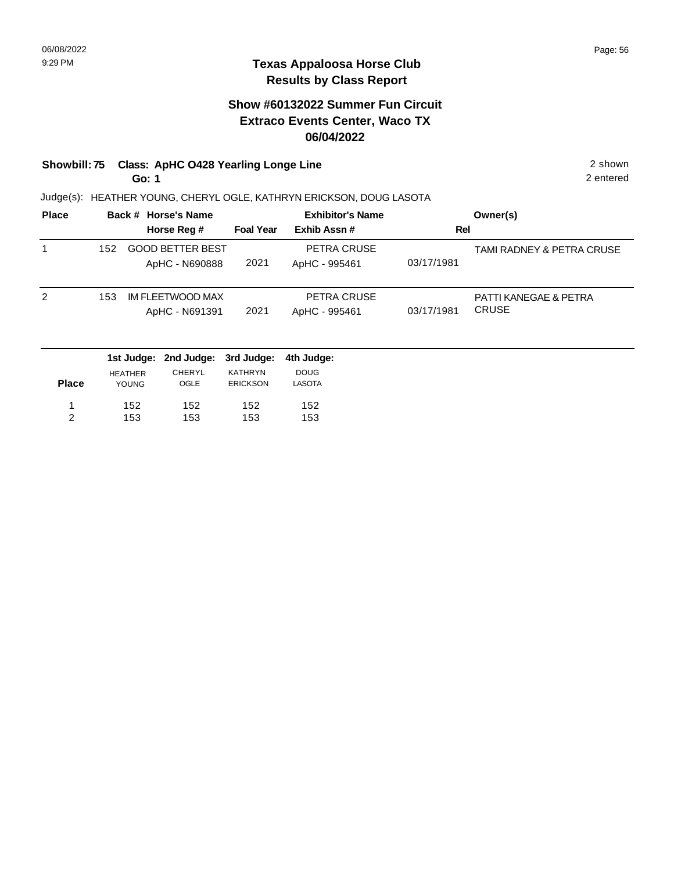# **Show #60132022 Summer Fun Circuit Extraco Events Center, Waco TX 06/04/2022**

#### **Showbill: 75 Class: ApHC O428 Yearling Longe Line** 2 shown 2 shown **Go: 1**

Judge(s): HEATHER YOUNG, CHERYL OGLE, KATHRYN ERICKSON, DOUG LASOTA

| <b>Place</b> | Back # Horse's Name |                                           |                  | <b>Exhibitor's Name</b>      | Owner(s)   |                                       |  |
|--------------|---------------------|-------------------------------------------|------------------|------------------------------|------------|---------------------------------------|--|
|              |                     | Horse Reg #                               | <b>Foal Year</b> | Exhib Assn#                  | Rel        |                                       |  |
|              | 152                 | <b>GOOD BETTER BEST</b><br>ApHC - N690888 | 2021             | PETRA CRUSE<br>ApHC - 995461 | 03/17/1981 | TAMI RADNEY & PETRA CRUSE             |  |
| 2            | 153                 | IM FLEETWOOD MAX<br>ApHC - N691391        | 2021             | PETRA CRUSE<br>ApHC - 995461 | 03/17/1981 | PATTI KANEGAE & PETRA<br><b>CRUSE</b> |  |

|              |                | 1st Judge: 2nd Judge: 3rd Judge: 4th Judge: |                 |               |
|--------------|----------------|---------------------------------------------|-----------------|---------------|
|              | <b>HEATHER</b> | CHERYL                                      | KATHRYN         | <b>DOUG</b>   |
| <b>Place</b> | <b>YOUNG</b>   | <b>OGLE</b>                                 | <b>ERICKSON</b> | <b>LASOTA</b> |
|              | 152            | 152                                         | 152             | 152           |
| ົ            | 153            | 153                                         | 153             | 153           |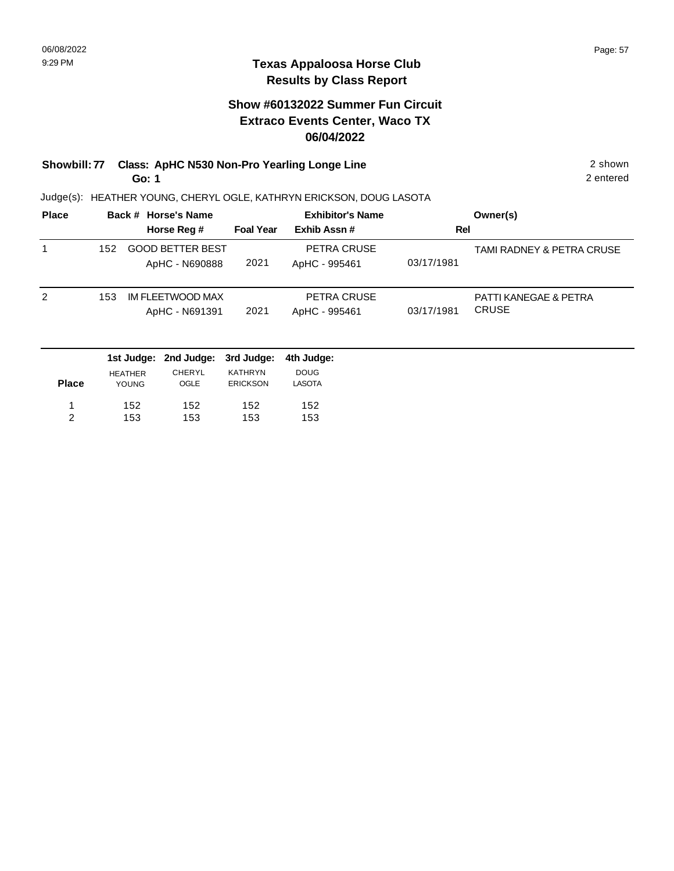# **Show #60132022 Summer Fun Circuit Extraco Events Center, Waco TX 06/04/2022**

#### **Showbill: 77 Class: ApHC N530 Non-Pro Yearling Longe Line** 2 shown 2 shown **Go: 1**

Judge(s): HEATHER YOUNG, CHERYL OGLE, KATHRYN ERICKSON, DOUG LASOTA

|     |                         |                                    | <b>Exhibitor's Name</b> |             | Owner(s)                  |
|-----|-------------------------|------------------------------------|-------------------------|-------------|---------------------------|
|     |                         |                                    |                         |             |                           |
| 152 | <b>GOOD BETTER BEST</b> |                                    | PETRA CRUSE             |             | TAMI RADNEY & PETRA CRUSE |
|     | ApHC - N690888          | 2021                               | ApHC - 995461           | 03/17/1981  |                           |
| 153 | IM FLEETWOOD MAX        |                                    | PETRA CRUSE             |             | PATTI KANEGAE & PETRA     |
|     | ApHC - N691391          | 2021                               | ApHC - 995461           | 03/17/1981  | <b>CRUSE</b>              |
|     |                         | Back # Horse's Name<br>Horse Reg # | <b>Foal Year</b>        | Exhib Assn# | Rel                       |

|              |                | 1st Judge: 2nd Judge: 3rd Judge: |                 | 4th Judae:    |
|--------------|----------------|----------------------------------|-----------------|---------------|
|              | <b>HEATHER</b> | <b>CHERYL</b>                    | <b>KATHRYN</b>  | <b>DOUG</b>   |
| <b>Place</b> | <b>YOUNG</b>   | OGLE                             | <b>ERICKSON</b> | <b>LASOTA</b> |
|              |                |                                  |                 |               |
| -1           | 152            | 152                              | 152             | 152           |
| 2            | 153            | 153                              | 153             | 153           |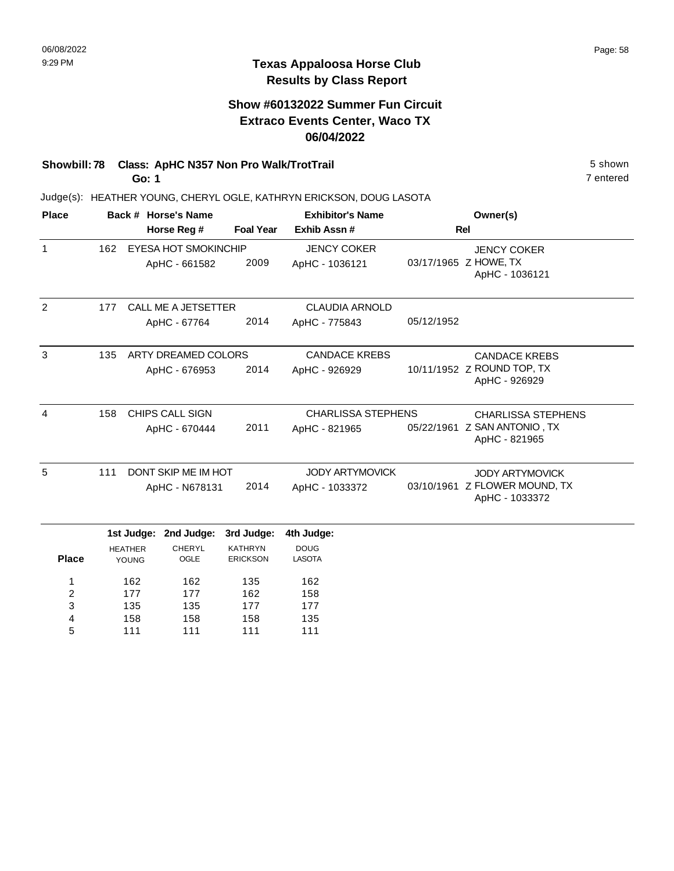### **Texas Appaloosa Horse Club Results by Class Report**

## **Show #60132022 Summer Fun Circuit Extraco Events Center, Waco TX 06/04/2022**

# **Showbill: 78 Class: ApHC N357 Non Pro Walk/TrotTrail** 5 shown

**Go: 1**

| <b>Place</b> |     |                             | Back # Horse's Name   |                                   | <b>Exhibitor's Name</b>      | Owner(s)                  |                                                 |
|--------------|-----|-----------------------------|-----------------------|-----------------------------------|------------------------------|---------------------------|-------------------------------------------------|
|              |     |                             | Horse Reg #           | <b>Foal Year</b>                  | Exhib Assn #                 |                           | Rel                                             |
| $\mathbf{1}$ | 162 | <b>EYESA HOT SMOKINCHIP</b> |                       |                                   | <b>JENCY COKER</b>           |                           | <b>JENCY COKER</b>                              |
|              |     |                             | ApHC - 661582         | 2009                              | ApHC - 1036121               |                           | 03/17/1965 Z HOWE, TX<br>ApHC - 1036121         |
| 2            | 177 |                             | CALL ME A JETSETTER   |                                   | <b>CLAUDIA ARNOLD</b>        |                           |                                                 |
|              |     |                             | ApHC - 67764          | 2014                              | ApHC - 775843                | 05/12/1952                |                                                 |
| 3            | 135 |                             | ARTY DREAMED COLORS   |                                   | <b>CANDACE KREBS</b>         |                           | <b>CANDACE KREBS</b>                            |
|              |     |                             | ApHC - 676953         | 2014                              | ApHC - 926929                |                           | 10/11/1952 Z ROUND TOP, TX<br>ApHC - 926929     |
| 4            | 158 |                             | CHIPS CALL SIGN       |                                   | <b>CHARLISSA STEPHENS</b>    | <b>CHARLISSA STEPHENS</b> |                                                 |
|              |     | ApHC - 670444               |                       | 2011                              | ApHC - 821965                |                           | 05/22/1961 Z SAN ANTONIO, TX<br>ApHC - 821965   |
| 5            | 111 |                             | DONT SKIP ME IM HOT   |                                   | <b>JODY ARTYMOVICK</b>       |                           | <b>JODY ARTYMOVICK</b>                          |
|              |     | 2014<br>ApHC - N678131      |                       |                                   | ApHC - 1033372               |                           | 03/10/1961 Z FLOWER MOUND, TX<br>ApHC - 1033372 |
|              |     | 1st Judge:                  | 2nd Judge:            | 3rd Judge:                        | 4th Judge:                   |                           |                                                 |
| <b>Place</b> |     | <b>HEATHER</b><br>YOUNG     | <b>CHERYL</b><br>OGLE | <b>KATHRYN</b><br><b>ERICKSON</b> | <b>DOUG</b><br><b>LASOTA</b> |                           |                                                 |
| 1            |     | 162                         | 162                   | 135                               | 162                          |                           |                                                 |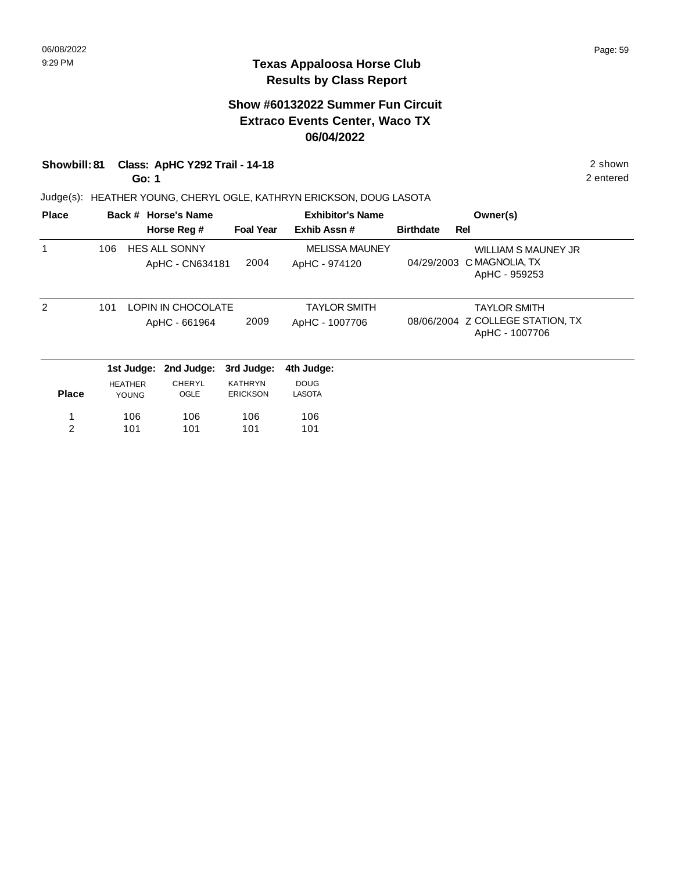### **Texas Appaloosa Horse Club Results by Class Report**

# **Show #60132022 Summer Fun Circuit Extraco Events Center, Waco TX 06/04/2022**

#### **Showbill: 81 Class: ApHC Y292 Trail - 14-18** 2 shown

**Go: 1**

| <b>Place</b>   |     |                                | Back # Horse's Name                     |                                   | <b>Exhibitor's Name</b>                | Owner(s)         |                                                                           |
|----------------|-----|--------------------------------|-----------------------------------------|-----------------------------------|----------------------------------------|------------------|---------------------------------------------------------------------------|
|                |     |                                | Horse Reg #                             | <b>Foal Year</b>                  | Exhib Assn#                            | <b>Birthdate</b> | Rel                                                                       |
|                | 106 |                                | <b>HES ALL SONNY</b><br>ApHC - CN634181 | 2004                              | <b>MELISSA MAUNEY</b><br>ApHC - 974120 | 04/29/2003       | <b>WILLIAM S MAUNEY JR</b><br>C MAGNOLIA, TX<br>ApHC - 959253             |
| $\mathcal{P}$  | 101 |                                | LOPIN IN CHOCOLATE<br>ApHC - 661964     | 2009                              | <b>TAYLOR SMITH</b><br>ApHC - 1007706  |                  | <b>TAYLOR SMITH</b><br>08/06/2004 Z COLLEGE STATION, TX<br>ApHC - 1007706 |
|                |     | 1st Judge:                     | 2nd Judge:                              | 3rd Judge:                        | 4th Judge:                             |                  |                                                                           |
| <b>Place</b>   |     | <b>HEATHER</b><br><b>YOUNG</b> | <b>CHERYL</b><br>OGLE                   | <b>KATHRYN</b><br><b>ERICKSON</b> | <b>DOUG</b><br><b>LASOTA</b>           |                  |                                                                           |
| 1              |     | 106                            | 106                                     | 106                               | 106                                    |                  |                                                                           |
| $\overline{2}$ |     | 101                            | 101                                     | 101                               | 101                                    |                  |                                                                           |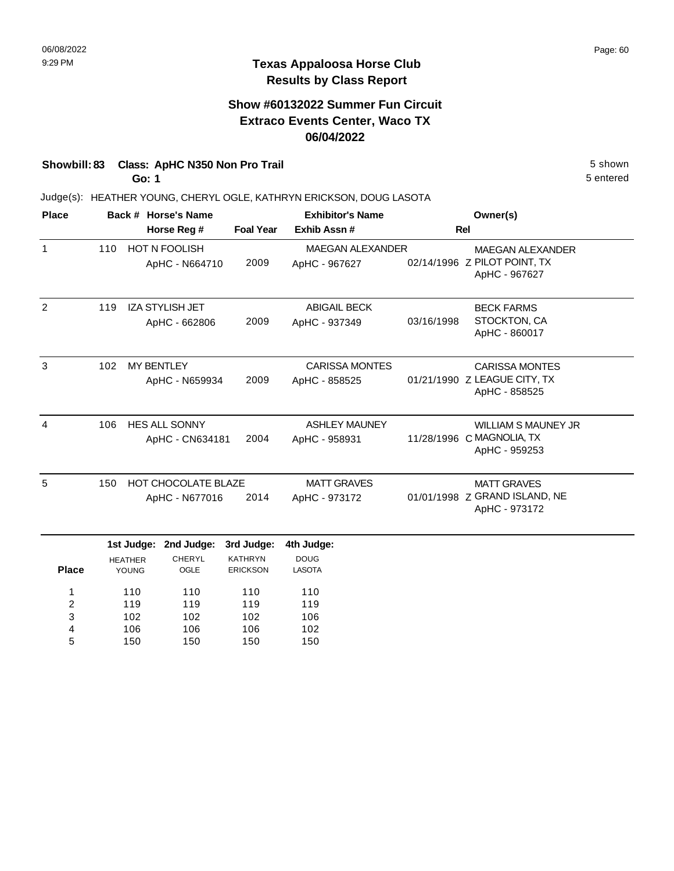## **Show #60132022 Summer Fun Circuit Extraco Events Center, Waco TX 06/04/2022**

# **Showbill: 83 Class: ApHC N350 Non Pro Trail 5 Shown 5 Shown 5 shown 5 shown**

**Go: 1**

150

5

150

150

150

5 entered

| <b>Place</b>                           |     | Back # Horse's Name<br>Horse Reg #           |                                         |                                   | <b>Exhibitor's Name</b>                  |            | Owner(s)                                                                 |
|----------------------------------------|-----|----------------------------------------------|-----------------------------------------|-----------------------------------|------------------------------------------|------------|--------------------------------------------------------------------------|
|                                        |     |                                              |                                         |                                   | Exhib Assn#                              |            | <b>Rel</b>                                                               |
| $\mathbf{1}$                           | 110 |                                              | HOT N FOOLISH<br>ApHC - N664710         | 2009                              | <b>MAEGAN ALEXANDER</b><br>ApHC - 967627 |            | <b>MAEGAN ALEXANDER</b><br>02/14/1996 Z PILOT POINT, TX<br>ApHC - 967627 |
| 2                                      | 119 |                                              | <b>IZA STYLISH JET</b><br>ApHC - 662806 | 2009                              | <b>ABIGAIL BECK</b><br>ApHC - 937349     | 03/16/1998 | <b>BECK FARMS</b><br>STOCKTON, CA<br>ApHC - 860017                       |
| 3                                      | 102 | <b>MY BENTLEY</b><br>ApHC - N659934          |                                         | 2009                              | <b>CARISSA MONTES</b><br>ApHC - 858525   |            | <b>CARISSA MONTES</b><br>01/21/1990 Z LEAGUE CITY, TX<br>ApHC - 858525   |
| $\overline{4}$                         | 106 | <b>HES ALL SONNY</b><br>ApHC - CN634181      |                                         | 2004                              | <b>ASHLEY MAUNEY</b><br>ApHC - 958931    |            | <b>WILLIAM S MAUNEY JR</b><br>11/28/1996 C MAGNOLIA, TX<br>ApHC - 959253 |
| 5                                      | 150 | <b>HOT CHOCOLATE BLAZE</b><br>ApHC - N677016 |                                         | 2014                              | <b>MATT GRAVES</b><br>ApHC - 973172      |            | <b>MATT GRAVES</b><br>01/01/1998 Z GRAND ISLAND, NE<br>ApHC - 973172     |
|                                        |     | 1st Judge:                                   | 2nd Judge:                              | 3rd Judge:                        | 4th Judge:                               |            |                                                                          |
| <b>Place</b>                           |     | <b>HEATHER</b><br>YOUNG                      | CHERYL<br>OGLE                          | <b>KATHRYN</b><br><b>ERICKSON</b> | <b>DOUG</b><br><b>LASOTA</b>             |            |                                                                          |
| 1<br>$\overline{\mathbf{c}}$<br>3<br>4 |     | 110<br>119<br>102<br>106                     | 110<br>119<br>102<br>106                | 110<br>119<br>102<br>106          | 110<br>119<br>106<br>102                 |            |                                                                          |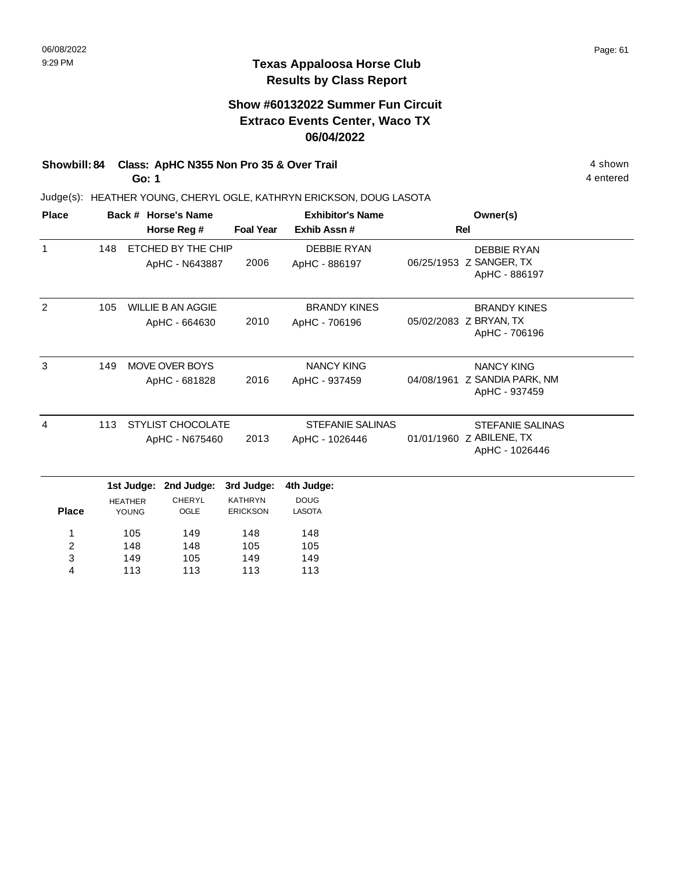### **Texas Appaloosa Horse Club Results by Class Report**

## **Show #60132022 Summer Fun Circuit Extraco Events Center, Waco TX 06/04/2022**

# **Showbill: 84 Class: ApHC N355 Non Pro 35 & Over Trail 4 shown 4 shown**

**Go: 1**

113

4

113

113

113

| <b>Place</b> |                                                   |            | Back # Horse's Name                       |                                           | <b>Exhibitor's Name</b>              | Owner(s)                                                              |                                                                |  |
|--------------|---------------------------------------------------|------------|-------------------------------------------|-------------------------------------------|--------------------------------------|-----------------------------------------------------------------------|----------------------------------------------------------------|--|
|              |                                                   |            | Horse Reg #                               | <b>Foal Year</b>                          | Exhib Assn#                          |                                                                       | <b>Rel</b>                                                     |  |
| $\mathbf{1}$ | 148                                               |            | ETCHED BY THE CHIP<br>ApHC - N643887      | 2006                                      | <b>DEBBIE RYAN</b><br>ApHC - 886197  |                                                                       | <b>DEBBIE RYAN</b><br>06/25/1953 Z SANGER, TX<br>ApHC - 886197 |  |
| 2            | 105                                               |            | <b>WILLIE B AN AGGIE</b><br>ApHC - 664630 | 2010                                      | <b>BRANDY KINES</b><br>ApHC - 706196 |                                                                       | <b>BRANDY KINES</b><br>05/02/2083 Z BRYAN, TX<br>ApHC - 706196 |  |
| 3            | 149                                               |            | <b>MOVE OVER BOYS</b><br>ApHC - 681828    | 2016                                      | <b>NANCY KING</b><br>ApHC - 937459   | 04/08/1961                                                            | <b>NANCY KING</b><br>Z SANDIA PARK, NM<br>ApHC - 937459        |  |
| 4            | 113<br><b>STYLIST CHOCOLATE</b><br>ApHC - N675460 |            | 2013                                      | <b>STEFANIE SALINAS</b><br>ApHC - 1026446 |                                      | <b>STEFANIE SALINAS</b><br>01/01/1960 Z ABILENE, TX<br>ApHC - 1026446 |                                                                |  |
|              |                                                   | 1st Judge: | 2nd Judge:                                | 3rd Judge:                                | 4th Judge:                           |                                                                       |                                                                |  |
| <b>Place</b> | <b>HEATHER</b><br>YOUNG                           |            | <b>CHERYL</b><br>OGLE                     | <b>KATHRYN</b><br><b>ERICKSON</b>         | <b>DOUG</b><br><b>LASOTA</b>         |                                                                       |                                                                |  |
| 1            |                                                   | 105        | 149                                       | 148                                       | 148                                  |                                                                       |                                                                |  |
| 2            |                                                   | 148        | 148                                       | 105                                       | 105                                  |                                                                       |                                                                |  |
| 3            |                                                   | 149        | 105                                       | 149                                       | 149                                  |                                                                       |                                                                |  |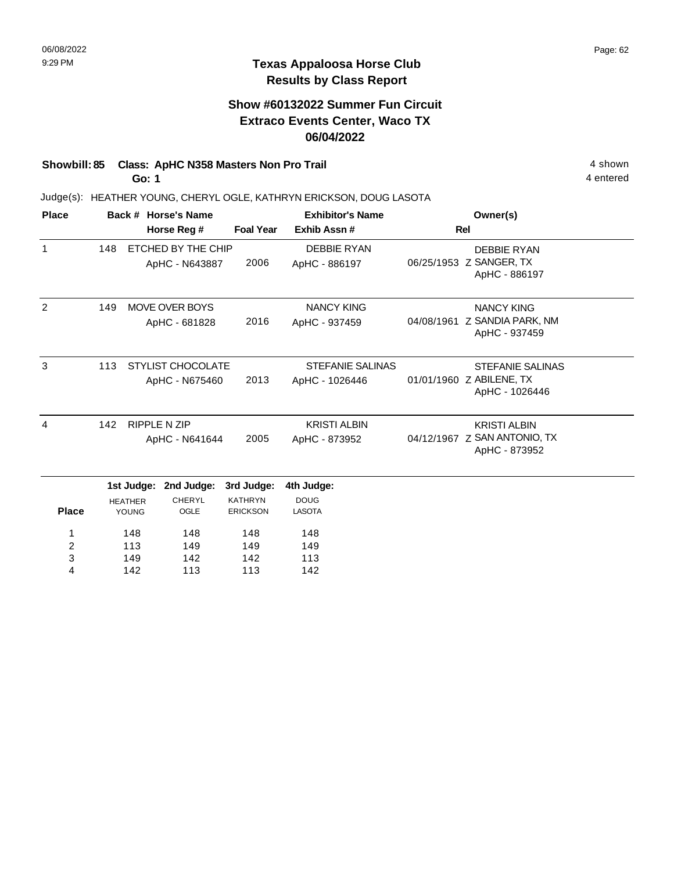# **Show #60132022 Summer Fun Circuit Extraco Events Center, Waco TX 06/04/2022**

#### **Showbill: 85 Class: ApHC N358 Masters Non Pro Trail 4 Shown 4 shown 4 shown Go: 1**

Judge(s): HEATHER YOUNG, CHERYL OGLE, KATHRYN ERICKSON, DOUG LASOTA

| <b>Place</b> |     |                   | Back # Horse's Name      |                  | <b>Exhibitor's Name</b> | Owner(s)                                 |
|--------------|-----|-------------------|--------------------------|------------------|-------------------------|------------------------------------------|
|              |     |                   | Horse Reg #              | <b>Foal Year</b> | Exhib Assn#             | <b>Rel</b>                               |
| $\mathbf{1}$ | 148 |                   | ETCHED BY THE CHIP       |                  | <b>DEBBIE RYAN</b>      | <b>DEBBIE RYAN</b>                       |
|              |     |                   | ApHC - N643887           | 2006             | ApHC - 886197           | 06/25/1953 Z SANGER, TX<br>ApHC - 886197 |
|              |     |                   |                          |                  |                         |                                          |
| 2            | 149 |                   | <b>MOVE OVER BOYS</b>    |                  | <b>NANCY KING</b>       | <b>NANCY KING</b>                        |
|              |     | ApHC - 681828     |                          | 2016             | ApHC - 937459           | 04/08/1961 Z SANDIA PARK, NM             |
|              |     |                   |                          |                  |                         | ApHC - 937459                            |
| 3            | 113 |                   | <b>STYLIST CHOCOLATE</b> |                  | <b>STEFANIE SALINAS</b> | <b>STEFANIE SALINAS</b>                  |
|              |     |                   |                          | 2013             |                         | 01/01/1960 Z ABILENE, TX                 |
|              |     |                   | ApHC - N675460           |                  | ApHC - 1026446          | ApHC - 1026446                           |
|              |     |                   |                          |                  |                         |                                          |
| 4            | 142 |                   | <b>RIPPLE N ZIP</b>      |                  | <b>KRISTI ALBIN</b>     | <b>KRISTI ALBIN</b>                      |
|              |     |                   | ApHC - N641644           | 2005             | ApHC - 873952           | 04/12/1967 Z SAN ANTONIO, TX             |
|              |     |                   |                          |                  |                         | ApHC - 873952                            |
|              |     | 1st Judge:        | 2nd Judge:               | 3rd Judge:       | 4th Judge:              |                                          |
|              |     | <b>HEATHER</b>    | <b>CHERYL</b>            | <b>KATHRYN</b>   | <b>DOUG</b>             |                                          |
| <b>Place</b> |     | YOUNG             | OGLE                     | <b>ERICKSON</b>  | <b>LASOTA</b>           |                                          |
| 1            |     | 148               | 148                      | 148              | 148                     |                                          |
| 2            |     | 113               | 149                      | 149              | 149                     |                                          |
| 3            |     | 149               | 142                      | 142              | 113                     |                                          |
| 4            | 142 | 113<br>113<br>142 |                          |                  |                         |                                          |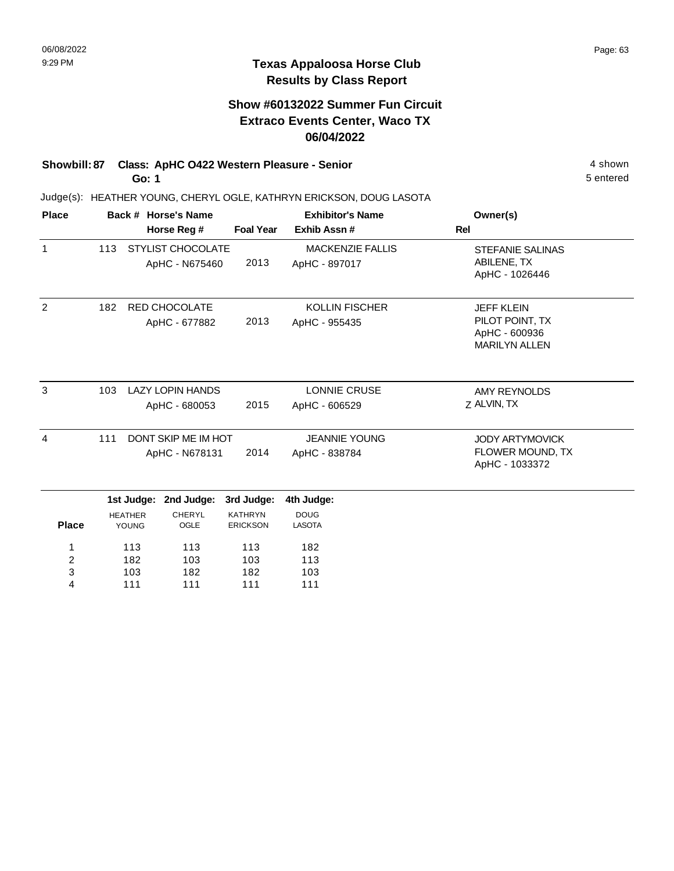# **Show #60132022 Summer Fun Circuit Extraco Events Center, Waco TX 06/04/2022**

#### **Showbill: 87 Class: ApHC O422 Western Pleasure - Senior** 4 shown **Go: 1**

111

4

111

111

111

Judge(s): HEATHER YOUNG, CHERYL OGLE, KATHRYN ERICKSON, DOUG LASOTA

| <b>Place</b>        |                                              |                         | Back # Horse's Name                        |                                       | <b>Exhibitor's Name</b>                                             | Owner(s)                                                                      |
|---------------------|----------------------------------------------|-------------------------|--------------------------------------------|---------------------------------------|---------------------------------------------------------------------|-------------------------------------------------------------------------------|
|                     |                                              |                         | Horse Reg #                                | <b>Foal Year</b>                      | Exhib Assn#                                                         | <b>Rel</b>                                                                    |
| $\mathbf{1}$        | 113                                          |                         | <b>STYLIST CHOCOLATE</b><br>ApHC - N675460 | 2013                                  | <b>MACKENZIE FALLIS</b><br>ApHC - 897017                            | <b>STEFANIE SALINAS</b><br>ABILENE, TX<br>ApHC - 1026446                      |
| 2                   | 182                                          |                         | RED CHOCOLATE<br>ApHC - 677882             | 2013                                  | <b>KOLLIN FISCHER</b><br>ApHC - 955435                              | <b>JEFF KLEIN</b><br>PILOT POINT, TX<br>ApHC - 600936<br><b>MARILYN ALLEN</b> |
| 3                   | 103                                          |                         | <b>LAZY LOPIN HANDS</b><br>ApHC - 680053   | 2015                                  | <b>LONNIE CRUSE</b><br>ApHC - 606529                                | <b>AMY REYNOLDS</b><br>Z ALVIN, TX                                            |
| 4                   | 111<br>DONT SKIP ME IM HOT<br>ApHC - N678131 |                         | 2014                                       | <b>JEANNIE YOUNG</b><br>ApHC - 838784 | <b>JODY ARTYMOVICK</b><br><b>FLOWER MOUND, TX</b><br>ApHC - 1033372 |                                                                               |
|                     |                                              | 1st Judge:              | 2nd Judge:                                 | 3rd Judge:                            | 4th Judge:                                                          |                                                                               |
| <b>Place</b>        |                                              | <b>HEATHER</b><br>YOUNG | <b>CHERYL</b><br>OGLE                      | <b>KATHRYN</b><br><b>ERICKSON</b>     | <b>DOUG</b><br><b>LASOTA</b>                                        |                                                                               |
| 1<br>$\overline{c}$ | 113<br>182                                   |                         | 113<br>103                                 | 113<br>103                            | 182<br>113                                                          |                                                                               |
| 3                   |                                              | 103                     | 182                                        | 182                                   | 103                                                                 |                                                                               |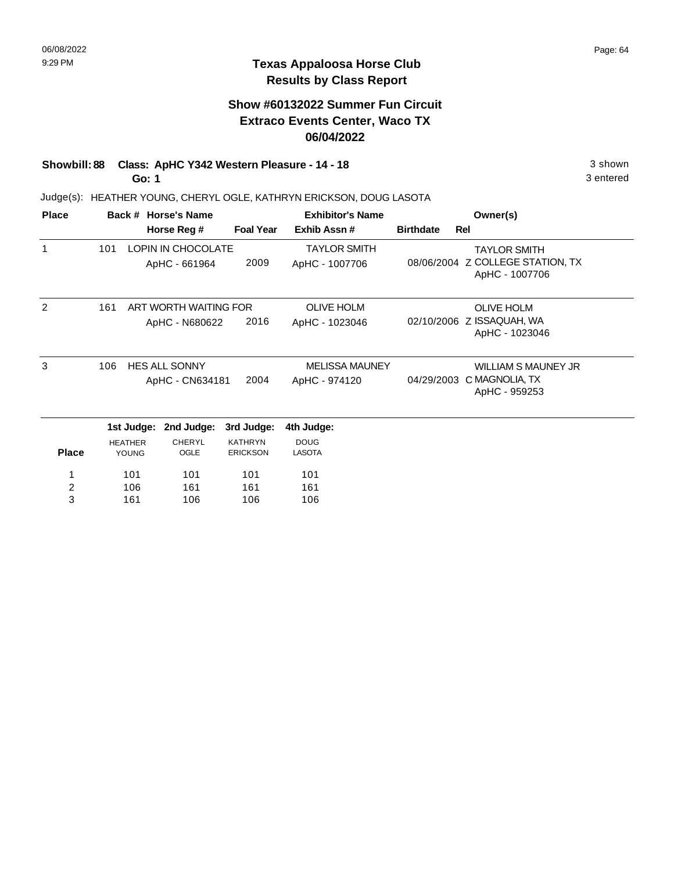# **Show #60132022 Summer Fun Circuit Extraco Events Center, Waco TX 06/04/2022**

**Showbill: 88 Class: ApHC Y342 Western Pleasure - 14 - 18** 3 shown **Go: 1**

Judge(s): HEATHER YOUNG, CHERYL OGLE, KATHRYN ERICKSON, DOUG LASOTA

| <b>Place</b>   |                              |                 | Back # Horse's Name   |                                   | <b>Exhibitor's Name</b>      | Owner(s)                   |                                                    |
|----------------|------------------------------|-----------------|-----------------------|-----------------------------------|------------------------------|----------------------------|----------------------------------------------------|
|                |                              |                 | Horse Reg #           | <b>Foal Year</b>                  | Exhib Assn#                  | <b>Birthdate</b>           | <b>Rel</b>                                         |
| 1              | 101                          |                 | LOPIN IN CHOCOLATE    |                                   | <b>TAYLOR SMITH</b>          |                            | <b>TAYLOR SMITH</b>                                |
|                |                              |                 | ApHC - 661964         | 2009                              | ApHC - 1007706               |                            | 08/06/2004 Z COLLEGE STATION, TX<br>ApHC - 1007706 |
| $\mathfrak{p}$ | 161<br>ART WORTH WAITING FOR |                 |                       |                                   | <b>OLIVE HOLM</b>            |                            | <b>OLIVE HOLM</b>                                  |
|                |                              |                 | ApHC - N680622        | 2016                              | ApHC - 1023046               | 02/10/2006                 | Z ISSAQUAH, WA<br>ApHC - 1023046                   |
| 3              | 106<br><b>HES ALL SONNY</b>  |                 |                       | <b>MELISSA MAUNEY</b>             |                              | <b>WILLIAM S MAUNEY JR</b> |                                                    |
|                |                              | ApHC - CN634181 |                       |                                   | ApHC - 974120                | 04/29/2003                 | C MAGNOLIA, TX<br>ApHC - 959253                    |
|                |                              | 1st Judge:      | 2nd Judge:            | 3rd Judge:                        | 4th Judge:                   |                            |                                                    |
| <b>Place</b>   | <b>HEATHER</b><br>YOUNG      |                 | <b>CHERYL</b><br>OGLE | <b>KATHRYN</b><br><b>ERICKSON</b> | <b>DOUG</b><br><b>LASOTA</b> |                            |                                                    |
| 1              |                              | 101             | 101                   | 101                               | 101                          |                            |                                                    |
| 2              |                              | 106             | 161                   | 161                               | 161                          |                            |                                                    |
| 3              |                              | 161             | 106                   | 106                               | 106                          |                            |                                                    |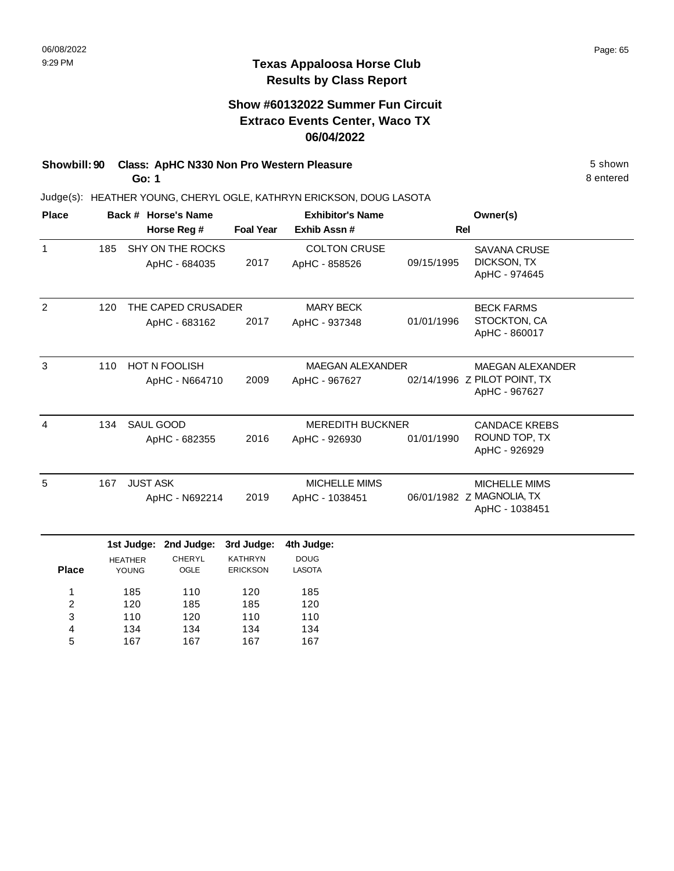## **Show #60132022 Summer Fun Circuit Extraco Events Center, Waco TX 06/04/2022**

# **Showbill: 90 Class: ApHC N330 Non Pro Western Pleasure** 5 shown

**Go: 1**

134 167

4 5

134 167

134 167

134 167

Judge(s): HEATHER YOUNG, CHERYL OGLE, KATHRYN ERICKSON, DOUG LASOTA

| <b>Place</b>   |                             |                 | Back # Horse's Name   | <b>Exhibitor's Name</b> |                         |                      | Owner(s)                                    |  |
|----------------|-----------------------------|-----------------|-----------------------|-------------------------|-------------------------|----------------------|---------------------------------------------|--|
|                |                             |                 | Horse Reg #           | <b>Foal Year</b>        | Exhib Assn #            | Rel                  |                                             |  |
| $\mathbf{1}$   | 185                         |                 | SHY ON THE ROCKS      |                         | <b>COLTON CRUSE</b>     |                      | <b>SAVANA CRUSE</b>                         |  |
|                |                             |                 | ApHC - 684035         | 2017                    | ApHC - 858526           | 09/15/1995           | DICKSON, TX<br>ApHC - 974645                |  |
| 2              | 120                         |                 | THE CAPED CRUSADER    |                         | <b>MARY BECK</b>        |                      | <b>BECK FARMS</b>                           |  |
|                |                             |                 | ApHC - 683162         | 2017                    | ApHC - 937348           | 01/01/1996           | STOCKTON, CA<br>ApHC - 860017               |  |
| 3              | <b>HOT N FOOLISH</b><br>110 |                 |                       | <b>MAEGAN ALEXANDER</b> | <b>MAEGAN ALEXANDER</b> |                      |                                             |  |
|                |                             |                 | ApHC - N664710        | 2009                    | ApHC - 967627           |                      | 02/14/1996 Z PILOT POINT, TX                |  |
|                |                             |                 |                       |                         |                         |                      | ApHC - 967627                               |  |
| $\overline{4}$ | SAUL GOOD<br>134            |                 |                       | <b>MEREDITH BUCKNER</b> |                         | <b>CANDACE KREBS</b> |                                             |  |
|                |                             |                 | ApHC - 682355         | 2016                    | ApHC - 926930           | 01/01/1990           | ROUND TOP, TX<br>ApHC - 926929              |  |
| 5              | 167                         | <b>JUST ASK</b> |                       |                         | MICHELLE MIMS           |                      | <b>MICHELLE MIMS</b>                        |  |
|                |                             | ApHC - N692214  |                       | 2019                    | ApHC - 1038451          |                      | 06/01/1982 Z MAGNOLIA, TX<br>ApHC - 1038451 |  |
|                |                             |                 | 1st Judge: 2nd Judge: | 3rd Judge:              | 4th Judge:              |                      |                                             |  |
|                |                             | <b>HEATHER</b>  | <b>CHERYL</b>         | <b>KATHRYN</b>          | <b>DOUG</b>             |                      |                                             |  |
| <b>Place</b>   |                             | YOUNG           | OGLE                  | <b>ERICKSON</b>         | LASOTA                  |                      |                                             |  |
| 1              |                             | 185             | 110                   | 120                     | 185                     |                      |                                             |  |
| $\overline{c}$ |                             | 120             | 185                   | 185                     | 120                     |                      |                                             |  |
| 3              |                             | 110             | 120                   | 110                     | 110                     |                      |                                             |  |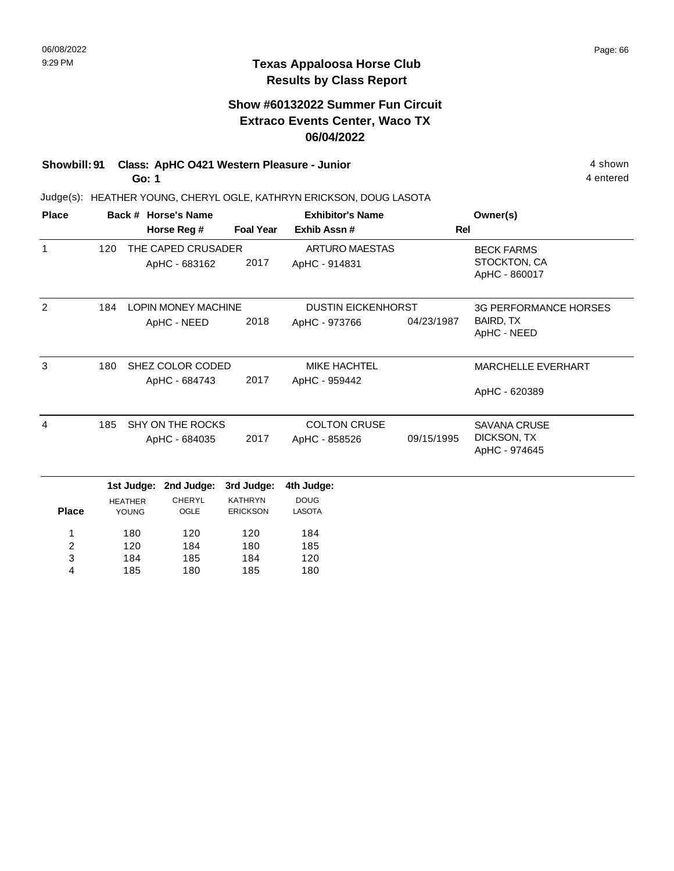### **Texas Appaloosa Horse Club Results by Class Report**

# **Show #60132022 Summer Fun Circuit Extraco Events Center, Waco TX 06/04/2022**

**Showbill: 91 Class: ApHC 0421 Western Pleasure - Junior** 4 Shown 4 shown **Go: 1**

| <b>Place</b> |                       |                | Back # Horse's Name        |                  | <b>Exhibitor's Name</b>   |                              | Owner(s)                      |  |
|--------------|-----------------------|----------------|----------------------------|------------------|---------------------------|------------------------------|-------------------------------|--|
|              |                       |                | Horse Reg #                | <b>Foal Year</b> | Exhib Assn#               | <b>Rel</b>                   |                               |  |
| $\mathbf{1}$ | 120                   |                | THE CAPED CRUSADER         |                  | <b>ARTURO MAESTAS</b>     |                              | <b>BECK FARMS</b>             |  |
|              |                       |                | ApHC - 683162              | 2017             | ApHC - 914831             |                              | STOCKTON, CA<br>ApHC - 860017 |  |
| 2            | 184                   |                | <b>LOPIN MONEY MACHINE</b> |                  | <b>DUSTIN EICKENHORST</b> |                              | <b>3G PERFORMANCE HORSES</b>  |  |
|              |                       |                | ApHC - NEED                | 2018             | ApHC - 973766             | 04/23/1987                   | BAIRD, TX<br>ApHC - NEED      |  |
| 3            | 180                   |                | SHEZ COLOR CODED           |                  | <b>MIKE HACHTEL</b>       |                              | <b>MARCHELLE EVERHART</b>     |  |
|              |                       |                | ApHC - 684743              | 2017             | ApHC - 959442             |                              | ApHC - 620389                 |  |
| 4            | 185                   |                | SHY ON THE ROCKS           |                  | <b>COLTON CRUSE</b>       |                              | <b>SAVANA CRUSE</b>           |  |
|              | 2017<br>ApHC - 684035 |                |                            | ApHC - 858526    | 09/15/1995                | DICKSON, TX<br>ApHC - 974645 |                               |  |
|              |                       | 1st Judge:     | 2nd Judge:                 | 3rd Judge:       | 4th Judge:                |                              |                               |  |
|              |                       | <b>HEATHER</b> | <b>CHERYL</b>              | <b>KATHRYN</b>   | <b>DOUG</b>               |                              |                               |  |
| <b>Place</b> |                       | YOUNG          | OGLE                       | <b>ERICKSON</b>  | <b>LASOTA</b>             |                              |                               |  |
| 1            |                       | 180            | 120                        | 120              | 184                       |                              |                               |  |
| 2            |                       | 120            | 184                        | 180              | 185                       |                              |                               |  |
| 3            |                       | 184            | 185                        | 184              | 120                       |                              |                               |  |
| 4            |                       | 185            | 180                        | 185              | 180                       |                              |                               |  |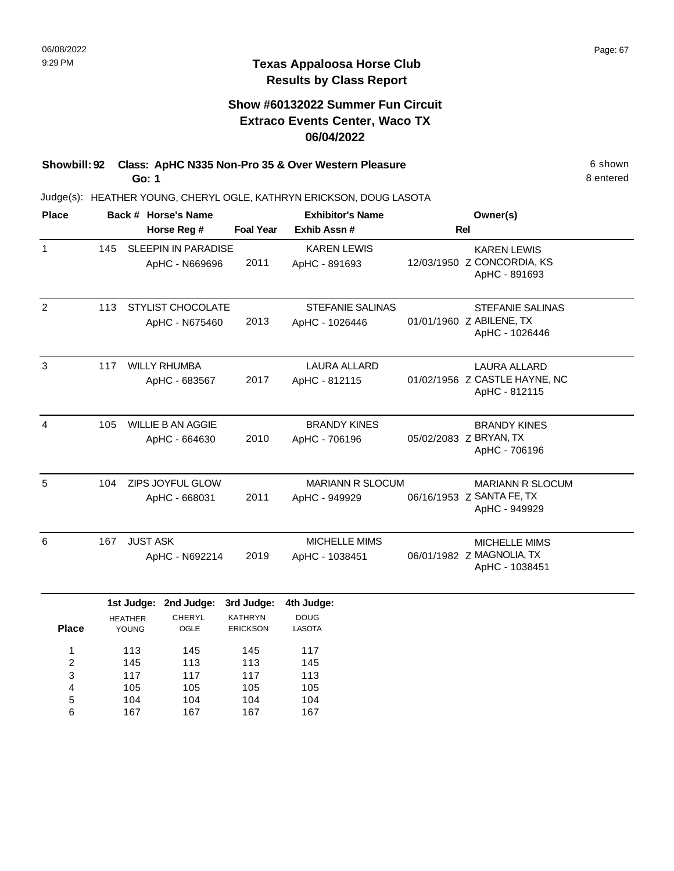105 104 167

4 5 6 105 104 167

105 104 167 105 104 167 8 entered

### **Texas Appaloosa Horse Club Results by Class Report**

# **Show #60132022 Summer Fun Circuit Extraco Events Center, Waco TX 06/04/2022**

**Showbill: 92 Class: ApHC N335 Non-Pro 35 & Over Western Pleasure** 6 Shown **Go: 1**

| <b>Place</b>   |                   |                                   | Back # Horse's Name<br>Horse Reg #             | <b>Foal Year</b>                                | <b>Exhibitor's Name</b><br>Exhib Assn #    | Owner(s)<br>Rel                                                       |
|----------------|-------------------|-----------------------------------|------------------------------------------------|-------------------------------------------------|--------------------------------------------|-----------------------------------------------------------------------|
| $\mathbf{1}$   | 145               |                                   | <b>SLEEPIN IN PARADISE</b><br>ApHC - N669696   | 2011                                            | <b>KAREN LEWIS</b><br>ApHC - 891693        | <b>KAREN LEWIS</b><br>12/03/1950 Z CONCORDIA, KS<br>ApHC - 891693     |
| $\overline{2}$ | 113               |                                   | <b>STYLIST CHOCOLATE</b><br>ApHC - N675460     | 2013                                            | <b>STEFANIE SALINAS</b><br>ApHC - 1026446  | <b>STEFANIE SALINAS</b><br>01/01/1960 Z ABILENE, TX<br>ApHC - 1026446 |
| $\mathbf{3}$   | 117               |                                   | <b>WILLY RHUMBA</b><br>ApHC - 683567           | 2017                                            | <b>LAURA ALLARD</b><br>ApHC - 812115       | <b>LAURA ALLARD</b><br>01/02/1956 Z CASTLE HAYNE, NC<br>ApHC - 812115 |
| $\overline{4}$ | 105               |                                   | <b>WILLIE B AN AGGIE</b><br>ApHC - 664630      | 2010                                            | <b>BRANDY KINES</b><br>ApHC - 706196       | <b>BRANDY KINES</b><br>05/02/2083 Z BRYAN, TX<br>ApHC - 706196        |
| 5              | 104               | ZIPS JOYFUL GLOW<br>ApHC - 668031 |                                                | 2011                                            | <b>MARIANN R SLOCUM</b><br>ApHC - 949929   | <b>MARIANN R SLOCUM</b><br>06/16/1953 Z SANTA FE, TX<br>ApHC - 949929 |
| 6              | 167               | <b>JUST ASK</b>                   | ApHC - N692214                                 | 2019                                            | <b>MICHELLE MIMS</b><br>ApHC - 1038451     | <b>MICHELLE MIMS</b><br>06/01/1982 Z MAGNOLIA, TX<br>ApHC - 1038451   |
| <b>Place</b>   |                   | <b>HEATHER</b><br>YOUNG           | 1st Judge: 2nd Judge:<br><b>CHERYL</b><br>OGLE | 3rd Judge:<br><b>KATHRYN</b><br><b>ERICKSON</b> | 4th Judge:<br><b>DOUG</b><br><b>LASOTA</b> |                                                                       |
| 1<br>2<br>3    | 113<br>145<br>117 |                                   | 145<br>113<br>117                              | 145<br>113<br>117                               | 117<br>145<br>113                          |                                                                       |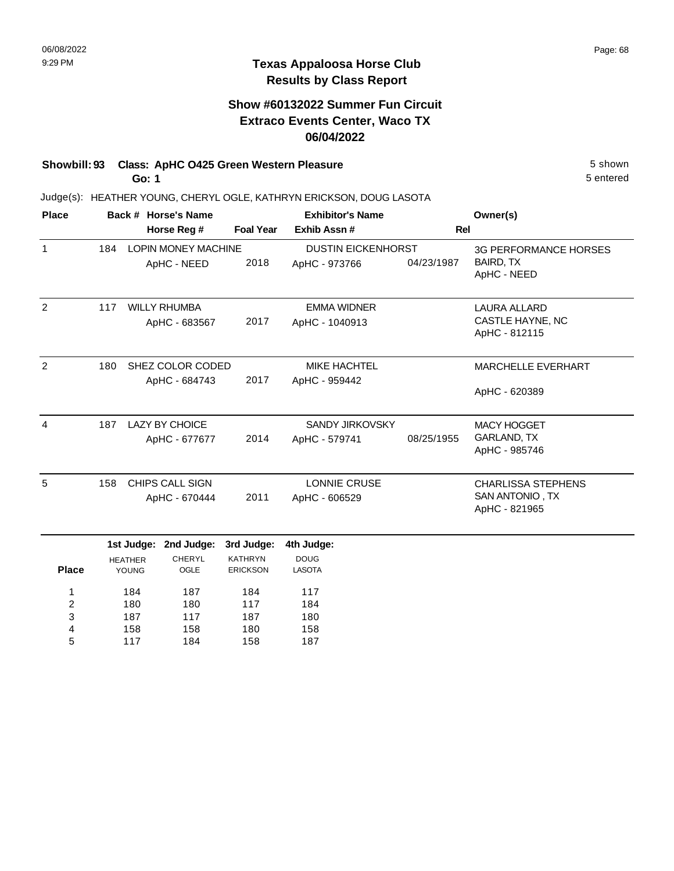### **Texas Appaloosa Horse Club Results by Class Report**

## **Show #60132022 Summer Fun Circuit Extraco Events Center, Waco TX 06/04/2022**

## **Showbill: 93 Class: ApHC O425 Green Western Pleasure** 5 shown

**Go: 1**

| <b>Place</b> |     |                         | Back # Horse's Name        |                                        | <b>Exhibitor's Name</b>      | Owner(s)   |                                     |
|--------------|-----|-------------------------|----------------------------|----------------------------------------|------------------------------|------------|-------------------------------------|
|              |     |                         | Horse Reg #                | <b>Foal Year</b><br>Exhib Assn#<br>Rel |                              |            |                                     |
| $\mathbf{1}$ | 184 |                         | <b>LOPIN MONEY MACHINE</b> |                                        | <b>DUSTIN EICKENHORST</b>    |            | <b>3G PERFORMANCE HORSES</b>        |
|              |     |                         | ApHC - NEED                | 2018                                   | ApHC - 973766                | 04/23/1987 | BAIRD, TX<br>ApHC - NEED            |
| 2            | 117 |                         | <b>WILLY RHUMBA</b>        |                                        | <b>EMMA WIDNER</b>           |            | <b>LAURA ALLARD</b>                 |
|              |     |                         | ApHC - 683567              | 2017                                   | ApHC - 1040913               |            | CASTLE HAYNE, NC<br>ApHC - 812115   |
| 2            | 180 |                         | SHEZ COLOR CODED           |                                        | <b>MIKE HACHTEL</b>          |            | <b>MARCHELLE EVERHART</b>           |
|              |     |                         | ApHC - 684743              | 2017                                   | ApHC - 959442                |            | ApHC - 620389                       |
| 4            | 187 |                         | <b>LAZY BY CHOICE</b>      |                                        | <b>SANDY JIRKOVSKY</b>       |            | <b>MACY HOGGET</b>                  |
|              |     |                         | ApHC - 677677              | 2014                                   | ApHC - 579741                | 08/25/1955 | <b>GARLAND, TX</b><br>ApHC - 985746 |
| 5            | 158 |                         | <b>CHIPS CALL SIGN</b>     |                                        | <b>LONNIE CRUSE</b>          |            | <b>CHARLISSA STEPHENS</b>           |
|              |     |                         | ApHC - 670444              | 2011                                   | ApHC - 606529                |            | SAN ANTONIO, TX<br>ApHC - 821965    |
|              |     | 1st Judge:              | 2nd Judge:                 | 3rd Judge:                             | 4th Judge:                   |            |                                     |
| <b>Place</b> |     | <b>HEATHER</b><br>YOUNG | <b>CHERYL</b><br>OGLE      | <b>KATHRYN</b><br><b>ERICKSON</b>      | <b>DOUG</b><br><b>LASOTA</b> |            |                                     |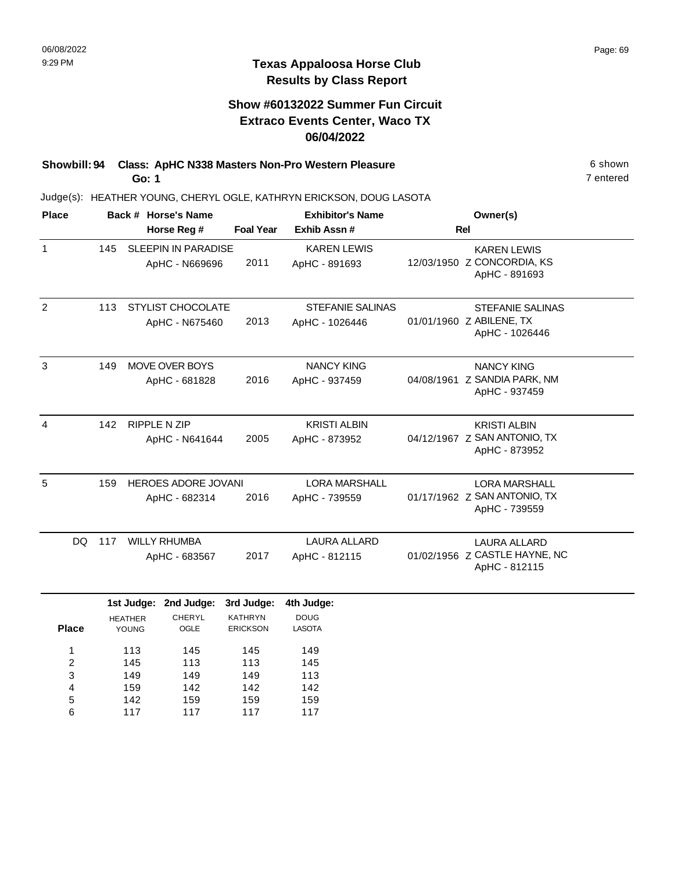# **Show #60132022 Summer Fun Circuit Extraco Events Center, Waco TX 06/04/2022**

**Showbill: 94 Class: ApHC N338 Masters Non-Pro Western Pleasure** 6 Shown 6 shown **Go: 1**

Judge(s): HEATHER YOUNG, CHERYL OGLE, KATHRYN ERICKSON, DOUG LASOTA

| <b>Place</b>   |     | Back # Horse's Name                          |                  | <b>Exhibitor's Name</b>                   | Owner(s)                                                              |  |
|----------------|-----|----------------------------------------------|------------------|-------------------------------------------|-----------------------------------------------------------------------|--|
|                |     | Horse Reg #                                  | <b>Foal Year</b> | Exhib Assn#                               | <b>Rel</b>                                                            |  |
| $\mathbf{1}$   | 145 | <b>SLEEPIN IN PARADISE</b><br>ApHC - N669696 | 2011             | <b>KAREN LEWIS</b><br>ApHC - 891693       | <b>KAREN LEWIS</b><br>12/03/1950 Z CONCORDIA, KS<br>ApHC - 891693     |  |
| 2              | 113 | <b>STYLIST CHOCOLATE</b><br>ApHC - N675460   | 2013             | <b>STEFANIE SALINAS</b><br>ApHC - 1026446 | <b>STEFANIE SALINAS</b><br>01/01/1960 Z ABILENE, TX<br>ApHC - 1026446 |  |
| 3              | 149 | <b>MOVE OVER BOYS</b><br>ApHC - 681828       | 2016             | <b>NANCY KING</b><br>ApHC - 937459        | <b>NANCY KING</b><br>04/08/1961 Z SANDIA PARK, NM<br>ApHC - 937459    |  |
| $\overline{4}$ | 142 | <b>RIPPLE N ZIP</b><br>ApHC - N641644        | 2005             | <b>KRISTI ALBIN</b><br>ApHC - 873952      | <b>KRISTI ALBIN</b><br>04/12/1967 Z SAN ANTONIO, TX<br>ApHC - 873952  |  |
| 5              | 159 | <b>HEROES ADORE JOVANI</b><br>ApHC - 682314  | 2016             | <b>LORA MARSHALL</b><br>ApHC - 739559     | <b>LORA MARSHALL</b><br>01/17/1962 Z SAN ANTONIO, TX<br>ApHC - 739559 |  |
| DQ.            | 117 | <b>WILLY RHUMBA</b><br>ApHC - 683567         | 2017             | LAURA ALLARD<br>ApHC - 812115             | LAURA ALLARD<br>01/02/1956 Z CASTLE HAYNE, NC<br>ApHC - 812115        |  |
|                |     | 1st Judge: 2nd Judge:                        | 3rd Judge:       | 4th Judge:                                |                                                                       |  |

|              | -              | -             |                 | -             |  |
|--------------|----------------|---------------|-----------------|---------------|--|
|              | <b>HEATHER</b> | <b>CHERYL</b> | <b>KATHRYN</b>  | <b>DOUG</b>   |  |
| <b>Place</b> | YOUNG          | OGLE          | <b>ERICKSON</b> | <b>LASOTA</b> |  |
|              |                |               |                 |               |  |
| 1            | 113            | 145           | 145             | 149           |  |
| 2            | 145            | 113           | 113             | 145           |  |
| 3            | 149            | 149           | 149             | 113           |  |
| 4            | 159            | 142           | 142             | 142           |  |
| 5            | 142            | 159           | 159             | 159           |  |
| 6            | 117            | 117           | 117             | 117           |  |
|              |                |               |                 |               |  |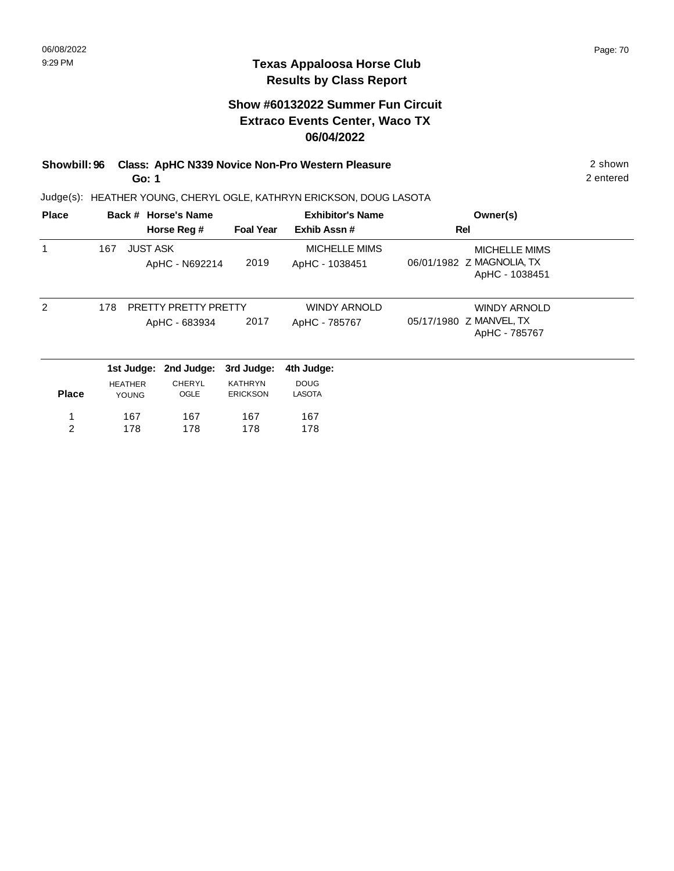### **Texas Appaloosa Horse Club Results by Class Report**

# **Show #60132022 Summer Fun Circuit Extraco Events Center, Waco TX 06/04/2022**

#### **Showbill: 96 Class: ApHC N339 Novice Non-Pro Western Pleasure** 2 shown **Go: 1**

| <b>Place</b>   |                |                 | Back # Horse's Name                          |                                   | <b>Exhibitor's Name</b>                | Owner(s)                                                        |
|----------------|----------------|-----------------|----------------------------------------------|-----------------------------------|----------------------------------------|-----------------------------------------------------------------|
|                |                |                 | Horse Reg #                                  | <b>Foal Year</b>                  | Exhib Assn#                            | Rel                                                             |
|                | 167            | <b>JUST ASK</b> | ApHC - N692214                               | 2019                              | <b>MICHELLE MIMS</b><br>ApHC - 1038451 | MICHELLE MIMS<br>06/01/1982 Z MAGNOLIA, TX<br>ApHC - 1038451    |
| $\mathcal{P}$  | 178            |                 | <b>PRETTY PRETTY PRETTY</b><br>ApHC - 683934 | 2017                              | <b>WINDY ARNOLD</b><br>ApHC - 785767   | <b>WINDY ARNOLD</b><br>05/17/1980 Z MANVEL, TX<br>ApHC - 785767 |
|                |                | 1st Judge:      | 2nd Judge:                                   | 3rd Judge:                        | 4th Judge:                             |                                                                 |
| <b>Place</b>   | <b>HEATHER</b> | <b>YOUNG</b>    | CHERYL<br>OGLE                               | <b>KATHRYN</b><br><b>ERICKSON</b> | <b>DOUG</b><br><b>LASOTA</b>           |                                                                 |
| 1              |                | 167             | 167                                          | 167                               | 167                                    |                                                                 |
| $\overline{2}$ |                | 178             | 178                                          | 178                               | 178                                    |                                                                 |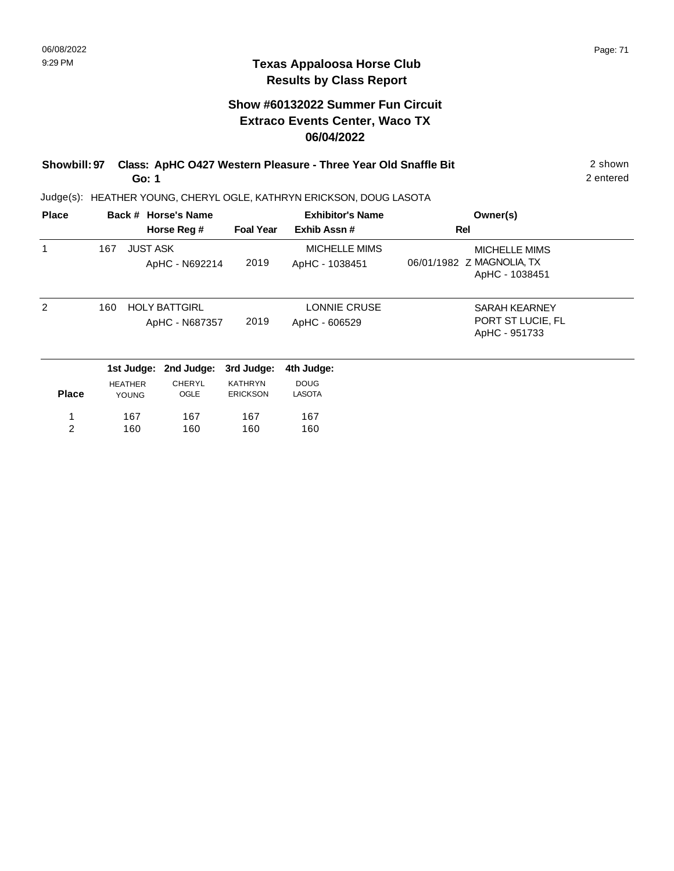### **Texas Appaloosa Horse Club Results by Class Report**

# **Show #60132022 Summer Fun Circuit Extraco Events Center, Waco TX 06/04/2022**

| Showbill: 97 Class: ApHC 0427 Western Pleasure - Three Year Old Snaffle Bit | 2 shown   |
|-----------------------------------------------------------------------------|-----------|
| Go: 1                                                                       | 2 entered |

| <b>Place</b>  |     |                                | Back # Horse's Name                    |                                   | <b>Exhibitor's Name</b>                | Owner(s)                                                            |
|---------------|-----|--------------------------------|----------------------------------------|-----------------------------------|----------------------------------------|---------------------------------------------------------------------|
|               |     |                                | Horse Reg #                            | <b>Foal Year</b>                  | Exhib Assn#                            | Rel                                                                 |
|               | 167 | <b>JUST ASK</b>                | ApHC - N692214                         | 2019                              | <b>MICHELLE MIMS</b><br>ApHC - 1038451 | <b>MICHELLE MIMS</b><br>06/01/1982 Z MAGNOLIA, TX<br>ApHC - 1038451 |
| $\mathcal{P}$ | 160 |                                | <b>HOLY BATTGIRL</b><br>ApHC - N687357 | 2019                              | LONNIE CRUSE<br>ApHC - 606529          | <b>SARAH KEARNEY</b><br>PORT ST LUCIE, FL<br>ApHC - 951733          |
|               |     | 1st Judge:                     | 2nd Judge:                             | 3rd Judge:                        | 4th Judge:                             |                                                                     |
| <b>Place</b>  |     | <b>HEATHER</b><br><b>YOUNG</b> | CHERYL<br>OGLE                         | <b>KATHRYN</b><br><b>ERICKSON</b> | <b>DOUG</b><br><b>LASOTA</b>           |                                                                     |
| 1             |     | 167                            | 167                                    | 167                               | 167                                    |                                                                     |
| 2             |     | 160                            | 160                                    | 160                               | 160                                    |                                                                     |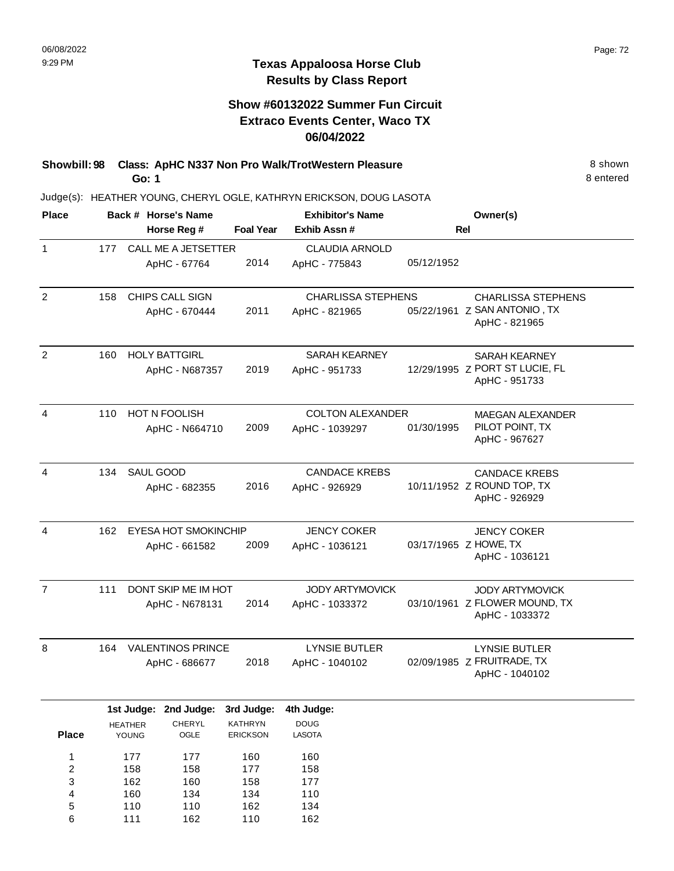# **Show #60132022 Summer Fun Circuit Extraco Events Center, Waco TX 06/04/2022**

**Showbill: 98 Class: ApHC N337 Non Pro Walk/TrotWestern Pleasure** 8 Shown **Go: 1**

8 entered

| <b>Place</b>            |                                 |                         | Back # Horse's Name         |                                   | <b>Exhibitor's Name</b>      |                        | Owner(s)                                        |
|-------------------------|---------------------------------|-------------------------|-----------------------------|-----------------------------------|------------------------------|------------------------|-------------------------------------------------|
|                         |                                 |                         | Horse Reg #                 | <b>Foal Year</b>                  | Exhib Assn#                  |                        | Rel                                             |
| $\mathbf{1}$            | 177                             |                         | CALL ME A JETSETTER         |                                   | <b>CLAUDIA ARNOLD</b>        |                        |                                                 |
|                         |                                 |                         | ApHC - 67764                | 2014                              | ApHC - 775843                | 05/12/1952             |                                                 |
| $\overline{2}$          | 158                             |                         | CHIPS CALL SIGN             |                                   | <b>CHARLISSA STEPHENS</b>    |                        | <b>CHARLISSA STEPHENS</b>                       |
|                         |                                 |                         | ApHC - 670444               | 2011                              | ApHC - 821965                |                        | 05/22/1961 Z SAN ANTONIO, TX<br>ApHC - 821965   |
| $\overline{2}$          | 160                             |                         | <b>HOLY BATTGIRL</b>        |                                   | <b>SARAH KEARNEY</b>         |                        | <b>SARAH KEARNEY</b>                            |
|                         |                                 |                         | ApHC - N687357              | 2019                              | ApHC - 951733                |                        | 12/29/1995 Z PORT ST LUCIE, FL<br>ApHC - 951733 |
| 4                       | 110                             |                         | HOT N FOOLISH               |                                   | <b>COLTON ALEXANDER</b>      |                        | <b>MAEGAN ALEXANDER</b>                         |
|                         |                                 |                         | ApHC - N664710              | 2009                              | ApHC - 1039297               | 01/30/1995             | PILOT POINT, TX<br>ApHC - 967627                |
| $\overline{4}$          | 134                             | SAUL GOOD               |                             |                                   | <b>CANDACE KREBS</b>         |                        | <b>CANDACE KREBS</b>                            |
|                         |                                 |                         | ApHC - 682355               | 2016                              | ApHC - 926929                |                        | 10/11/1952 Z ROUND TOP, TX<br>ApHC - 926929     |
| $\overline{4}$          | 162                             |                         | <b>EYESA HOT SMOKINCHIP</b> |                                   | <b>JENCY COKER</b>           |                        | <b>JENCY COKER</b>                              |
|                         |                                 |                         | ApHC - 661582               | 2009                              | ApHC - 1036121               |                        | 03/17/1965 Z HOWE, TX<br>ApHC - 1036121         |
| $\overline{7}$          | DONT SKIP ME IM HOT<br>111      |                         |                             | <b>JODY ARTYMOVICK</b>            |                              | <b>JODY ARTYMOVICK</b> |                                                 |
|                         |                                 |                         | ApHC - N678131              | 2014                              | ApHC - 1033372               |                        | 03/10/1961 Z FLOWER MOUND, TX<br>ApHC - 1033372 |
| 8                       | <b>VALENTINOS PRINCE</b><br>164 |                         |                             | <b>LYNSIE BUTLER</b>              |                              | <b>LYNSIE BUTLER</b>   |                                                 |
|                         |                                 |                         | ApHC - 686677               | 2018                              | ApHC - 1040102               |                        | 02/09/1985 Z FRUITRADE, TX<br>ApHC - 1040102    |
|                         |                                 |                         | 1st Judge: 2nd Judge:       | 3rd Judge:                        | 4th Judge:                   |                        |                                                 |
| <b>Place</b>            |                                 | <b>HEATHER</b><br>YOUNG | CHERYL<br>${{\sf OGLE}}$    | <b>KATHRYN</b><br><b>ERICKSON</b> | <b>DOUG</b><br><b>LASOTA</b> |                        |                                                 |
| 1                       |                                 | 177                     | 177                         | 160                               | 160                          |                        |                                                 |
| $\overline{\mathbf{c}}$ |                                 | 158                     | 158                         | 177                               | 158                          |                        |                                                 |
| 3                       |                                 | 162                     | 160                         | 158                               | 177                          |                        |                                                 |
| 4                       |                                 | 160                     | 134                         | 134                               | 110                          |                        |                                                 |
| 5<br>6                  |                                 | 110                     | 110                         | 162                               | 134                          |                        |                                                 |
|                         |                                 | 111                     | 162                         | 110                               | 162                          |                        |                                                 |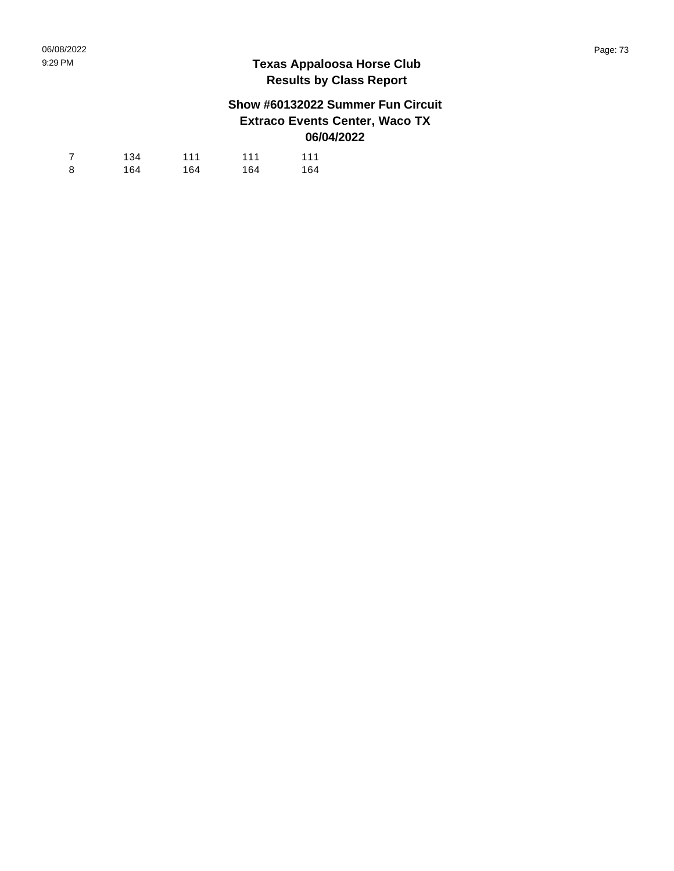## **Show #60132022 Summer Fun Circuit Extraco Events Center, Waco TX 06/04/2022**

| 7 | 134 | 111 | 111 | 111 |
|---|-----|-----|-----|-----|
| 8 | 164 | 164 | 164 | 164 |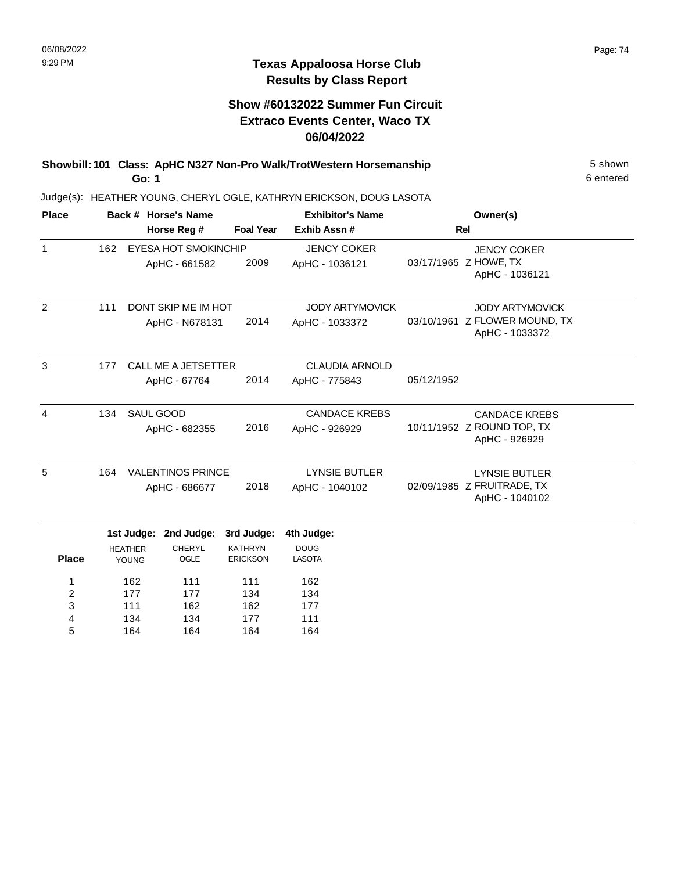134 164

4 5 134 164 177 164 111 164

#### **Texas Appaloosa Horse Club Results by Class Report**

## **Show #60132022 Summer Fun Circuit Extraco Events Center, Waco TX 06/04/2022**

| Showbill: 101 Class: ApHC N327 Non-Pro Walk/TrotWestern Horsemanship | 5 shown   |
|----------------------------------------------------------------------|-----------|
| Go: 1                                                                | 6 entered |

Judge(s): HEATHER YOUNG, CHERYL OGLE, KATHRYN ERICKSON, DOUG LASOTA

| <b>Place</b>     |     |                                | Back # Horse's Name         |                                   | <b>Exhibitor's Name</b>      | Owner(s)   |                                                 |  |
|------------------|-----|--------------------------------|-----------------------------|-----------------------------------|------------------------------|------------|-------------------------------------------------|--|
|                  |     | Horse Reg #                    |                             |                                   | Exhib Assn #                 | <b>Rel</b> |                                                 |  |
| $\mathbf{1}$     | 162 |                                | <b>EYESA HOT SMOKINCHIP</b> |                                   | <b>JENCY COKER</b>           |            | <b>JENCY COKER</b>                              |  |
|                  |     |                                | ApHC - 661582               | 2009                              | ApHC - 1036121               |            | 03/17/1965 Z HOWE, TX<br>ApHC - 1036121         |  |
| $\overline{2}$   | 111 |                                | DONT SKIP ME IM HOT         |                                   | <b>JODY ARTYMOVICK</b>       |            | <b>JODY ARTYMOVICK</b>                          |  |
|                  |     |                                | ApHC - N678131              | 2014                              | ApHC - 1033372               |            | 03/10/1961 Z FLOWER MOUND, TX<br>ApHC - 1033372 |  |
| 3                | 177 |                                | <b>CALL ME A JETSETTER</b>  |                                   | <b>CLAUDIA ARNOLD</b>        |            |                                                 |  |
|                  |     |                                | ApHC - 67764                | 2014                              | ApHC - 775843                | 05/12/1952 |                                                 |  |
| 4                | 134 | SAUL GOOD                      |                             |                                   | <b>CANDACE KREBS</b>         |            | <b>CANDACE KREBS</b>                            |  |
|                  |     |                                | ApHC - 682355               | 2016                              | ApHC - 926929                |            | 10/11/1952 Z ROUND TOP, TX<br>ApHC - 926929     |  |
| 5                | 164 |                                | <b>VALENTINOS PRINCE</b>    |                                   | <b>LYNSIE BUTLER</b>         |            | <b>LYNSIE BUTLER</b>                            |  |
|                  |     | ApHC - 686677                  |                             | 2018                              | ApHC - 1040102               |            | 02/09/1985 Z FRUITRADE, TX<br>ApHC - 1040102    |  |
|                  |     | 1st Judge:                     | 2nd Judge:                  | 3rd Judge:                        | 4th Judge:                   |            |                                                 |  |
| <b>Place</b>     |     | <b>HEATHER</b><br><b>YOUNG</b> | <b>CHERYL</b><br>OGLE       | <b>KATHRYN</b><br><b>ERICKSON</b> | <b>DOUG</b><br><b>LASOTA</b> |            |                                                 |  |
| 1                |     | 162                            | 111                         | 111                               | 162                          |            |                                                 |  |
| $\boldsymbol{2}$ |     | 177                            | 177                         | 134                               | 134                          |            |                                                 |  |
| 3                |     | 111                            | 162                         | 162                               | 177                          |            |                                                 |  |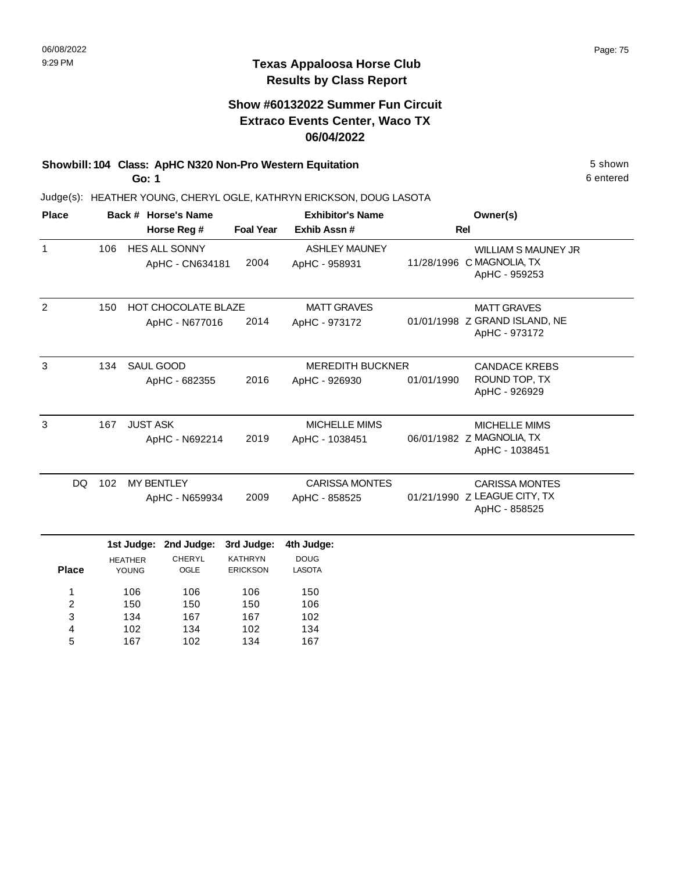#### **Texas Appaloosa Horse Club Results by Class Report**

#### **Show #60132022 Summer Fun Circuit Extraco Events Center, Waco TX 06/04/2022**

# **Showbill: 104 Class: ApHC N320 Non-Pro Western Equitation** 5 shown

**Go: 1**

| <b>Place</b> |                         |                         | Back # Horse's Name                     |                                   | <b>Exhibitor's Name</b>               | Owner(s)             |                                                         |
|--------------|-------------------------|-------------------------|-----------------------------------------|-----------------------------------|---------------------------------------|----------------------|---------------------------------------------------------|
|              | Horse Reg #             |                         |                                         | <b>Foal Year</b>                  | Exhib Assn#                           |                      | <b>Rel</b>                                              |
| $\mathbf{1}$ | 106                     |                         | <b>HES ALL SONNY</b><br>ApHC - CN634181 | 2004                              | <b>ASHLEY MAUNEY</b><br>ApHC - 958931 |                      | <b>WILLIAM S MAUNEY JR</b><br>11/28/1996 C MAGNOLIA, TX |
|              |                         |                         |                                         |                                   |                                       |                      | ApHC - 959253                                           |
| 2            | 150                     |                         | <b>HOT CHOCOLATE BLAZE</b>              |                                   | <b>MATT GRAVES</b>                    |                      | <b>MATT GRAVES</b>                                      |
|              |                         |                         | ApHC - N677016                          | 2014                              | ApHC - 973172                         |                      | 01/01/1998 Z GRAND ISLAND, NE<br>ApHC - 973172          |
| 3            | <b>SAUL GOOD</b><br>134 |                         |                                         | <b>MEREDITH BUCKNER</b>           |                                       | <b>CANDACE KREBS</b> |                                                         |
|              |                         |                         | ApHC - 682355                           | 2016                              | ApHC - 926930                         | 01/01/1990           | ROUND TOP, TX<br>ApHC - 926929                          |
|              |                         |                         |                                         |                                   |                                       |                      |                                                         |
| 3            | 167                     | <b>JUST ASK</b>         |                                         |                                   | MICHELLE MIMS                         |                      | <b>MICHELLE MIMS</b>                                    |
|              |                         |                         | ApHC - N692214                          | 2019                              | ApHC - 1038451                        |                      | 06/01/1982 Z MAGNOLIA, TX<br>ApHC - 1038451             |
| <b>DQ</b>    | 102                     | <b>MY BENTLEY</b>       |                                         |                                   | <b>CARISSA MONTES</b>                 |                      | <b>CARISSA MONTES</b>                                   |
|              |                         |                         | ApHC - N659934                          | 2009                              | ApHC - 858525                         |                      | 01/21/1990 Z LEAGUE CITY, TX<br>ApHC - 858525           |
|              |                         | 1st Judge:              | 2nd Judge:                              | 3rd Judge:                        | 4th Judge:                            |                      |                                                         |
| <b>Place</b> |                         | <b>HEATHER</b><br>YOUNG | <b>CHERYL</b><br>OGLE                   | <b>KATHRYN</b><br><b>ERICKSON</b> | <b>DOUG</b><br><b>LASOTA</b>          |                      |                                                         |
| 1            |                         | 106                     | 106                                     | 106                               | 150                                   |                      |                                                         |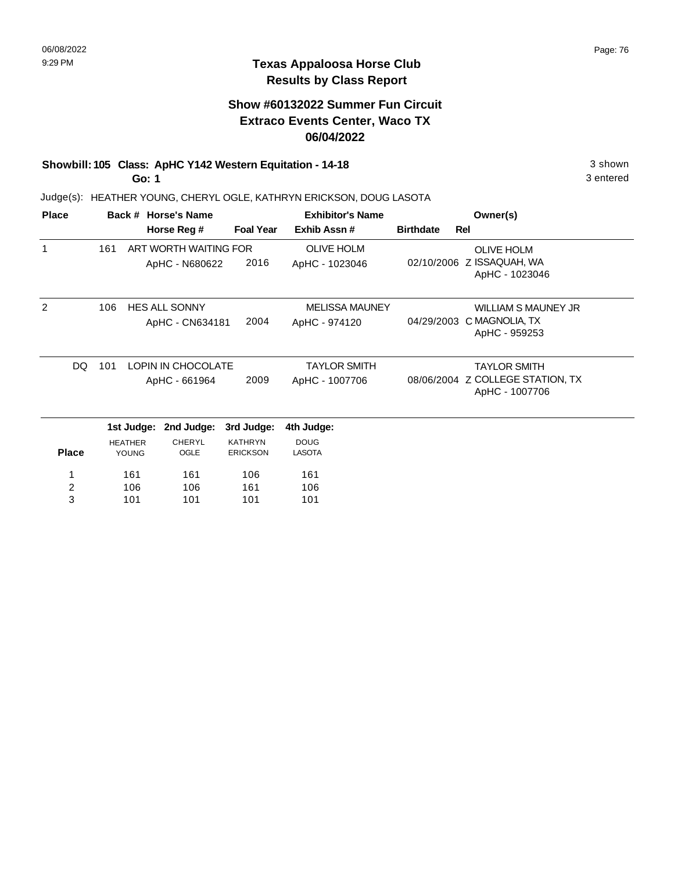## **Show #60132022 Summer Fun Circuit Extraco Events Center, Waco TX 06/04/2022**

# **Showbill: 105 Class: ApHC Y142 Western Equitation - 14-18** 3 shown

**Go: 1**

Judge(s): HEATHER YOUNG, CHERYL OGLE, KATHRYN ERICKSON, DOUG LASOTA

| <b>Place</b> |                                            |                | Back # Horse's Name   |                     | <b>Exhibitor's Name</b> | Owner(s)                                           |                                             |
|--------------|--------------------------------------------|----------------|-----------------------|---------------------|-------------------------|----------------------------------------------------|---------------------------------------------|
|              |                                            |                | Horse Reg #           | <b>Foal Year</b>    | Exhib Assn#             | <b>Birthdate</b>                                   | <b>Rel</b>                                  |
| $\mathbf 1$  | 161                                        |                | ART WORTH WAITING FOR |                     | <b>OLIVE HOLM</b>       |                                                    | <b>OLIVE HOLM</b>                           |
|              |                                            |                | ApHC - N680622        | 2016                | ApHC - 1023046          |                                                    | 02/10/2006 Z ISSAQUAH, WA<br>ApHC - 1023046 |
| 2            | 106                                        |                | <b>HES ALL SONNY</b>  |                     | <b>MELISSA MAUNEY</b>   |                                                    | <b>WILLIAM S MAUNEY JR</b>                  |
|              |                                            |                | ApHC - CN634181       | 2004                | ApHC - 974120           | 04/29/2003                                         | C MAGNOLIA, TX<br>ApHC - 959253             |
| DQ           | 101<br>LOPIN IN CHOCOLATE<br>ApHC - 661964 |                |                       | <b>TAYLOR SMITH</b> |                         | <b>TAYLOR SMITH</b>                                |                                             |
|              |                                            |                | 2009                  | ApHC - 1007706      |                         | 08/06/2004 Z COLLEGE STATION, TX<br>ApHC - 1007706 |                                             |
|              |                                            | 1st Judge:     | 2nd Judge:            | 3rd Judge:          | 4th Judge:              |                                                    |                                             |
|              |                                            | <b>HEATHER</b> | <b>CHERYL</b>         | <b>KATHRYN</b>      | <b>DOUG</b>             |                                                    |                                             |
| <b>Place</b> |                                            | YOUNG          | OGLE                  | <b>ERICKSON</b>     | <b>LASOTA</b>           |                                                    |                                             |
| 1            |                                            | 161            | 161                   | 106                 | 161                     |                                                    |                                             |
| 2            |                                            | 106            | 106                   | 161                 | 106                     |                                                    |                                             |
| 3            |                                            | 101            | 101                   | 101                 | 101                     |                                                    |                                             |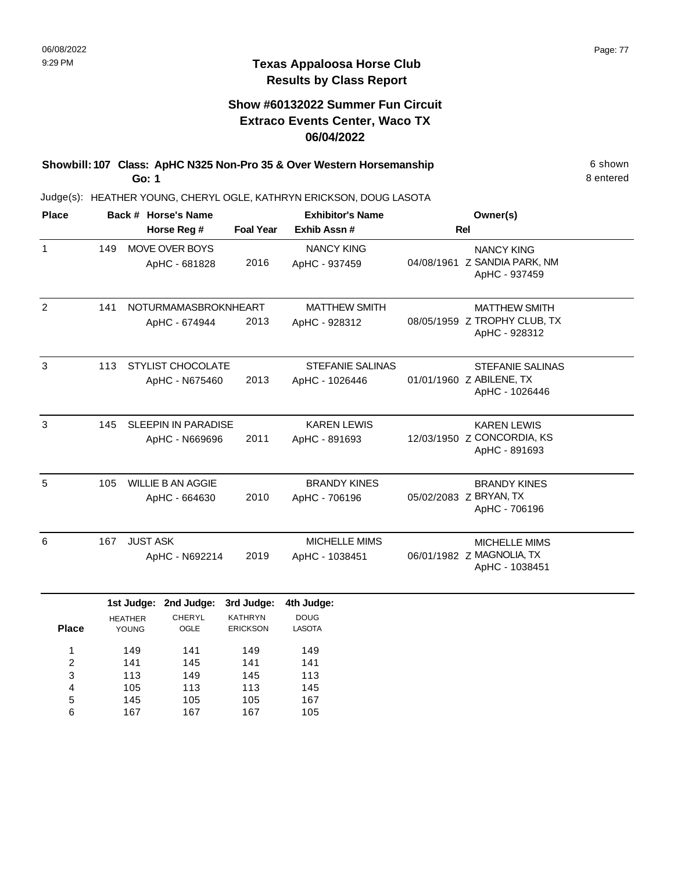#### **Texas Appaloosa Horse Club Results by Class Report**

#### **Show #60132022 Summer Fun Circuit Extraco Events Center, Waco TX 06/04/2022**

**Showbill: 107 Class: ApHC N325 Non-Pro 35 & Over Western Horsemanship** 6 Shown 6 shown **Go: 1**

Judge(s): HEATHER YOUNG, CHERYL OGLE, KATHRYN ERICKSON, DOUG LASOTA

| <b>Place</b> |     | Back # Horse's Name<br>Horse Reg #                                   |      |                                                 | <b>Exhibitor's Name</b><br><b>Foal Year</b><br>Exhib Assn# |                                    | Owner(s)<br><b>Rel</b>                                                |                                                                    |
|--------------|-----|----------------------------------------------------------------------|------|-------------------------------------------------|------------------------------------------------------------|------------------------------------|-----------------------------------------------------------------------|--------------------------------------------------------------------|
| 1            | 149 | MOVE OVER BOYS<br>ApHC - 681828                                      |      |                                                 | 2016                                                       | <b>NANCY KING</b><br>ApHC - 937459 |                                                                       | <b>NANCY KING</b><br>04/08/1961 Z SANDIA PARK, NM<br>ApHC - 937459 |
| 2            | 141 | <b>NOTURMAMASBROKNHEART</b><br>ApHC - 674944                         |      | 2013                                            | <b>MATTHEW SMITH</b><br>ApHC - 928312                      |                                    | <b>MATTHEW SMITH</b><br>08/05/1959 Z TROPHY CLUB, TX<br>ApHC - 928312 |                                                                    |
| 3            | 113 | <b>STYLIST CHOCOLATE</b><br>ApHC - N675460                           |      | 2013                                            | <b>STEFANIE SALINAS</b><br>ApHC - 1026446                  |                                    | <b>STEFANIE SALINAS</b><br>01/01/1960 Z ABILENE, TX<br>ApHC - 1026446 |                                                                    |
| 3            | 145 | <b>SLEEPIN IN PARADISE</b><br>ApHC - N669696                         |      | 2011                                            | <b>KAREN LEWIS</b><br>ApHC - 891693                        |                                    | <b>KAREN LEWIS</b><br>12/03/1950 Z CONCORDIA, KS<br>ApHC - 891693     |                                                                    |
| 5            | 105 | <b>WILLIE B AN AGGIE</b><br>ApHC - 664630                            |      | 2010                                            | <b>BRANDY KINES</b><br>ApHC - 706196                       |                                    | <b>BRANDY KINES</b><br>05/02/2083 Z BRYAN, TX<br>ApHC - 706196        |                                                                    |
| 6            | 167 | <b>JUST ASK</b><br>ApHC - N692214                                    |      | 2019                                            | <b>MICHELLE MIMS</b><br>ApHC - 1038451                     |                                    | <b>MICHELLE MIMS</b><br>06/01/1982 Z MAGNOLIA, TX<br>ApHC - 1038451   |                                                                    |
| <b>Place</b> |     | 1st Judge:<br>2nd Judge:<br><b>CHERYL</b><br><b>HEATHER</b><br>YOUNG | OGLE | 3rd Judge:<br><b>KATHRYN</b><br><b>ERICKSON</b> | 4th Judge:<br><b>DOUG</b><br><b>LASOTA</b>                 |                                    |                                                                       |                                                                    |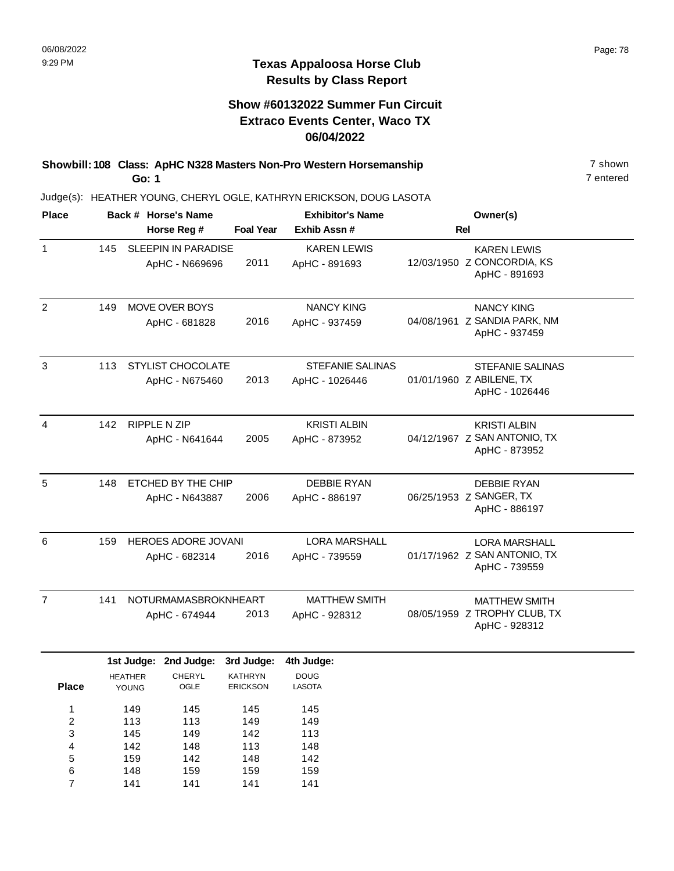#### **Show #60132022 Summer Fun Circuit Extraco Events Center, Waco TX 06/04/2022**

**Showbill: 108 Class: ApHC N328 Masters Non-Pro Western Horsemanship** 7 shown **Go: 1**

7 entered

| <b>Place</b>   |     | Back # Horse's Name |                                              |                              | <b>Exhibitor's Name</b>                   |            | Owner(s)                                                              |  |
|----------------|-----|---------------------|----------------------------------------------|------------------------------|-------------------------------------------|------------|-----------------------------------------------------------------------|--|
|                |     |                     | Horse Reg #                                  | <b>Foal Year</b>             | Exhib Assn #                              | <b>Rel</b> |                                                                       |  |
| $\mathbf{1}$   | 145 |                     | <b>SLEEPIN IN PARADISE</b><br>ApHC - N669696 | 2011                         | <b>KAREN LEWIS</b><br>ApHC - 891693       |            | <b>KAREN LEWIS</b><br>12/03/1950 Z CONCORDIA, KS<br>ApHC - 891693     |  |
| $\overline{2}$ | 149 |                     | MOVE OVER BOYS<br>ApHC - 681828              | 2016                         | <b>NANCY KING</b><br>ApHC - 937459        |            | <b>NANCY KING</b><br>04/08/1961 Z SANDIA PARK, NM<br>ApHC - 937459    |  |
| 3              | 113 |                     | <b>STYLIST CHOCOLATE</b><br>ApHC - N675460   | 2013                         | <b>STEFANIE SALINAS</b><br>ApHC - 1026446 |            | <b>STEFANIE SALINAS</b><br>01/01/1960 Z ABILENE, TX<br>ApHC - 1026446 |  |
| 4              | 142 |                     | <b>RIPPLE N ZIP</b><br>ApHC - N641644        | 2005                         | <b>KRISTI ALBIN</b><br>ApHC - 873952      |            | <b>KRISTI ALBIN</b><br>04/12/1967 Z SAN ANTONIO, TX<br>ApHC - 873952  |  |
| 5              | 148 |                     | ETCHED BY THE CHIP<br>ApHC - N643887         | 2006                         | <b>DEBBIE RYAN</b><br>ApHC - 886197       |            | <b>DEBBIE RYAN</b><br>06/25/1953 Z SANGER, TX<br>ApHC - 886197        |  |
| 6              | 159 |                     | HEROES ADORE JOVANI<br>ApHC - 682314         | 2016                         | <b>LORA MARSHALL</b><br>ApHC - 739559     |            | <b>LORA MARSHALL</b><br>01/17/1962 Z SAN ANTONIO, TX<br>ApHC - 739559 |  |
| $\overline{7}$ | 141 |                     | NOTURMAMASBROKNHEART<br>ApHC - 674944        | 2013                         | <b>MATTHEW SMITH</b><br>ApHC - 928312     |            | <b>MATTHEW SMITH</b><br>08/05/1959 Z TROPHY CLUB, TX<br>ApHC - 928312 |  |
|                |     | <b>HEATHER</b>      | 1st Judge: 2nd Judge:<br>CHERYL              | 3rd Judge:<br><b>KATHRYN</b> | 4th Judge:<br><b>DOUG</b>                 |            |                                                                       |  |
| <b>Place</b>   |     | YOUNG               | OGLE                                         | <b>ERICKSON</b>              | <b>LASOTA</b>                             |            |                                                                       |  |
| $\mathbf{1}$   |     | 149                 | 145                                          | 145                          | 145                                       |            |                                                                       |  |
| $\overline{c}$ |     | 113                 | 113                                          | 149                          | 149                                       |            |                                                                       |  |
| 3              |     | 145                 | 149                                          | 142                          | 113                                       |            |                                                                       |  |
| 4              |     | 142<br>159          | 148<br>142                                   | 113<br>148                   | 148<br>142                                |            |                                                                       |  |
| 5<br>6         |     | 148                 | 159                                          | 159                          | 159                                       |            |                                                                       |  |
| $\overline{7}$ |     | 141                 | 141                                          | 141                          | 141                                       |            |                                                                       |  |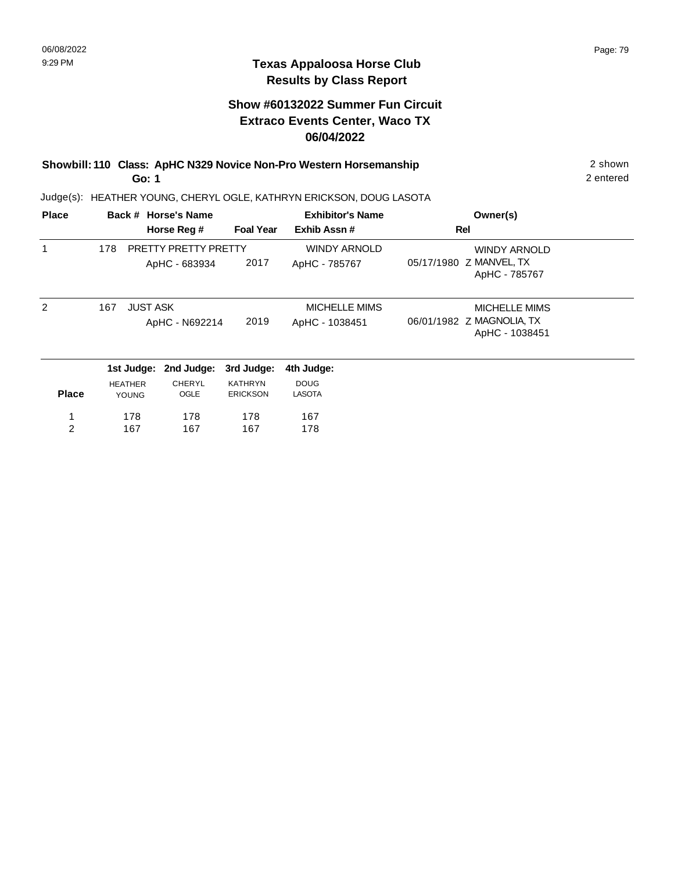#### **Show #60132022 Summer Fun Circuit Extraco Events Center, Waco TX 06/04/2022**

#### **Showbill: 110 Class: ApHC N329 Novice Non-Pro Western Horsemanship** 2 shown 2 shown **Go: 1**

Judge(s): HEATHER YOUNG, CHERYL OGLE, KATHRYN ERICKSON, DOUG LASOTA

| <b>Place</b>  |                | Back # Horse's Name  |                  | <b>Exhibitor's Name</b> | Owner(s)                                    |
|---------------|----------------|----------------------|------------------|-------------------------|---------------------------------------------|
|               |                | Horse Reg #          | <b>Foal Year</b> | Exhib Assn#             | Rel                                         |
|               | 178            | PRETTY PRETTY PRETTY |                  | <b>WINDY ARNOLD</b>     | WINDY ARNOLD                                |
|               |                | ApHC - 683934        | 2017             | ApHC - 785767           | 05/17/1980 Z MANVEL, TX<br>ApHC - 785767    |
| $\mathcal{P}$ | 167            | <b>JUST ASK</b>      |                  | <b>MICHELLE MIMS</b>    | MICHELLE MIMS                               |
|               |                | ApHC - N692214       | 2019             | ApHC - 1038451          | 06/01/1982 Z MAGNOLIA, TX<br>ApHC - 1038451 |
|               | 1st Judge:     | 2nd Judge:           | 3rd Judge:       | 4th Judge:              |                                             |
|               | <b>HEATHER</b> | <b>CHERYL</b>        | <b>KATHRYN</b>   | <b>DOUG</b>             |                                             |
| <b>Place</b>  | <b>YOUNG</b>   | OGLE                 | <b>ERICKSON</b>  | <b>LASOTA</b>           |                                             |
| 1             | 178            | 178                  | 178              | 167                     |                                             |
| 2             | 167            | 167                  | 167              | 178                     |                                             |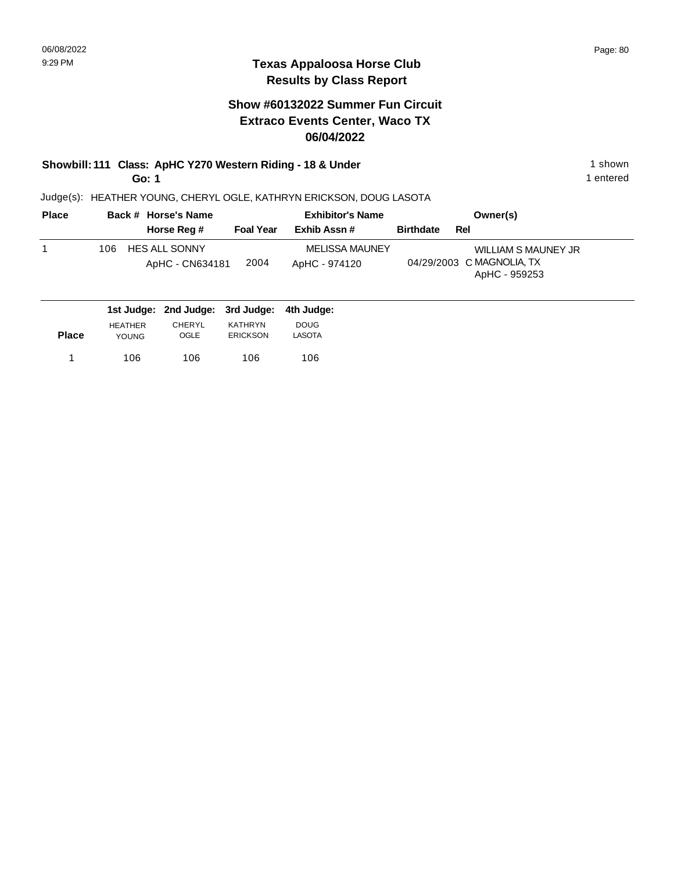#### **Show #60132022 Summer Fun Circuit Extraco Events Center, Waco TX 06/04/2022**

# **Showbill: 111 Class: ApHC Y270 Western Riding - 18 & Under** 1 shown

**Go: 1**

Judge(s): HEATHER YOUNG, CHERYL OGLE, KATHRYN ERICKSON, DOUG LASOTA

| <b>Place</b> | Back # Horse's Name                            |                  | <b>Exhibitor's Name</b>                |                  | Owner(s)                                                          |
|--------------|------------------------------------------------|------------------|----------------------------------------|------------------|-------------------------------------------------------------------|
|              | Horse Reg #                                    | <b>Foal Year</b> | Exhib Assn #                           | <b>Birthdate</b> | Rel                                                               |
|              | <b>HES ALL SONNY</b><br>106<br>ApHC - CN634181 | 2004             | <b>MELISSA MAUNEY</b><br>ApHC - 974120 |                  | WILLIAM S MAUNEY JR<br>04/29/2003 C MAGNOLIA, TX<br>ApHC - 959253 |
|              | 1st Judge: 2nd Judge: 3rd Judge:               | 4th Judae:       |                                        |                  |                                                                   |

| <b>Place</b> | <b>HEATHER</b> | CHERYL | KATHRYN         | <b>DOUG</b> |
|--------------|----------------|--------|-----------------|-------------|
|              | <b>YOUNG</b>   | OGLE   | <b>ERICKSON</b> | LASOTA      |
|              | 106            | 106    | 106             | 106         |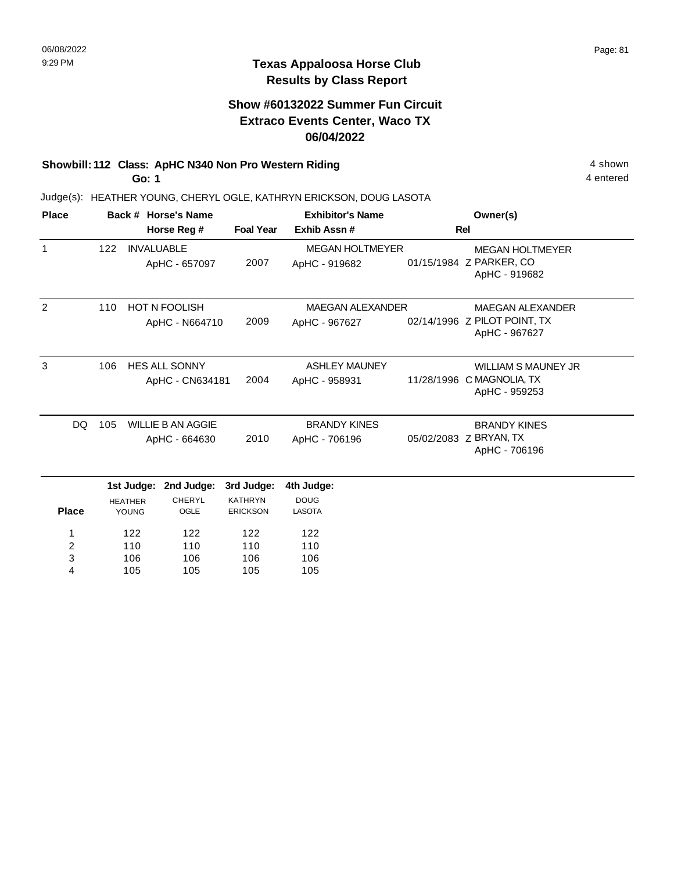## **Show #60132022 Summer Fun Circuit Extraco Events Center, Waco TX 06/04/2022**

# **Showbill: 112 Class: ApHC N340 Non Pro Western Riding 4 shown 4 shown**

**Go: 1**

4 entered

| <b>Place</b> |                                                  |                   | Back # Horse's Name                     |                                      | <b>Exhibitor's Name</b>                  |                                                                | Owner(s)                                                                 |
|--------------|--------------------------------------------------|-------------------|-----------------------------------------|--------------------------------------|------------------------------------------|----------------------------------------------------------------|--------------------------------------------------------------------------|
|              |                                                  | Horse Reg #       |                                         |                                      | Exhib Assn#                              |                                                                | <b>Rel</b>                                                               |
| $\mathbf{1}$ | 122                                              | <b>INVALUABLE</b> | ApHC - 657097                           | 2007                                 | <b>MEGAN HOLTMEYER</b><br>ApHC - 919682  |                                                                | <b>MEGAN HOLTMEYER</b><br>01/15/1984 Z PARKER, CO<br>ApHC - 919682       |
| 2            | 110                                              |                   | <b>HOT N FOOLISH</b><br>ApHC - N664710  | 2009                                 | <b>MAEGAN ALEXANDER</b><br>ApHC - 967627 |                                                                | <b>MAEGAN ALEXANDER</b><br>02/14/1996 Z PILOT POINT, TX<br>ApHC - 967627 |
| 3            | 106                                              |                   | <b>HES ALL SONNY</b><br>ApHC - CN634181 | 2004                                 | <b>ASHLEY MAUNEY</b><br>ApHC - 958931    |                                                                | WILLIAM S MAUNEY JR<br>11/28/1996 C MAGNOLIA, TX<br>ApHC - 959253        |
| <b>DQ</b>    | 105<br><b>WILLIE B AN AGGIE</b><br>ApHC - 664630 |                   | 2010                                    | <b>BRANDY KINES</b><br>ApHC - 706196 |                                          | <b>BRANDY KINES</b><br>05/02/2083 Z BRYAN, TX<br>ApHC - 706196 |                                                                          |
|              |                                                  | 1st Judge:        | 2nd Judge:                              | 3rd Judge:                           | 4th Judge:                               |                                                                |                                                                          |
| <b>Place</b> | <b>HEATHER</b><br>YOUNG                          |                   | <b>CHERYL</b><br>OGLE                   | <b>KATHRYN</b><br><b>ERICKSON</b>    | <b>DOUG</b><br><b>LASOTA</b>             |                                                                |                                                                          |
| 1            |                                                  | 122               | 122                                     | 122                                  | 122                                      |                                                                |                                                                          |
| 2<br>3       |                                                  | 110<br>106        | 110<br>106                              | 110<br>106                           | 110<br>106                               |                                                                |                                                                          |
| 4            |                                                  | 105               | 105                                     | 105                                  | 105                                      |                                                                |                                                                          |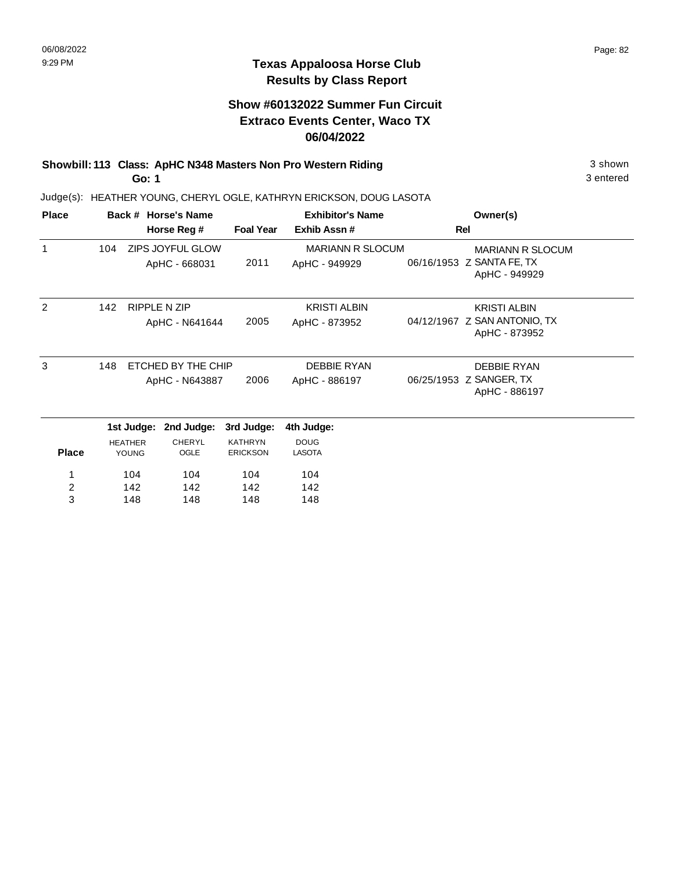#### **Show #60132022 Summer Fun Circuit Extraco Events Center, Waco TX 06/04/2022**

**Showbill: 113 Class: ApHC N348 Masters Non Pro Western Riding 3 Shown 3 shown Go: 1**

Judge(s): HEATHER YOUNG, CHERYL OGLE, KATHRYN ERICKSON, DOUG LASOTA

| <b>Place</b>            |     |                         | Back # Horse's Name               |                                   | <b>Exhibitor's Name</b>                  | Owner(s)                                                              |
|-------------------------|-----|-------------------------|-----------------------------------|-----------------------------------|------------------------------------------|-----------------------------------------------------------------------|
|                         |     |                         | Horse Reg #                       | <b>Foal Year</b>                  | Exhib Assn#                              | Rel                                                                   |
| 1                       | 104 |                         | ZIPS JOYFUL GLOW<br>ApHC - 668031 | 2011                              | <b>MARIANN R SLOCUM</b><br>ApHC - 949929 | <b>MARIANN R SLOCUM</b><br>06/16/1953 Z SANTA FE, TX<br>ApHC - 949929 |
| $\mathfrak{p}$          | 142 |                         | RIPPLE N ZIP                      |                                   | <b>KRISTI ALBIN</b>                      | <b>KRISTI ALBIN</b>                                                   |
|                         |     |                         | ApHC - N641644                    | 2005                              | ApHC - 873952                            | 04/12/1967 Z SAN ANTONIO, TX<br>ApHC - 873952                         |
| 3                       | 148 |                         | ETCHED BY THE CHIP                |                                   | <b>DEBBIE RYAN</b>                       | <b>DEBBIE RYAN</b>                                                    |
|                         |     |                         | ApHC - N643887                    | 2006                              | ApHC - 886197                            | 06/25/1953 Z SANGER, TX<br>ApHC - 886197                              |
|                         |     | 1st Judge:              | 2nd Judge:                        | 3rd Judge:                        | 4th Judge:                               |                                                                       |
| <b>Place</b>            |     | <b>HEATHER</b><br>YOUNG | <b>CHERYL</b><br>OGLE             | <b>KATHRYN</b><br><b>ERICKSON</b> | <b>DOUG</b><br><b>LASOTA</b>             |                                                                       |
| 1                       |     | 104                     | 104                               | 104                               | 104                                      |                                                                       |
| $\overline{\mathbf{c}}$ |     | 142                     | 142                               | 142                               | 142                                      |                                                                       |
| 3                       |     | 148                     | 148                               | 148                               | 148                                      |                                                                       |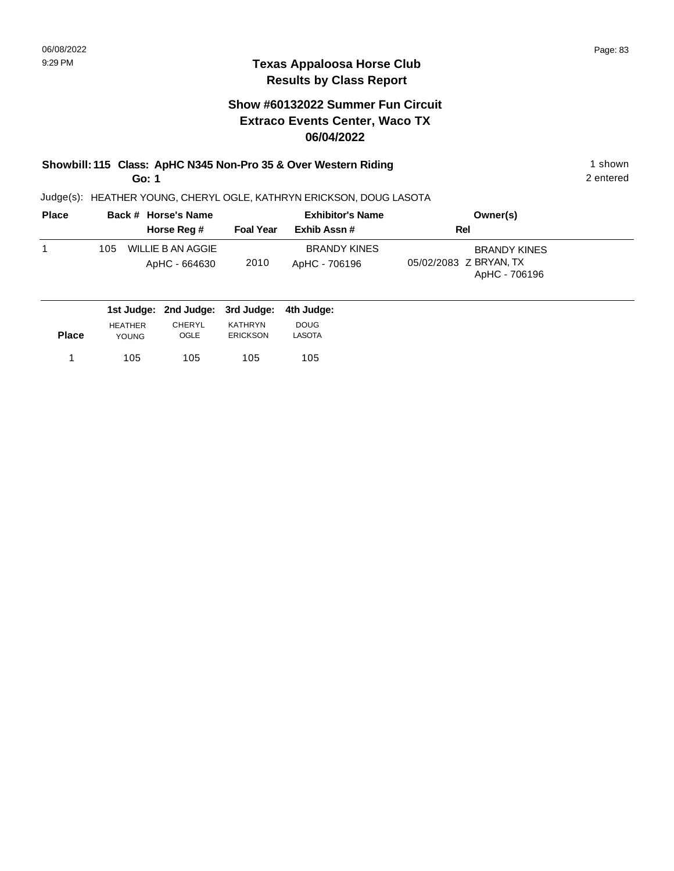#### **Show #60132022 Summer Fun Circuit Extraco Events Center, Waco TX 06/04/2022**

#### **Showbill: 115 Class: ApHC N345 Non-Pro 35 & Over Western Riding 1 Shown 1 shown Go: 1**

2 entered

| <b>Place</b> |     | Back # Horse's Name                |                  | <b>Exhibitor's Name</b>              | Owner(s)                                                       |  |
|--------------|-----|------------------------------------|------------------|--------------------------------------|----------------------------------------------------------------|--|
|              |     | Horse Reg #                        | <b>Foal Year</b> | Exhib Assn#                          | Rel                                                            |  |
|              | 105 | WILLIE B AN AGGIE<br>ApHC - 664630 | 2010             | <b>BRANDY KINES</b><br>ApHC - 706196 | <b>BRANDY KINES</b><br>05/02/2083 Z BRYAN, TX<br>ApHC - 706196 |  |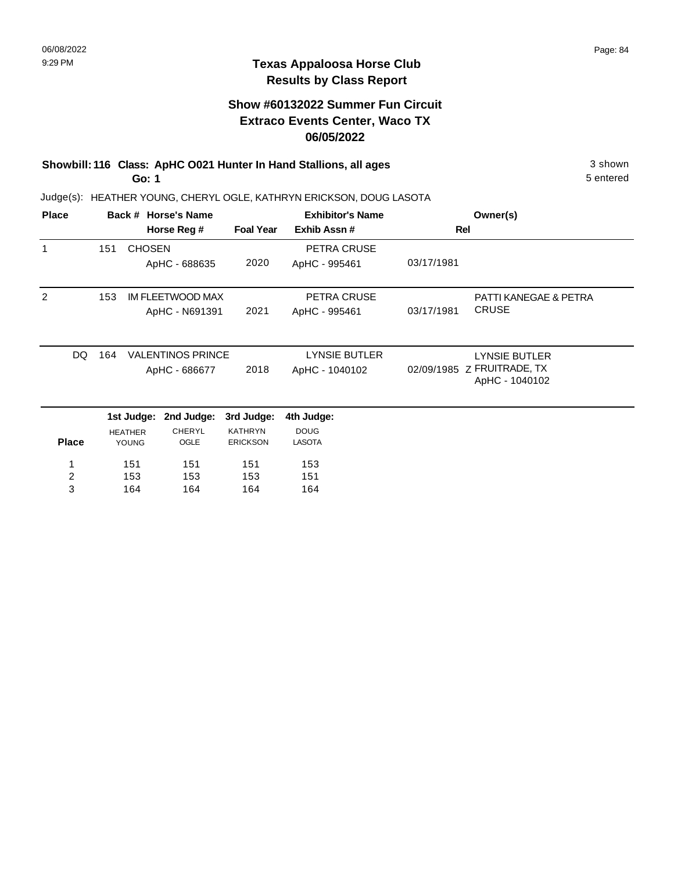#### **Show #60132022 Summer Fun Circuit Extraco Events Center, Waco TX 06/05/2022**

**Showbill: 116 Class: ApHC O021 Hunter In Hand Stallions, all ages** 3 shown **Go: 1**

5 entered

| <b>Place</b> |     |                                | Back # Horse's Name      |                                   | <b>Exhibitor's Name</b>      |            | Owner(s)                                     |
|--------------|-----|--------------------------------|--------------------------|-----------------------------------|------------------------------|------------|----------------------------------------------|
|              |     |                                | Horse Reg #              | <b>Foal Year</b>                  | Exhib Assn#                  |            | Rel                                          |
| $\mathbf{1}$ | 151 | <b>CHOSEN</b>                  |                          |                                   | PETRA CRUSE                  |            |                                              |
|              |     |                                | ApHC - 688635            | 2020                              | ApHC - 995461                | 03/17/1981 |                                              |
| 2            | 153 |                                | IM FLEETWOOD MAX         |                                   | PETRA CRUSE                  |            | <b>PATTI KANEGAE &amp; PETRA</b>             |
|              |     |                                | ApHC - N691391           | 2021                              | ApHC - 995461                | 03/17/1981 | <b>CRUSE</b>                                 |
| DQ.          | 164 |                                | <b>VALENTINOS PRINCE</b> |                                   | <b>LYNSIE BUTLER</b>         |            | <b>LYNSIE BUTLER</b>                         |
|              |     |                                | ApHC - 686677            | 2018                              | ApHC - 1040102               |            | 02/09/1985 Z FRUITRADE, TX<br>ApHC - 1040102 |
|              |     | 1st Judge:                     | 2nd Judge:               | 3rd Judge:                        | 4th Judge:                   |            |                                              |
| <b>Place</b> |     | <b>HEATHER</b><br><b>YOUNG</b> | <b>CHERYL</b><br>OGLE    | <b>KATHRYN</b><br><b>ERICKSON</b> | <b>DOUG</b><br><b>LASOTA</b> |            |                                              |
| 1            |     | 151                            | 151                      | 151                               | 153                          |            |                                              |
| 2            |     | 153                            | 153                      | 153                               | 151                          |            |                                              |
| 3            |     | 164                            | 164                      | 164                               | 164                          |            |                                              |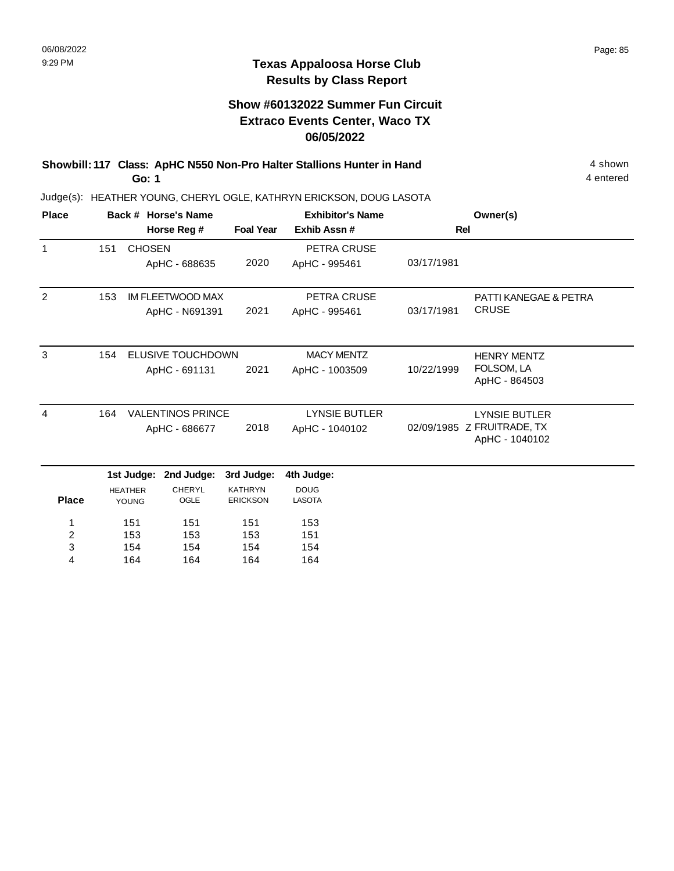#### **Show #60132022 Summer Fun Circuit Extraco Events Center, Waco TX 06/05/2022**

**Showbill: 117 Class: ApHC N550 Non-Pro Halter Stallions Hunter in Hand** 4 shown **Go: 1**

4 entered

| <b>Place</b>            |     |                | Back # Horse's Name      |                  | <b>Exhibitor's Name</b> |            | Owner(s)                         |
|-------------------------|-----|----------------|--------------------------|------------------|-------------------------|------------|----------------------------------|
|                         |     |                | Horse Reg #              | <b>Foal Year</b> | Exhib Assn #            | <b>Rel</b> |                                  |
| $\mathbf{1}$            | 151 | <b>CHOSEN</b>  |                          |                  | PETRA CRUSE             |            |                                  |
|                         |     |                | ApHC - 688635            | 2020             | ApHC - 995461           | 03/17/1981 |                                  |
| 2                       | 153 |                | <b>IM FLEETWOOD MAX</b>  |                  | PETRA CRUSE             |            | <b>PATTI KANEGAE &amp; PETRA</b> |
|                         |     |                | ApHC - N691391           | 2021             | ApHC - 995461           | 03/17/1981 | <b>CRUSE</b>                     |
| 3                       | 154 |                | ELUSIVE TOUCHDOWN        |                  | <b>MACY MENTZ</b>       |            |                                  |
|                         |     |                |                          | 2021             |                         | 10/22/1999 | <b>HENRY MENTZ</b><br>FOLSOM, LA |
|                         |     |                | ApHC - 691131            |                  | ApHC - 1003509          |            | ApHC - 864503                    |
| $\overline{4}$          | 164 |                | <b>VALENTINOS PRINCE</b> |                  | <b>LYNSIE BUTLER</b>    |            | <b>LYNSIE BUTLER</b>             |
|                         |     |                | ApHC - 686677            | 2018             | ApHC - 1040102          |            | 02/09/1985 Z FRUITRADE, TX       |
|                         |     |                |                          |                  |                         |            | ApHC - 1040102                   |
|                         |     | 1st Judge:     | 2nd Judge:               | 3rd Judge:       | 4th Judge:              |            |                                  |
|                         |     | <b>HEATHER</b> | <b>CHERYL</b>            | <b>KATHRYN</b>   | <b>DOUG</b>             |            |                                  |
| <b>Place</b>            |     | YOUNG          | OGLE                     | <b>ERICKSON</b>  | <b>LASOTA</b>           |            |                                  |
| 1                       |     | 151            | 151                      | 151              | 153                     |            |                                  |
| $\overline{\mathbf{c}}$ |     | 153            | 153                      | 153              | 151                     |            |                                  |
| 3                       |     | 154            | 154                      | 154              | 154                     |            |                                  |
| 4                       |     | 164            | 164                      | 164              | 164                     |            |                                  |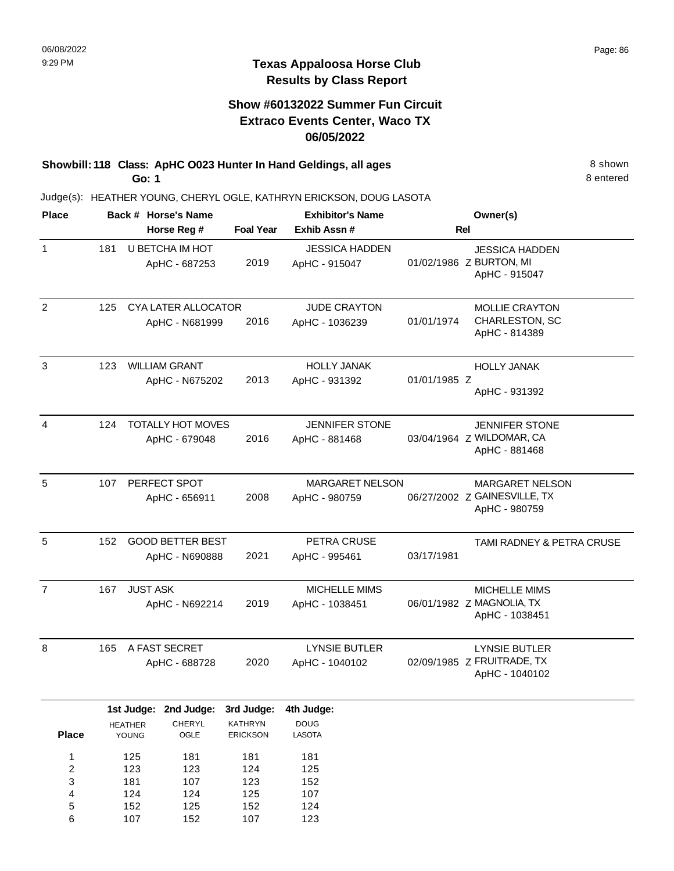#### **Texas Appaloosa Horse Club Results by Class Report**

#### **Show #60132022 Summer Fun Circuit Extraco Events Center, Waco TX 06/05/2022**

**Showbill: 118 Class: ApHC 0023 Hunter In Hand Geldings, all ages** 8 Shown 8 shown **Go: 1**

> 124 152 107

4 5 6

124 125 152

125 152 107

107 124 123

| <b>Place</b>                      |     |                         | Back # Horse's Name                       |                            | <b>Exhibitor's Name</b>                |              | Owner(s)                                                                |
|-----------------------------------|-----|-------------------------|-------------------------------------------|----------------------------|----------------------------------------|--------------|-------------------------------------------------------------------------|
|                                   |     |                         | Horse Reg #                               | <b>Foal Year</b>           | Exhib Assn #                           | <b>Rel</b>   |                                                                         |
| $\mathbf{1}$                      | 181 |                         | U BETCHA IM HOT<br>ApHC - 687253          | 2019                       | <b>JESSICA HADDEN</b><br>ApHC - 915047 |              | <b>JESSICA HADDEN</b><br>01/02/1986 Z BURTON, MI<br>ApHC - 915047       |
| 2                                 | 125 |                         | CYA LATER ALLOCATOR<br>ApHC - N681999     | 2016                       | <b>JUDE CRAYTON</b><br>ApHC - 1036239  | 01/01/1974   | <b>MOLLIE CRAYTON</b><br>CHARLESTON, SC<br>ApHC - 814389                |
| 3                                 | 123 |                         | <b>WILLIAM GRANT</b><br>ApHC - N675202    | 2013                       | <b>HOLLY JANAK</b><br>ApHC - 931392    | 01/01/1985 Z | <b>HOLLY JANAK</b><br>ApHC - 931392                                     |
| 4                                 | 124 |                         | <b>TOTALLY HOT MOVES</b><br>ApHC - 679048 | 2016                       | <b>JENNIFER STONE</b><br>ApHC - 881468 |              | <b>JENNIFER STONE</b><br>03/04/1964 Z WILDOMAR, CA<br>ApHC - 881468     |
| 5                                 | 107 |                         | PERFECT SPOT<br>ApHC - 656911             | 2008                       | MARGARET NELSON<br>ApHC - 980759       |              | <b>MARGARET NELSON</b><br>06/27/2002 Z GAINESVILLE, TX<br>ApHC - 980759 |
| 5                                 | 152 |                         | <b>GOOD BETTER BEST</b><br>ApHC - N690888 | 2021                       | PETRA CRUSE<br>ApHC - 995461           | 03/17/1981   | TAMI RADNEY & PETRA CRUSE                                               |
| $\overline{7}$                    | 167 | <b>JUST ASK</b>         | ApHC - N692214                            | 2019                       | <b>MICHELLE MIMS</b><br>ApHC - 1038451 |              | <b>MICHELLE MIMS</b><br>06/01/1982 Z MAGNOLIA, TX<br>ApHC - 1038451     |
| 8                                 | 165 |                         | A FAST SECRET<br>ApHC - 688728            | 2020                       | <b>LYNSIE BUTLER</b><br>ApHC - 1040102 |              | <b>LYNSIE BUTLER</b><br>02/09/1985 Z FRUITRADE, TX<br>ApHC - 1040102    |
|                                   |     | 1st Judge:              | 2nd Judge:                                | 3rd Judge:                 | 4th Judge:                             |              |                                                                         |
| <b>Place</b>                      |     | <b>HEATHER</b><br>YOUNG | CHERYL<br>${{\sf OGLE}}$                  | KATHRYN<br><b>ERICKSON</b> | <b>DOUG</b><br><b>LASOTA</b>           |              |                                                                         |
| 1<br>$\overline{\mathbf{c}}$<br>3 |     | 125<br>123<br>181       | 181<br>123<br>107                         | 181<br>124<br>123          | 181<br>125<br>152                      |              |                                                                         |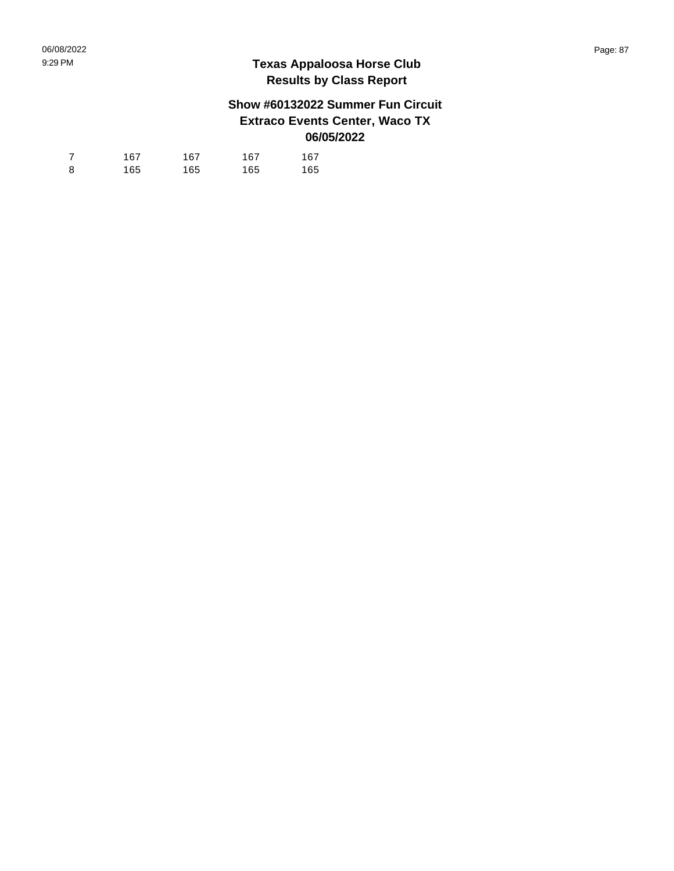## **Show #60132022 Summer Fun Circuit Extraco Events Center, Waco TX 06/05/2022**

| $\overline{7}$ | 167 | 167 | 167 | 167 |
|----------------|-----|-----|-----|-----|
| 8              | 165 | 165 | 165 | 165 |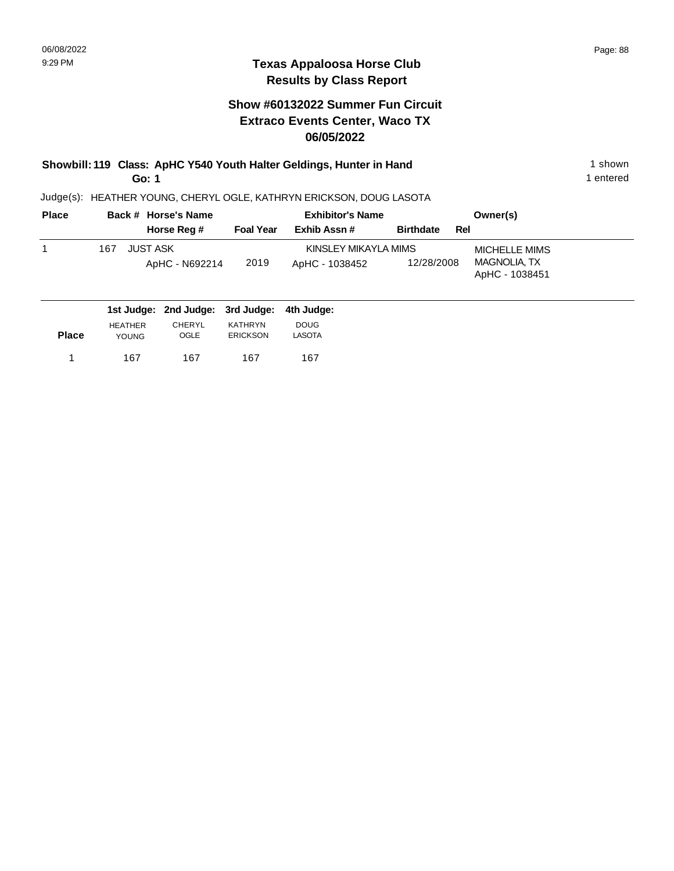**Place**

167 167

YOUNG

1 167 167 167 167

OGLE

1 entered

#### **Texas Appaloosa Horse Club Results by Class Report**

#### **Show #60132022 Summer Fun Circuit Extraco Events Center, Waco TX 06/05/2022**

**Showbill: 119 Class: ApHC Y540 Youth Halter Geldings, Hunter in Hand** 1 shown 1 shown **Go: 1**

Judge(s): HEATHER YOUNG, CHERYL OGLE, KATHRYN ERICKSON, DOUG LASOTA

167

ERICKSON

**Back # Horse's Name Place Owner(s) Horse Reg # Exhib Assn # Foal Year Birthdate Rel Exhibitor's Name** 1 MICHELLE MIMS KINSLEY MIKAYLA MIMS MAGNOLIA, TX ApHC - 1038451 2019 JUST ASK ApHC - N692214 ApHC - 1038452 12/28/2008 167 **2nd Judge: 1st Judge: 3rd Judge: 4th Judge:**  HEATHER CHERYL KATHRYN DOUG

LASOTA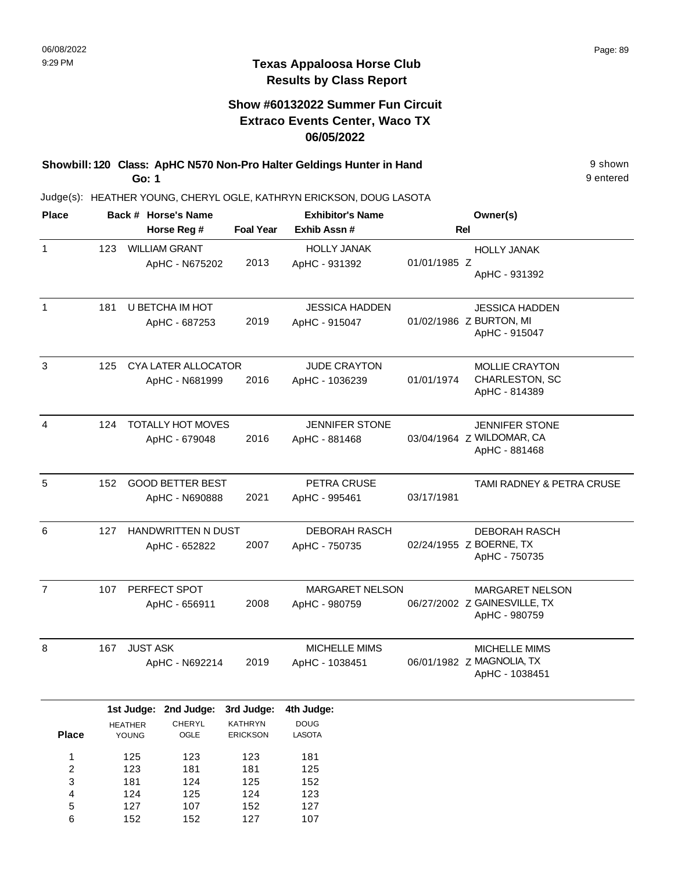152

6

152

127

107

9 entered

#### **Texas Appaloosa Horse Club Results by Class Report**

#### **Show #60132022 Summer Fun Circuit Extraco Events Center, Waco TX 06/05/2022**

**Showbill: 120 Class: ApHC N570 Non-Pro Halter Geldings Hunter in Hand** 9 shown **Go: 1**

| <b>Place</b>   |     |                         | Back # Horse's Name        |                            | <b>Exhibitor's Name</b> |              | Owner(s)                                      |
|----------------|-----|-------------------------|----------------------------|----------------------------|-------------------------|--------------|-----------------------------------------------|
|                |     |                         | Horse Reg #                | <b>Foal Year</b>           | Exhib Assn #            |              | <b>Rel</b>                                    |
| $\mathbf{1}$   | 123 |                         | <b>WILLIAM GRANT</b>       |                            | <b>HOLLY JANAK</b>      |              | <b>HOLLY JANAK</b>                            |
|                |     |                         | ApHC - N675202             | 2013                       | ApHC - 931392           | 01/01/1985 Z | ApHC - 931392                                 |
| 1              | 181 |                         | U BETCHA IM HOT            |                            | <b>JESSICA HADDEN</b>   |              | <b>JESSICA HADDEN</b>                         |
|                |     |                         | ApHC - 687253              | 2019                       | ApHC - 915047           |              | 01/02/1986 Z BURTON, MI<br>ApHC - 915047      |
| 3              | 125 |                         | <b>CYA LATER ALLOCATOR</b> |                            | <b>JUDE CRAYTON</b>     |              | <b>MOLLIE CRAYTON</b>                         |
|                |     |                         | ApHC - N681999             | 2016                       | ApHC - 1036239          | 01/01/1974   | CHARLESTON, SC<br>ApHC - 814389               |
| 4              | 124 |                         | <b>TOTALLY HOT MOVES</b>   |                            | <b>JENNIFER STONE</b>   |              | <b>JENNIFER STONE</b>                         |
|                |     |                         | ApHC - 679048              | 2016                       | ApHC - 881468           |              | 03/04/1964 Z WILDOMAR, CA<br>ApHC - 881468    |
| 5              | 152 |                         | <b>GOOD BETTER BEST</b>    |                            | PETRA CRUSE             |              | TAMI RADNEY & PETRA CRUSE                     |
|                |     |                         | ApHC - N690888             | 2021                       | ApHC - 995461           | 03/17/1981   |                                               |
| 6              | 127 |                         | <b>HANDWRITTEN N DUST</b>  |                            | <b>DEBORAH RASCH</b>    |              | <b>DEBORAH RASCH</b>                          |
|                |     |                         | ApHC - 652822              | 2007                       | ApHC - 750735           |              | 02/24/1955 Z BOERNE, TX<br>ApHC - 750735      |
| $\overline{7}$ | 107 |                         | PERFECT SPOT               |                            | <b>MARGARET NELSON</b>  |              | <b>MARGARET NELSON</b>                        |
|                |     |                         | ApHC - 656911              | 2008                       | ApHC - 980759           |              | 06/27/2002 Z GAINESVILLE, TX<br>ApHC - 980759 |
| 8              | 167 | <b>JUST ASK</b>         |                            |                            | <b>MICHELLE MIMS</b>    |              | <b>MICHELLE MIMS</b>                          |
|                |     |                         | ApHC - N692214             | 2019                       | ApHC - 1038451          |              | 06/01/1982 Z MAGNOLIA, TX<br>ApHC - 1038451   |
|                |     | 1st Judge:              | 2nd Judge:                 | 3rd Judge:                 | 4th Judge:              |              |                                               |
| <b>Place</b>   |     | <b>HEATHER</b><br>YOUNG | CHERYL<br>${{\sf OGLE}}$   | KATHRYN<br><b>ERICKSON</b> | <b>DOUG</b><br>LASOTA   |              |                                               |
| 1              |     | 125                     | 123                        | 123                        | 181                     |              |                                               |
| 2              |     | 123                     | 181                        | 181                        | 125                     |              |                                               |
| 3              |     | 181                     | 124                        | 125                        | 152                     |              |                                               |
| 4<br>5         |     | 124<br>127              | 125<br>107                 | 124<br>152                 | 123<br>127              |              |                                               |
|                |     |                         |                            |                            |                         |              |                                               |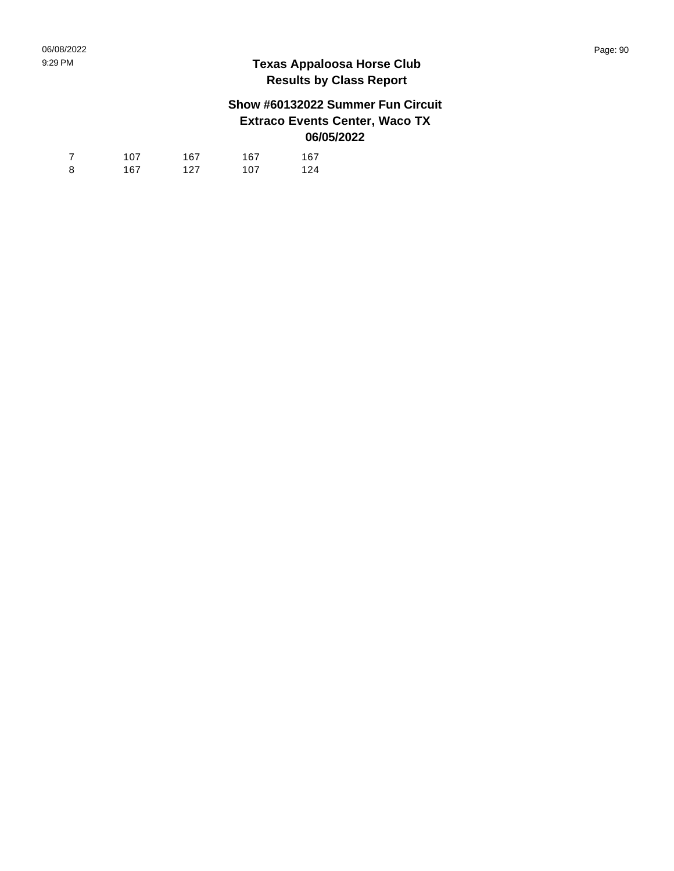## **Show #60132022 Summer Fun Circuit Extraco Events Center, Waco TX 06/05/2022**

| 7 | 107 | 167 | 167 | 167 |
|---|-----|-----|-----|-----|
| 8 | 167 | 127 | 107 | 124 |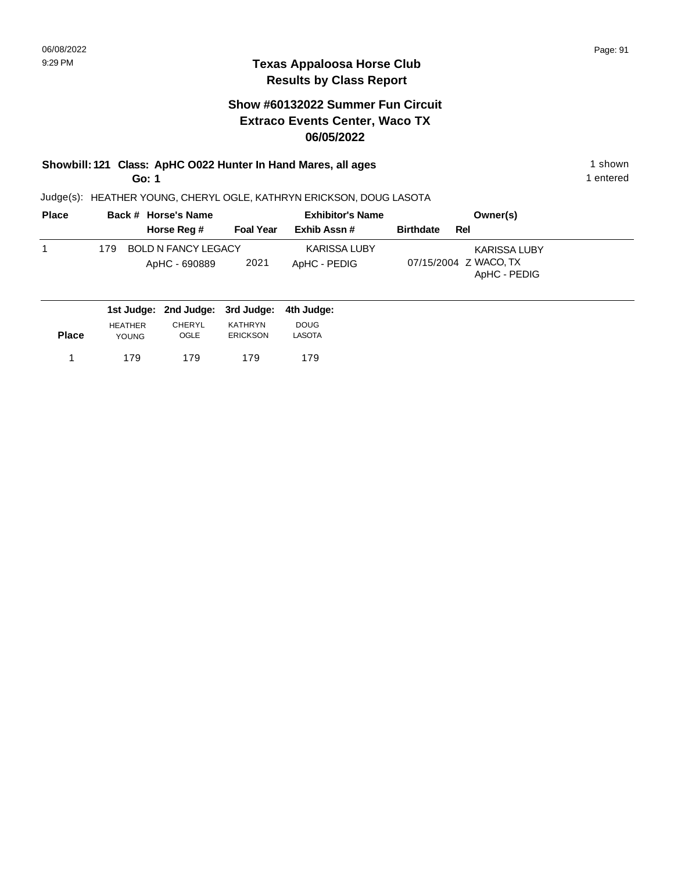#### **Show #60132022 Summer Fun Circuit Extraco Events Center, Waco TX 06/05/2022**

#### **Showbill: 121 Class: ApHC O022 Hunter In Hand Mares, all ages** 1 shown **Go: 1**

Judge(s): HEATHER YOUNG, CHERYL OGLE, KATHRYN ERICKSON, DOUG LASOTA

| <b>Place</b> | Back # Horse's Name                | <b>Exhibitor's Name</b> | Owner(s)                              |  |
|--------------|------------------------------------|-------------------------|---------------------------------------|--|
|              | Horse Reg #<br><b>Foal Year</b>    | Exhib Assn#             | <b>Birthdate</b><br>Rel               |  |
|              | <b>BOLD N FANCY LEGACY</b><br>179. | KARISSA LUBY            | KARISSA LUBY                          |  |
|              | 2021<br>ApHC - 690889              | ApHC - PEDIG            | 07/15/2004 Z WACO, TX<br>ApHC - PEDIG |  |
|              | 1st Judge: 2nd Judge: 3rd Judge:   | 4th Judge:              |                                       |  |

| <b>Place</b> | <b>HEATHER</b> | CHERYL | KATHRYN         | <b>DOUG</b> |
|--------------|----------------|--------|-----------------|-------------|
|              | <b>YOUNG</b>   | OGLE   | <b>ERICKSON</b> | LASOTA      |
|              | 179            | 179    | 179             | 179         |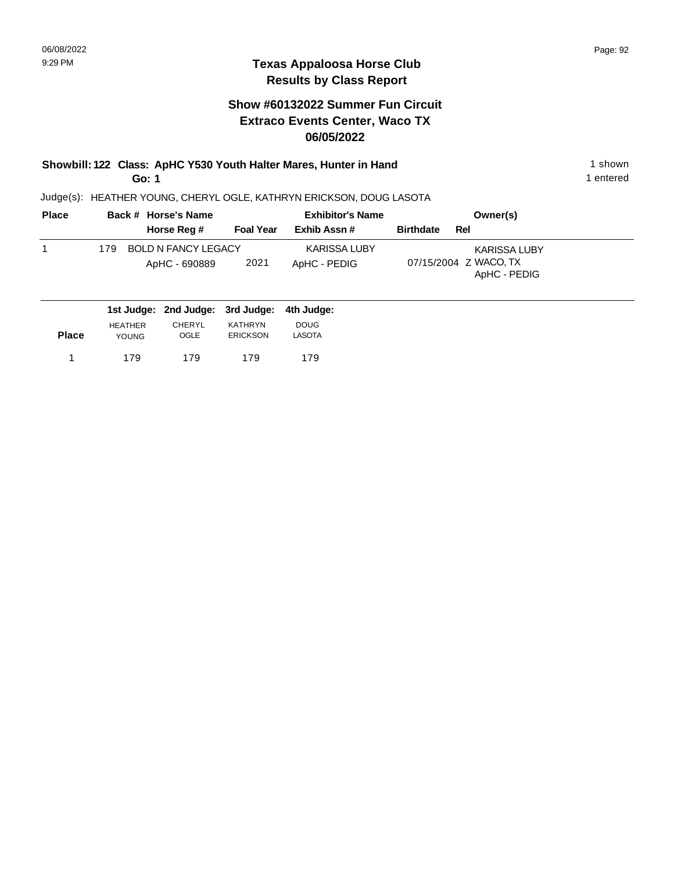#### **Texas Appaloosa Horse Club Results by Class Report**

#### **Show #60132022 Summer Fun Circuit Extraco Events Center, Waco TX 06/05/2022**

**Showbill: 122 Class: ApHC Y530 Youth Halter Mares, Hunter in Hand** 1 shown 1 shown **Go: 1**

| <b>Place</b> | Back # Horse's Name                          |                  | <b>Exhibitor's Name</b>             | Owner(s)                                                     |
|--------------|----------------------------------------------|------------------|-------------------------------------|--------------------------------------------------------------|
|              | Horse Reg #                                  | <b>Foal Year</b> | Exhib Assn #                        | <b>Birthdate</b><br>Rel                                      |
|              | BOLD N FANCY LEGACY<br>179.<br>ApHC - 690889 | 2021             | <b>KARISSA LUBY</b><br>ApHC - PEDIG | <b>KARISSA LUBY</b><br>07/15/2004 Z WACO, TX<br>ApHC - PEDIG |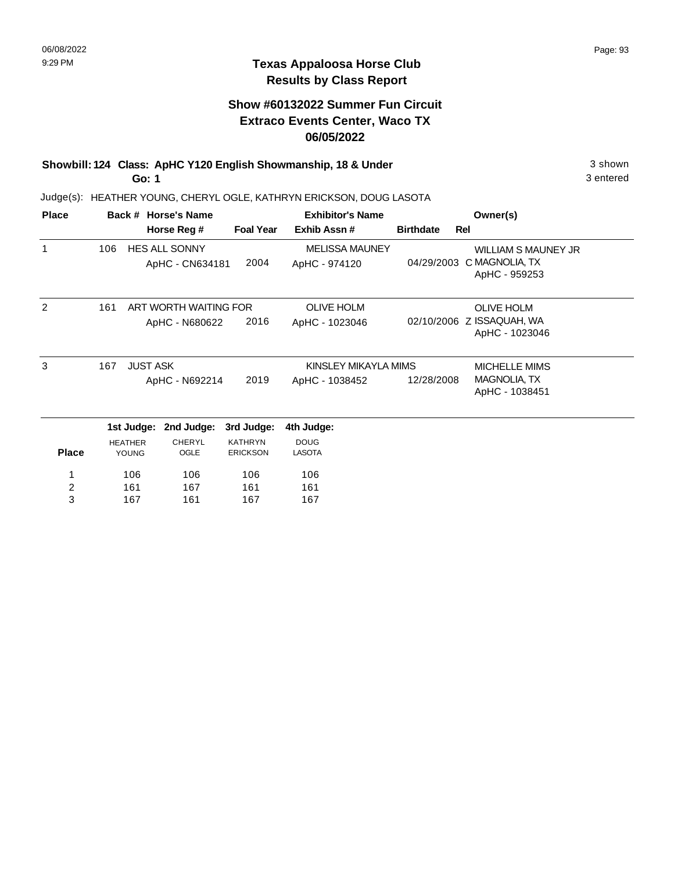#### **Show #60132022 Summer Fun Circuit Extraco Events Center, Waco TX 06/05/2022**

**Showbill: 124 Class: ApHC Y120 English Showmanship, 18 & Under** 3 shown **Go: 1**

Judge(s): HEATHER YOUNG, CHERYL OGLE, KATHRYN ERICKSON, DOUG LASOTA

| <b>Place</b>            |     |                                | Back # Horse's Name                     |                                   | <b>Exhibitor's Name</b>                |                  | Owner(s)                                                                 |
|-------------------------|-----|--------------------------------|-----------------------------------------|-----------------------------------|----------------------------------------|------------------|--------------------------------------------------------------------------|
|                         |     |                                | Horse Reg #                             | <b>Foal Year</b>                  | Exhib Assn#                            | <b>Birthdate</b> | Rel                                                                      |
| $\mathbf{1}$            | 106 |                                | <b>HES ALL SONNY</b><br>ApHC - CN634181 | 2004                              | <b>MELISSA MAUNEY</b><br>ApHC - 974120 |                  | <b>WILLIAM S MAUNEY JR</b><br>04/29/2003 C MAGNOLIA, TX<br>ApHC - 959253 |
| 2                       | 161 |                                | ART WORTH WAITING FOR                   |                                   | <b>OLIVE HOLM</b>                      |                  | <b>OLIVE HOLM</b>                                                        |
|                         |     | ApHC - N680622                 |                                         | 2016                              | ApHC - 1023046                         |                  | 02/10/2006 Z ISSAQUAH, WA<br>ApHC - 1023046                              |
| 3                       | 167 | <b>JUST ASK</b>                |                                         |                                   | KINSLEY MIKAYLA MIMS                   | MICHELLE MIMS    |                                                                          |
|                         |     |                                | ApHC - N692214                          | 2019                              | ApHC - 1038452                         | 12/28/2008       | MAGNOLIA, TX<br>ApHC - 1038451                                           |
|                         |     | 1st Judge:                     | 2nd Judge:                              | 3rd Judge:                        | 4th Judge:                             |                  |                                                                          |
| <b>Place</b>            |     | <b>HEATHER</b><br><b>YOUNG</b> | <b>CHERYL</b><br>OGLE                   | <b>KATHRYN</b><br><b>ERICKSON</b> | <b>DOUG</b><br><b>LASOTA</b>           |                  |                                                                          |
|                         |     | 106                            | 106                                     | 106                               | 106                                    |                  |                                                                          |
| $\overline{\mathbf{c}}$ |     | 161                            | 167                                     | 161                               | 161                                    |                  |                                                                          |
| 3                       |     | 167                            | 161                                     | 167                               | 167                                    |                  |                                                                          |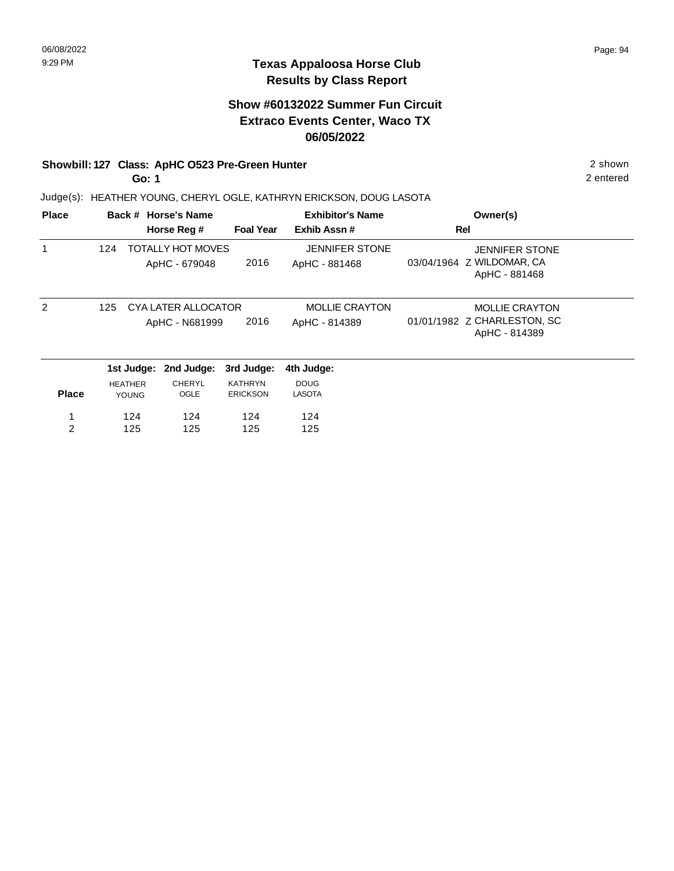#### **Texas Appaloosa Horse Club Results by Class Report**

## **Show #60132022 Summer Fun Circuit Extraco Events Center, Waco TX 06/05/2022**

#### **Showbill: 127 Class: ApHC O523 Pre-Green Hunter** 2 shown

**Go: 1**

| <b>Place</b>  |     |                                | Back # Horse's Name                   |                                   | <b>Exhibitor's Name</b>                | Owner(s)                                                              |  |
|---------------|-----|--------------------------------|---------------------------------------|-----------------------------------|----------------------------------------|-----------------------------------------------------------------------|--|
|               |     |                                | Horse Reg #                           | <b>Foal Year</b>                  | Exhib Assn#                            | Rel                                                                   |  |
| 1             | 124 |                                | TOTALLY HOT MOVES<br>ApHC - 679048    | 2016                              | <b>JENNIFER STONE</b><br>ApHC - 881468 | <b>JENNIFER STONE</b><br>03/04/1964 Z WILDOMAR, CA<br>ApHC - 881468   |  |
| $\mathcal{P}$ | 125 |                                | CYA LATER ALLOCATOR<br>ApHC - N681999 | 2016                              | <b>MOLLIE CRAYTON</b><br>ApHC - 814389 | <b>MOLLIE CRAYTON</b><br>01/01/1982 Z CHARLESTON, SC<br>ApHC - 814389 |  |
|               |     | 1st Judge:                     | 2nd Judge:                            | 3rd Judge:                        | 4th Judge:                             |                                                                       |  |
| <b>Place</b>  |     | <b>HEATHER</b><br><b>YOUNG</b> | <b>CHERYL</b><br>OGLE                 | <b>KATHRYN</b><br><b>ERICKSON</b> | <b>DOUG</b><br><b>LASOTA</b>           |                                                                       |  |
|               |     | 124                            | 124                                   | 124                               | 124                                    |                                                                       |  |
| 2             |     | 125                            | 125                                   | 125                               | 125                                    |                                                                       |  |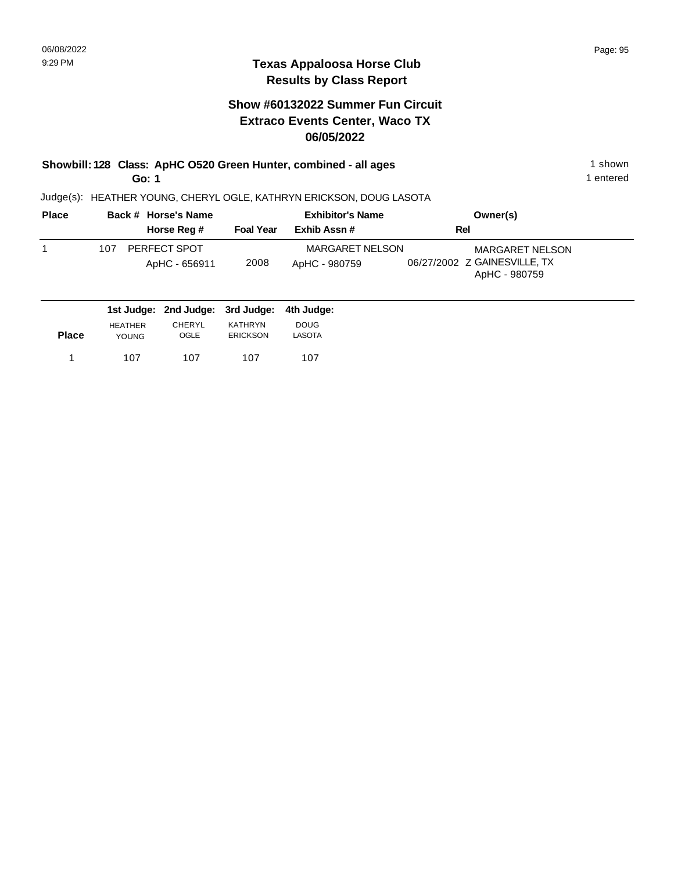#### **Show #60132022 Summer Fun Circuit Extraco Events Center, Waco TX 06/05/2022**

**Showbill: 128 Class: ApHC O520 Green Hunter, combined - all ages** 1 shown **Go: 1**

1 entered

| <b>Place</b> | Back # Horse's Name                         |                  | <b>Exhibitor's Name</b>                 | Owner(s)                                                                |
|--------------|---------------------------------------------|------------------|-----------------------------------------|-------------------------------------------------------------------------|
|              | Horse Reg #                                 | <b>Foal Year</b> | Exhib Assn #                            | Rel                                                                     |
|              | PERFECT SPOT<br>107<br>ApHC - 656911        | 2008             | <b>MARGARET NELSON</b><br>ApHC - 980759 | <b>MARGARET NELSON</b><br>06/27/2002 Z GAINESVILLE, TX<br>ApHC - 980759 |
|              | 1st Judge: 2nd Judge: 3rd Judge: 4th Judge: |                  |                                         |                                                                         |

| <b>Place</b> | <b>HFATHER</b> | CHERYL | KATHRYN         | <b>DOUG</b> |
|--------------|----------------|--------|-----------------|-------------|
|              | YOUNG          | OGLE   | <b>ERICKSON</b> | LASOTA      |
| 1            | 107            | 107    | 107             | 107         |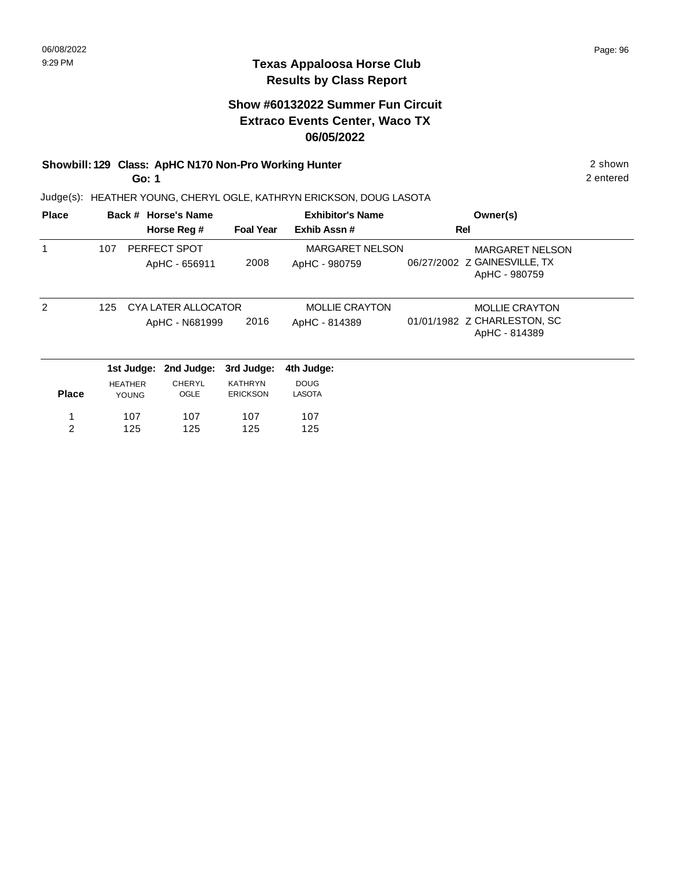## **Show #60132022 Summer Fun Circuit Extraco Events Center, Waco TX 06/05/2022**

## **Showbill: 129 Class: ApHC N170 Non-Pro Working Hunter** 2 shown

**Go: 1**

Judge(s): HEATHER YOUNG, CHERYL OGLE, KATHRYN ERICKSON, DOUG LASOTA

| <b>Place</b>  |     |                                | Back # Horse's Name                   |                                   | <b>Exhibitor's Name</b>                 |     | Owner(s)                                                                |
|---------------|-----|--------------------------------|---------------------------------------|-----------------------------------|-----------------------------------------|-----|-------------------------------------------------------------------------|
|               |     |                                | Horse Reg #                           | <b>Foal Year</b>                  | Exhib Assn#                             | Rel |                                                                         |
|               | 107 |                                | PERFECT SPOT<br>ApHC - 656911         | 2008                              | <b>MARGARET NELSON</b><br>ApHC - 980759 |     | <b>MARGARET NELSON</b><br>06/27/2002 Z GAINESVILLE, TX<br>ApHC - 980759 |
| $\mathcal{P}$ | 125 |                                | CYA LATER ALLOCATOR<br>ApHC - N681999 | 2016                              | <b>MOLLIE CRAYTON</b><br>ApHC - 814389  |     | <b>MOLLIE CRAYTON</b><br>01/01/1982 Z CHARLESTON, SC<br>ApHC - 814389   |
|               |     | 1st Judge:                     | 2nd Judge:                            | 3rd Judge:                        | 4th Judge:                              |     |                                                                         |
| <b>Place</b>  |     | <b>HEATHER</b><br><b>YOUNG</b> | <b>CHERYL</b><br>OGLE                 | <b>KATHRYN</b><br><b>ERICKSON</b> | <b>DOUG</b><br><b>LASOTA</b>            |     |                                                                         |
| 1             |     | 107                            | 107                                   | 107                               | 107                                     |     |                                                                         |
| 2             |     | 125                            | 125                                   | 125                               | 125                                     |     |                                                                         |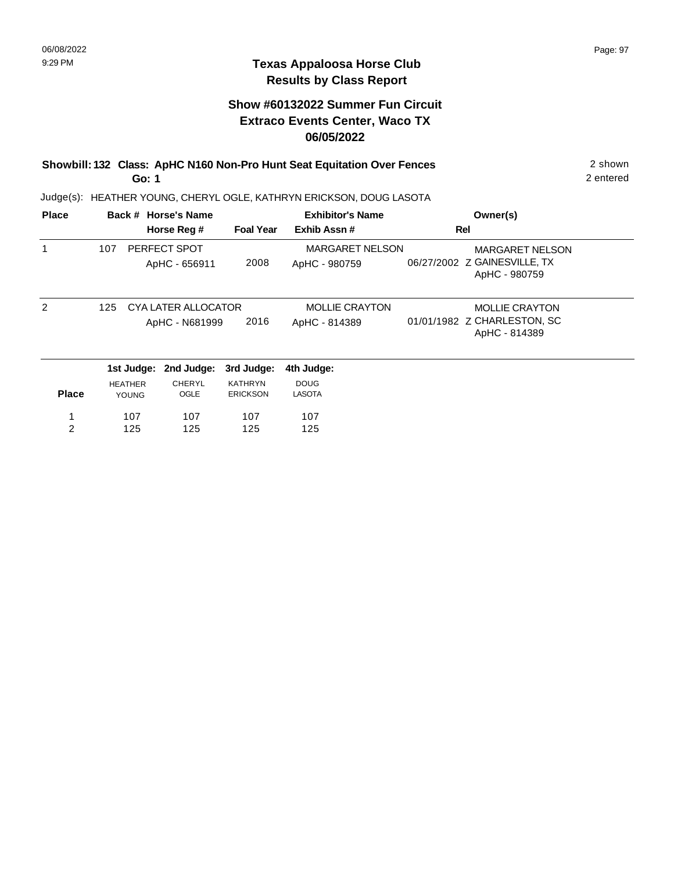## **Show #60132022 Summer Fun Circuit Extraco Events Center, Waco TX 06/05/2022**

#### **Showbill: 132 Class: ApHC N160 Non-Pro Hunt Seat Equitation Over Fences** 2 shown **Go: 1**

2 entered

| <b>Place</b>   |     |                | Back # Horse's Name |                  | <b>Exhibitor's Name</b> | Owner(s)                                      |  |
|----------------|-----|----------------|---------------------|------------------|-------------------------|-----------------------------------------------|--|
|                |     |                | Horse Reg #         | <b>Foal Year</b> | Exhib Assn#             | Rel                                           |  |
|                | 107 |                | PERFECT SPOT        |                  | <b>MARGARET NELSON</b>  | <b>MARGARET NELSON</b>                        |  |
|                |     |                | ApHC - 656911       | 2008             | ApHC - 980759           | 06/27/2002 Z GAINESVILLE, TX<br>ApHC - 980759 |  |
| 2              | 125 |                | CYA LATER ALLOCATOR |                  | <b>MOLLIE CRAYTON</b>   | <b>MOLLIE CRAYTON</b>                         |  |
|                |     |                | ApHC - N681999      | 2016             | ApHC - 814389           | 01/01/1982 Z CHARLESTON, SC<br>ApHC - 814389  |  |
|                |     | 1st Judge:     | 2nd Judge:          | 3rd Judge:       | 4th Judge:              |                                               |  |
|                |     | <b>HEATHER</b> | CHERYL              | <b>KATHRYN</b>   | <b>DOUG</b>             |                                               |  |
| <b>Place</b>   |     | <b>YOUNG</b>   | OGLE                | <b>ERICKSON</b>  | <b>LASOTA</b>           |                                               |  |
| 1              |     | 107            | 107                 | 107              | 107                     |                                               |  |
| $\overline{2}$ |     | 125            | 125                 | 125              | 125                     |                                               |  |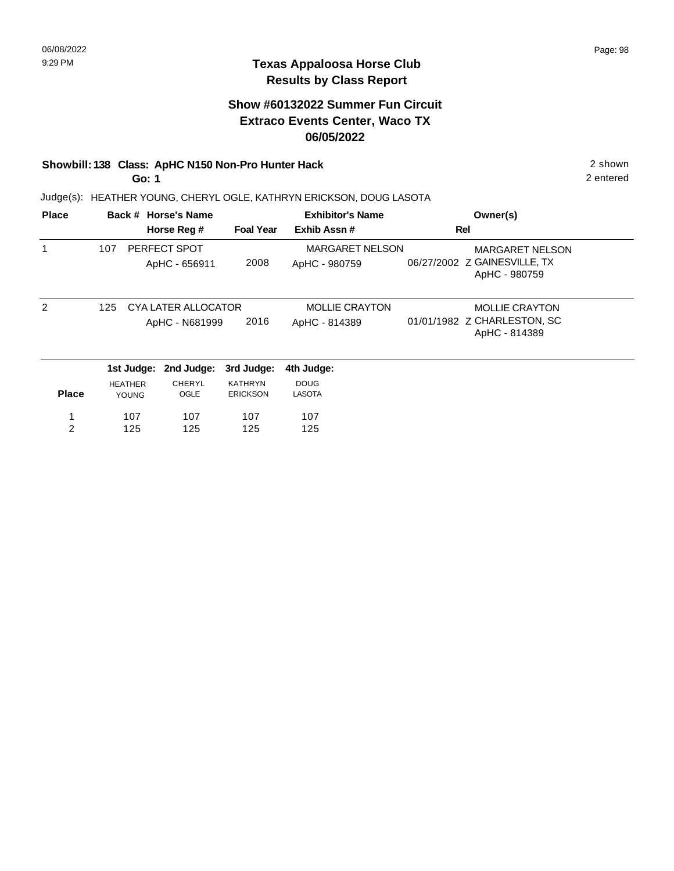## **Show #60132022 Summer Fun Circuit Extraco Events Center, Waco TX 06/05/2022**

#### **Showbill: 138 Class: ApHC N150 Non-Pro Hunter Hack** 2 shown

**Go: 1**

Judge(s): HEATHER YOUNG, CHERYL OGLE, KATHRYN ERICKSON, DOUG LASOTA

| <b>Place</b>  |     |                                | Back # Horse's Name                   |                                   | <b>Exhibitor's Name</b>                 | Owner(s)                                                                |
|---------------|-----|--------------------------------|---------------------------------------|-----------------------------------|-----------------------------------------|-------------------------------------------------------------------------|
|               |     |                                | Horse Reg #                           | <b>Foal Year</b>                  | Exhib Assn#                             | Rel                                                                     |
|               | 107 |                                | PERFECT SPOT<br>ApHC - 656911         | 2008                              | <b>MARGARET NELSON</b><br>ApHC - 980759 | <b>MARGARET NELSON</b><br>06/27/2002 Z GAINESVILLE, TX<br>ApHC - 980759 |
| $\mathcal{P}$ | 125 |                                | CYA LATER ALLOCATOR<br>ApHC - N681999 | 2016                              | <b>MOLLIE CRAYTON</b><br>ApHC - 814389  | <b>MOLLIE CRAYTON</b><br>01/01/1982 Z CHARLESTON, SC<br>ApHC - 814389   |
|               |     | 1st Judge:                     | 2nd Judge:                            | 3rd Judge:                        | 4th Judge:                              |                                                                         |
| <b>Place</b>  |     | <b>HEATHER</b><br><b>YOUNG</b> | <b>CHERYL</b><br>OGLE                 | <b>KATHRYN</b><br><b>ERICKSON</b> | <b>DOUG</b><br><b>LASOTA</b>            |                                                                         |
| 1             |     | 107                            | 107                                   | 107                               | 107                                     |                                                                         |
| 2             |     | 125                            | 125                                   | 125                               | 125                                     |                                                                         |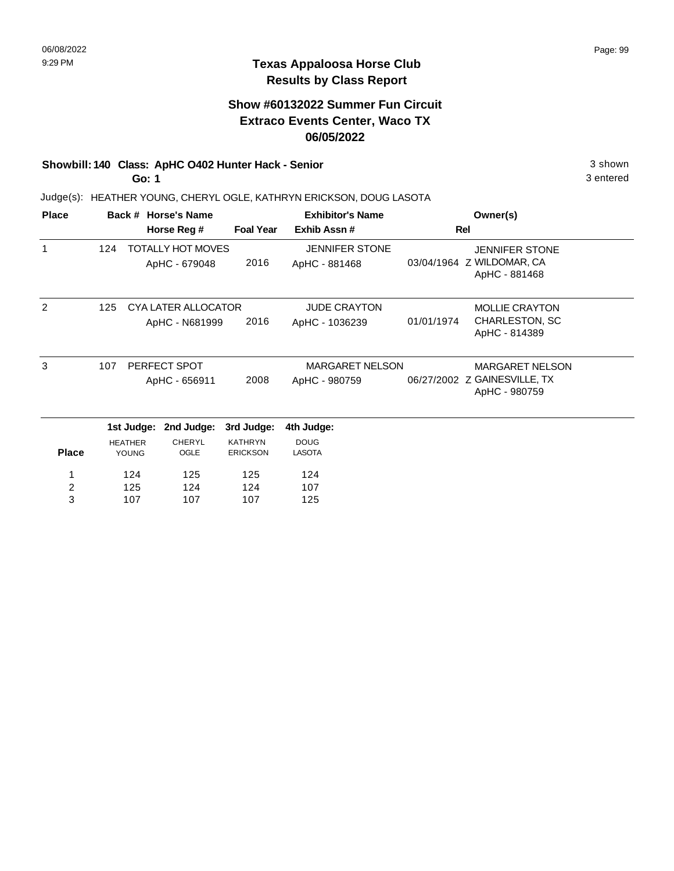#### **Texas Appaloosa Horse Club Results by Class Report**

## **Show #60132022 Summer Fun Circuit Extraco Events Center, Waco TX 06/05/2022**

## **Showbill: 140 Class: ApHC O402 Hunter Hack - Senior** 3 shown

**Go: 1**

| <b>Place</b>            |     |                | Back # Horse's Name                       |                  | <b>Exhibitor's Name</b>                | Owner(s)   |                                                                     |  |
|-------------------------|-----|----------------|-------------------------------------------|------------------|----------------------------------------|------------|---------------------------------------------------------------------|--|
|                         |     |                | Horse Reg #                               | <b>Foal Year</b> | Exhib Assn#                            |            | <b>Rel</b>                                                          |  |
| 1                       | 124 |                | <b>TOTALLY HOT MOVES</b><br>ApHC - 679048 | 2016             | <b>JENNIFER STONE</b><br>ApHC - 881468 |            | <b>JENNIFER STONE</b><br>03/04/1964 Z WILDOMAR, CA<br>ApHC - 881468 |  |
| 2                       | 125 |                | CYA LATER ALLOCATOR                       |                  | <b>JUDE CRAYTON</b>                    |            | <b>MOLLIE CRAYTON</b>                                               |  |
|                         |     |                | ApHC - N681999                            | 2016             | ApHC - 1036239                         | 01/01/1974 | CHARLESTON, SC<br>ApHC - 814389                                     |  |
| 3                       | 107 |                | PERFECT SPOT                              |                  | <b>MARGARET NELSON</b>                 |            | <b>MARGARET NELSON</b>                                              |  |
|                         |     |                | ApHC - 656911                             | 2008             | ApHC - 980759                          |            | 06/27/2002 Z GAINESVILLE, TX<br>ApHC - 980759                       |  |
|                         |     | 1st Judge:     | 2nd Judge:                                | 3rd Judge:       | 4th Judge:                             |            |                                                                     |  |
|                         |     | <b>HEATHER</b> | <b>CHERYL</b>                             | <b>KATHRYN</b>   | <b>DOUG</b>                            |            |                                                                     |  |
| <b>Place</b>            |     | <b>YOUNG</b>   | OGLE                                      | <b>ERICKSON</b>  | LASOTA                                 |            |                                                                     |  |
|                         |     | 124            | 125                                       | 125              | 124                                    |            |                                                                     |  |
| $\overline{\mathbf{c}}$ |     | 125            | 124                                       | 124              | 107                                    |            |                                                                     |  |
| 3                       |     | 107            | 107                                       | 107              | 125                                    |            |                                                                     |  |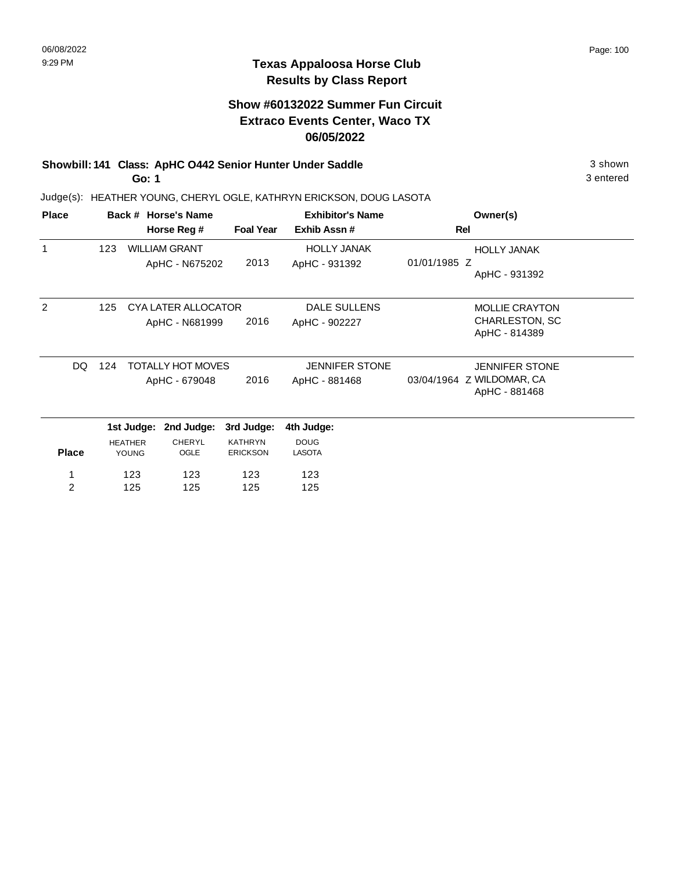## **Show #60132022 Summer Fun Circuit Extraco Events Center, Waco TX 06/05/2022**

#### **Showbill: 141 Class: ApHC O442 Senior Hunter Under Saddle** 3 shown **Go: 1**

Judge(s): HEATHER YOUNG, CHERYL OGLE, KATHRYN ERICKSON, DOUG LASOTA

| <b>Place</b>   |            |                | Back # Horse's Name      |                  | <b>Exhibitor's Name</b> | Owner(s)                                   |  |  |
|----------------|------------|----------------|--------------------------|------------------|-------------------------|--------------------------------------------|--|--|
|                |            |                | Horse Reg #              | <b>Foal Year</b> | Exhib Assn#             | Rel                                        |  |  |
| 1              | 123        |                | <b>WILLIAM GRANT</b>     |                  | <b>HOLLY JANAK</b>      | <b>HOLLY JANAK</b>                         |  |  |
|                |            |                | ApHC - N675202           | 2013             | ApHC - 931392           | 01/01/1985 Z<br>ApHC - 931392              |  |  |
| $\overline{2}$ | 125        |                | CYA LATER ALLOCATOR      |                  | <b>DALE SULLENS</b>     | <b>MOLLIE CRAYTON</b>                      |  |  |
|                |            |                | ApHC - N681999           | 2016             | ApHC - 902227           | CHARLESTON, SC                             |  |  |
|                |            |                |                          |                  |                         | ApHC - 814389                              |  |  |
|                | DQ.<br>124 |                | <b>TOTALLY HOT MOVES</b> |                  | <b>JENNIFER STONE</b>   | <b>JENNIFER STONE</b>                      |  |  |
|                |            |                | ApHC - 679048            | 2016             | ApHC - 881468           | 03/04/1964 Z WILDOMAR, CA<br>ApHC - 881468 |  |  |
|                |            | 1st Judge:     | 2nd Judge:               | 3rd Judge:       | 4th Judge:              |                                            |  |  |
|                |            | <b>HEATHER</b> | <b>CHERYL</b>            | <b>KATHRYN</b>   | <b>DOUG</b>             |                                            |  |  |
| <b>Place</b>   |            | <b>YOUNG</b>   | OGLE                     | <b>ERICKSON</b>  | <b>LASOTA</b>           |                                            |  |  |
|                |            | 123            | 123                      | 123              | 123                     |                                            |  |  |
| $\overline{2}$ |            | 125            | 125                      | 125              | 125                     |                                            |  |  |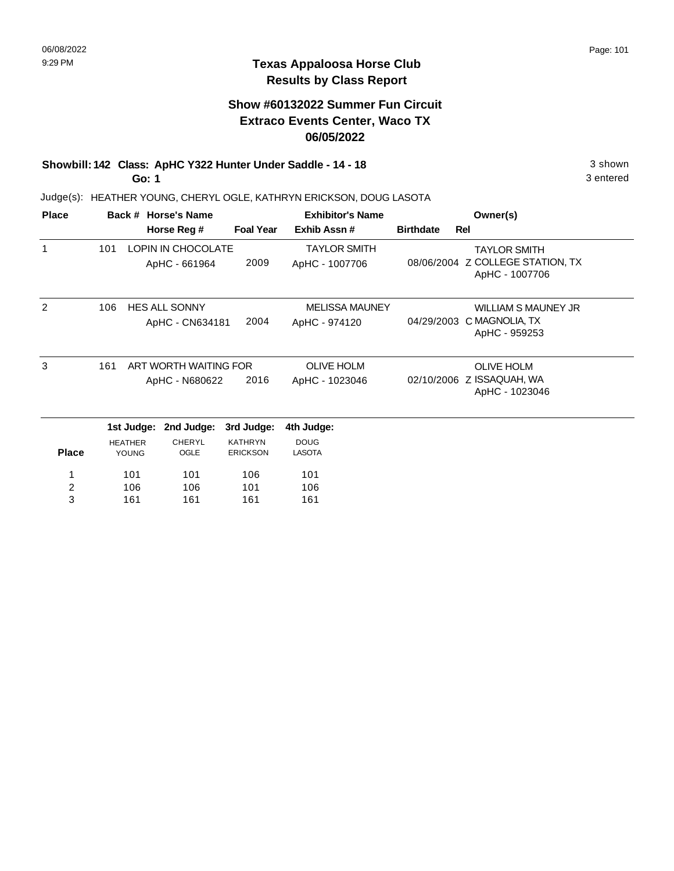## **Show #60132022 Summer Fun Circuit Extraco Events Center, Waco TX 06/05/2022**

#### **Showbill: 142 Class: ApHC Y322 Hunter Under Saddle - 14 - 18** 3 shown **Go: 1**

Judge(s): HEATHER YOUNG, CHERYL OGLE, KATHRYN ERICKSON, DOUG LASOTA

| <b>Place</b>  |     |                                | Back # Horse's Name                        |                                   | <b>Exhibitor's Name</b>                |                  | Owner(s)                                                                  |
|---------------|-----|--------------------------------|--------------------------------------------|-----------------------------------|----------------------------------------|------------------|---------------------------------------------------------------------------|
|               |     |                                | Horse Reg #                                | <b>Foal Year</b>                  | Exhib Assn#                            | <b>Birthdate</b> | Rel                                                                       |
| 1             | 101 |                                | <b>LOPIN IN CHOCOLATE</b><br>ApHC - 661964 | 2009                              | <b>TAYLOR SMITH</b><br>ApHC - 1007706  |                  | <b>TAYLOR SMITH</b><br>08/06/2004 Z COLLEGE STATION, TX<br>ApHC - 1007706 |
| $\mathcal{P}$ | 106 |                                | <b>HES ALL SONNY</b><br>ApHC - CN634181    | 2004                              | <b>MELISSA MAUNEY</b><br>ApHC - 974120 | 04/29/2003       | <b>WILLIAM S MAUNEY JR</b><br>C MAGNOLIA, TX<br>ApHC - 959253             |
| 3             | 161 |                                | ART WORTH WAITING FOR<br>ApHC - N680622    | 2016                              | <b>OLIVE HOLM</b><br>ApHC - 1023046    |                  | <b>OLIVE HOLM</b><br>02/10/2006 Z ISSAQUAH, WA<br>ApHC - 1023046          |
|               |     | 1st Judge:                     | 2nd Judge:                                 | 3rd Judge:                        | 4th Judge:                             |                  |                                                                           |
| <b>Place</b>  |     | <b>HEATHER</b><br><b>YOUNG</b> | <b>CHERYL</b><br>OGLE                      | <b>KATHRYN</b><br><b>ERICKSON</b> | <b>DOUG</b><br><b>LASOTA</b>           |                  |                                                                           |
| 1<br>2<br>3   |     | 101<br>106<br>161              | 101<br>106<br>161                          | 106<br>101<br>161                 | 101<br>106<br>161                      |                  |                                                                           |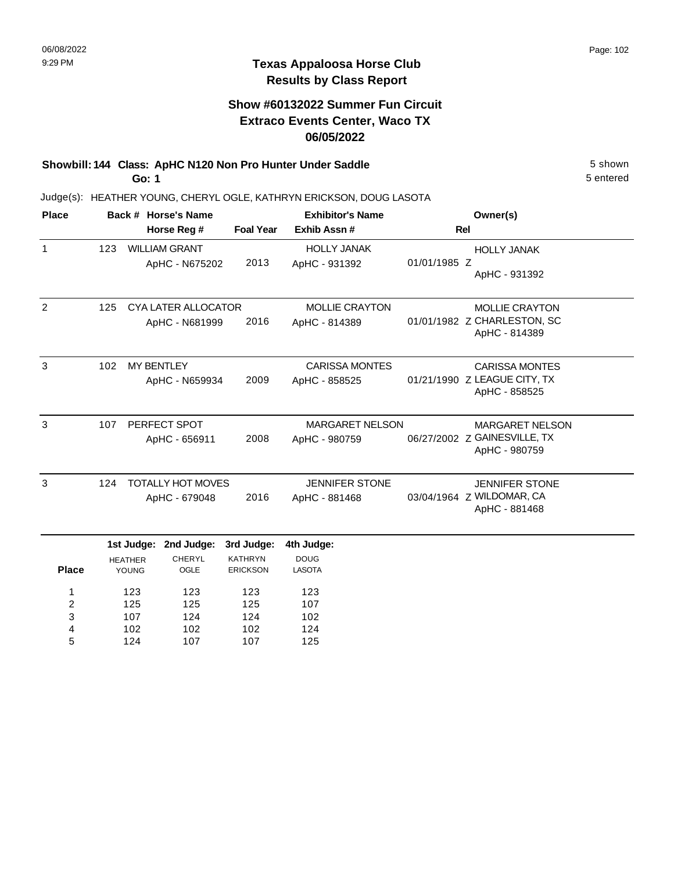#### **Show #60132022 Summer Fun Circuit Extraco Events Center, Waco TX 06/05/2022**

#### **Showbill: 144 Class: ApHC N120 Non Pro Hunter Under Saddle** 5 shown **Go: 1**

107 102 124

3 4 5

124 102 107 124 102 107

102 124 125

Judge(s): HEATHER YOUNG, CHERYL OGLE, KATHRYN ERICKSON, DOUG LASOTA

| <b>Place</b>   |     |                                 | Back # Horse's Name        |                  | <b>Exhibitor's Name</b> | Owner(s)     |                                               |  |
|----------------|-----|---------------------------------|----------------------------|------------------|-------------------------|--------------|-----------------------------------------------|--|
|                |     |                                 | Horse Reg #                | <b>Foal Year</b> | Exhib Assn#             |              | <b>Rel</b>                                    |  |
| $\mathbf{1}$   | 123 |                                 | <b>WILLIAM GRANT</b>       |                  | <b>HOLLY JANAK</b>      |              | <b>HOLLY JANAK</b>                            |  |
|                |     |                                 | ApHC - N675202             | 2013             | ApHC - 931392           | 01/01/1985 Z | ApHC - 931392                                 |  |
| 2              | 125 |                                 | <b>CYA LATER ALLOCATOR</b> |                  | <b>MOLLIE CRAYTON</b>   |              | <b>MOLLIE CRAYTON</b>                         |  |
|                |     |                                 | ApHC - N681999             | 2016             | ApHC - 814389           |              | 01/01/1982 Z CHARLESTON, SC<br>ApHC - 814389  |  |
| 3              | 102 | <b>MY BENTLEY</b>               |                            |                  | <b>CARISSA MONTES</b>   |              | <b>CARISSA MONTES</b>                         |  |
|                |     |                                 | ApHC - N659934             | 2009             | ApHC - 858525           |              | 01/21/1990 Z LEAGUE CITY, TX<br>ApHC - 858525 |  |
| 3              | 107 |                                 | PERFECT SPOT               |                  | <b>MARGARET NELSON</b>  |              | <b>MARGARET NELSON</b>                        |  |
|                |     |                                 | ApHC - 656911              | 2008             | ApHC - 980759           |              | 06/27/2002 Z GAINESVILLE, TX<br>ApHC - 980759 |  |
| 3              | 124 |                                 | <b>TOTALLY HOT MOVES</b>   |                  | <b>JENNIFER STONE</b>   |              | <b>JENNIFER STONE</b>                         |  |
|                |     |                                 | ApHC - 679048              | 2016             | ApHC - 881468           |              | 03/04/1964 Z WILDOMAR, CA<br>ApHC - 881468    |  |
|                |     | 1st Judge:                      | 2nd Judge:                 | 3rd Judge:       | 4th Judge:              |              |                                               |  |
| <b>Place</b>   |     | <b>CHERYL</b><br><b>HEATHER</b> |                            | <b>KATHRYN</b>   | <b>DOUG</b><br>LASOTA   |              |                                               |  |
|                |     | <b>YOUNG</b>                    | OGLE                       | <b>ERICKSON</b>  |                         |              |                                               |  |
| 1              |     | 123                             | 123                        | 123              | 123                     |              |                                               |  |
| $\overline{2}$ | 125 |                                 | 125                        | 125              | 107                     |              |                                               |  |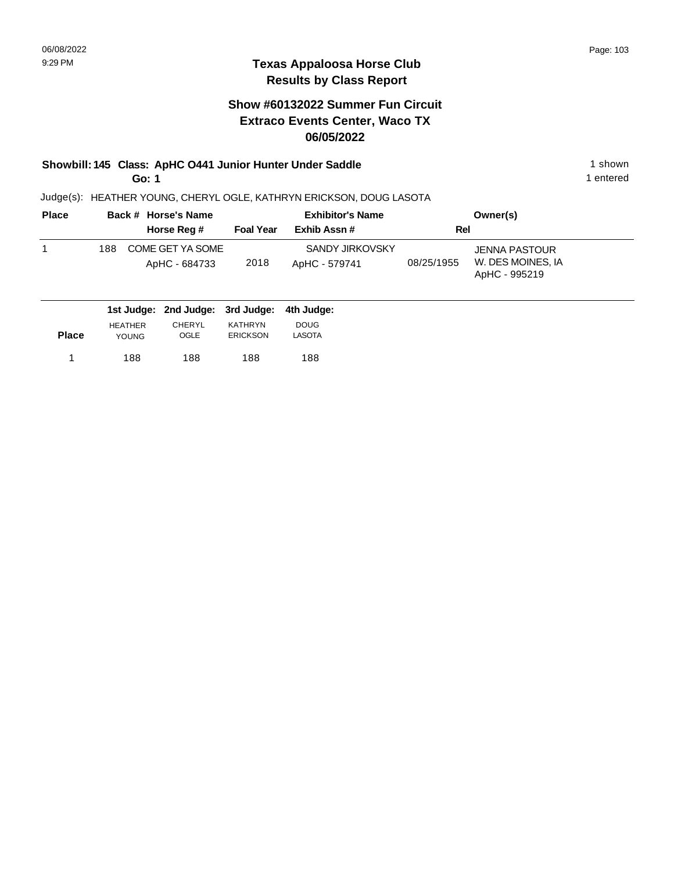## **Show #60132022 Summer Fun Circuit Extraco Events Center, Waco TX 06/05/2022**

#### **Showbill: 145 Class: ApHC 0441 Junior Hunter Under Saddle** 1 shown **Go: 1**

Judge(s): HEATHER YOUNG, CHERYL OGLE, KATHRYN ERICKSON, DOUG LASOTA

| <b>Place</b> | Back # Horse's Name                      |                  | <b>Exhibitor's Name</b>          |            | Owner(s)                                            |
|--------------|------------------------------------------|------------------|----------------------------------|------------|-----------------------------------------------------|
|              | Horse Reg #                              | <b>Foal Year</b> | Exhib Assn#                      | Rel        |                                                     |
|              | COME GET YA SOME<br>188<br>ApHC - 684733 | 2018             | SANDY JIRKOVSKY<br>ApHC - 579741 | 08/25/1955 | JENNA PASTOUR<br>W. DES MOINES, IA<br>ApHC - 995219 |
|              | 1st Judge: 2nd Judge: 3rd Judge:         |                  | 4th Judae:                       |            |                                                     |

| <b>Place</b> | <b>HFATHER</b> | CHERYL | <b>KATHRYN</b>  | <b>DOUG</b> |
|--------------|----------------|--------|-----------------|-------------|
|              | <b>YOUNG</b>   | OGLE   | <b>ERICKSON</b> | LASOTA      |
| 1            | 188            | 188    | 188             | 188         |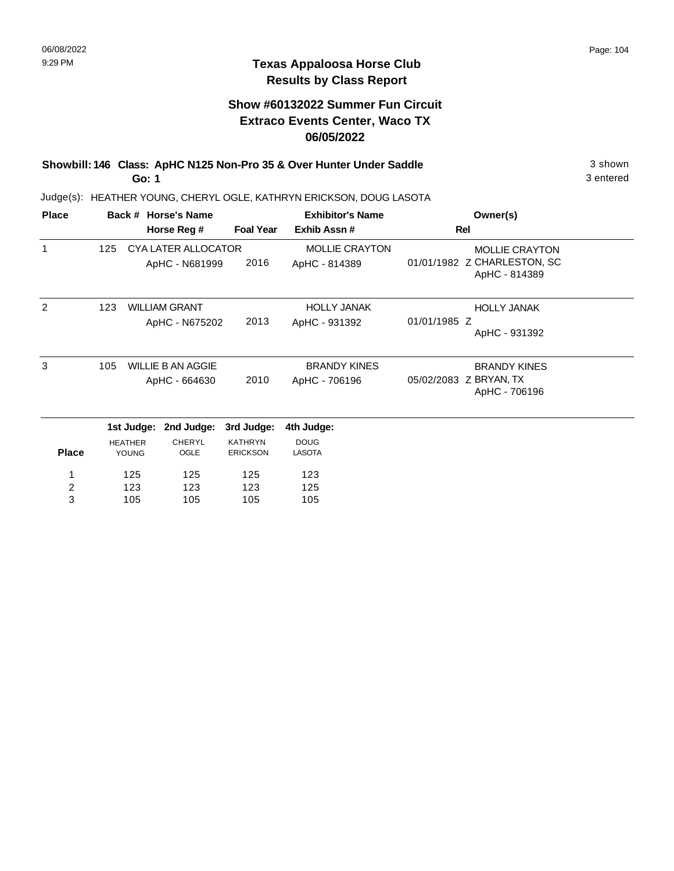#### **Texas Appaloosa Horse Club Results by Class Report**

#### **Show #60132022 Summer Fun Circuit Extraco Events Center, Waco TX 06/05/2022**

**Showbill: 146 Class: ApHC N125 Non-Pro 35 & Over Hunter Under Saddle** 3 shown **Go: 1**

| <b>Place</b>                 |                                |            | Back # Horse's Name                       |                                   | <b>Exhibitor's Name</b>                | Owner(s)                                                              |
|------------------------------|--------------------------------|------------|-------------------------------------------|-----------------------------------|----------------------------------------|-----------------------------------------------------------------------|
|                              |                                |            | Horse Reg #                               | <b>Foal Year</b>                  | Exhib Assn#                            | Rel                                                                   |
|                              | 125                            |            | CYA LATER ALLOCATOR<br>ApHC - N681999     | 2016                              | <b>MOLLIE CRAYTON</b><br>ApHC - 814389 | <b>MOLLIE CRAYTON</b><br>01/01/1982 Z CHARLESTON, SC<br>ApHC - 814389 |
| 2                            | 123                            |            | <b>WILLIAM GRANT</b><br>ApHC - N675202    | 2013                              | <b>HOLLY JANAK</b><br>ApHC - 931392    | <b>HOLLY JANAK</b><br>01/01/1985 Z<br>ApHC - 931392                   |
| 3                            | 105                            |            | <b>WILLIE B AN AGGIE</b><br>ApHC - 664630 | 2010                              | <b>BRANDY KINES</b><br>ApHC - 706196   | <b>BRANDY KINES</b><br>05/02/2083 Z BRYAN, TX<br>ApHC - 706196        |
|                              |                                | 1st Judge: | 2nd Judge:                                | 3rd Judge:                        | 4th Judge:                             |                                                                       |
| <b>Place</b>                 | <b>HEATHER</b><br><b>YOUNG</b> |            | <b>CHERYL</b><br>OGLE                     | <b>KATHRYN</b><br><b>ERICKSON</b> | <b>DOUG</b><br><b>LASOTA</b>           |                                                                       |
| $\overline{\mathbf{c}}$<br>3 | 125<br>123<br>105              |            | 125<br>123<br>105                         | 125<br>123<br>105                 | 123<br>125<br>105                      |                                                                       |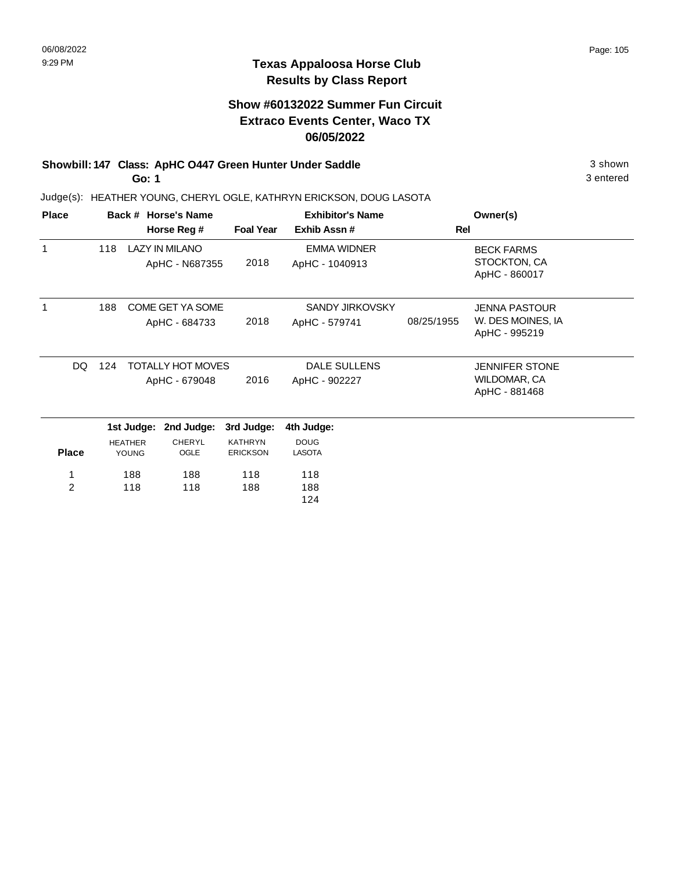#### **Texas Appaloosa Horse Club Results by Class Report**

## **Show #60132022 Summer Fun Circuit Extraco Events Center, Waco TX 06/05/2022**

#### **Showbill: 147 Class: ApHC O447 Green Hunter Under Saddle** 3 shown **Go: 1**

| <b>Place</b>   |     |                         | Back # Horse's Name<br>Horse Reg #        | <b>Foal Year</b>                  | <b>Exhibitor's Name</b><br>Exhib Assn#  | Rel        | Owner(s)                                                   |
|----------------|-----|-------------------------|-------------------------------------------|-----------------------------------|-----------------------------------------|------------|------------------------------------------------------------|
| $\mathbf 1$    | 118 |                         | <b>LAZY IN MILANO</b><br>ApHC - N687355   | 2018                              | <b>EMMA WIDNER</b><br>ApHC - 1040913    |            | <b>BECK FARMS</b><br>STOCKTON, CA<br>ApHC - 860017         |
|                | 188 |                         | COME GET YA SOME<br>ApHC - 684733         | 2018                              | <b>SANDY JIRKOVSKY</b><br>ApHC - 579741 | 08/25/1955 | <b>JENNA PASTOUR</b><br>W. DES MOINES, IA<br>ApHC - 995219 |
| DQ             | 124 |                         | <b>TOTALLY HOT MOVES</b><br>ApHC - 679048 | 2016                              | <b>DALE SULLENS</b><br>ApHC - 902227    |            | <b>JENNIFER STONE</b><br>WILDOMAR, CA<br>ApHC - 881468     |
|                |     | 1st Judge:              | 2nd Judge:                                | 3rd Judge:                        | 4th Judge:                              |            |                                                            |
| <b>Place</b>   |     | <b>HEATHER</b><br>YOUNG | <b>CHERYL</b><br>OGLE                     | <b>KATHRYN</b><br><b>ERICKSON</b> | <b>DOUG</b><br><b>LASOTA</b>            |            |                                                            |
| $\overline{2}$ |     | 188<br>118              | 188<br>118                                | 118<br>188                        | 118<br>188<br>124                       |            |                                                            |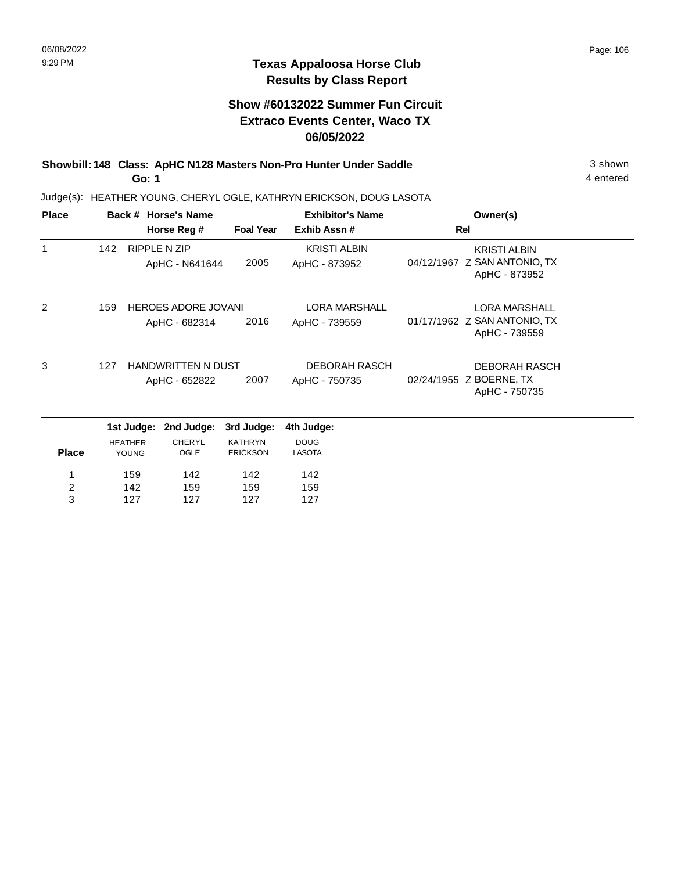#### **Texas Appaloosa Horse Club Results by Class Report**

## **Show #60132022 Summer Fun Circuit Extraco Events Center, Waco TX 06/05/2022**

**Showbill: 148 Class: ApHC N128 Masters Non-Pro Hunter Under Saddle** 3 shown **Go: 1**

| <b>Place</b> |     |                         | Back # Horse's Name        |                                   | <b>Exhibitor's Name</b>      | Owner(s)                                      |  |
|--------------|-----|-------------------------|----------------------------|-----------------------------------|------------------------------|-----------------------------------------------|--|
|              |     |                         | Horse Reg #                | <b>Foal Year</b>                  | Exhib Assn#                  | Rel                                           |  |
| 1            | 142 |                         | <b>RIPPLE N ZIP</b>        |                                   | <b>KRISTI ALBIN</b>          | <b>KRISTI ALBIN</b>                           |  |
|              |     |                         | ApHC - N641644             | 2005                              | ApHC - 873952                | 04/12/1967 Z SAN ANTONIO, TX<br>ApHC - 873952 |  |
| 2            | 159 |                         | <b>HEROES ADORE JOVANI</b> |                                   | <b>LORA MARSHALL</b>         | <b>LORA MARSHALL</b>                          |  |
|              |     |                         | ApHC - 682314              | 2016                              | ApHC - 739559                | 01/17/1962 Z SAN ANTONIO, TX<br>ApHC - 739559 |  |
| 3            | 127 |                         | <b>HANDWRITTEN N DUST</b>  |                                   | <b>DEBORAH RASCH</b>         | <b>DEBORAH RASCH</b>                          |  |
|              |     |                         | ApHC - 652822              | 2007                              | ApHC - 750735                | 02/24/1955 Z BOERNE, TX<br>ApHC - 750735      |  |
|              |     | 1st Judge:              | 2nd Judge:                 | 3rd Judge:                        | 4th Judge:                   |                                               |  |
| <b>Place</b> |     | <b>HEATHER</b><br>YOUNG | <b>CHERYL</b><br>OGLE      | <b>KATHRYN</b><br><b>ERICKSON</b> | <b>DOUG</b><br><b>LASOTA</b> |                                               |  |
| 1            |     | 159                     | 142                        | 142                               | 142                          |                                               |  |
| 2            |     | 142                     | 159                        | 159                               | 159                          |                                               |  |
| 3            |     | 127                     | 127                        | 127                               | 127                          |                                               |  |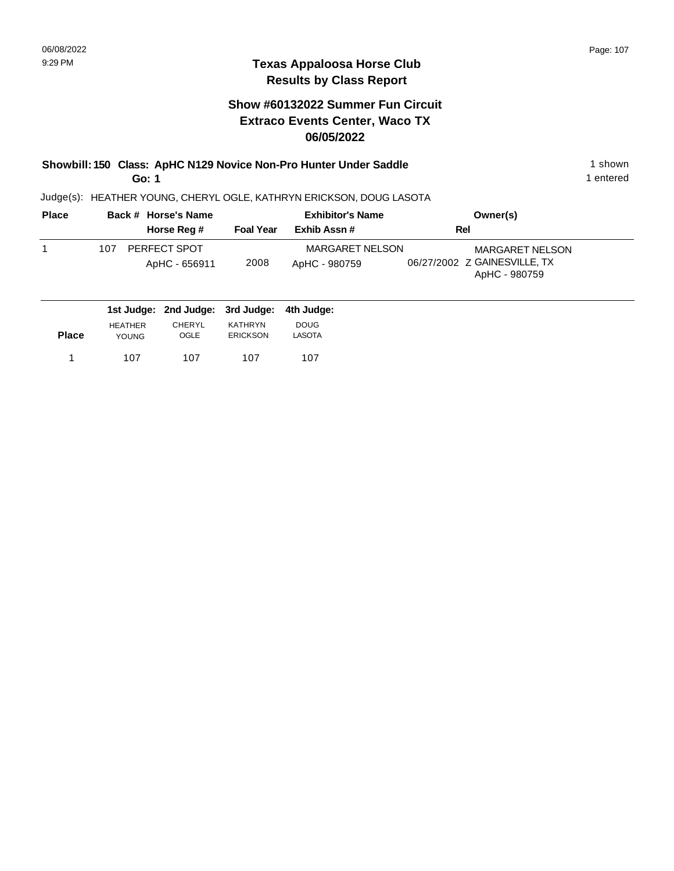#### **Show #60132022 Summer Fun Circuit Extraco Events Center, Waco TX 06/05/2022**

**Showbill: 150 Class: ApHC N129 Novice Non-Pro Hunter Under Saddle** 1 shown 1 shown **Go: 1**

1 entered

| <b>Place</b> | Back # Horse's Name                         | <b>Exhibitor's Name</b> |                                         | Owner(s)                                                                |
|--------------|---------------------------------------------|-------------------------|-----------------------------------------|-------------------------------------------------------------------------|
|              | Horse Reg #                                 | <b>Foal Year</b>        | Exhib Assn#                             | Rel                                                                     |
|              | PERFECT SPOT<br>107<br>ApHC - 656911        | 2008                    | <b>MARGARET NELSON</b><br>ApHC - 980759 | <b>MARGARET NELSON</b><br>06/27/2002 Z GAINESVILLE, TX<br>ApHC - 980759 |
|              | 1st Judge: 2nd Judge: 3rd Judge: 4th Judge: |                         |                                         |                                                                         |

| <b>Place</b> | <b>HEATHER</b> | CHERYL | <b>KATHRYN</b> | <b>DOUG</b> |
|--------------|----------------|--------|----------------|-------------|
|              | <b>YOUNG</b>   | OGLE   | ERICKSON       | LASOTA      |
|              | 107            | 107    | 107            | 107         |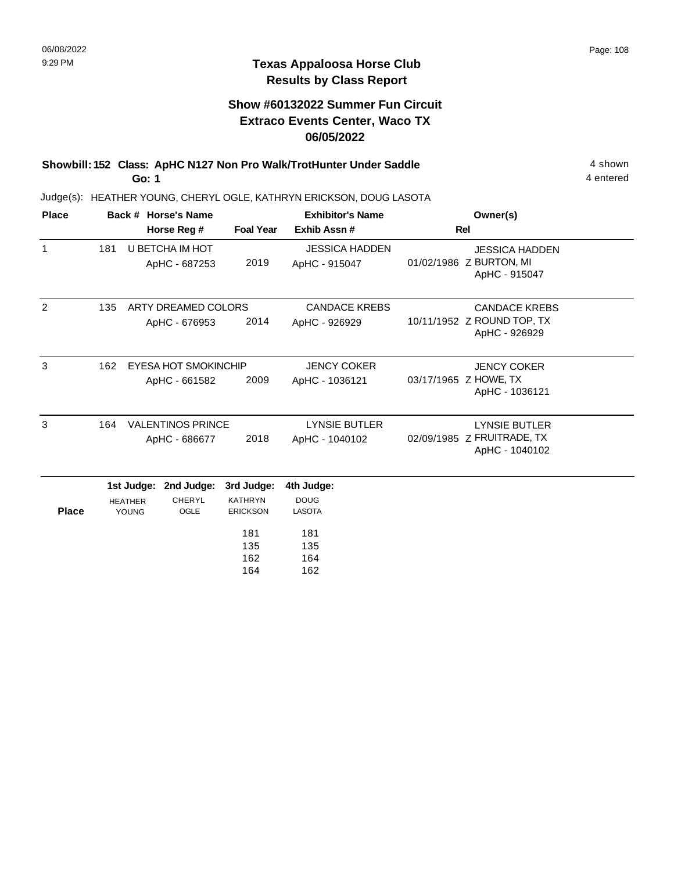#### **Texas Appaloosa Horse Club Results by Class Report**

## **Show #60132022 Summer Fun Circuit Extraco Events Center, Waco TX 06/05/2022**

**Showbill: 152 Class: ApHC N127 Non Pro Walk/TrotHunter Under Saddle** 4 shown **Go: 1**

| <b>Place</b> | Back # Horse's Name |                                       |                                           |                                                                             | <b>Exhibitor's Name</b>                                                | Owner(s)                                                             |  |
|--------------|---------------------|---------------------------------------|-------------------------------------------|-----------------------------------------------------------------------------|------------------------------------------------------------------------|----------------------------------------------------------------------|--|
|              |                     |                                       | Horse Reg #                               | <b>Foal Year</b>                                                            | Exhib Assn #                                                           | Rel                                                                  |  |
| $\mathbf{1}$ | 181                 |                                       | <b>U BETCHA IM HOT</b><br>ApHC - 687253   | 2019                                                                        | <b>JESSICA HADDEN</b><br>ApHC - 915047                                 | <b>JESSICA HADDEN</b><br>01/02/1986 Z BURTON, MI<br>ApHC - 915047    |  |
| 2            | 135                 |                                       | ARTY DREAMED COLORS<br>ApHC - 676953      | 2014                                                                        | <b>CANDACE KREBS</b><br>ApHC - 926929                                  | <b>CANDACE KREBS</b><br>10/11/1952 Z ROUND TOP, TX<br>ApHC - 926929  |  |
| 3            | 162                 |                                       | EYESA HOT SMOKINCHIP<br>ApHC - 661582     | 2009                                                                        | <b>JENCY COKER</b><br>ApHC - 1036121                                   | <b>JENCY COKER</b><br>03/17/1965 Z HOWE, TX<br>ApHC - 1036121        |  |
| 3            | 164                 |                                       | <b>VALENTINOS PRINCE</b><br>ApHC - 686677 | 2018                                                                        | <b>LYNSIE BUTLER</b><br>ApHC - 1040102                                 | <b>LYNSIE BUTLER</b><br>02/09/1985 Z FRUITRADE, TX<br>ApHC - 1040102 |  |
| <b>Place</b> |                     | 1st Judge:<br><b>HEATHER</b><br>YOUNG | 2nd Judge:<br><b>CHERYL</b><br>OGLE       | 3rd Judge:<br><b>KATHRYN</b><br><b>ERICKSON</b><br>181<br>135<br>162<br>164 | 4th Judge:<br><b>DOUG</b><br><b>LASOTA</b><br>181<br>135<br>164<br>162 |                                                                      |  |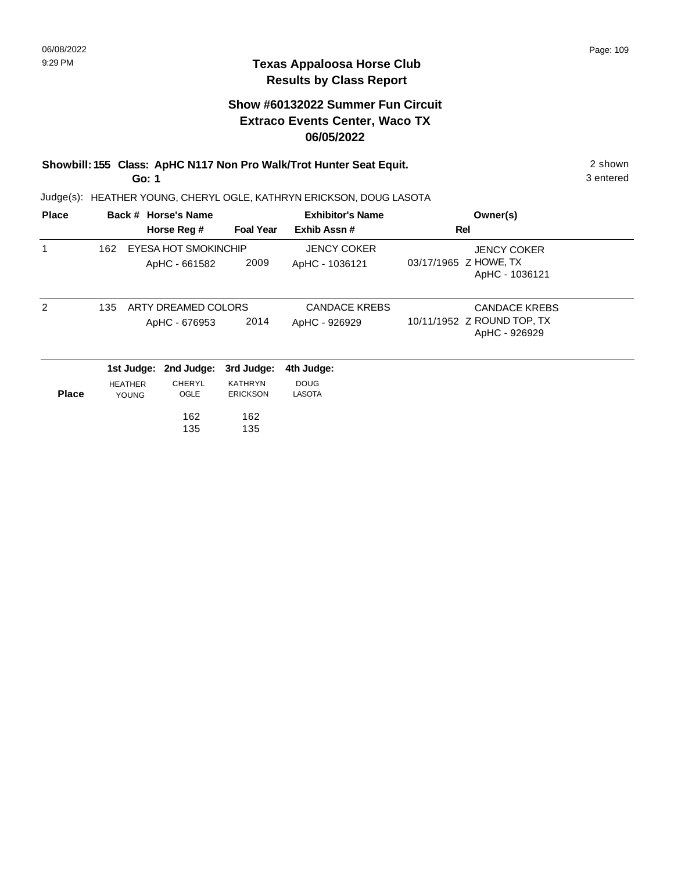### **Texas Appaloosa Horse Club Results by Class Report**

# **Show #60132022 Summer Fun Circuit Extraco Events Center, Waco TX 06/05/2022**

**Showbill: 155 Class: ApHC N117 Non Pro Walk/Trot Hunter Seat Equit.** 2 shown **Go: 1**

| <b>Place</b>  |                | Back # Horse's Name  |                  | <b>Exhibitor's Name</b> | Owner(s)                                    |  |
|---------------|----------------|----------------------|------------------|-------------------------|---------------------------------------------|--|
|               |                | Horse Reg #          | <b>Foal Year</b> | Exhib Assn#             | Rel                                         |  |
|               | 162            | EYESA HOT SMOKINCHIP |                  | <b>JENCY COKER</b>      | JENCY COKER                                 |  |
|               |                | ApHC - 661582        | 2009             | ApHC - 1036121          | 03/17/1965 Z HOWE, TX<br>ApHC - 1036121     |  |
| $\mathcal{P}$ | 135            | ARTY DREAMED COLORS  |                  | <b>CANDACE KREBS</b>    | <b>CANDACE KREBS</b>                        |  |
|               |                | ApHC - 676953        | 2014             | ApHC - 926929           | 10/11/1952 Z ROUND TOP, TX<br>ApHC - 926929 |  |
|               | 1st Judge:     | 2nd Judge:           | 3rd Judge:       | 4th Judge:              |                                             |  |
|               | <b>HEATHER</b> | CHERYL               | <b>KATHRYN</b>   | <b>DOUG</b>             |                                             |  |
| <b>Place</b>  | <b>YOUNG</b>   | OGLE                 | <b>ERICKSON</b>  | <b>LASOTA</b>           |                                             |  |
|               |                | 162                  | 162              |                         |                                             |  |
|               |                | 135                  | 135              |                         |                                             |  |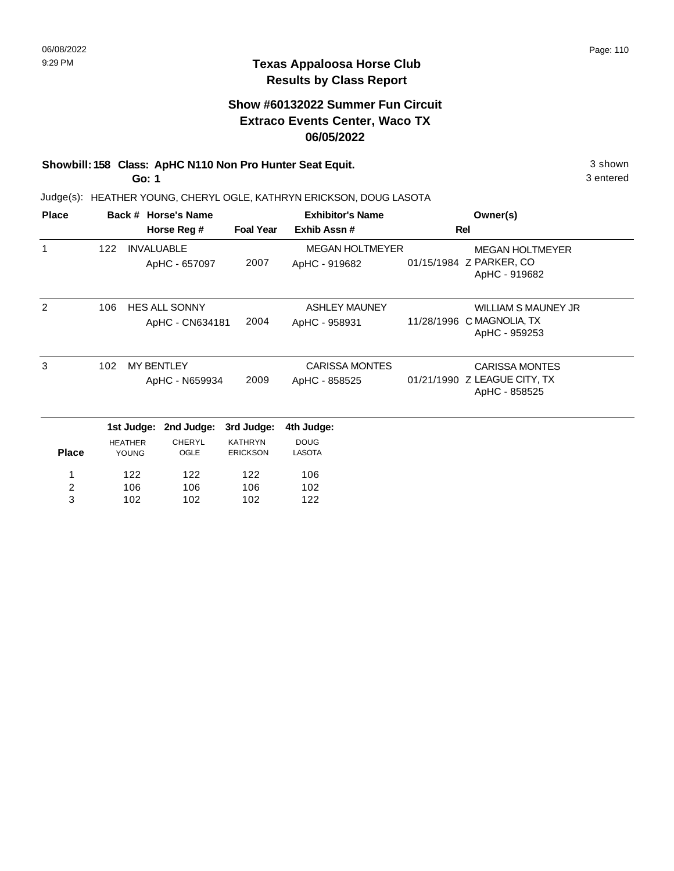### **Texas Appaloosa Horse Club Results by Class Report**

# **Show #60132022 Summer Fun Circuit Extraco Events Center, Waco TX 06/05/2022**

# **Showbill: 158 Class: ApHC N110 Non Pro Hunter Seat Equit.** 3 shown

**Go: 1**

| <b>Place</b>   |     |                   | Back # Horse's Name  |                  | <b>Exhibitor's Name</b> |            | Owner(s)                                      |
|----------------|-----|-------------------|----------------------|------------------|-------------------------|------------|-----------------------------------------------|
|                |     |                   | Horse Reg #          | <b>Foal Year</b> | Exhib Assn#             |            | Rel                                           |
|                | 122 | <b>INVALUABLE</b> |                      |                  | <b>MEGAN HOLTMEYER</b>  |            | <b>MEGAN HOLTMEYER</b>                        |
|                |     |                   | ApHC - 657097        | 2007             | ApHC - 919682           |            | 01/15/1984 Z PARKER, CO<br>ApHC - 919682      |
| 2              | 106 |                   | <b>HES ALL SONNY</b> |                  | <b>ASHLEY MAUNEY</b>    |            | <b>WILLIAM S MAUNEY JR</b>                    |
|                |     |                   | ApHC - CN634181      | 2004             | ApHC - 958931           | 11/28/1996 | C MAGNOLIA, TX<br>ApHC - 959253               |
| 3              | 102 |                   | <b>MY BENTLEY</b>    |                  | <b>CARISSA MONTES</b>   |            | <b>CARISSA MONTES</b>                         |
|                |     |                   | ApHC - N659934       | 2009             | ApHC - 858525           |            | 01/21/1990 Z LEAGUE CITY, TX<br>ApHC - 858525 |
|                |     | 1st Judge:        | 2nd Judge:           | 3rd Judge:       | 4th Judge:              |            |                                               |
|                |     | <b>HEATHER</b>    | <b>CHERYL</b>        | <b>KATHRYN</b>   | <b>DOUG</b>             |            |                                               |
| <b>Place</b>   |     | <b>YOUNG</b>      | OGLE                 | <b>ERICKSON</b>  | <b>LASOTA</b>           |            |                                               |
|                |     | 122               | 122                  | 122              | 106                     |            |                                               |
| $\overline{c}$ |     | 106               | 106                  | 106              | 102                     |            |                                               |
| 3              |     | 102               | 102                  | 102              | 122                     |            |                                               |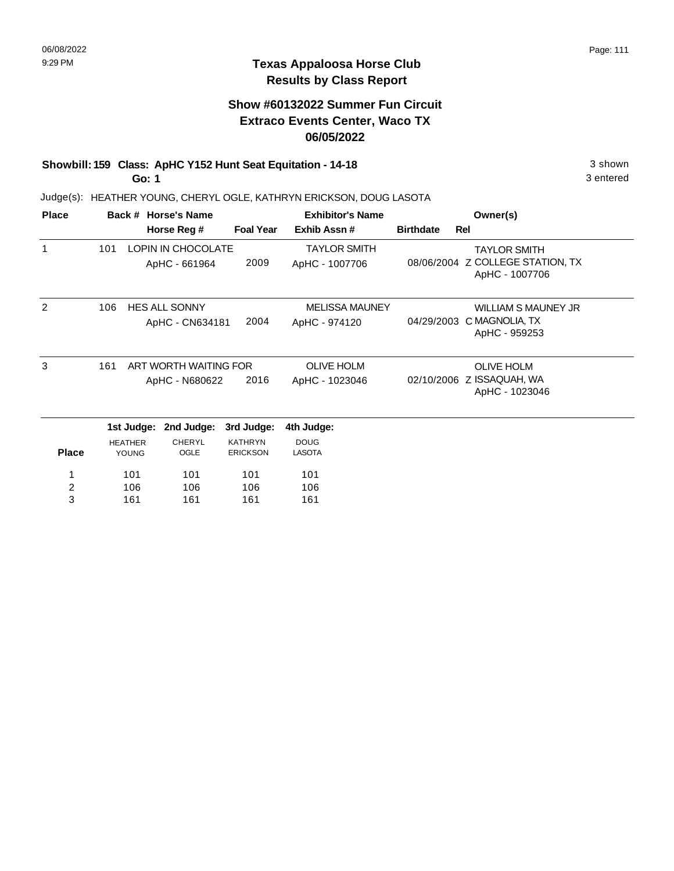# **Show #60132022 Summer Fun Circuit Extraco Events Center, Waco TX 06/05/2022**

# **Showbill: 159 Class: ApHC Y152 Hunt Seat Equitation - 14-18** 3 shown

**Go: 1**

Judge(s): HEATHER YOUNG, CHERYL OGLE, KATHRYN ERICKSON, DOUG LASOTA

| <b>Place</b>  |     |                                | Back # Horse's Name                     |                                   | <b>Exhibitor's Name</b>                |                  | Owner(s)                                                                  |
|---------------|-----|--------------------------------|-----------------------------------------|-----------------------------------|----------------------------------------|------------------|---------------------------------------------------------------------------|
|               |     |                                | Horse Reg #                             | <b>Foal Year</b>                  | Exhib Assn#                            | <b>Birthdate</b> | <b>Rel</b>                                                                |
| 1             | 101 |                                | LOPIN IN CHOCOLATE<br>ApHC - 661964     | 2009                              | <b>TAYLOR SMITH</b><br>ApHC - 1007706  |                  | <b>TAYLOR SMITH</b><br>08/06/2004 Z COLLEGE STATION, TX<br>ApHC - 1007706 |
| $\mathcal{P}$ | 106 |                                | <b>HES ALL SONNY</b><br>ApHC - CN634181 | 2004                              | <b>MELISSA MAUNEY</b><br>ApHC - 974120 | 04/29/2003       | WILLIAM S MAUNEY JR<br>C MAGNOLIA, TX<br>ApHC - 959253                    |
| 3             | 161 |                                | ART WORTH WAITING FOR<br>ApHC - N680622 | 2016                              | <b>OLIVE HOLM</b><br>ApHC - 1023046    |                  | <b>OLIVE HOLM</b><br>02/10/2006 Z ISSAQUAH, WA<br>ApHC - 1023046          |
|               |     | 1st Judge:                     | 2nd Judge:                              | 3rd Judge:                        | 4th Judge:                             |                  |                                                                           |
| <b>Place</b>  |     | <b>HEATHER</b><br><b>YOUNG</b> | <b>CHERYL</b><br>OGLE                   | <b>KATHRYN</b><br><b>ERICKSON</b> | <b>DOUG</b><br><b>LASOTA</b>           |                  |                                                                           |
| 1<br>2<br>3   |     | 101<br>106<br>161              | 101<br>106<br>161                       | 101<br>106<br>161                 | 101<br>106<br>161                      |                  |                                                                           |

3 entered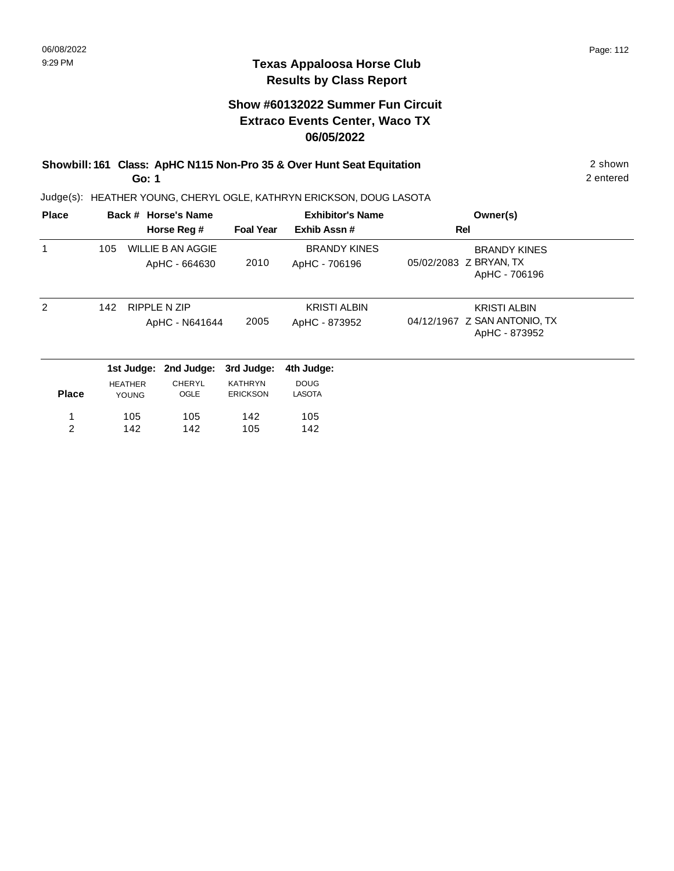### **Texas Appaloosa Horse Club Results by Class Report**

# **Show #60132022 Summer Fun Circuit Extraco Events Center, Waco TX 06/05/2022**

#### **Showbill: 161 Class: ApHC N115 Non-Pro 35 & Over Hunt Seat Equitation** 2 shown **Go: 1**

| <b>Place</b>  |     |                | Back # Horse's Name |                  | <b>Exhibitor's Name</b> | Owner(s)                                      |
|---------------|-----|----------------|---------------------|------------------|-------------------------|-----------------------------------------------|
|               |     |                | Horse Reg #         | <b>Foal Year</b> | Exhib Assn#             | Rel                                           |
|               | 105 |                | WILLIE B AN AGGIE   |                  | <b>BRANDY KINES</b>     | <b>BRANDY KINES</b>                           |
|               |     |                | ApHC - 664630       | 2010             | ApHC - 706196           | 05/02/2083 Z BRYAN, TX<br>ApHC - 706196       |
| $\mathcal{P}$ | 142 |                | <b>RIPPLE N ZIP</b> |                  | <b>KRISTI ALBIN</b>     | KRISTI ALBIN                                  |
|               |     |                | ApHC - N641644      | 2005             | ApHC - 873952           | 04/12/1967 Z SAN ANTONIO, TX<br>ApHC - 873952 |
|               |     | 1st Judge:     | 2nd Judge:          | 3rd Judge:       | 4th Judge:              |                                               |
|               |     | <b>HEATHER</b> | CHERYL              | <b>KATHRYN</b>   | <b>DOUG</b>             |                                               |
| <b>Place</b>  |     | <b>YOUNG</b>   | OGLE                | <b>ERICKSON</b>  | LASOTA                  |                                               |
| 1             |     | 105            | 105                 | 142              | 105                     |                                               |
| 2             |     | 142            | 142                 | 105              | 142                     |                                               |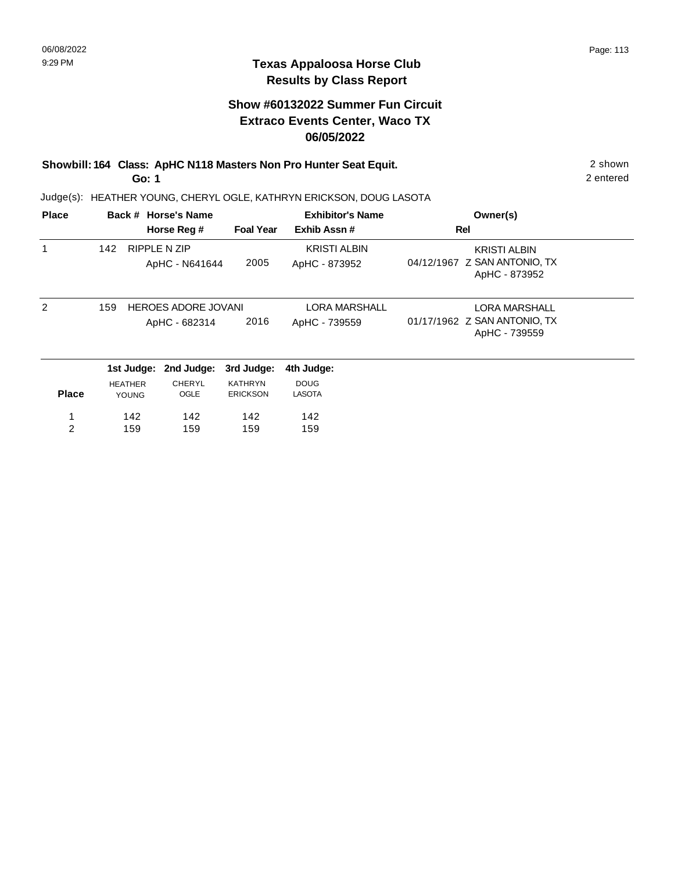# **Show #60132022 Summer Fun Circuit Extraco Events Center, Waco TX 06/05/2022**

**Showbill: 164 Class: ApHC N118 Masters Non Pro Hunter Seat Equit.** 2 shown **Go: 1**

Judge(s): HEATHER YOUNG, CHERYL OGLE, KATHRYN ERICKSON, DOUG LASOTA

| <b>Place</b> |                |              | Back # Horse's Name                         |                                   | <b>Exhibitor's Name</b>              | Owner(s)                                                              |  |
|--------------|----------------|--------------|---------------------------------------------|-----------------------------------|--------------------------------------|-----------------------------------------------------------------------|--|
|              |                |              | Horse Reg #                                 | <b>Foal Year</b>                  | Exhib Assn#                          | Rel                                                                   |  |
|              | 142            |              | <b>RIPPLE N ZIP</b><br>ApHC - N641644       | 2005                              | <b>KRISTI ALBIN</b><br>ApHC - 873952 | <b>KRISTI ALBIN</b><br>04/12/1967 Z SAN ANTONIO, TX<br>ApHC - 873952  |  |
| 2            | 159            |              | <b>HEROES ADORE JOVANI</b><br>ApHC - 682314 | 2016                              | LORA MARSHALL<br>ApHC - 739559       | <b>LORA MARSHALL</b><br>01/17/1962 Z SAN ANTONIO, TX<br>ApHC - 739559 |  |
|              |                | 1st Judge:   | 2nd Judge:                                  | 3rd Judge:                        | 4th Judge:                           |                                                                       |  |
| <b>Place</b> | <b>HEATHER</b> | <b>YOUNG</b> | <b>CHERYL</b><br>OGLE                       | <b>KATHRYN</b><br><b>ERICKSON</b> | <b>DOUG</b><br><b>LASOTA</b>         |                                                                       |  |
| 1            |                | 142          | 142                                         | 142                               | 142                                  |                                                                       |  |
| 2            |                | 159          | 159                                         | 159                               | 159                                  |                                                                       |  |

2 entered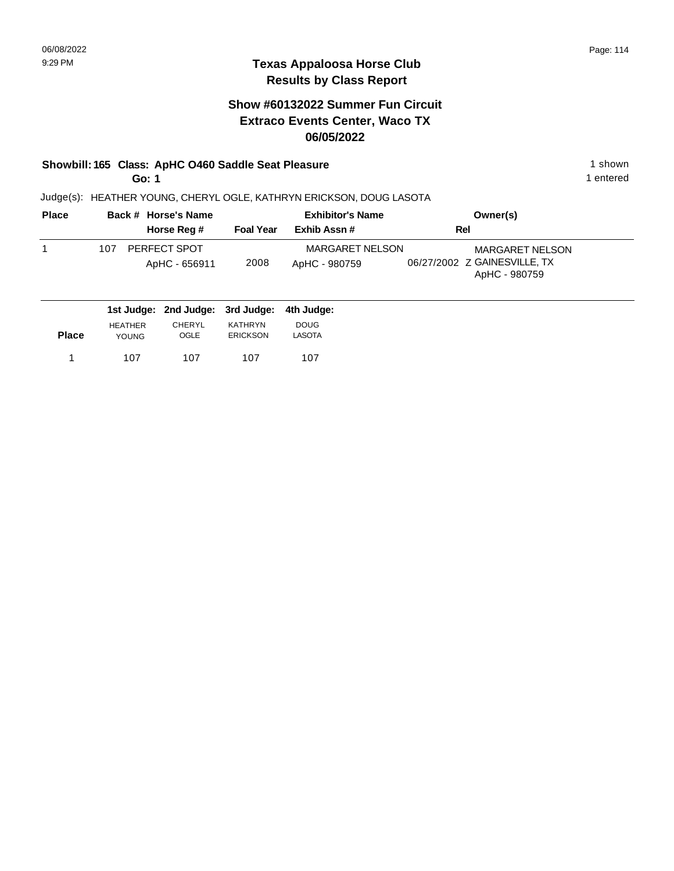# **Show #60132022 Summer Fun Circuit Extraco Events Center, Waco TX 06/05/2022**

# **Showbill: 165 Class: ApHC O460 Saddle Seat Pleasure** 1 shown

**Go: 1**

1 entered

| <b>Place</b> | Back # Horse's Name                  |                  | <b>Exhibitor's Name</b>          | Owner(s)                                                                |  |
|--------------|--------------------------------------|------------------|----------------------------------|-------------------------------------------------------------------------|--|
|              | Horse Reg #                          | <b>Foal Year</b> | Exhib Assn#                      | Rel                                                                     |  |
|              | PERFECT SPOT<br>107<br>ApHC - 656911 | 2008             | MARGARET NELSON<br>ApHC - 980759 | <b>MARGARET NELSON</b><br>06/27/2002 Z GAINESVILLE, TX<br>ApHC - 980759 |  |
|              | 1st Judge: 2nd Judge: 3rd Judge:     |                  | 4th Judge:                       |                                                                         |  |

| <b>Place</b> | <b>HEATHER</b> | CHERYL | KATHRYN         | <b>DOUG</b> |
|--------------|----------------|--------|-----------------|-------------|
|              | <b>YOUNG</b>   | OGLE   | <b>ERICKSON</b> | LASOTA      |
|              | 107            | 107    | 107             | 107         |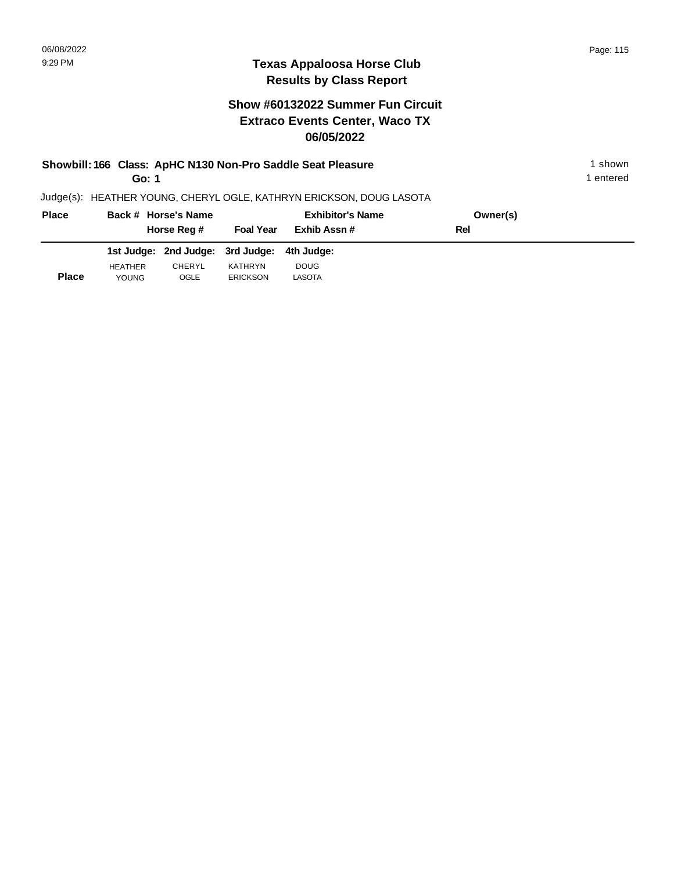# **Texas Appaloosa Horse Club Results by Class Report**

|              | Go: 1          |                                  |                  | Showbill: 166 Class: ApHC N130 Non-Pro Saddle Seat Pleasure         |          | 1 shown<br>1 entered |
|--------------|----------------|----------------------------------|------------------|---------------------------------------------------------------------|----------|----------------------|
|              |                |                                  |                  | Judge(s): HEATHER YOUNG, CHERYL OGLE, KATHRYN ERICKSON, DOUG LASOTA |          |                      |
| <b>Place</b> |                | Back # Horse's Name              |                  | <b>Exhibitor's Name</b>                                             | Owner(s) |                      |
|              |                | Horse Reg #                      | <b>Foal Year</b> | Exhib Assn#                                                         | Rel      |                      |
|              |                | 1st Judge: 2nd Judge: 3rd Judge: |                  | 4th Judae:                                                          |          |                      |
| <b>Place</b> | <b>HEATHER</b> | <b>CHERYL</b>                    | KATHRYN          | <b>DOUG</b>                                                         |          |                      |
|              | <b>YOUNG</b>   | OGLE                             | <b>ERICKSON</b>  | LASOTA                                                              |          |                      |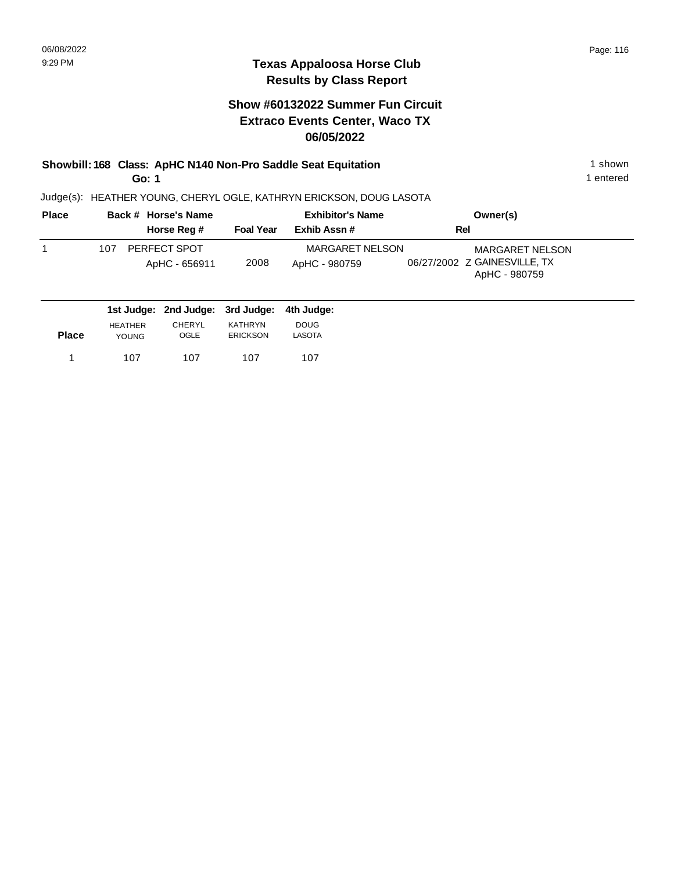# **Show #60132022 Summer Fun Circuit Extraco Events Center, Waco TX 06/05/2022**

#### **Showbill: 168 Class: ApHC N140 Non-Pro Saddle Seat Equitation** 1 shown 1 shown **Go: 1**

1 entered

| <b>Place</b> | Back # Horse's Name                  |                  | <b>Exhibitor's Name</b>                 | Owner(s)                                                                |
|--------------|--------------------------------------|------------------|-----------------------------------------|-------------------------------------------------------------------------|
|              | Horse Reg #                          | <b>Foal Year</b> | Exhib Assn#                             | Rel                                                                     |
|              | PERFECT SPOT<br>107<br>ApHC - 656911 | 2008             | <b>MARGARET NELSON</b><br>ApHC - 980759 | <b>MARGARET NELSON</b><br>06/27/2002 Z GAINESVILLE, TX<br>ApHC - 980759 |
|              | 1st Judge: 2nd Judge: 3rd Judge:     |                  | 4th Judae:                              |                                                                         |

| <b>Place</b> | <b>HEATHER</b> | CHERYL | KATHRYN         | <b>DOUG</b> |
|--------------|----------------|--------|-----------------|-------------|
|              | <b>YOUNG</b>   | OGLE   | <b>ERICKSON</b> | LASOTA      |
| 1            | 107            | 107    | 107             | 107         |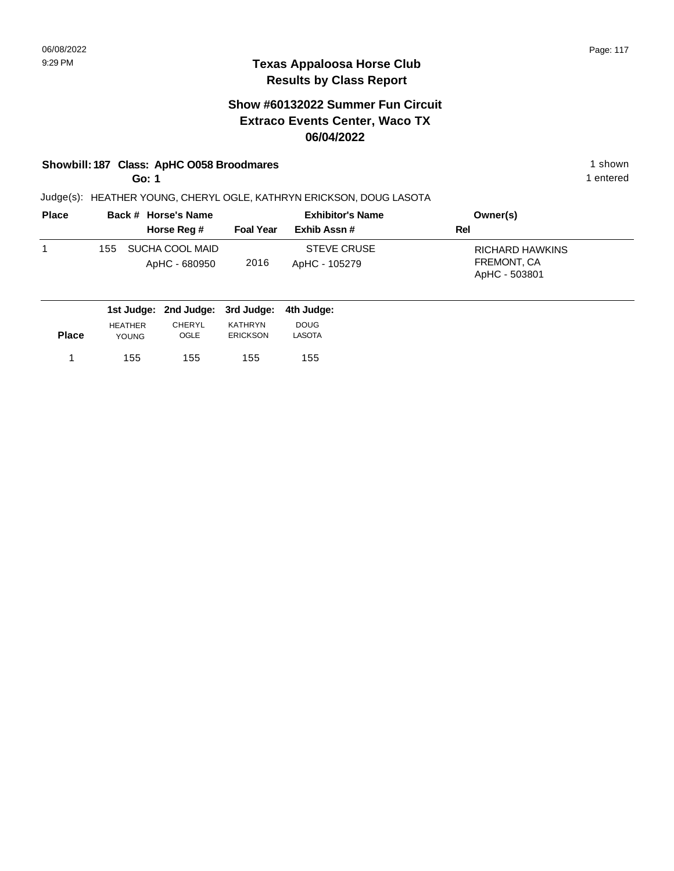### **Texas Appaloosa Horse Club Results by Class Report**

# **Show #60132022 Summer Fun Circuit Extraco Events Center, Waco TX 06/04/2022**

### **Showbill: 187 Class: ApHC 0058 Broodmares** 1 shown

**Go: 1**

| <b>Place</b> |     | Back # Horse's Name              | <b>Exhibitor's Name</b> |                                     | Owner(s)                                               |
|--------------|-----|----------------------------------|-------------------------|-------------------------------------|--------------------------------------------------------|
|              |     | Horse Reg #                      | <b>Foal Year</b>        | Exhib Assn#                         | Rel                                                    |
|              | 155 | SUCHA COOL MAID<br>ApHC - 680950 | 2016                    | <b>STEVE CRUSE</b><br>ApHC - 105279 | <b>RICHARD HAWKINS</b><br>FREMONT, CA<br>ApHC - 503801 |

|              |                | 1st Judge: 2nd Judge: 3rd Judge: 4th Judge: |                 |               |
|--------------|----------------|---------------------------------------------|-----------------|---------------|
|              | <b>HEATHER</b> | <b>CHERYL</b>                               | KATHRYN         | <b>DOUG</b>   |
| <b>Place</b> | <b>YOUNG</b>   | OGLE                                        | <b>ERICKSON</b> | <b>LASOTA</b> |
|              | 155            | 155                                         | 155             | 155           |
|              |                |                                             |                 |               |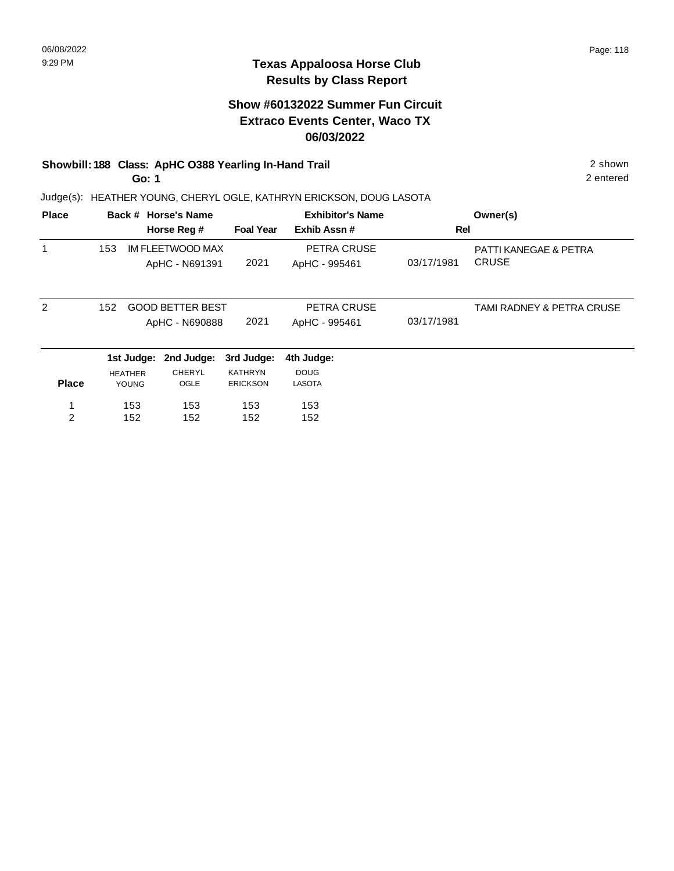### **Texas Appaloosa Horse Club Results by Class Report**

# **Show #60132022 Summer Fun Circuit Extraco Events Center, Waco TX 06/03/2022**

# **Showbill: 188 Class: ApHC O388 Yearling In-Hand Trail** 2 shown

**Go: 1**

| <b>Place</b>   |                |              | Back # Horse's Name<br>Horse Reg #        | <b>Foal Year</b>                  | <b>Exhibitor's Name</b><br>Exhib Assn# | Rel        | Owner(s)                                         |
|----------------|----------------|--------------|-------------------------------------------|-----------------------------------|----------------------------------------|------------|--------------------------------------------------|
|                | 153            |              | IM FLEETWOOD MAX<br>ApHC - N691391        | 2021                              | PETRA CRUSE<br>ApHC - 995461           | 03/17/1981 | <b>PATTI KANEGAE &amp; PETRA</b><br><b>CRUSE</b> |
| 2              | 152            |              | <b>GOOD BETTER BEST</b><br>ApHC - N690888 | 2021                              | PETRA CRUSE<br>ApHC - 995461           | 03/17/1981 | TAMI RADNEY & PETRA CRUSE                        |
|                |                |              | 1st Judge: 2nd Judge:                     | 3rd Judge:                        | 4th Judge:                             |            |                                                  |
| <b>Place</b>   | <b>HEATHER</b> | <b>YOUNG</b> | <b>CHERYL</b><br>OGLE                     | <b>KATHRYN</b><br><b>ERICKSON</b> | <b>DOUG</b><br><b>LASOTA</b>           |            |                                                  |
| 1              |                | 153          | 153                                       | 153                               | 153                                    |            |                                                  |
| $\overline{2}$ |                | 152          | 152                                       | 152                               | 152                                    |            |                                                  |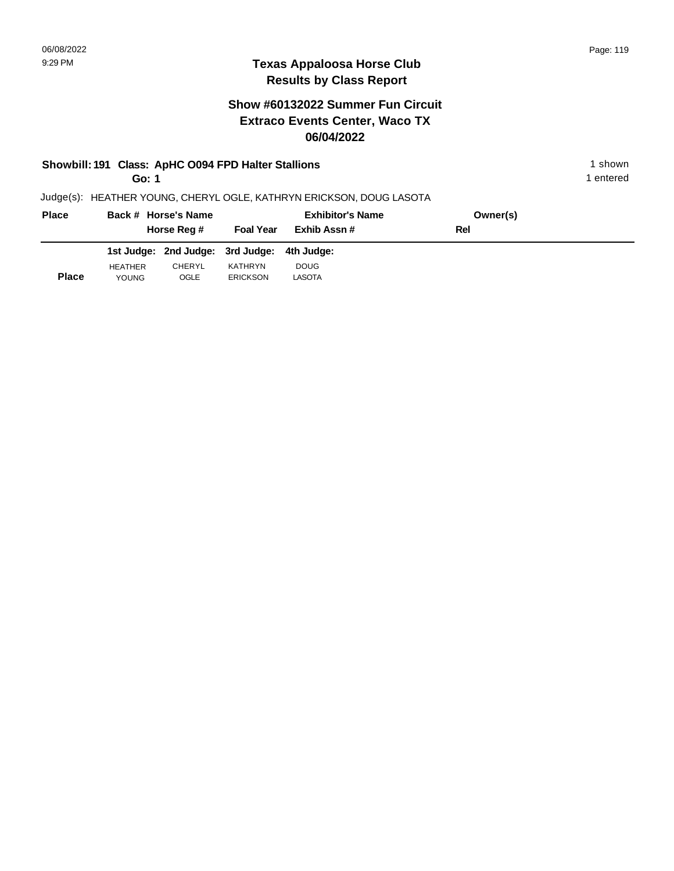# **Show #60132022 Summer Fun Circuit Extraco Events Center, Waco TX 06/04/2022**

# **Showbill: 191 Class: ApHC 0094 FPD Halter Stallions** 1 shown

**Go: 1**

1 entered

| <b>Place</b> | Back # Horse's Name<br>Horse Reg # |        | <b>Exhibitor's Name</b><br><b>Foal Year</b><br>Exhib Assn # |             | Owner(s)<br>Rel |  |
|--------------|------------------------------------|--------|-------------------------------------------------------------|-------------|-----------------|--|
|              |                                    |        | 1st Judge: 2nd Judge: 3rd Judge: 4th Judge:                 |             |                 |  |
|              | <b>HEATHER</b>                     | CHERYL | KATHRYN                                                     | <b>DOUG</b> |                 |  |
| Place        | <b>YOUNG</b>                       | OGLE   | <b>ERICKSON</b>                                             | LASOTA      |                 |  |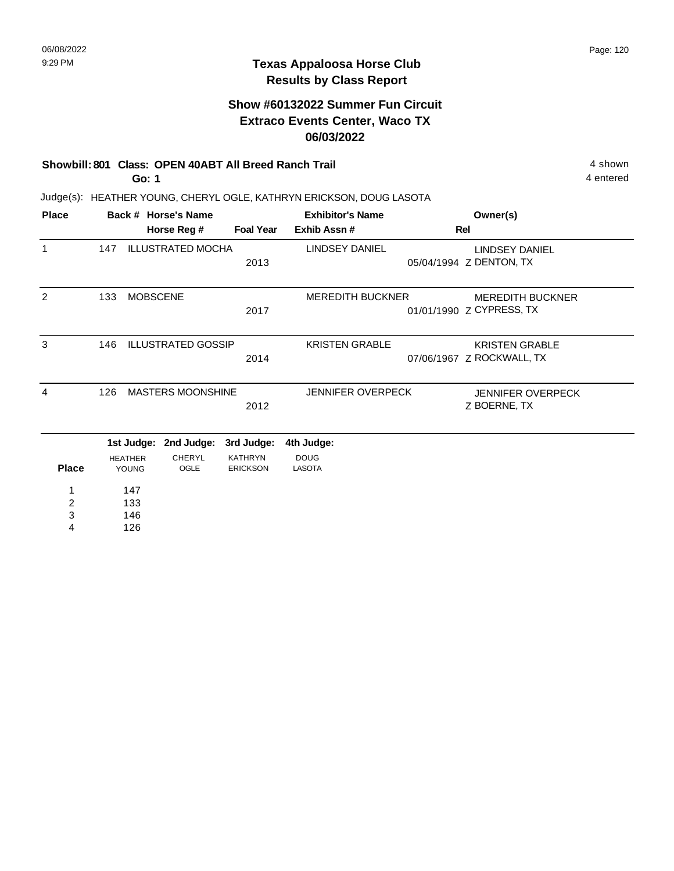### **Texas Appaloosa Horse Club Results by Class Report**

# **Show #60132022 Summer Fun Circuit Extraco Events Center, Waco TX 06/03/2022**

# **Showbill: 801 Class: OPEN 40ABT All Breed Ranch Trail** 4 shown

**Go: 1**

| <b>Place</b>            |     |                 | Back # Horse's Name       |                  | <b>Exhibitor's Name</b>  | Owner(s)                  |
|-------------------------|-----|-----------------|---------------------------|------------------|--------------------------|---------------------------|
|                         |     |                 | Horse Reg #               | <b>Foal Year</b> | Exhib Assn #             | Rel                       |
| $\mathbf{1}$            | 147 |                 | <b>ILLUSTRATED MOCHA</b>  |                  | <b>LINDSEY DANIEL</b>    | <b>LINDSEY DANIEL</b>     |
|                         |     |                 |                           | 2013             |                          | 05/04/1994 Z DENTON, TX   |
| 2                       | 133 | <b>MOBSCENE</b> |                           |                  | <b>MEREDITH BUCKNER</b>  | <b>MEREDITH BUCKNER</b>   |
|                         |     |                 |                           | 2017             |                          | 01/01/1990 Z CYPRESS, TX  |
| 3                       | 146 |                 | <b>ILLUSTRATED GOSSIP</b> |                  | <b>KRISTEN GRABLE</b>    | <b>KRISTEN GRABLE</b>     |
|                         |     |                 |                           | 2014             |                          | 07/06/1967 Z ROCKWALL, TX |
| 4                       | 126 |                 | <b>MASTERS MOONSHINE</b>  |                  | <b>JENNIFER OVERPECK</b> | <b>JENNIFER OVERPECK</b>  |
|                         |     |                 |                           | 2012             |                          | Z BOERNE, TX              |
|                         |     |                 | 1st Judge: 2nd Judge:     | 3rd Judge:       | 4th Judge:               |                           |
|                         |     | <b>HEATHER</b>  | <b>CHERYL</b>             | <b>KATHRYN</b>   | <b>DOUG</b>              |                           |
| <b>Place</b>            |     | YOUNG           | OGLE                      | <b>ERICKSON</b>  | <b>LASOTA</b>            |                           |
| 1                       |     | 147             |                           |                  |                          |                           |
| $\overline{\mathbf{c}}$ |     | 133             |                           |                  |                          |                           |
| 3                       |     | 146             |                           |                  |                          |                           |
| 4                       |     | 126             |                           |                  |                          |                           |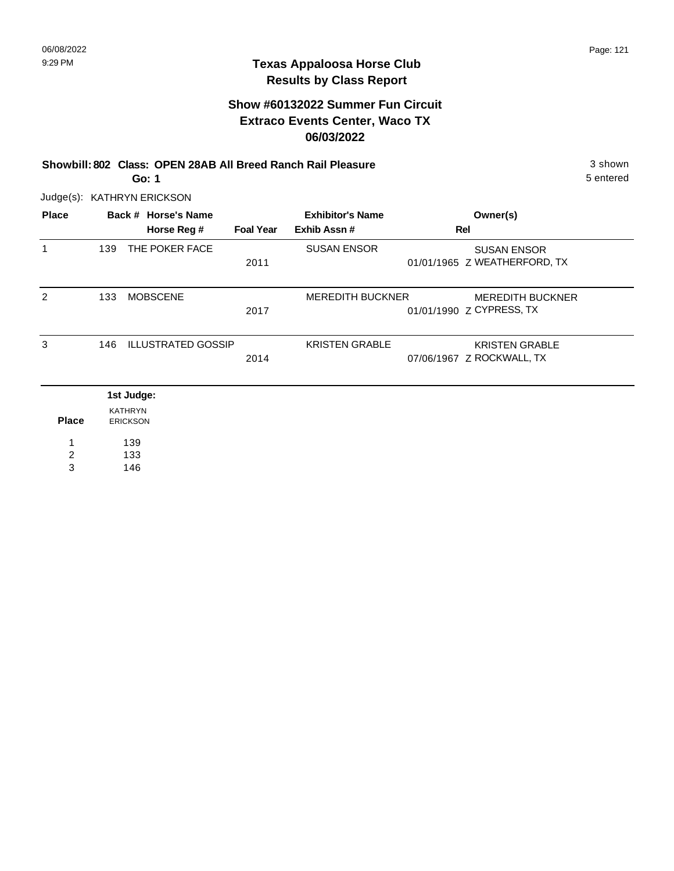# **Show #60132022 Summer Fun Circuit Extraco Events Center, Waco TX 06/03/2022**

**Showbill: 802 Class: OPEN 28AB All Breed Ranch Rail Pleasure** 3 shown

5 entered

Judge(s): KATHRYN ERICKSON

**Go: 1**

| <b>Place</b>   |     | Back # Horse's Name               |                  | <b>Exhibitor's Name</b> | Owner(s)                                            |
|----------------|-----|-----------------------------------|------------------|-------------------------|-----------------------------------------------------|
|                |     | Horse Reg #                       | <b>Foal Year</b> | Exhib Assn#             | Rel                                                 |
| 1              | 139 | THE POKER FACE                    | 2011             | <b>SUSAN ENSOR</b>      | <b>SUSAN ENSOR</b><br>01/01/1965 Z WEATHERFORD, TX  |
| 2              | 133 | <b>MOBSCENE</b>                   | 2017             | <b>MEREDITH BUCKNER</b> | <b>MEREDITH BUCKNER</b><br>01/01/1990 Z CYPRESS, TX |
| 3              | 146 | <b>ILLUSTRATED GOSSIP</b>         | 2014             | <b>KRISTEN GRABLE</b>   | <b>KRISTEN GRABLE</b><br>07/06/1967 Z ROCKWALL, TX  |
|                |     | 1st Judge:                        |                  |                         |                                                     |
| <b>Place</b>   |     | <b>KATHRYN</b><br><b>ERICKSON</b> |                  |                         |                                                     |
| 1              |     | 139                               |                  |                         |                                                     |
| $\overline{2}$ |     | 133                               |                  |                         |                                                     |
| 3              |     | 146                               |                  |                         |                                                     |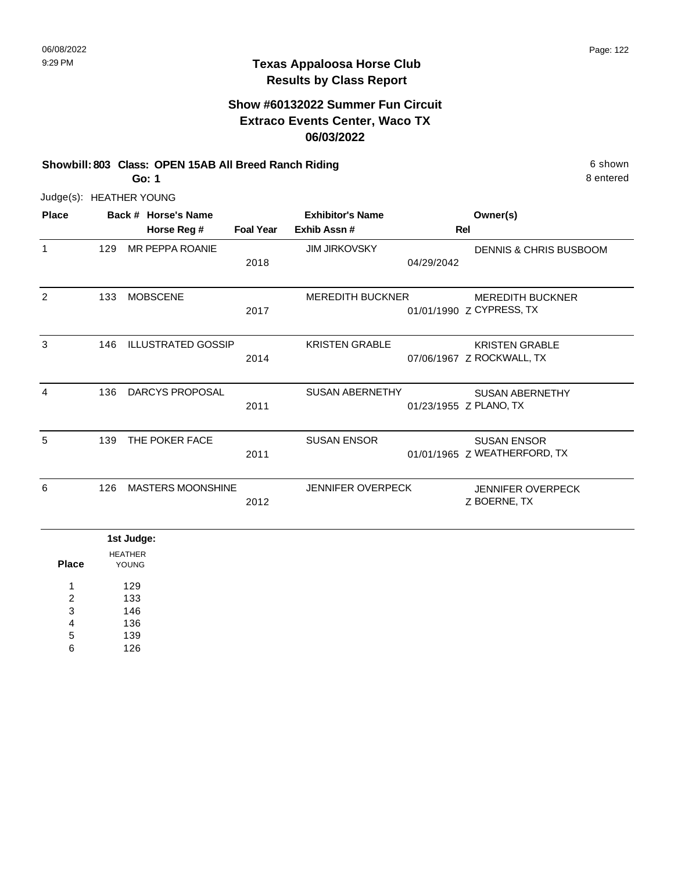# **Show #60132022 Summer Fun Circuit Extraco Events Center, Waco TX 06/03/2022**

#### **Showbill: 803 Class: OPEN 15AB All Breed Ranch Riding 6 shown 6 shown 6 shown Go: 1**

8 entered

Judge(s): HEATHER YOUNG

| <b>Place</b> |     | Back # Horse's Name       |                  | <b>Exhibitor's Name</b>  | Owner(s)                                            |
|--------------|-----|---------------------------|------------------|--------------------------|-----------------------------------------------------|
|              |     | Horse Reg #               | <b>Foal Year</b> | Exhib Assn#              | Rel                                                 |
| 1            | 129 | MR PEPPA ROANIE           | 2018             | <b>JIM JIRKOVSKY</b>     | DENNIS & CHRIS BUSBOOM<br>04/29/2042                |
| 2            | 133 | <b>MOBSCENE</b>           | 2017             | <b>MEREDITH BUCKNER</b>  | <b>MEREDITH BUCKNER</b><br>01/01/1990 Z CYPRESS, TX |
| 3            | 146 | <b>ILLUSTRATED GOSSIP</b> | 2014             | <b>KRISTEN GRABLE</b>    | <b>KRISTEN GRABLE</b><br>07/06/1967 Z ROCKWALL, TX  |
| 4            | 136 | DARCYS PROPOSAL           | 2011             | <b>SUSAN ABERNETHY</b>   | <b>SUSAN ABERNETHY</b><br>01/23/1955 Z PLANO, TX    |
| 5            | 139 | THE POKER FACE            | 2011             | <b>SUSAN ENSOR</b>       | <b>SUSAN ENSOR</b><br>01/01/1965 Z WEATHERFORD, TX  |
| 6            | 126 | <b>MASTERS MOONSHINE</b>  | 2012             | <b>JENNIFER OVERPECK</b> | <b>JENNIFER OVERPECK</b><br>Z BOERNE, TX            |

|              | 1st Judge:     |
|--------------|----------------|
|              | <b>HEATHER</b> |
| <b>Place</b> | <b>YOUNG</b>   |
| 1            | 129            |
| 2            | 133            |
| 3            | 146            |
| 4            | 136            |
| 5            | 139            |
| 6            | 126            |
|              |                |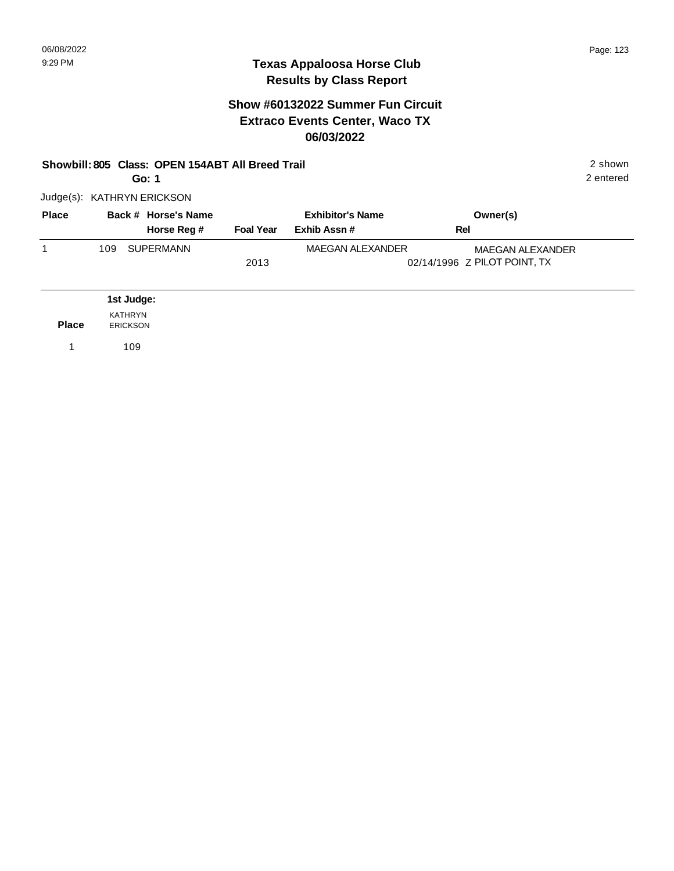### **Texas Appaloosa Horse Club Results by Class Report**

# **Show #60132022 Summer Fun Circuit Extraco Events Center, Waco TX 06/03/2022**

#### **Showbill: 805 Class: OPEN 154ABT All Breed Trail** 2 shown

**Go: 1**

Judge(s): KATHRYN ERICKSON

| <b>Place</b> | Back # Horse's Name |                  | <b>Exhibitor's Name</b> | Owner(s)                     |
|--------------|---------------------|------------------|-------------------------|------------------------------|
|              | Horse Reg #         | <b>Foal Year</b> | Exhib Assn #            | Rel                          |
|              | SUPERMANN<br>109    |                  | MAEGAN ALEXANDER        | MAEGAN ALEXANDER             |
|              |                     | 2013             |                         | 02/14/1996 Z PILOT POINT, TX |

|              | 1st Judge:      |
|--------------|-----------------|
|              | KATHRYN         |
| <b>Place</b> | <b>ERICKSON</b> |
|              | 109             |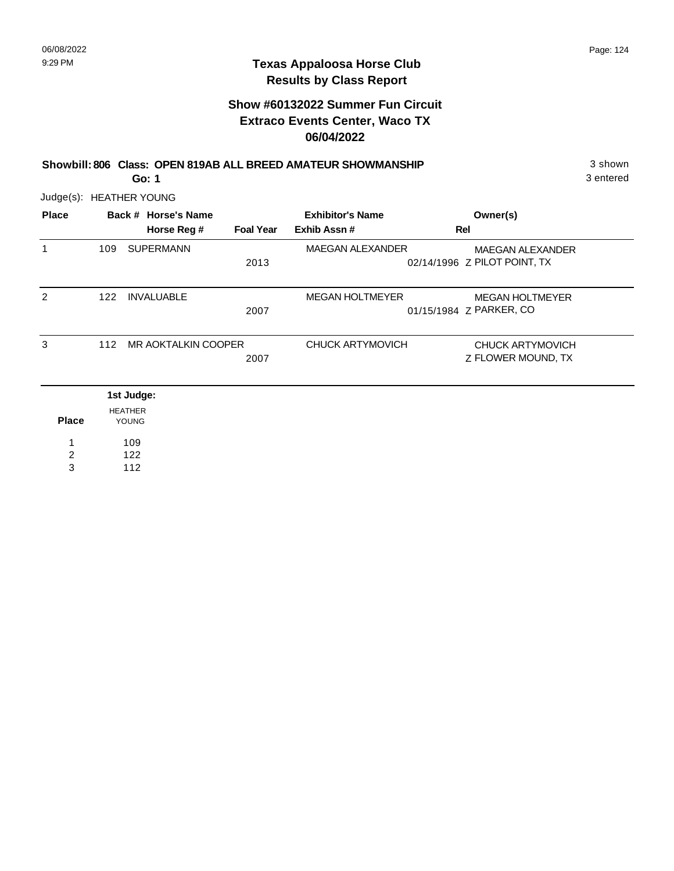|              |     | Go: 1                          |                  | Showbill: 806 Class: OPEN 819AB ALL BREED AMATEUR SHOWMANSHIP |                                                         | 3 shown<br>3 entered |
|--------------|-----|--------------------------------|------------------|---------------------------------------------------------------|---------------------------------------------------------|----------------------|
|              |     | Judge(s): HEATHER YOUNG        |                  |                                                               |                                                         |                      |
| <b>Place</b> |     | Back # Horse's Name            |                  | <b>Exhibitor's Name</b>                                       | Owner(s)                                                |                      |
|              |     | Horse Reg #                    | <b>Foal Year</b> | Exhib Assn#                                                   | Rel                                                     |                      |
| 1            | 109 | <b>SUPERMANN</b>               | 2013             | <b>MAEGAN ALEXANDER</b>                                       | <b>MAEGAN ALEXANDER</b><br>02/14/1996 Z PILOT POINT, TX |                      |
| 2            | 122 | <b>INVALUABLE</b>              | 2007             | <b>MEGAN HOLTMEYER</b>                                        | <b>MEGAN HOLTMEYER</b><br>01/15/1984 Z PARKER, CO       |                      |
| 3            | 112 | MR AOKTALKIN COOPER            | 2007             | CHUCK ARTYMOVICH                                              | CHUCK ARTYMOVICH<br>Z FLOWER MOUND, TX                  |                      |
|              |     | 1st Judge:                     |                  |                                                               |                                                         |                      |
| <b>Place</b> |     | <b>HEATHER</b><br><b>YOUNG</b> |                  |                                                               |                                                         |                      |
| 1            |     | 109                            |                  |                                                               |                                                         |                      |
| 2            |     | 122                            |                  |                                                               |                                                         |                      |
| 3            |     | 112                            |                  |                                                               |                                                         |                      |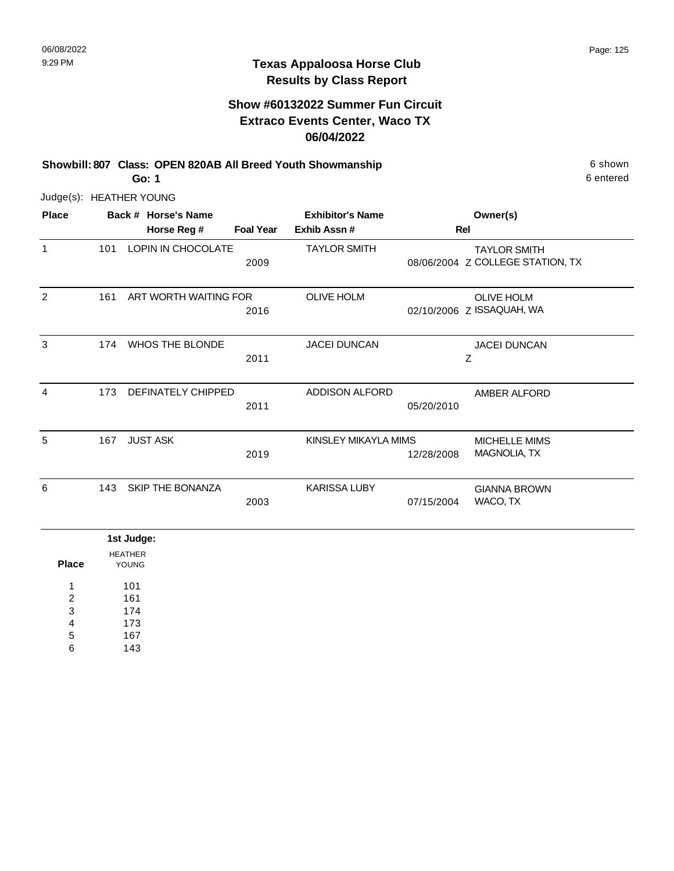# **Show #60132022 Summer Fun Circuit Extraco Events Center, Waco TX 06/04/2022**

**Showbill: 807 Class: OPEN 820AB All Breed Youth Showmanship** 6 Shown 6 shown **Go: 1**

6 entered

Judge(s): HEATHER YOUNG

| <b>Place</b> |     | Back # Horse's Name<br>Horse Reg # | <b>Foal Year</b> | <b>Exhibitor's Name</b><br>Exhib Assn# | Rel        | Owner(s)                                                |
|--------------|-----|------------------------------------|------------------|----------------------------------------|------------|---------------------------------------------------------|
| $\mathbf{1}$ | 101 | <b>LOPIN IN CHOCOLATE</b>          | 2009             | <b>TAYLOR SMITH</b>                    |            | <b>TAYLOR SMITH</b><br>08/06/2004 Z COLLEGE STATION, TX |
| 2            | 161 | ART WORTH WAITING FOR              | 2016             | <b>OLIVE HOLM</b>                      |            | <b>OLIVE HOLM</b><br>02/10/2006 Z ISSAQUAH, WA          |
| 3            | 174 | <b>WHOS THE BLONDE</b>             | 2011             | <b>JACEI DUNCAN</b>                    |            | <b>JACEI DUNCAN</b><br>Z                                |
| 4            | 173 | <b>DEFINATELY CHIPPED</b>          | 2011             | <b>ADDISON ALFORD</b>                  | 05/20/2010 | AMBER ALFORD                                            |
| 5            | 167 | <b>JUST ASK</b>                    | 2019             | KINSLEY MIKAYLA MIMS                   | 12/28/2008 | <b>MICHELLE MIMS</b><br>MAGNOLIA, TX                    |
| 6            | 143 | SKIP THE BONANZA                   | 2003             | <b>KARISSA LUBY</b>                    | 07/15/2004 | <b>GIANNA BROWN</b><br>WACO, TX                         |
|              |     | 1st Judge:                         |                  |                                        |            |                                                         |

| Place | <b>HEATHER</b><br>YOUNG |
|-------|-------------------------|
| 1     | 101                     |
| 2     | 161                     |
| 3     | 174                     |
| 4     | 173                     |
| 5     | 167                     |
| 6     | 143                     |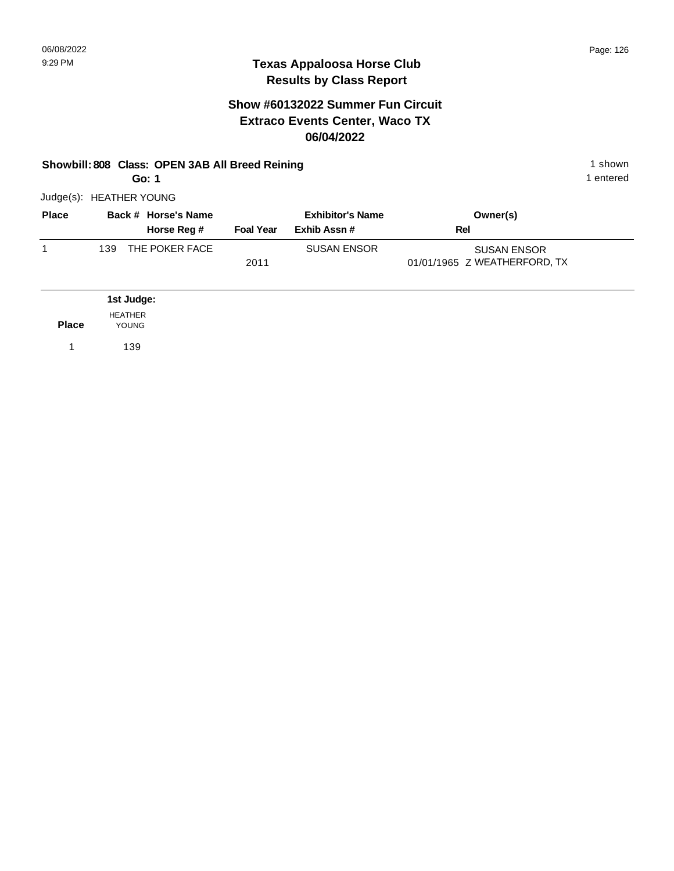# **Show #60132022 Summer Fun Circuit Extraco Events Center, Waco TX 06/04/2022**

#### **Showbill: 808 Class: OPEN 3AB All Breed Reining 1 shown 1 shown 1 shown Go: 1**

1 entered

Judge(s): HEATHER YOUNG

| <b>Place</b> | Back # Horse's Name    | <b>Exhibitor's Name</b> |                    | Owner(s)                     |
|--------------|------------------------|-------------------------|--------------------|------------------------------|
|              | Horse Reg #            | <b>Foal Year</b>        | Exhib Assn #       | Rel                          |
|              | THE POKER FACE<br>139. |                         | <b>SUSAN ENSOR</b> | <b>SUSAN ENSOR</b>           |
|              |                        | 2011                    |                    | 01/01/1965 Z WEATHERFORD, TX |

|              | 1st Judge:              |
|--------------|-------------------------|
| <b>Place</b> | <b>HEATHER</b><br>YOUNG |
|              | 139                     |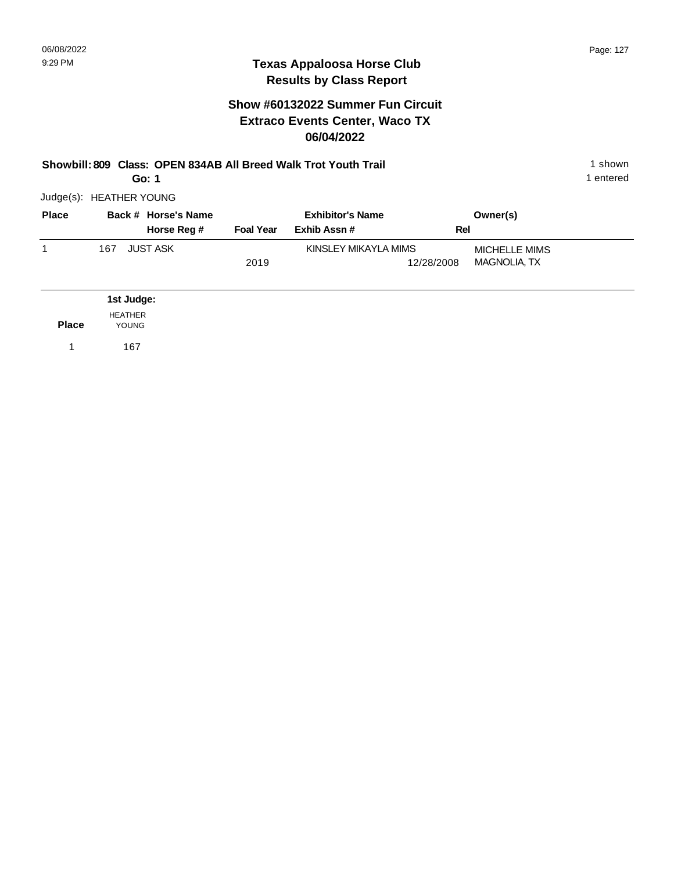|              | Showbill: 809 Class: OPEN 834AB All Breed Walk Trot Youth Trail<br>Go: 1 |                                    |                  |                                        |            |                                      |  |  |
|--------------|--------------------------------------------------------------------------|------------------------------------|------------------|----------------------------------------|------------|--------------------------------------|--|--|
|              | Judge(s): HEATHER YOUNG                                                  |                                    |                  |                                        |            |                                      |  |  |
| <b>Place</b> |                                                                          | Back # Horse's Name<br>Horse Reg # | <b>Foal Year</b> | <b>Exhibitor's Name</b><br>Exhib Assn# | Rel        | Owner(s)                             |  |  |
| 1            | 167                                                                      | <b>JUST ASK</b>                    | 2019             | KINSLEY MIKAYLA MIMS                   | 12/28/2008 | MICHELLE MIMS<br><b>MAGNOLIA, TX</b> |  |  |
|              | 1st Judge:                                                               |                                    |                  |                                        |            |                                      |  |  |
| <b>Place</b> | <b>HEATHER</b><br><b>YOUNG</b>                                           |                                    |                  |                                        |            |                                      |  |  |
|              | 167                                                                      |                                    |                  |                                        |            |                                      |  |  |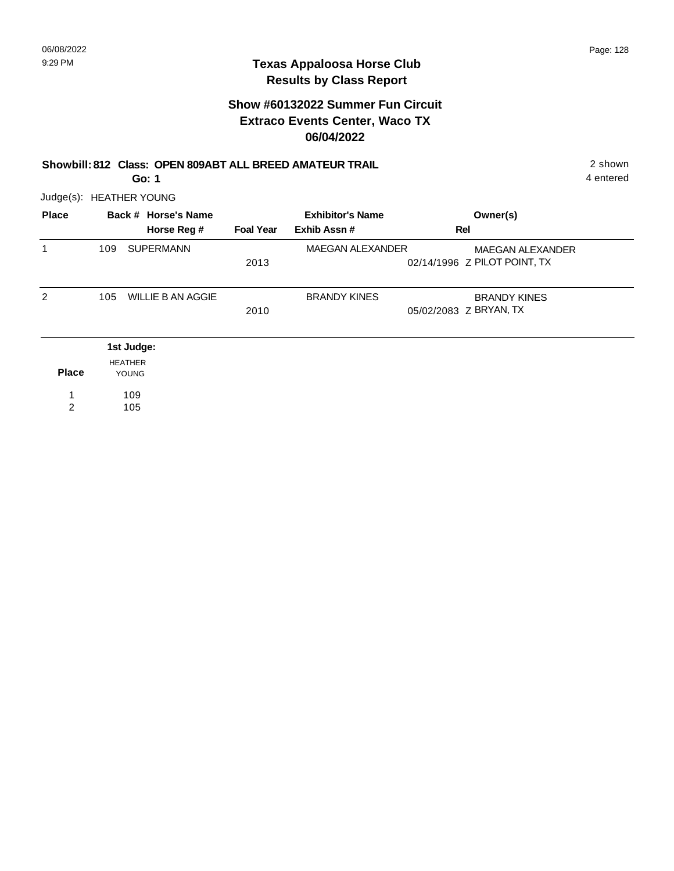# **Show #60132022 Summer Fun Circuit Extraco Events Center, Waco TX 06/04/2022**

#### **Showbill: 812 Class: OPEN 809ABT ALL BREED AMATEUR TRAIL** 2 shown

4 entered

Judge(s): HEATHER YOUNG

**Go: 1**

| <b>Place</b> |                | Back # Horse's Name<br>Horse Reg # | <b>Foal Year</b> | <b>Exhibitor's Name</b><br>Exhib Assn# | Owner(s)<br>Rel                                         |
|--------------|----------------|------------------------------------|------------------|----------------------------------------|---------------------------------------------------------|
| 1            | 109            | <b>SUPERMANN</b>                   | 2013             | <b>MAEGAN ALEXANDER</b>                | <b>MAEGAN ALEXANDER</b><br>02/14/1996 Z PILOT POINT, TX |
| 2            | 105            | <b>WILLIE B AN AGGIE</b>           | 2010             | <b>BRANDY KINES</b>                    | <b>BRANDY KINES</b><br>05/02/2083 Z BRYAN, TX           |
|              |                | 1st Judge:                         |                  |                                        |                                                         |
| <b>Place</b> | <b>HEATHER</b> | YOUNG                              |                  |                                        |                                                         |
| 2            |                | 109<br>105                         |                  |                                        |                                                         |

2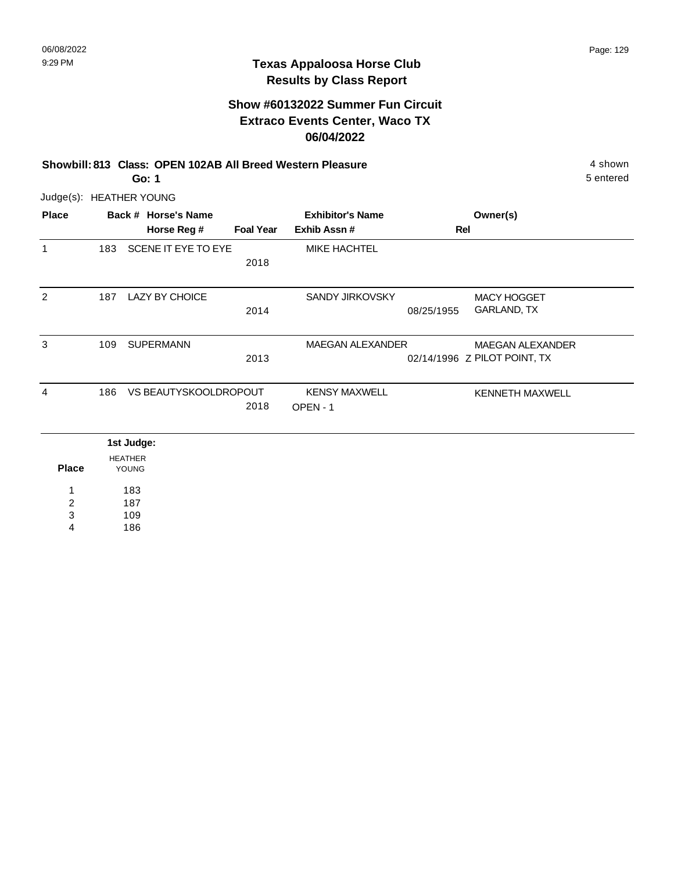# **Show #60132022 Summer Fun Circuit Extraco Events Center, Waco TX 06/04/2022**

**Showbill: 813 Class: OPEN 102AB All Breed Western Pleasure** 4 shown **Go: 1**

5 entered

Judge(s): HEATHER YOUNG

| <b>Place</b>   |     | Back # Horse's Name            |                  | <b>Exhibitor's Name</b> | Owner(s)                     |
|----------------|-----|--------------------------------|------------------|-------------------------|------------------------------|
|                |     | Horse Reg #                    | <b>Foal Year</b> | Exhib Assn #            | Rel                          |
| 1              | 183 | SCENE IT EYE TO EYE            |                  | MIKE HACHTEL            |                              |
|                |     |                                | 2018             |                         |                              |
| 2              | 187 | <b>LAZY BY CHOICE</b>          |                  | SANDY JIRKOVSKY         | <b>MACY HOGGET</b>           |
|                |     |                                | 2014             |                         | GARLAND, TX<br>08/25/1955    |
| 3              | 109 | <b>SUPERMANN</b>               |                  | MAEGAN ALEXANDER        | <b>MAEGAN ALEXANDER</b>      |
|                |     |                                | 2013             |                         | 02/14/1996 Z PILOT POINT, TX |
| 4              | 186 | VS BEAUTYSKOOLDROPOUT          |                  | <b>KENSY MAXWELL</b>    | <b>KENNETH MAXWELL</b>       |
|                |     |                                | 2018             | OPEN-1                  |                              |
|                |     | 1st Judge:                     |                  |                         |                              |
| <b>Place</b>   |     | <b>HEATHER</b><br><b>YOUNG</b> |                  |                         |                              |
| 1              |     | 183                            |                  |                         |                              |
| $\overline{c}$ |     | 187                            |                  |                         |                              |
| 3              |     | 109                            |                  |                         |                              |

186 4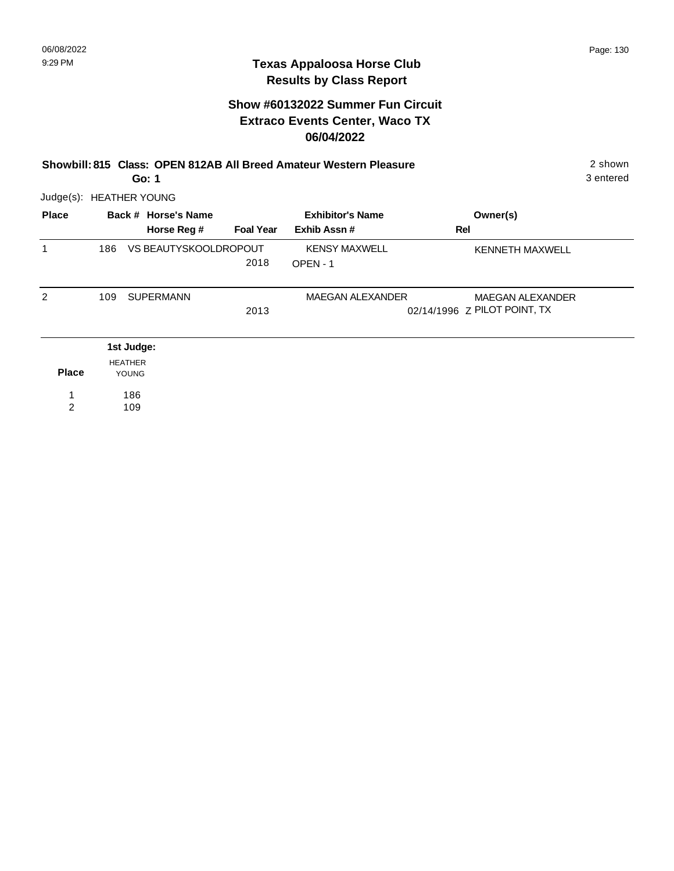|                         | 2 shown<br>Showbill: 815 Class: OPEN 812AB All Breed Amateur Western Pleasure<br>3 entered<br>Go: 1 |                                |                       |                  |                         |                              |  |  |
|-------------------------|-----------------------------------------------------------------------------------------------------|--------------------------------|-----------------------|------------------|-------------------------|------------------------------|--|--|
| Judge(s): HEATHER YOUNG |                                                                                                     |                                |                       |                  |                         |                              |  |  |
| <b>Place</b>            |                                                                                                     |                                | Back # Horse's Name   |                  | <b>Exhibitor's Name</b> | Owner(s)                     |  |  |
|                         |                                                                                                     |                                | Horse Reg #           | <b>Foal Year</b> | Exhib Assn#             | Rel                          |  |  |
| 1                       | 186                                                                                                 |                                | VS BEAUTYSKOOLDROPOUT |                  | <b>KENSY MAXWELL</b>    | <b>KENNETH MAXWELL</b>       |  |  |
|                         |                                                                                                     |                                |                       | 2018             | OPEN-1                  |                              |  |  |
| $\overline{2}$          | 109                                                                                                 |                                | <b>SUPERMANN</b>      |                  | <b>MAEGAN ALEXANDER</b> | <b>MAEGAN ALEXANDER</b>      |  |  |
|                         |                                                                                                     |                                |                       | 2013             |                         | 02/14/1996 Z PILOT POINT, TX |  |  |
|                         |                                                                                                     | 1st Judge:                     |                       |                  |                         |                              |  |  |
| <b>Place</b>            |                                                                                                     | <b>HEATHER</b><br><b>YOUNG</b> |                       |                  |                         |                              |  |  |
|                         |                                                                                                     | 186                            |                       |                  |                         |                              |  |  |
| $\overline{2}$          |                                                                                                     | 109                            |                       |                  |                         |                              |  |  |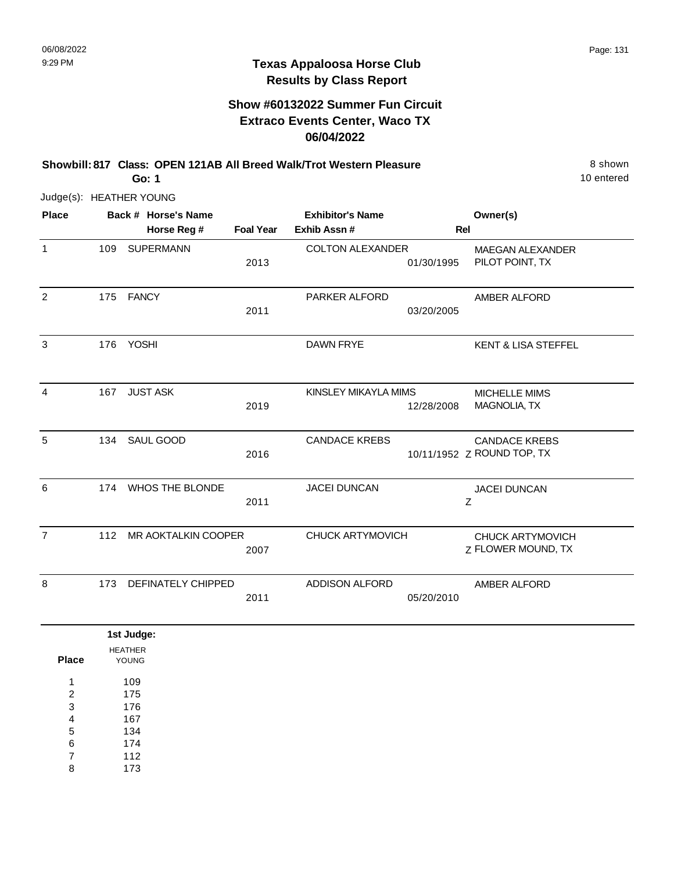# **Show #60132022 Summer Fun Circuit Extraco Events Center, Waco TX 06/04/2022**

**Showbill: 817 Class: OPEN 121AB All Breed Walk/Trot Western Pleasure** 8 shown

10 entered

Judge(s): HEATHER YOUNG

**Go: 1**

112 173

7 8

| <b>Place</b>                                      |     | Back # Horse's Name      |                  | <b>Exhibitor's Name</b> |            | Owner(s)                                           |
|---------------------------------------------------|-----|--------------------------|------------------|-------------------------|------------|----------------------------------------------------|
|                                                   |     | Horse Reg #              | <b>Foal Year</b> | Exhib Assn #            | Rel        |                                                    |
| $\mathbf{1}$                                      | 109 | <b>SUPERMANN</b>         | 2013             | <b>COLTON ALEXANDER</b> | 01/30/1995 | <b>MAEGAN ALEXANDER</b><br>PILOT POINT, TX         |
| $\overline{2}$                                    |     | 175 FANCY                | 2011             | PARKER ALFORD           | 03/20/2005 | AMBER ALFORD                                       |
| 3                                                 | 176 | <b>YOSHI</b>             |                  | DAWN FRYE               |            | <b>KENT &amp; LISA STEFFEL</b>                     |
| 4                                                 | 167 | <b>JUST ASK</b>          | 2019             | KINSLEY MIKAYLA MIMS    | 12/28/2008 | MICHELLE MIMS<br>MAGNOLIA, TX                      |
| $\sqrt{5}$                                        | 134 | SAUL GOOD                | 2016             | <b>CANDACE KREBS</b>    |            | <b>CANDACE KREBS</b><br>10/11/1952 Z ROUND TOP, TX |
| 6                                                 |     | 174 WHOS THE BLONDE      | 2011             | JACEI DUNCAN            |            | JACEI DUNCAN<br>Z                                  |
| $\overline{7}$                                    | 112 | MR AOKTALKIN COOPER      | 2007             | CHUCK ARTYMOVICH        |            | CHUCK ARTYMOVICH<br>Z FLOWER MOUND, TX             |
| 8                                                 | 173 | DEFINATELY CHIPPED       | 2011             | ADDISON ALFORD          | 05/20/2010 | AMBER ALFORD                                       |
|                                                   |     | 1st Judge:               |                  |                         |            |                                                    |
| <b>Place</b>                                      |     | <b>HEATHER</b><br>YOUNG  |                  |                         |            |                                                    |
| $\mathbf{1}$<br>$\overline{\mathbf{c}}$<br>3<br>4 |     | 109<br>175<br>176<br>167 |                  |                         |            |                                                    |
| 5<br>6                                            |     | 134<br>174               |                  |                         |            |                                                    |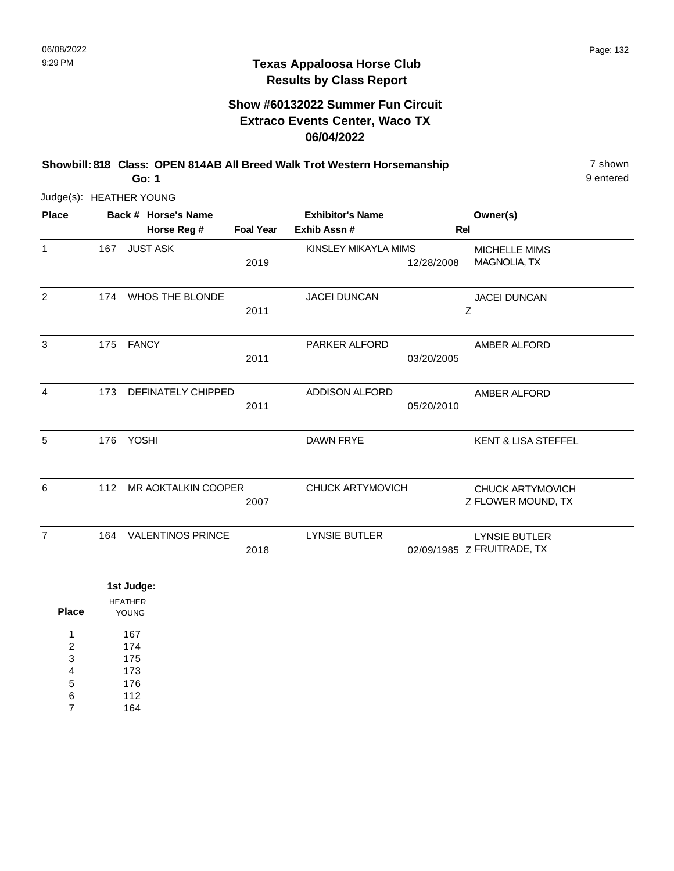$\sim$ 

## **Texas Appaloosa Horse Club Results by Class Report**

|                         |           |                                | Go: 1                              |                  | Showbill: 818 Class: OPEN 814AB All Breed Walk Trot Western Horsemanship |            |                                                    | 7 shown<br>9 entered |
|-------------------------|-----------|--------------------------------|------------------------------------|------------------|--------------------------------------------------------------------------|------------|----------------------------------------------------|----------------------|
| Judge(s): HEATHER YOUNG |           |                                |                                    |                  |                                                                          |            |                                                    |                      |
| <b>Place</b>            |           |                                | Back # Horse's Name<br>Horse Reg # | <b>Foal Year</b> | <b>Exhibitor's Name</b><br>Exhib Assn#                                   | Rel        | Owner(s)                                           |                      |
| $\mathbf{1}$            | 167       |                                | <b>JUST ASK</b>                    | 2019             | KINSLEY MIKAYLA MIMS                                                     | 12/28/2008 | MICHELLE MIMS<br>MAGNOLIA, TX                      |                      |
| 2                       | 174       |                                | <b>WHOS THE BLONDE</b>             | 2011             | <b>JACEI DUNCAN</b>                                                      |            | <b>JACEI DUNCAN</b><br>Ζ                           |                      |
| 3                       | 175 FANCY |                                |                                    | 2011             | <b>PARKER ALFORD</b>                                                     | 03/20/2005 | AMBER ALFORD                                       |                      |
| 4                       | 173       |                                | <b>DEFINATELY CHIPPED</b>          | 2011             | <b>ADDISON ALFORD</b>                                                    | 05/20/2010 | AMBER ALFORD                                       |                      |
| 5                       | 176       | <b>YOSHI</b>                   |                                    |                  | <b>DAWN FRYE</b>                                                         |            | <b>KENT &amp; LISA STEFFEL</b>                     |                      |
| 6                       |           |                                | 112 MR AOKTALKIN COOPER            | 2007             | <b>CHUCK ARTYMOVICH</b>                                                  |            | <b>CHUCK ARTYMOVICH</b><br>Z FLOWER MOUND, TX      |                      |
| $\overline{7}$          | 164       |                                | <b>VALENTINOS PRINCE</b>           | 2018             | <b>LYNSIE BUTLER</b>                                                     |            | <b>LYNSIE BUTLER</b><br>02/09/1985 Z FRUITRADE, TX |                      |
|                         |           | 1st Judge:                     |                                    |                  |                                                                          |            |                                                    |                      |
| <b>Place</b><br>1       |           | <b>HEATHER</b><br>YOUNG<br>167 |                                    |                  |                                                                          |            |                                                    |                      |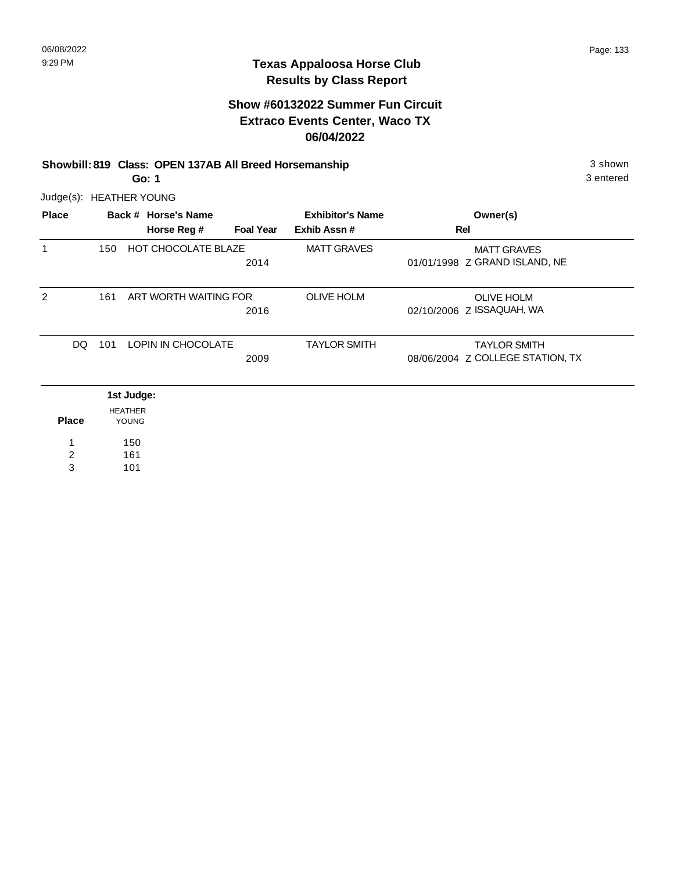# **Show #60132022 Summer Fun Circuit Extraco Events Center, Waco TX 06/04/2022**

#### **Showbill: 819 Class: OPEN 137AB All Breed Horsemanship** 3 shown 3 shown

3 entered

**Go: 1**

| Judge(s): HEATHER YOUNG |            |                         |                       |                  |                         |     |                                  |
|-------------------------|------------|-------------------------|-----------------------|------------------|-------------------------|-----|----------------------------------|
| <b>Place</b>            |            |                         | Back # Horse's Name   |                  | <b>Exhibitor's Name</b> |     | Owner(s)                         |
|                         |            |                         | Horse Reg #           | <b>Foal Year</b> | Exhib Assn#             | Rel |                                  |
| 1                       | 150        |                         | HOT CHOCOLATE BLAZE   |                  | <b>MATT GRAVES</b>      |     | <b>MATT GRAVES</b>               |
|                         |            |                         |                       | 2014             |                         |     | 01/01/1998 Z GRAND ISLAND, NE    |
| $\overline{2}$          | 161        |                         | ART WORTH WAITING FOR |                  | <b>OLIVE HOLM</b>       |     | <b>OLIVE HOLM</b>                |
|                         |            |                         |                       | 2016             |                         |     | 02/10/2006 Z ISSAQUAH, WA        |
| DQ                      | 101        |                         | LOPIN IN CHOCOLATE    |                  | <b>TAYLOR SMITH</b>     |     | <b>TAYLOR SMITH</b>              |
|                         |            |                         |                       | 2009             |                         |     | 08/06/2004 Z COLLEGE STATION, TX |
|                         | 1st Judge: |                         |                       |                  |                         |     |                                  |
| <b>Place</b>            |            | <b>HEATHER</b><br>YOUNG |                       |                  |                         |     |                                  |
| 1                       |            | 150                     |                       |                  |                         |     |                                  |
| $\overline{c}$          |            | 161                     |                       |                  |                         |     |                                  |
| 3                       |            | 101                     |                       |                  |                         |     |                                  |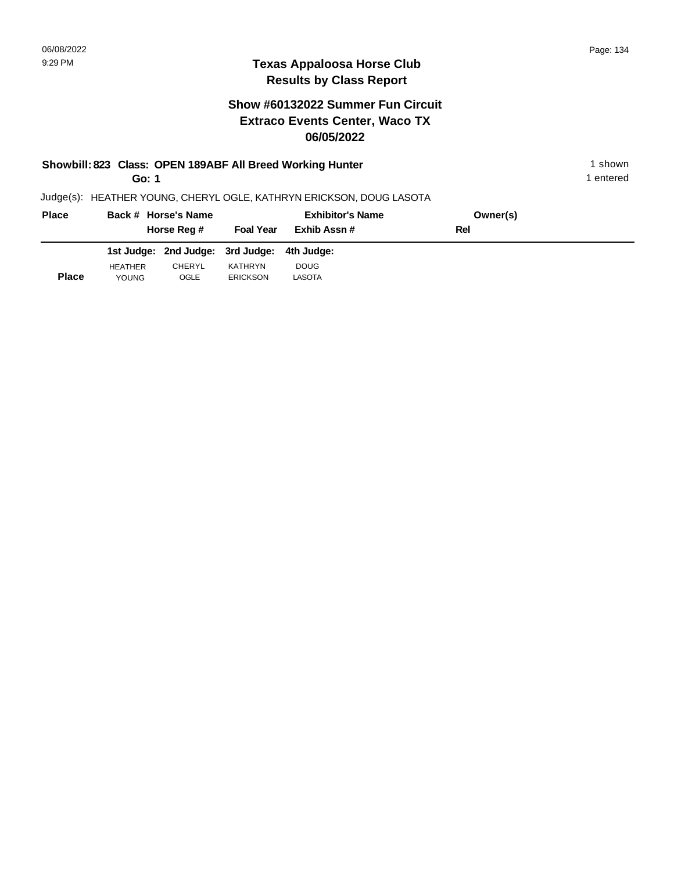|              | Go: 1          |                                  |                  | Showbill: 823 Class: OPEN 189ABF All Breed Working Hunter           |          | shown<br>1 entered |  |
|--------------|----------------|----------------------------------|------------------|---------------------------------------------------------------------|----------|--------------------|--|
|              |                |                                  |                  | Judge(s): HEATHER YOUNG, CHERYL OGLE, KATHRYN ERICKSON, DOUG LASOTA |          |                    |  |
| <b>Place</b> |                | Back # Horse's Name              |                  | <b>Exhibitor's Name</b>                                             | Owner(s) |                    |  |
|              |                | Horse Reg #                      | <b>Foal Year</b> | Exhib Assn#                                                         | Rel      |                    |  |
|              |                | 1st Judge: 2nd Judge: 3rd Judge: |                  | 4th Judae:                                                          |          |                    |  |
|              | <b>HEATHER</b> | <b>CHERYL</b>                    | KATHRYN          | <b>DOUG</b>                                                         |          |                    |  |
| <b>Place</b> | <b>YOUNG</b>   | OGLE                             | <b>ERICKSON</b>  | <b>LASOTA</b>                                                       |          |                    |  |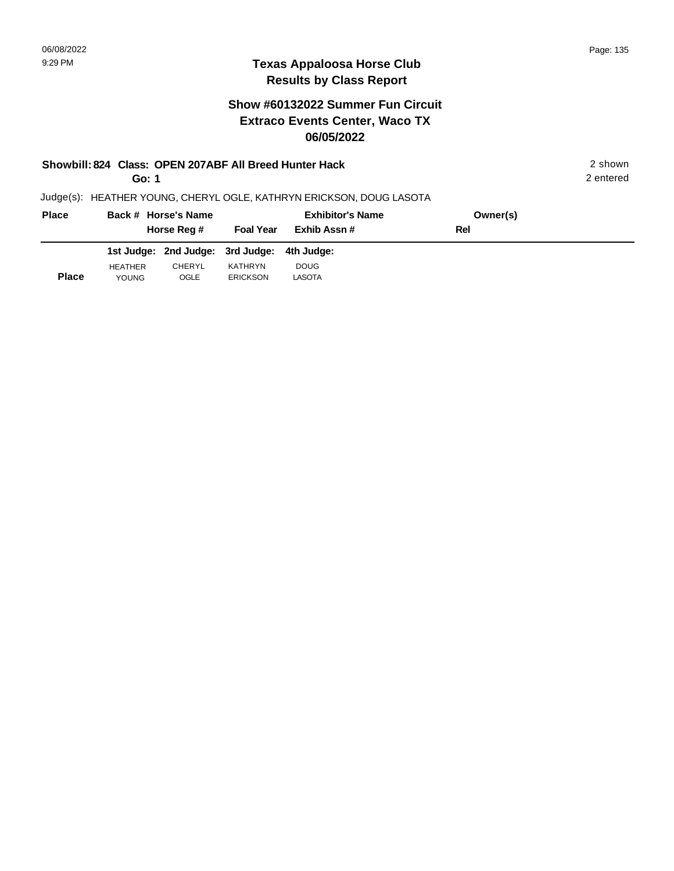### **Texas Appaloosa Horse Club Results by Class Report**

# **Show #60132022 Summer Fun Circuit Extraco Events Center, Waco TX 06/05/2022**

| Showbill: 824 Class: OPEN 207ABF All Breed Hunter Hack              | 2 shown   |
|---------------------------------------------------------------------|-----------|
| Go: 1                                                               | 2 entered |
| Judge(s): HEATHER YOUNG, CHERYL OGLE, KATHRYN ERICKSON, DOUG LASOTA |           |

**Back # Horse's Name Place Owner(s) Horse Reg # Exhib Assn # Foal Year Rel Exhibitor's Name 2nd Judge: 1st Judge: 3rd Judge: 4th Judge: Place** HEATHER YOUNG CHERYL OGLE KATHRYN ERICKSON DOUG LASOTA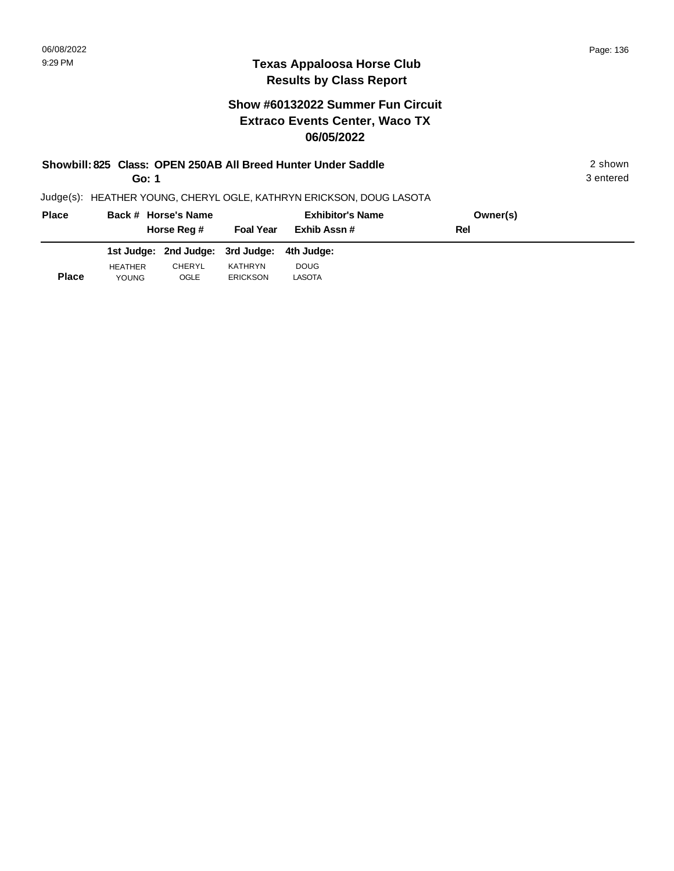# **Texas Appaloosa Horse Club Results by Class Report**

|              | Go: 1                          |                                  |                            | Showbill: 825 Class: OPEN 250AB All Breed Hunter Under Saddle       |          | 2 shown<br>3 entered |  |
|--------------|--------------------------------|----------------------------------|----------------------------|---------------------------------------------------------------------|----------|----------------------|--|
|              |                                |                                  |                            | Judge(s): HEATHER YOUNG, CHERYL OGLE, KATHRYN ERICKSON, DOUG LASOTA |          |                      |  |
| <b>Place</b> |                                | Back # Horse's Name              |                            | <b>Exhibitor's Name</b>                                             | Owner(s) |                      |  |
|              |                                | Horse Reg #                      | <b>Foal Year</b>           | Exhib Assn#                                                         | Rel      |                      |  |
|              |                                | 1st Judge: 2nd Judge: 3rd Judge: |                            | 4th Judae:                                                          |          |                      |  |
| <b>Place</b> | <b>HEATHER</b><br><b>YOUNG</b> | CHERYL<br>OGLE                   | KATHRYN<br><b>ERICKSON</b> | <b>DOUG</b><br>LASOTA                                               |          |                      |  |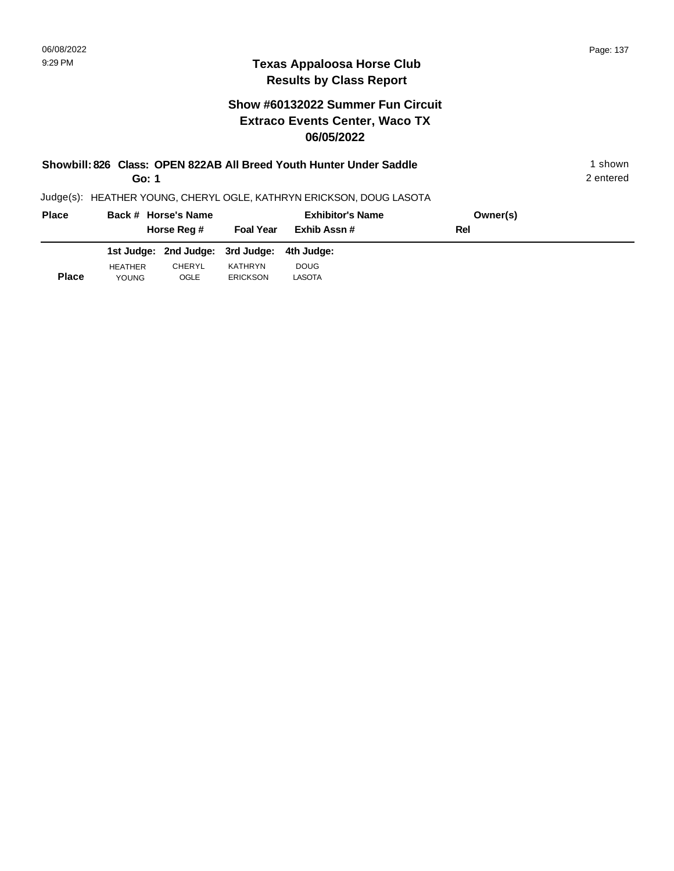YOUNG

## **Texas Appaloosa Horse Club Results by Class Report**

|              | Go: 1                          |                                  |                            | Showbill: 826 Class: OPEN 822AB All Breed Youth Hunter Under Saddle |          | 1 shown<br>2 entered |
|--------------|--------------------------------|----------------------------------|----------------------------|---------------------------------------------------------------------|----------|----------------------|
|              |                                |                                  |                            | Judge(s): HEATHER YOUNG, CHERYL OGLE, KATHRYN ERICKSON, DOUG LASOTA |          |                      |
| <b>Place</b> |                                | Back # Horse's Name              |                            | <b>Exhibitor's Name</b>                                             | Owner(s) |                      |
|              |                                | Horse Reg #                      | <b>Foal Year</b>           | Exhib Assn#                                                         | Rel      |                      |
|              |                                | 1st Judge: 2nd Judge: 3rd Judge: |                            | 4th Judge:                                                          |          |                      |
| <b>Place</b> | <b>HEATHER</b><br><b>YOUNG</b> | CHERYL<br>OGLE                   | KATHRYN<br><b>ERICKSON</b> | <b>DOUG</b><br><b>LASOTA</b>                                        |          |                      |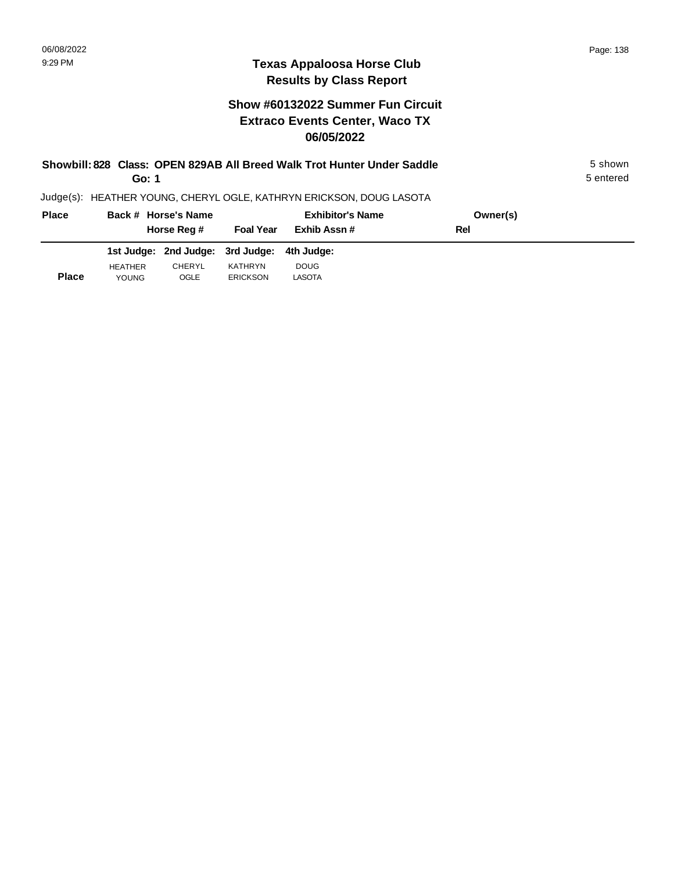| Showbill: 828 Class: OPEN 829AB All Breed Walk Trot Hunter Under Saddle<br>Go: 1 |                                |                                  |                            |                                                                     |          |  |  |  |
|----------------------------------------------------------------------------------|--------------------------------|----------------------------------|----------------------------|---------------------------------------------------------------------|----------|--|--|--|
|                                                                                  |                                |                                  |                            | Judge(s): HEATHER YOUNG, CHERYL OGLE, KATHRYN ERICKSON, DOUG LASOTA |          |  |  |  |
| <b>Place</b>                                                                     |                                | Back # Horse's Name              |                            | <b>Exhibitor's Name</b>                                             | Owner(s) |  |  |  |
|                                                                                  |                                | Horse Reg #                      | <b>Foal Year</b>           | Exhib Assn#                                                         | Rel      |  |  |  |
|                                                                                  |                                | 1st Judge: 2nd Judge: 3rd Judge: |                            | 4th Judae:                                                          |          |  |  |  |
| <b>Place</b>                                                                     | <b>HEATHER</b><br><b>YOUNG</b> | <b>CHERYL</b><br>OGLE            | KATHRYN<br><b>ERICKSON</b> | <b>DOUG</b><br><b>LASOTA</b>                                        |          |  |  |  |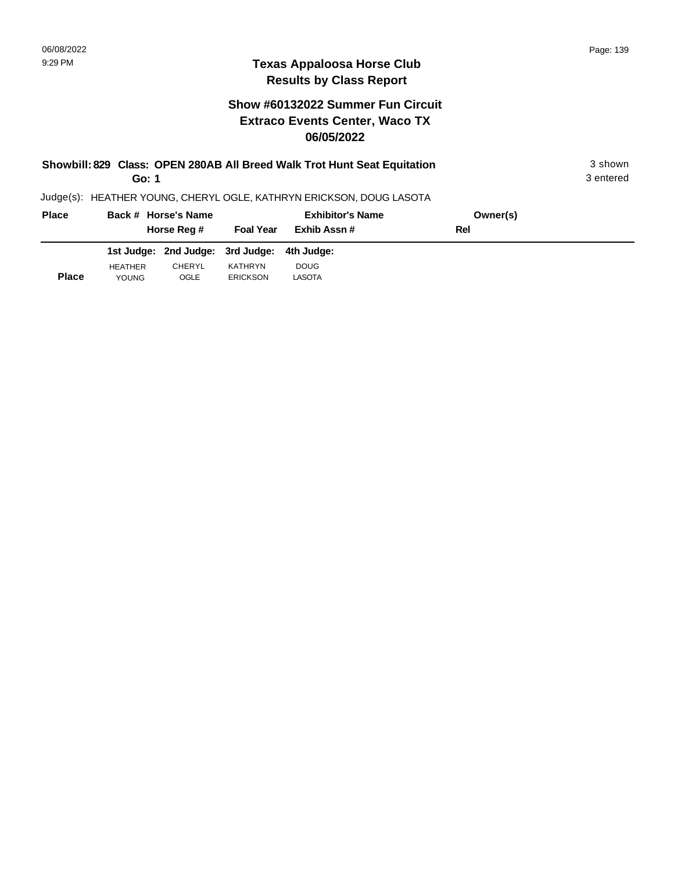# **Texas Appaloosa Horse Club Results by Class Report**

| Showbill: 829 Class: OPEN 280AB All Breed Walk Trot Hunt Seat Equitation<br>Go: 1 |                                |                                  |                            |                                                                     |          |  |  |  |
|-----------------------------------------------------------------------------------|--------------------------------|----------------------------------|----------------------------|---------------------------------------------------------------------|----------|--|--|--|
|                                                                                   |                                |                                  |                            | Judge(s): HEATHER YOUNG, CHERYL OGLE, KATHRYN ERICKSON, DOUG LASOTA |          |  |  |  |
| <b>Place</b>                                                                      |                                | Back # Horse's Name              |                            | <b>Exhibitor's Name</b>                                             | Owner(s) |  |  |  |
|                                                                                   |                                | Horse Reg #                      | <b>Foal Year</b>           | Exhib Assn#                                                         | Rel      |  |  |  |
|                                                                                   |                                | 1st Judge: 2nd Judge: 3rd Judge: |                            | 4th Judae:                                                          |          |  |  |  |
| <b>Place</b>                                                                      | <b>HEATHER</b><br><b>YOUNG</b> | <b>CHERYL</b><br>OGLE            | KATHRYN<br><b>ERICKSON</b> | <b>DOUG</b><br>LASOTA                                               |          |  |  |  |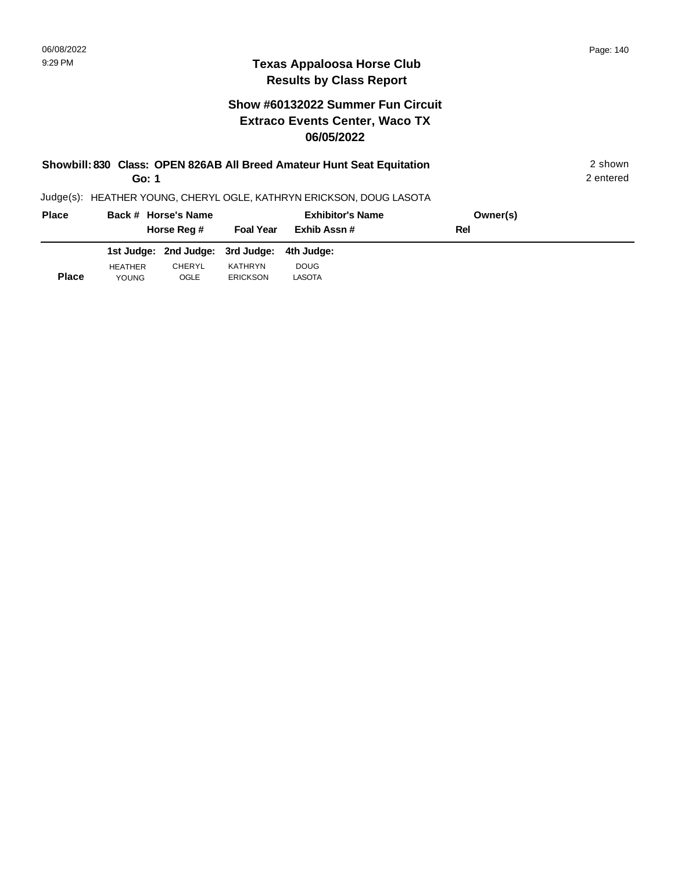**Place**

YOUNG

OGLE

ERICKSON

## **Texas Appaloosa Horse Club Results by Class Report**

# **Show #60132022 Summer Fun Circuit Extraco Events Center, Waco TX 06/05/2022**

| Showbill: 830 Class: OPEN 826AB All Breed Amateur Hunt Seat Equitation | 2 shown<br>2 entered |                                  |                  |                                                                     |          |  |
|------------------------------------------------------------------------|----------------------|----------------------------------|------------------|---------------------------------------------------------------------|----------|--|
|                                                                        |                      |                                  |                  | Judge(s): HEATHER YOUNG, CHERYL OGLE, KATHRYN ERICKSON, DOUG LASOTA |          |  |
| <b>Place</b>                                                           |                      | Back # Horse's Name              |                  | <b>Exhibitor's Name</b>                                             | Owner(s) |  |
|                                                                        |                      | Horse Reg #                      | <b>Foal Year</b> | Exhib Assn#                                                         | Rel      |  |
|                                                                        |                      | 1st Judge: 2nd Judge: 3rd Judge: |                  | 4th Judae:                                                          |          |  |
|                                                                        | <b>HEATHER</b>       | CHERYL                           | KATHRYN          | <b>DOUG</b>                                                         |          |  |

LASOTA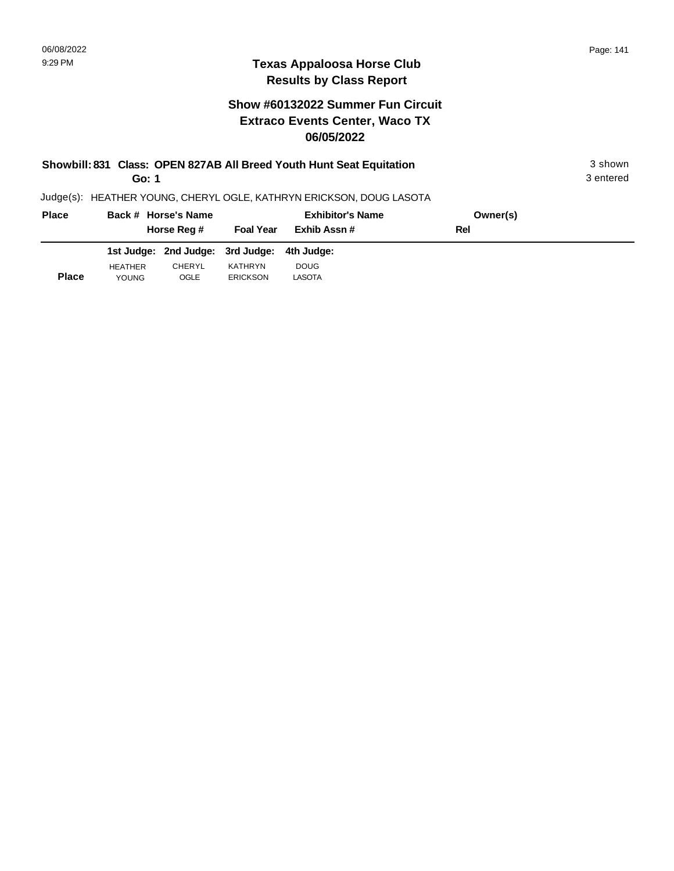**Place**

YOUNG

OGLE

ERICKSON

## **Texas Appaloosa Horse Club Results by Class Report**

# **Show #60132022 Summer Fun Circuit Extraco Events Center, Waco TX 06/05/2022**

| Showbill: 831 Class: OPEN 827AB All Breed Youth Hunt Seat Equitation<br>Go: 1 |                |                                  |                  |                                                                     |          |  |  |
|-------------------------------------------------------------------------------|----------------|----------------------------------|------------------|---------------------------------------------------------------------|----------|--|--|
|                                                                               |                |                                  |                  | Judge(s): HEATHER YOUNG, CHERYL OGLE, KATHRYN ERICKSON, DOUG LASOTA |          |  |  |
| <b>Place</b>                                                                  |                | Back # Horse's Name              |                  | <b>Exhibitor's Name</b>                                             | Owner(s) |  |  |
|                                                                               |                | Horse Reg #                      | <b>Foal Year</b> | Exhib Assn#                                                         | Rel      |  |  |
|                                                                               |                | 1st Judge: 2nd Judge: 3rd Judge: |                  | 4th Judae:                                                          |          |  |  |
|                                                                               | <b>HEATHER</b> | CHERYL                           | KATHRYN          | <b>DOUG</b>                                                         |          |  |  |

LASOTA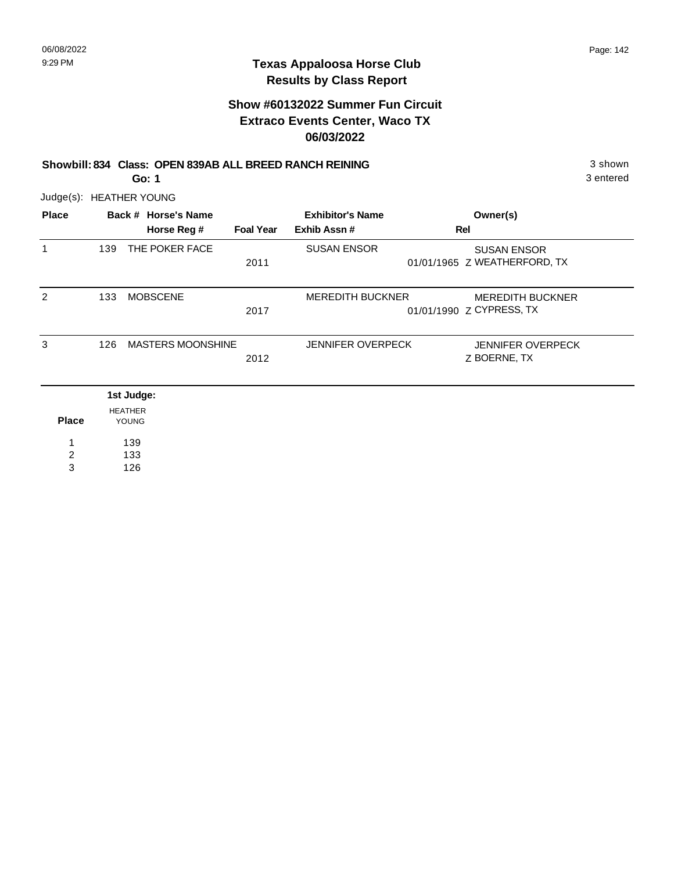# **Show #60132022 Summer Fun Circuit Extraco Events Center, Waco TX 06/03/2022**

| Showbill: 834 Class: OPEN 839AB ALL BREED RANCH REINING | 3 shown   |
|---------------------------------------------------------|-----------|
| Go: 1                                                   | 3 entered |

Judge(s): HEATHER YOUNG

| <b>Place</b>   |     | Back # Horse's Name      |                  | <b>Exhibitor's Name</b>  | Owner(s)                     |
|----------------|-----|--------------------------|------------------|--------------------------|------------------------------|
|                |     | Horse Reg #              | <b>Foal Year</b> | Exhib Assn#              | Rel                          |
| 1              | 139 | THE POKER FACE           |                  | <b>SUSAN ENSOR</b>       | <b>SUSAN ENSOR</b>           |
|                |     |                          | 2011             |                          | 01/01/1965 Z WEATHERFORD, TX |
| 2              | 133 | <b>MOBSCENE</b>          |                  | <b>MEREDITH BUCKNER</b>  | <b>MEREDITH BUCKNER</b>      |
|                |     |                          | 2017             |                          | 01/01/1990 Z CYPRESS, TX     |
| 3              | 126 | <b>MASTERS MOONSHINE</b> |                  | <b>JENNIFER OVERPECK</b> | <b>JENNIFER OVERPECK</b>     |
|                |     |                          | 2012             |                          | Z BOERNE, TX                 |
|                |     | 1st Judge:               |                  |                          |                              |
|                |     | <b>HEATHER</b>           |                  |                          |                              |
| <b>Place</b>   |     | <b>YOUNG</b>             |                  |                          |                              |
| 1              |     | 139                      |                  |                          |                              |
| $\overline{c}$ |     | 133                      |                  |                          |                              |
| 3              |     | 126                      |                  |                          |                              |